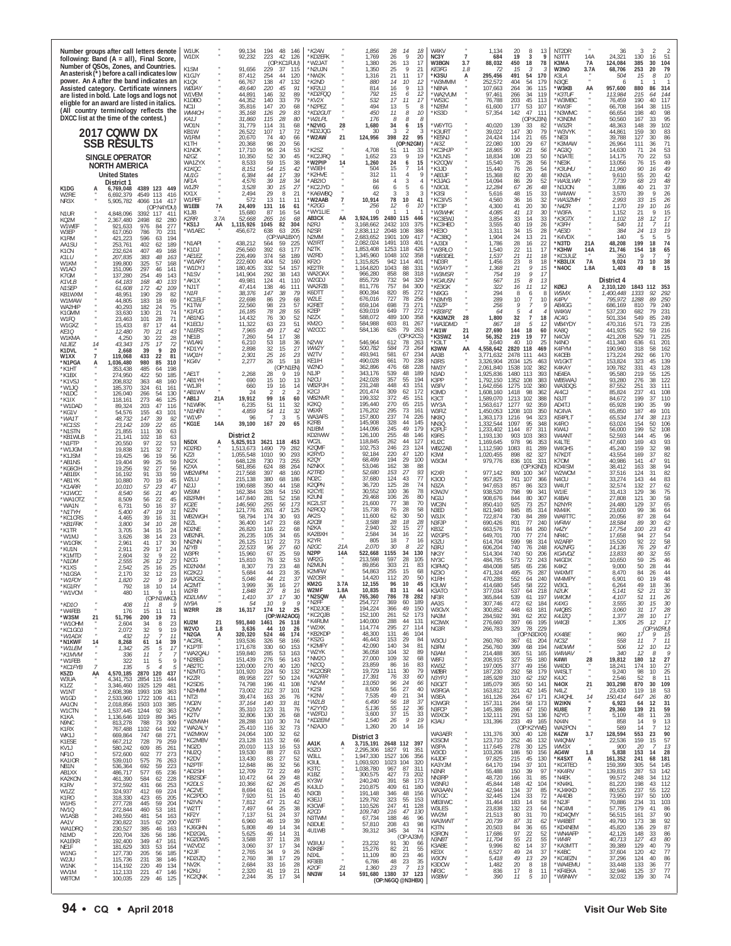| <b>United States</b><br>K2HVE<br>312<br>11<br>$\overline{4}$<br>NU1G<br>6,384<br>44<br>17<br>39<br>Q<br>*AB3JF<br>15,368<br>82<br>20<br>48<br>*KN3A<br>*AB2IO<br>29<br>*WA3LWR<br>4,576<br>39<br>18<br>34<br>84<br>3<br>86<br>NF1A<br>4<br>'K3JAG<br>14.094<br>-52<br>District 1<br>'KC2JYD<br>66<br>W1ZR<br>3,528<br>30<br>15<br>27<br>6<br>5<br>*N3OJL<br>12,284<br>67<br>26<br>48<br>'N3JON<br>6,769,048<br>4389 123 449<br>K1DG<br>48<br>15<br>2,494<br>29<br>8<br>21<br>KA6WBO<br>42<br>W4WW<br>KX1X<br>'K3SI<br>5,616<br>33<br>W2RE<br>6,692,379<br>4549 113<br>416<br>W1PEF<br>572<br>13<br>11<br>11<br>*W2AAB<br>10,914<br>78<br>10<br>KC3IVS<br>4,560<br>36<br>16<br>32<br>*WA3ZMH<br>41<br>NR3X<br>5,905,782<br>4066 114<br>417<br>24,409<br>131<br>12<br>10<br>41<br>20<br>W1EBI<br>7A<br>*K2GG<br>256<br>'KT3P<br>4,300<br>30<br>*N4ZR<br>16<br>61<br>6<br>(OP:N4YDU)<br>*WY1LIE<br>15,680<br>87<br>54<br>*W3WHK<br>4,085<br>41<br>13<br>30<br>'W3FA<br>K1JB<br>16<br>n<br>N1UR<br>4,848,096<br>3392 117<br>41'                                                                                                                                                                                                                                                                                                                                                                                                                                                                                                                                                                                                                                                                                                                                                                                                                                                                                                                                                                                                                                                                                                                                                                                                                                                                                                                                                                                                                                                                                                                                                                                                                                                                                                                                                                                                                                                                                                                                                                                                                                                                                                                                                                                                                                                                                                                                                                                                                                                                                                                                                                                                                                                                                                                                                                                                                                                                                                                                                                                                                                                                                                                                                                                                                                                                                                                                                                                                                                                                                                                                                                                                                                                                                                                                                                                                                                                                                                                                                                                                                                                                                                                                                                                                                                                                                                                                                                                                                                                                                                                                                                                                                                                                                                                                                                                                                                                                                                                                                                                                                                                                                                                                                                                                                                                                                                                                                                                                                                                                                                                                                                                                                                                                                                                                                                                                                                                                                                                                                                                                                                                                                                                                                                                                                                                                                                                                                                                                                                                                                                                                                                                                                                                                                                                                                                                                                                                                                                                                                                                                                                                                                                                                                                                                                                                                                                                                                                                                                                                                                                                                                                                                                                                                                                                                                                                                                                                                                                                                                                                                                                                                                                                                                                                                                                                                                                                                                                                                                                                                                                                                                                                                                                                                                                                                                                                                                                                                                                                                                                                                                                                                                                                                                                                                                                                                                                                                                                                                                                                                                                                                                                                                                                                                                                                                                                                                                                                                                                                                                                                                                                                                                                                                                                                                                                                                                                                                                                                                                                                                                                                                                                                                                                                                                                                                                                                                                                                                                                                                                                                                                                                                                                                                                                                                                                                                                                                                                                                                                                                                                                                                                                                                                                                                                                                                                                                                                                                                                                                                                                                                                                                                                                                                                                                                                                                                                                                                                                                                                                                                                                                                                                                                                                                                                                                                                                                                                                                                                                                                                                                                                                                                                                                                                                                                                                                                                                                                                                                                                                                                                                                                                                                                                                                                                                                                                                                                                                                                                                                                                                                                                                                                                                                                                                                                                                                                                                                                                                                                                                                                                                                                                                                                                                                                                                                                                                                                                                                                                                                                                                                                                                                                                                                                                                                                                                                                       | 55<br>42<br>9,610<br>20<br>48<br>68<br>23<br>7,739<br>$\frac{37}{26}$<br>3.886<br>40<br>21<br>39<br>3.570<br>2,993<br>33<br>15<br>26<br>19<br>16<br>1,170<br>10<br>21<br>$\mathsf Q$<br>15<br>1.152<br>18<br>12<br>17<br>1.102<br>11<br>11<br>540<br>384<br>24<br>19<br>13                                                                                                                                                                                                                                                                                                                                                                                                                                                                                                                                                                                                                                                                                                                                                                                                                                                                                                                                                                                                                                                                                                                                                                                                                                                                                                                                                                                                                                                                                                                                                                                                                                                                                                                                                                                                                                                                                                                                                                                                                                                                                                                                                                                                                                                                                                                                                                                                                                                            |
|---------------------------------------------------------------------------------------------------------------------------------------------------------------------------------------------------------------------------------------------------------------------------------------------------------------------------------------------------------------------------------------------------------------------------------------------------------------------------------------------------------------------------------------------------------------------------------------------------------------------------------------------------------------------------------------------------------------------------------------------------------------------------------------------------------------------------------------------------------------------------------------------------------------------------------------------------------------------------------------------------------------------------------------------------------------------------------------------------------------------------------------------------------------------------------------------------------------------------------------------------------------------------------------------------------------------------------------------------------------------------------------------------------------------------------------------------------------------------------------------------------------------------------------------------------------------------------------------------------------------------------------------------------------------------------------------------------------------------------------------------------------------------------------------------------------------------------------------------------------------------------------------------------------------------------------------------------------------------------------------------------------------------------------------------------------------------------------------------------------------------------------------------------------------------------------------------------------------------------------------------------------------------------------------------------------------------------------------------------------------------------------------------------------------------------------------------------------------------------------------------------------------------------------------------------------------------------------------------------------------------------------------------------------------------------------------------------------------------------------------------------------------------------------------------------------------------------------------------------------------------------------------------------------------------------------------------------------------------------------------------------------------------------------------------------------------------------------------------------------------------------------------------------------------------------------------------------------------------------------------------------------------------------------------------------------------------------------------------------------------------------------------------------------------------------------------------------------------------------------------------------------------------------------------------------------------------------------------------------------------------------------------------------------------------------------------------------------------------------------------------------------------------------------------------------------------------------------------------------------------------------------------------------------------------------------------------------------------------------------------------------------------------------------------------------------------------------------------------------------------------------------------------------------------------------------------------------------------------------------------------------------------------------------------------------------------------------------------------------------------------------------------------------------------------------------------------------------------------------------------------------------------------------------------------------------------------------------------------------------------------------------------------------------------------------------------------------------------------------------------------------------------------------------------------------------------------------------------------------------------------------------------------------------------------------------------------------------------------------------------------------------------------------------------------------------------------------------------------------------------------------------------------------------------------------------------------------------------------------------------------------------------------------------------------------------------------------------------------------------------------------------------------------------------------------------------------------------------------------------------------------------------------------------------------------------------------------------------------------------------------------------------------------------------------------------------------------------------------------------------------------------------------------------------------------------------------------------------------------------------------------------------------------------------------------------------------------------------------------------------------------------------------------------------------------------------------------------------------------------------------------------------------------------------------------------------------------------------------------------------------------------------------------------------------------------------------------------------------------------------------------------------------------------------------------------------------------------------------------------------------------------------------------------------------------------------------------------------------------------------------------------------------------------------------------------------------------------------------------------------------------------------------------------------------------------------------------------------------------------------------------------------------------------------------------------------------------------------------------------------------------------------------------------------------------------------------------------------------------------------------------------------------------------------------------------------------------------------------------------------------------------------------------------------------------------------------------------------------------------------------------------------------------------------------------------------------------------------------------------------------------------------------------------------------------------------------------------------------------------------------------------------------------------------------------------------------------------------------------------------------------------------------------------------------------------------------------------------------------------------------------------------------------------------------------------------------------------------------------------------------------------------------------------------------------------------------------------------------------------------------------------------------------------------------------------------------------------------------------------------------------------------------------------------------------------------------------------------------------------------------------------------------------------------------------------------------------------------------------------------------------------------------------------------------------------------------------------------------------------------------------------------------------------------------------------------------------------------------------------------------------------------------------------------------------------------------------------------------------------------------------------------------------------------------------------------------------------------------------------------------------------------------------------------------------------------------------------------------------------------------------------------------------------------------------------------------------------------------------------------------------------------------------------------------------------------------------------------------------------------------------------------------------------------------------------------------------------------------------------------------------------------------------------------------------------------------------------------------------------------------------------------------------------------------------------------------------------------------------------------------------------------------------------------------------------------------------------------------------------------------------------------------------------------------------------------------------------------------------------------------------------------------------------------------------------------------------------------------------------------------------------------------------------------------------------------------------------------------------------------------------------------------------------------------------------------------------------------------------------------------------------------------------------------------------------------------------------------------------------------------------------------------------------------------------------------------------------------------------------------------------------------------------------------------------------------------------------------------------------------------------------------------------------------------------------------------------------------------------------------------------------------------------------------------------------------------------------------------------------------------------------------------------------------------------------------------------------------------------------------------------------------------------------------------------------------------------------------------------------------------------------------------------------------------------------------------------------------------------------------------------------------------------------------------------------------------------------------------------------------------------------------------------------------------------------------------------------------------------------------------------------------------------------------------------------------------------------------------------------------------------------------------------------------------------------------------------------------------------------------------------------------------------------------------------------------------------------------------------------------------------------------------------------------------------------------------------------------------------------------------------------------------------------------------------------------------------------------------------------------------------------------------------------------------------------------------------------------------------------------------------------------------------------------------------------------------------------------------------------------------------------------------------------------------------------------------------------------------------------------------------------------------------------------------------------------------------------------------------------------------------------------------------------------------------------------------------------------------------------------------------------------------------------------------------------------------------------------------------------------------------------------------------------------------------------------------------------------------------------------------------------------------------------------------------------------------------------------------------------------------------------------------------------------------------------------------------------------------------------------------------------------------------------------------------------------------------------------------------------------------------------------------------------------------------------------------------------------------------------------------------------------------------------------------------------------------------------------------------------------------------------------------------------------------------------------------------------------------------------------------------------------------------------------------------------------------------------------------------------------------------------------------------------------------------------------------------------------------------------------------------------------------------------------------------------------------------------------------------------------------------------------------------------------------------------------------------------------------------------------------------------------------------------------------------------------------------------------------------------------------------------------------------------------------------------------------------------------------------------------------------------------------------------------------------------------------------------------------------------------------------------------------------------------------------------------------------------------------------------------------------------------------------------------------------------------------------------------------------------------------------------------------------------------------------------------------------------------------------------------------------------------------------------------------------------------------------------------------------------------------------------------------------------------------------------------------------------------------------------------------------------------------------------------------------------------------------------------------------------------------------------------------------------------------------------------------------------------------------------------------------------------------------------------------------------------------------------------------------------------------------------------------------------------------------------------------------------------------------------------------------------------------------------------------------------------------------------------------------------------------------------------------------------------------------------------------------------------------------------------------------------------------------------------------------------------------------------------------------------------------------------------------------------------------|---------------------------------------------------------------------------------------------------------------------------------------------------------------------------------------------------------------------------------------------------------------------------------------------------------------------------------------------------------------------------------------------------------------------------------------------------------------------------------------------------------------------------------------------------------------------------------------------------------------------------------------------------------------------------------------------------------------------------------------------------------------------------------------------------------------------------------------------------------------------------------------------------------------------------------------------------------------------------------------------------------------------------------------------------------------------------------------------------------------------------------------------------------------------------------------------------------------------------------------------------------------------------------------------------------------------------------------------------------------------------------------------------------------------------------------------------------------------------------------------------------------------------------------------------------------------------------------------------------------------------------------------------------------------------------------------------------------------------------------------------------------------------------------------------------------------------------------------------------------------------------------------------------------------------------------------------------------------------------------------------------------------------------------------------------------------------------------------------------------------------------------------------------------------------------------------------------------------------------------------------------------------------------------------------------------------------------------------------------------------------------------------------------------------------------------------------------------------------------------------------------------------------------------------------------------------------------------------------------------------------------------------------------------------------------------------------------------------------------------|
| AB3CX<br>AA<br>3,924,195<br>2480 115<br>446<br>33<br><b>K2RR</b><br>3.7A<br>52,668<br>265<br>KC3EWJ<br>3,854<br>14<br>33<br>*K3GTX<br>-16<br>68<br>KQ2M<br>2,367,480<br>2498<br>82<br>280<br>*KS1J<br>1,115,926<br>1045<br>82<br>304<br>N <sub>2</sub> RJ<br>3,168,662<br>2432<br>103<br>375<br>*KC3HEO<br>3,555<br>40<br>19<br>26<br>*K3FH<br>AA<br>277<br>W1WEF<br>921,633<br>976<br>84<br>'W1AEC<br>N2SR<br>2,838,112<br>2048<br>108<br>388<br>3,311<br>$\substack{34 \\ 24}$<br>*AE3D<br>638<br>*KF30<br>$\frac{15}{13}$<br>28<br>456,672<br>63<br>-205<br>W3EP<br>617,050<br>786<br>70<br>231<br>N2MM<br>417<br>21<br>'K4VDX<br>(OP<br>:WA1BXY)<br>2,683,652<br>1901<br>109<br>'AC3BQ<br>1.904<br>194<br>K1RM<br>421,223<br>596<br>63<br>'N1API<br>438,212<br>W2IRT<br>28<br>N3TD*<br>564<br>59<br>225<br>2.082.024<br>1491<br>103<br>40<br>AJ3DI<br>1,786<br>16<br>22<br>21A<br>253,761<br>402<br>62<br>189<br>AA1SL<br>N <sub>2</sub> TK<br>,853,408<br>1253<br>426<br>22<br>392<br>63<br>118<br>'W3RLO<br>*K3HW<br>'K1DJ<br>256,560<br>-177<br>1,540<br>11<br>17<br>14A<br>407<br>49<br>K <sub>1</sub> C <sub>N</sub>                                                                                                                                                                                                                                                                                                                                                                                                                                                                                                                                                                                                                                                                                                                                                                                                                                                                                                                                                                                                                                                                                                                                                                                                                                                                                                                                                                                                                                                                                                                                                                                                                                                                                                                                                                                                                                                                                                                                                                                                                                                                                                                                                                                                                                                                                                                                                                                                                                                                                                                                                                                                                                                                                                                                                                                                                                                                                                                                                                                                                                                                                                                                                                                                                                                                                                                                                                                                                                                                                                                                                                                                                                                                                                                                                                                                                                                                                                                                                                                                                                                                                                                                                                                                                                                                                                                                                                                                                                                                                                                                                                                                                                                                                                                                                                                                                                                                                                                                                                                                                                                                                                                                                                                                                                                                                                                                                                                                                                                                                                                                                                                                                                                                                                                                                                                                                                                                                                                                                                                                                                                                                                                                                                                                                                                                                                                                                                                                                                                                                                                                                                                                                                                                                                                                                                                                                                                                                                                                                                                                                                                                                                                                                                                                                                                                                                                                                                                                                                                                                                                                                                                                                                                                                                                                                                                                                                                                                                                                                                                                                                                                                                                                                                                                                                                                                                                                                                                                                                                                                                                                                                                                                                                                                                                                                                                                                                                                                                                                                                                                                                                                                                                                                                                                                                                                                                                                                                                                                                                                                                                                                                                                                                                                                                                                                                                                                                                                                                                                                                                                                                                                                                                                                                                                                                                                                                                                                                                                                                                                                                                                                                                                                                                                                                                                                                                                                                                                                                                                                                                                                                                                                                                                                                                                                                                                                                                                                                                                                                                                                                                                                                                                                                                                                                                                                                                                                                                                                                                                                                                                                                                                                                                                                                                                                                                                                                                                                                                                                                                                                                                                                                                                                                                                                                                                                                                                                                                                                                                                                                                                                                                                                                                                                                                                                                                                                                                                                                                                                                                                                                                                                                                                                                                                                                                                                                                                                                                                                                                                                                                                                                                                                                                                                                                                                                                                                                                                                                                                                                                                                                                                                                                                                                                                                                                                                                                                                                                                                                                                                                                                                                                                                                                                                                     | 140<br>5<br>199<br>74<br>48,208<br>18<br>18<br>65<br>21,746<br>154                                                                                                                                                                                                                                                                                                                                                                                                                                                                                                                                                                                                                                                                                                                                                                                                                                                                                                                                                                                                                                                                                                                                                                                                                                                                                                                                                                                                                                                                                                                                                                                                                                                                                                                                                                                                                                                                                                                                                                                                                                                                                                                                                                                                                                                                                                                                                                                                                                                                                                                                                                                                                                                                    |
| 232,624<br>168<br>374<br>W2RD<br>1,345,960<br>1048<br>102<br>358<br>1,537<br>21<br>KC3JUZ<br>'AE1EZ<br>226,499<br>58<br>189<br>*WB3DEL<br>11<br>18<br>383<br>48<br>K1LU<br>207.835<br>163<br>$23\,$<br>KF <sub>20</sub><br>1,315,825<br>942<br>114<br>$40^{\circ}$<br>404<br>52<br>1,456<br>8<br>*KB3LIX<br>7A<br>'W1ARነ<br>222,600<br>160<br>'ND3R<br>18<br>W1KM<br>199.800<br>325<br>57<br>168<br>KE2TR<br>1,164,820<br>1043<br>88<br>331<br>21<br>'W1DYJ<br>180,405<br>332<br>54<br>157<br>*W3AYT<br>1,368<br>9<br>15<br>*N40C<br>1.8A<br>W1AO<br>151,096<br>297<br>46<br>141<br>292<br>WA20AX<br>966,280<br>858<br>88<br>318<br>19<br>141,904<br>38<br>*W3MSR<br>754<br>9<br>'N1SV<br>143<br>17<br>254<br>49<br>K7GM<br>137,280<br>143<br>W2GDJ<br>855,729<br>732<br>94<br>329<br>567<br>15<br>`AK1X<br>49,981<br>124<br>41<br>110<br>*KG4USN<br>8<br>13<br><b>K1VLB</b><br>40<br>64,183<br>168<br>133<br>138<br>'NJ1T<br>47.414<br>WA2FZB<br>811,776<br>757<br>84<br>300<br>322<br>16<br>KØEJ<br>46<br>*KE3GK<br>11<br>111<br>12<br>42<br>А<br>N <sub>1</sub> SEP<br>61,608<br>172<br>109<br>272<br>*N1FI<br>38,376<br>147<br>38<br>K6DTT<br>800,394<br>820<br>85<br>'N9GG<br>294<br>W5MX<br>-79<br>8<br>6<br>8<br>29<br>190<br>82<br>KB1WXM<br>48.951<br>29<br>W2LE<br>676,016<br>727<br>78<br>256<br>'N3MYB<br>289<br>10<br>$\overline{7}$<br>K4PV<br>'KC1FI F<br>22,698<br>86<br>68<br>10<br>W1MAW<br>44,805<br>183<br>18<br>69<br>659,104<br>73<br>271<br>'K1TW<br>22,560<br>98<br>23<br>57<br>K2RET<br>698<br>*N3ZP<br>256<br>AB4GG<br>9<br>75<br>WA2HIP<br>40,293<br>182<br>24<br>*K1FUG<br>78<br>28<br>55<br>K2EP<br>639,019<br>649<br>77<br>272<br>*KB3IPZ<br>W4KW<br>16,185<br>64<br>$\overline{4}$<br>5<br>K1GMM<br>33,630<br>130<br>21<br>74<br>100<br>AB1NG<br>14,432<br>76<br>30<br>52<br>N2ZX<br>588.072<br>489<br>358<br>*KA3MZR<br>28<br>1,800<br>32<br>$\overline{7}$<br>AC4G<br>18<br>W1FQ<br>28<br>71<br>23.463<br>101<br>KM20<br>584,988<br>603<br>267<br>$^{23}_{17}$<br>51<br>81<br>WA3DMD<br>WB4YDY<br>'K1FCU<br>11,322<br>63<br>18<br>867<br>-5<br>12<br>W1GXZ<br>15,433<br>87<br>17<br>44<br>79<br>263<br>W <sub>2</sub> CCC<br>626<br>*N1ERS<br>584,136<br>21<br>27,690<br>144<br>18<br>7,965<br>49<br>42<br>*AI1W<br>60<br>KA8Q<br>KE10<br>12,480<br>70<br>21<br>43<br>(OP:K2CS)<br>N4CW<br>'NE1B<br>7,260<br>54<br>17<br>38<br>*K3SWZ<br>56,352<br>219<br>19<br>77<br>14<br>W1KMA<br>4,250<br>30<br>22<br>28<br>N <sub>2</sub> VW<br>546,964<br>263<br>53<br>18<br>612<br>78<br>N4NO<br>'W1AKI<br>6,210<br>36<br>'K3LT<br>3,640<br>40<br>10<br>-25<br>43.343<br>175<br>17<br>72<br>$N1$ JFZ<br>14<br>27<br>WW2Y<br>500,782<br>584<br>73<br>264<br>K3WW<br>K4FYM<br>'KD1YV<br>2,898<br>32<br>15<br>AA<br>4,558,642<br>2820 118<br>469<br>K1DVL<br>39<br>9<br>20<br>2,668<br>W2TV<br>234<br>493.941<br>581<br>67<br>*WQ1H<br>2,301<br>25<br>K4CEB<br>16<br>23<br>AA3B<br>3,771,632<br>2478<br>111<br>443<br>433<br>W1XX<br>$\overline{7}$<br>119,068<br>22<br>81<br>238<br>KE1IH<br>490.028<br>661<br>70<br>'KG4V<br>2,277<br>26<br>15<br>18<br>N3RS<br>3,326,904<br>2034 125<br>W1GKT<br>46:<br>*N1PGA<br>1,036,480<br>980<br>85<br>310<br>А<br>W2NO<br>362,896<br>476<br>68<br>228<br>(OP:N1EN)<br>NW3Y<br>2,061,840<br>1538<br>102<br>382<br>K4KAY<br>485<br>198<br>*K1HT<br>353,438<br>64<br>539<br>AE1T<br>2,268<br>N1JP<br>343.176<br>48<br>189<br>28<br>9<br>N3AD<br>1,925,836<br>1480<br>113<br>393<br>NE4EA<br>*K1BX<br>274,950<br>422<br>50<br>185<br>*AB1YH<br>10<br>N <sub>2</sub> CU<br>242,028<br>357<br>55<br>194<br>WB5WAJ<br>15<br>13<br>K3PP<br>1352<br>108<br>383<br>690<br>1.792.150<br>*K1VSJ<br>208,832<br>363<br>48<br>160<br>43<br>'W1JR<br>660<br>19<br>WB2PJH<br>231,248<br>448<br>151<br>W3FV<br>1275<br>102<br>380<br>WA3DQS<br>16<br>14<br>1.642.656<br>*W1JQ<br>324<br>185.370<br>61<br>161<br>K2CJ<br>201,474<br>309<br>62<br>172<br>K3MD<br>AB1WV<br>1,608,160<br>1418<br>98<br>AI4CJ<br>24<br>2<br>362<br>$\mathcal{L}$<br>-2<br>*N1DC<br>126,040<br>266<br>54<br>130<br>WB2NVR<br>199,332<br>45<br>151<br>372<br>'AB1J<br>21A<br>19,912<br>99<br>16<br>60<br>K3CT<br>1,589,070<br>1213<br>102<br>388<br>N3JT<br>$*$ K1IX<br>118,161<br>273<br>46<br>125<br>K2KQ<br>195,440<br>65<br>215<br>'N1WRK<br>51<br>11<br>270<br>WY3A<br>1277<br>AD4TJ<br>6,235<br>32<br>1,563,617<br>92<br>359<br>*W1DAD<br>89,324<br>203<br>47<br>116<br>W6XR<br>176,202<br>295<br>73<br>161<br>*N1HEN<br>4,859<br>54<br>11<br>32<br>W3FIZ<br>1,450,053<br>1208<br>103<br>350<br>NC4VA<br>*KG1V<br>155<br>43<br>54.576<br>101<br>WA3AFS<br>157,800<br>237<br>74<br>226<br>96<br>NK8Q<br><b>KE4PLT</b><br>'W1VP<br>1,363,173<br>94<br>323<br>3<br>1216<br>*WA1T<br>48,732<br>147<br>39<br>92<br>14A<br>39,100<br>K <sub>2</sub> R <sub>B</sub><br>145,908<br>328<br>44<br>145<br>'KG1E<br>167<br>20<br>65<br>95<br>NN3Q<br>1.332.544<br>1097<br>348<br>K4RO<br>22<br>109<br>65<br>*KC1SS<br>23,142<br>N1IBM<br>144,096<br>245<br>49<br>179<br>K2PLF<br>1,233,402<br>1144<br>87<br>311<br>KW4J<br>21,855<br>111<br>30<br>63<br>*N1STN<br>KD2IWW<br>District 2<br>126,100<br>255<br>48<br>146<br>K9RS<br>103<br>W4ANT<br>1.193.130<br>903<br>383<br>18<br>*KB1WI F<br>21.141<br>102<br>63<br>N5DX<br>3621 118<br>WC2L<br>118,845<br>262<br>44<br>-127<br>5,825,913<br>453<br>KU2C<br>1,169,645<br>978<br>96<br>353<br>K4LTE<br>A<br>20,550<br>22<br>53<br>*N1FTP<br>97<br>23<br>K2QMF<br>102,753<br>246<br>124<br>KD2RD<br>1490<br>79<br>WB2ZAB<br>1,112,590<br>1083<br>81<br>289<br>W4GHS<br>1,513,673<br>-282<br>77<br>*W1.IGM<br>19,838<br>121<br>32<br>K2RYD<br>92,184<br>220<br>47<br>120<br>KZ2I<br>1.055.548<br>1010<br>90<br>293<br>K3WI<br>1,020,455<br>898<br>82<br>327<br>N7KDT<br>56<br>*K1JSM<br>19,425<br>19<br>96<br>29<br>K2QY<br>68,499<br>194<br>100<br>W3GM<br>NX2X<br>648.128<br>730<br>73<br>255<br>979,776<br>836<br>101<br>-331<br>K70M<br>19.404<br>99<br>25<br>59<br>*AB1NS<br>N2NKX<br>162<br>53.046<br>38<br>88<br>KD4ISM<br>K2XA<br>581,856<br>624<br>88<br>264<br>(OP:K3ND<br>*KG6CIH<br>19,256<br>92<br>27<br>56<br>397<br><b>K2TRD</b><br>52,680<br>153<br>27<br>93<br>K2XR<br>977,142<br>809 100<br>WB2WPM<br>217,568<br>48<br>160<br>W2WCM<br>-34<br>59<br>*AB1BX<br>16,192<br>91<br>33<br>77<br>43<br>NO2C<br>37,680<br>124<br>W2LU<br>380<br>K300<br>957,825<br>741<br>107<br>366<br>N4CU<br>215.138<br>68<br>186<br>19<br>70<br>45<br>*AB1YK<br>10.880<br>K2QPN<br>36,720<br>125<br>28<br>74<br>350<br>N3ZA<br>W4UT<br>N211<br>44<br>158<br>947,653<br>857<br>190.688<br>86<br>323<br>*K1ARR<br>10,010<br>57<br>23<br>47<br>K2CYE<br>78<br>30.552<br>100<br>36<br>WS9M<br>162,384<br>328<br>54<br>150<br>K3WJV<br>938,520<br>798<br>99<br>34 <sup>°</sup><br>W1IE<br>21<br>*K1WCC<br>8,540<br>56<br>40<br>K2UNI<br>29,468<br>26<br>80<br>147.840<br>281<br>52<br>106<br>80<br>KB2FMH<br>158<br>NG3J<br>908,676<br>844<br>307<br>K4BAI<br>*WA1OTZ<br>8,509<br>56<br>22<br>45<br>KC2LST<br>77<br>38<br>70<br>21,600<br>KO2E<br>146,560<br>255<br>56<br>WC3N<br>850,410<br>925<br>73<br>257<br>N2NYR<br>173<br>50<br>37<br>*WA1N<br>6,731<br>16<br>N2ROQ<br>15,738<br>76<br>28<br>58<br>121,776<br>261<br>47<br>N3ED<br>845<br><b>N27N</b><br>125<br>821.940<br>85<br>314<br>KM4IK<br>*N1TYH<br>5,400<br>47<br>19<br>31<br>30<br>50<br>AK2S<br>11,600<br>62<br>84<br>289<br>WA9TTC<br>WB2WGH<br>58,794<br>174<br>30<br>93<br>W3JX<br>722.874<br>730<br>39<br>*KC1CRS<br>4,465<br>16<br>31<br>18<br>28<br>K2CBI<br>3,588<br>28<br>WF4W<br>N <sub>2</sub> ZL<br>36,400<br>147<br>23<br>68<br>N3FJP<br>690,426<br>801<br>77<br>240<br>*KB1FRK<br>3,800<br>34<br>10<br>28<br>2,940<br>32<br>15<br>N2KA<br>27<br>KD2NE<br>26,820<br>116<br>22<br>68<br>KB3Z<br>663,576<br>716<br>84<br>260<br>N4ZY<br>*K1TR<br>3.705<br>34<br>15<br>24<br>2,584<br>34<br>22<br>34<br>KA2BXH<br>16<br>77<br>WB2NFL<br>26,235<br>105<br>65<br>W2GPS<br>649,701<br>700<br>274<br>NR4C<br>*W1MJ<br>38<br>23<br>3.626<br>14<br>K2YR<br>805<br>18<br>16<br>22<br>117<br>73<br>599<br>98<br>W2ARP<br>NN2NN<br>26,125<br>K3ZU<br>614,704<br>314<br>*W1CRK<br>2.961<br>41<br>17<br>30<br>22<br>N2GC<br>214<br>2.070<br>30<br>-8<br>N2YB<br>22,533<br>96<br>27<br>60<br>N3RJ<br>606,204<br>740<br>76<br>248<br><b>KA2NFG</b><br>*KU1N<br>2,911<br>29<br>17<br>24<br>N <sub>2</sub> PP<br>522,668<br>1155<br>34<br>130<br>14A<br>25<br>59<br>KG4VDZ<br>W3PR<br>15,960<br>67<br>NK3Y<br>514,304<br>740<br>50<br>206<br>*K1MTE<br>2,604<br>32<br>$\mathsf Q$<br>22<br>WR2G<br>213.598<br>597<br>28<br>105<br>N <sub>2</sub> CG<br>15,810<br>76<br>32<br>53<br>NY3C<br>484,785<br>573<br>72<br>243<br>N4GDX<br>*N1DM<br>2,555<br>26<br>12<br>23<br>23<br>N2MUN<br>21<br>89.856<br>303<br>83<br>585<br>73<br>48<br>K3FMC<br>484.008<br>65<br>236<br>KD2NXM<br>8.307<br>K4K7<br>25<br>25<br>*K1XS<br>2,542<br>16<br>K2MFW<br>255<br>54.863<br>15<br>68<br>35<br>75<br>287<br>W4XMT<br>KC <sub>2</sub> K <sub>Z</sub><br>5.684<br>44<br>23<br>NZ30<br>471.324<br>495<br>32<br>23<br>*N1GSA<br>2.170<br>12<br>N2OSR<br>*W1FO\<br>1,820<br>22<br>9<br><i>WA2GSL</i><br>5.046<br>44<br>21<br>14.4ZU<br>1 I Z<br>ZU<br>KIRH<br>470.288<br>552<br>64<br>240<br>WI4MPY<br>KM2G<br>96<br>10<br>45<br>27<br>3.7A<br>12,155<br>AC2MT<br>3,999<br>36<br>K3UW<br>545<br>58<br>222<br>W3CL<br>18<br>16<br>414,680<br>10<br>*KG1RY<br>792<br>14<br>W2MF<br>1.8A<br>10,835<br>83<br>11<br>44<br>27<br>$\mathcal S$<br>16<br>537<br>64<br>218<br>W2FB<br>1,848<br>K3ATO<br>377,034<br>N2UK<br>9<br>*W1VCM<br>480<br>11<br>11<br>*N2SQW<br>AA<br>765,360<br>786<br>78<br>282<br>KD2LMW<br>1,410<br>37<br>17<br>30<br>NF3R<br>365,844<br>539<br>61<br>197<br>W4OM<br>(OP:N1WKO)<br>369<br>*N2FF<br>254,727<br>60<br>189<br>9<br>307,746<br>NY9A<br>10<br>AA3S<br>472<br>184<br>K4XG<br>.54<br>62<br>*KD10<br>408<br>11<br>8<br>194,224<br>*KD2JOE<br>366<br>49<br>150<br>28<br>16,317<br>174 12<br>25<br>W2RR<br>W3GVX<br>300,852<br>448<br>63<br>181<br>N4QBS<br>*W4FEB<br>15<br>176<br>11<br>11<br>٠<br>*KC2QJB<br>152,100<br>52<br>261<br>173<br>NA3M<br>284,592<br>(OP:WA2AOG)<br>391<br>62<br>202<br>K4JZQ<br>*W3SM<br>21<br>51,796<br>200<br>19<br>73<br>140,000<br>$\mu$<br>*K4RUM<br>288<br>44<br>131<br>KU2M<br>21<br>591,840<br>KC3WX<br>397<br>W4CB<br>1461<br>26 118<br>276,660<br>66<br>195<br>*W10HM<br>34<br>23<br>2,604<br>8<br>27<br>114,774<br>295<br>3,636<br>*W2XK<br>114<br>329<br>78<br><b>W2VO</b><br>1.8<br>44<br>10<br>26<br>NG3R<br>266,783<br>229<br>*KC1GOJ<br>2,072<br>32<br>9<br>19<br>*KB2KDP<br>48,300<br>131<br>46<br>104<br>KX4BE<br>524<br>46<br>(OP: N3DXX)<br>*N2GA<br>A<br>320,320<br>174<br>*W1ADX<br>12<br>432<br>-7<br>11<br>*KS2G<br>46,443<br>29<br>153<br>-84<br>W3OU<br>260,760<br>*AC2RL<br>193,536<br>326<br>58<br>166<br>367<br>61 204<br>NC3Z<br>*N1KWF<br>14<br>8,268<br>61<br>14<br>39<br>*K2MFY<br>42,090<br>140<br>34<br>81<br>N3FM<br>*K1PTF<br>171,678<br>330<br>153<br>399<br>68<br>194<br>N4DWM<br>60<br>256,760<br>*W1LEM<br>17<br>1,342<br>25<br>5<br>*W2YK<br>32<br>36,058<br>104<br>89<br>285<br>N3AM<br>*WA2QAU<br>159,840<br>53<br>163<br>214,488<br>365<br>51<br>165<br>W4WAV<br>*K1MVM<br>336<br>11<br>7<br>7<br>151,439<br>276<br>56<br>*NM2O<br>27,000<br>109<br>32<br>68<br>55<br>327<br>180<br>*N2BEG<br>143<br>W8FJ<br>208,915<br>K4WI<br>28<br>*W1FEB<br>322<br>5<br>9<br>11<br>N2CQ<br>23,859<br>86<br>83<br>79<br>16<br>*AB2TC<br>120,000<br>270<br>40<br>120<br>KW3Z<br>197,005<br>377<br>49<br>156<br>W4DD<br>*KC1FYB<br>5<br>135<br>-5<br>$\mathcal{A}$<br>30<br>*KC2OSR<br>19,729<br>111<br>×<br>WØBR<br>58<br>179<br>W4SLT<br>'N2MTG<br>101,920<br>224<br>50<br>132<br>187,230<br>292<br>2870 120<br>K5ZD<br>AA<br>4,570,185<br>437<br>*KA2FIR<br>33<br>17,391<br>76<br>60<br>$\cdot$<br>227<br>'K2ZR<br>89,958<br>50<br>124<br>N3YPJ<br>185,928<br>310<br>62<br>192<br>K4JC<br>W3UA<br>4,341,753<br>2854 115<br>444<br>*N2VM<br>13,050<br>24<br>96<br>66<br>74,798<br>196<br>41<br>185,079<br>N4OX<br>'K2SDS<br>108<br>N3OZT<br>365<br>50<br>141<br>21<br>K1ZZ<br>3,346,460<br>1925<br>129<br>481<br>56<br>27<br>*K2SI<br>8,509<br>40<br>*N2HMM<br>73,002<br>212<br>37<br>101<br>W3RGA<br>163,812<br>321<br>42<br>145<br>N4LZ<br>2,608,398<br>1993<br>108<br>W1NT<br>363<br>49<br>*K2NV<br>7,535<br>21<br>34<br>39,474<br>KJ40HL<br>NT2L<br>W3FA<br>171<br>$^{14}$<br>163<br>26<br>76<br>161,126<br>264<br>67<br>2,533,960<br>W1GD<br>1722 109<br>411<br>37,164<br>*W2LB<br>6,490<br>56<br>18<br>37<br>140<br>33<br>81<br>58<br>W2IKN<br>*NO2N<br>K3WGR<br>157,311<br>264<br>173<br>2,018,856<br>AA1ON<br>1503<br>103<br>385<br>55<br>36<br>*K2YYD<br>12<br>5,136<br>N3FCP<br>145,386<br>'K2MV<br>35,310<br>123<br>31<br>76<br>286<br>47<br>150<br>KU8E<br>$\overline{7}$<br>W1CTN<br>,537,445<br>1244<br>92<br>363<br>37<br>*W2FDJ<br>3,600<br>15<br>33<br>*K2TV<br>130<br>26<br>W3XOX<br>291<br>53<br>136<br>32,806<br>68<br>132,111<br>N2YO<br>1,136,646 1019<br>K1KA<br>89<br>345<br>1,540<br>26<br>9<br>19<br>*KD2EIM<br>28,288<br>74<br>233<br>49<br>'W2MWH<br>110<br>30<br>K3AU<br>131,396<br>165<br>NX4N<br>N9NC<br>813,278<br>788<br>73<br>309<br>*N2AJO<br>1,260<br>20<br>14<br>16<br>$\alpha$<br>73<br>'WA2ALY<br>116<br>32<br>(OP:K2YWE)<br>WA2PCN<br>25,410<br>767,488 1102<br>192<br>K1RX<br>-64<br>*W2MKW<br>62<br>WA3AER<br>K4ZW<br>24,064<br>100<br>32<br>131,376<br>300<br>40<br>128<br>3.7<br>WK1J<br>669,864<br>747<br>68<br>271<br>District 3<br>*KC2MBV<br>K3SOM<br>132<br>W4QNW<br>23,128<br>115<br>32<br>66<br>123,710<br>252<br>46<br>728<br>79<br>259<br>K1ESE<br>667,212<br>AA1K<br>2648 112 397<br>3,715,191<br>A<br>53<br>'NG2D<br>20,010<br>113<br>$\frac{16}{27}$<br>W3PA<br>117,645<br>278<br>30<br>125<br>WM3X<br>KV1J<br>580,242<br>609<br>85<br>261<br>K3ZO<br>2,295,306<br>1827<br>91<br>351<br>50<br>156<br>19,530<br>88<br>AG4W<br>*NU2Q<br>63<br>103,206<br>186<br>1.8<br>W3OD<br>77<br>273<br>NF <sub>10</sub><br>572,600<br>602<br>W3LL<br>1,947,330<br>1527<br>106<br>356<br>*K2DV<br>13,430<br>83<br>27<br>52<br>K4JDF<br>97,825<br>215<br>45<br>130<br>*K4SXT<br>A<br>KA1IOR<br>539,010<br>575<br>76<br>263<br>K3UL<br>1,093,920<br>1023<br>104<br>320<br>*N2PTF<br>86<br>32<br>56<br>KA3YJM<br>194<br>37<br>*KC4TEO<br>12,848<br>64,170<br>101<br>NB1N<br>536,364<br>692<br>59<br>223<br>K3TC<br>1,038,780<br>967<br>87<br>311<br>22<br>*AD2SH<br>12,709<br>72<br>49<br>N3NR<br>55,488<br>150<br>39<br>97<br>*KK4RV<br>AB1XX<br>486,717<br>577<br>65<br>236<br>K1BZ<br>300,575<br>427<br>73<br>202<br>10,472<br>29<br>48<br>48,720<br>31<br>*N4EK<br>KB2SDF<br>64<br>NN3RP<br>166<br>85<br>461,390<br>228<br>KA2KON<br>584<br>62<br>٠<br>240,240<br>58<br>173<br>KY3W<br>391<br>*K2DLS<br>10,366<br>62<br>26<br>45<br>W3NRJ<br>45,844<br>148<br>42<br>104<br>*KN4KL<br>372,592<br>431<br>253<br>K1RV<br>66<br>٠<br>210,875<br>K4JLD<br>409<br>61<br>180<br>24<br>WA3AAN<br>42,944<br>*KJ4KKD<br>*AC2VE<br>8,694<br>61<br>45<br>134<br>$\frac{37}{33}$<br>$\frac{85}{72}$<br>324,937<br>224<br>W1ZZ<br>412<br>69<br>48<br>N3CB<br>191,148<br>346<br>156<br>7,920<br>51<br>15<br>124<br>*AI4DB<br>'KC2PDO<br>40<br>W7IGC<br>32,445<br>318,330<br>205<br>K1RO<br>423<br>65<br>K3EJJ<br>129,792<br>323<br>55<br>153<br>21<br>*N2JF<br>*N2IVN<br>7,812<br>47<br>42<br>WB3IWC<br>31,464<br>183<br>14<br>58<br>W1HS<br>277,728<br>445<br>59<br>204<br>$\cdot$<br>K3CWF<br>110,526<br>41<br>247<br>128<br>*NC4MI<br>25<br>23<br>*W2TT<br>7,497<br>64<br>38<br>W3LES<br>23,838<br>132<br>64<br>272,844<br>460<br>53<br>181<br>NV1Q<br>109,740<br>K2CD<br>216<br>47<br>130<br>51<br>24<br>37<br>31<br>*KD4QMY<br>*KF2Y<br>7,137<br>WV2M<br>21,513<br>80<br>70<br>W1ASB<br>249,550<br>481<br>54<br>163<br>N3TWM<br>67,734<br>188<br>46<br>96<br>19<br>31<br>6,960<br>46<br>39<br>87<br>*W4BBT<br>*W2TF<br>WA3WN1<br>20,739<br>62<br>230,822<br>AA1V<br>315<br>62<br>200<br>٠<br>57,810<br>N3DUE<br>208<br>43<br>98<br>36<br>*KD4NEM<br>*KJ6GHN<br>5,808<br>49<br>14<br>34<br>K3TN<br>20,503<br>84<br>65<br>WA1DRQ<br>230,527<br>385<br>46<br>163<br>$\cdot$<br>4U1WB<br>39,312<br>345<br>34<br>74<br>$22\,$<br>*WN4AFP<br>*KD2GXL<br>5,625<br>31<br>97<br>52<br>46<br>14<br>K3RON<br>17,686<br>220,704<br>326<br>N1MD<br>56<br>186<br>(OP:AJ3M)<br>$^{21}_{14}$ | 350<br>38<br>9,024<br>73<br>10<br>1,403<br>49<br>8<br>15<br>District 4<br>2,310,120<br>1843 112 353<br>1.400.448<br>1333<br>292<br>92<br>89<br>1288<br>250<br>795.972<br>686,169<br>810<br>79<br>240<br>79<br>231<br>537.230<br>682<br>501,334<br>549<br>85<br>249<br>470,316<br>571<br>235<br>216<br>73<br>441,925<br>562<br>59<br>421,208<br>529<br>71<br>225<br>411,340<br>636<br>61<br>201<br>190,960<br>318<br>58<br>162<br>292<br>170<br>173,224<br>66<br>153,824<br>323<br>45<br>139<br>128<br>109,782<br>331<br>43<br>95,580<br>219<br>125<br>55<br>122<br>93.280<br>276<br>38<br>111<br>87.552<br>251<br>33<br>85,824<br>237<br>41<br>108<br>84,672<br>199<br>37<br>110<br>99<br>65,928<br>190<br>35<br>187<br>49<br>101<br>65,850<br>65,534<br>174<br>38<br>113<br>106<br>63,024<br>154<br>50<br>56,000<br>199<br>52<br>108<br>96<br>52.593<br>144<br>45<br>93<br>47,600<br>169<br>43<br>98<br>159<br>45,240<br>32<br>43,554<br>169<br>37<br>82<br>91<br>40.986<br>141<br>47<br>94<br>38,412<br>163<br>38<br>82<br>37.516<br>124<br>31<br>143<br>83<br>33.274<br>44<br>27<br>62<br>32.574<br>132<br>75<br>31,413<br>129<br>36<br>58<br>27.808<br>121<br>30<br>129<br>65<br>24.480<br>37<br>23,600<br>99<br>$^{64}_{64}$<br>36<br>87<br>20.056<br>28<br>62<br>18,584<br>89<br>30<br>43<br>100<br>23<br>17,754<br>54<br>17,658<br>94<br>27<br>58<br>92<br>22<br>15,520<br>76<br>47<br>14,136<br>29<br>55<br>80<br>32<br>13,833<br>59<br>46<br>10,650<br>25<br>44<br>50<br>28<br>9.000<br>84<br>44<br>8.470<br>26<br>6.901<br>60<br>19<br>48<br>49<br>18<br>36<br>6,264<br>21<br>32<br>52<br>5,141<br>51<br>11<br>26<br>4,107<br>$\frac{30}{28}$<br>3.555<br>30<br>15<br>3,060<br>31<br>17<br>17<br>1,377<br>28<br>10<br>$25\,$<br>17<br>1,305<br>12<br>(OP:W2RU)<br>17<br>960<br>9<br>15<br>558<br>11<br>11<br>506<br>12<br>10<br>12<br>9<br>340<br>12<br>8<br>180<br>12<br>27<br>19,812<br>174<br>10<br>27<br>18,241<br>25<br>98<br>10<br>9,240<br>2,546<br>52<br>11<br>8<br>870<br>30<br>109<br>303,298<br>23,430<br>119<br>18<br>53<br>$\substack{80\\31}$<br>150,414<br>647<br>26<br>12<br>6,923<br>64<br>59<br>29,360<br>139<br>21<br>28<br>5,109<br>48<br>11<br>13<br>858<br>14<br>12<br>589<br>14<br>90<br>128,594<br>553<br>23<br>57<br>159<br>22,536<br>15<br>13<br>900<br>20<br>28<br>153<br>5,838<br>14<br>161,352<br>241<br>68<br>181<br>159,399<br>305<br>145<br>54<br>139,815<br>287<br>53<br>142<br>99,572<br>248<br>112<br>34<br>81,220<br>198<br>43<br>112<br>80,535<br>237<br>$\frac{122}{100}$<br>55<br>197<br>50<br>73,950<br>103<br>70,886<br>234<br>31<br>179<br>86<br>57,785<br>41<br>90<br>56,515<br>161<br>37<br>92<br>49,790<br>173<br>38<br>87<br>45,820<br>136<br>29<br>86<br>42,126<br>148<br>33 |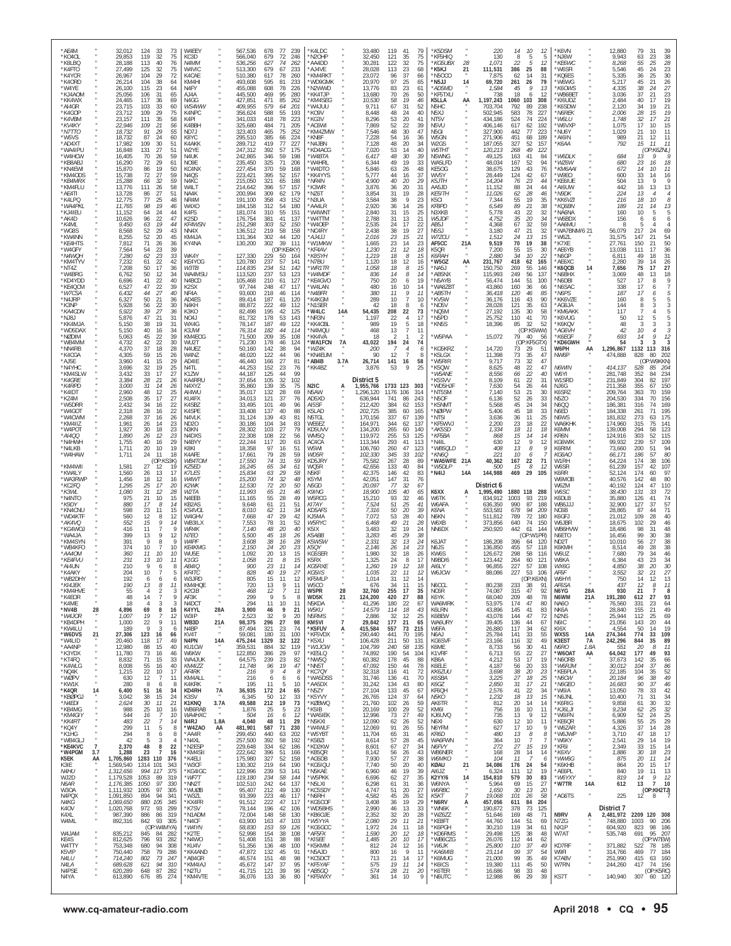| *W4BRG<br>*KD4YDD<br>*KE4QCM<br>*W7CSA<br>*N4JRP<br>*K3NP<br>*KA4CDN<br>"NJ8J<br>*KK4MJA<br>*WD5DAX<br>*NØDIM<br>*WB4MM<br>*NN4RB<br>*K4CGA<br>*AJ5E<br>*N4YHC<br>*KM4SLW<br>*K4GRE<br>*K4RPD<br>*K4IDT<br>*KZ4M<br>*W5DRR<br>*W4GOT<br>*W4CWM<br>*KM4II7<br>*W4POT<br>*AI400<br>*N4HWH<br>*N4I KB<br>*W4HAW<br>*KM4WII<br>*KW4LY<br>*WA3RWP<br>*KC2FQ<br>*K3WL<br>*N4NTO<br>*K9DY<br>*KN4CNL<br>*WD4KTF<br>*AK4VQ<br>*KG4WOJ<br>*WA4JA<br>*KM4SYN<br>*WB4KFO<br>*AA4OM<br>*KE4FVU<br>*AI4UN<br>*K4AKY<br>*WB2DHY<br>*KI4JEK<br>*KM4HVE<br>*K4EOR<br>*K4ME<br>*NV4B<br>*W4JOR<br>*KB4DPH<br>*KW4LU<br>*W6DVS<br>*W4LID<br>*AA4NP<br>*K3YDX<br>*KT4FQ<br>*K4WLG<br>*NQ4K<br>*WØPV<br>*KW1K<br>*K4QR<br>*KBØPGJ<br>*N4EDI<br>*KB4MG<br>*KM4GIY<br>*KK4RT<br>*KQ4Y<br>*K1HG<br>*WB4GLJ<br>*KE4KVC<br>*W4PGM<br>K5EK<br>K3IE<br>N4HU<br>WJ2D<br>N6AR<br>W30A<br>N4PQX<br>N4KG<br>K4OV<br>K4XL<br>W4ML<br>W4JAM<br>KE4S<br>W4TTY<br>K5VIP<br>N4LU<br>N4LA<br>N4PSE<br>N4YA                                                                                                                                                                                                                                                                                                                                                                                                                                                                                                                                                                                                                                                                                                                                                                                                                                                                                                                                                                                         | *AE4M<br>*KO4OL<br>*K8LBQ<br>*K4FTO<br>*K4YCR<br>*K40RD<br>*W4YE<br>*KJ4AOM<br>*KK4WX<br>*AI4GR<br>*K4GOP<br>*K4VBM<br>*KV4KY<br>*N7TTO<br>*W5VS<br>*AD4XT<br>*WA4IPU<br>*W4HCW<br>*KB8ABJ<br>*KN4FWI<br>*KM4ODS<br>*KB4MRX<br>*KM4FLU<br>*AE4TI<br>*K4LPO<br>*WA4PKL<br>*KJ4IEU<br>*AK4D<br>*K4ML<br>*WG8S<br>*KW4NN<br>*KE4HTS<br>*W4GFY<br>*N4WQH<br>*KM4TYV<br>*NT4Z                                                                                                                                                                                                                                                                                                                                         |
|---------------------------------------------------------------------------------------------------------------------------------------------------------------------------------------------------------------------------------------------------------------------------------------------------------------------------------------------------------------------------------------------------------------------------------------------------------------------------------------------------------------------------------------------------------------------------------------------------------------------------------------------------------------------------------------------------------------------------------------------------------------------------------------------------------------------------------------------------------------------------------------------------------------------------------------------------------------------------------------------------------------------------------------------------------------------------------------------------------------------------------------------------------------------------------------------------------------------------------------------------------------------------------------------------------------------------------------------------------------------------------------------------------------------------------------------------------------------------------------------------------------------------------------------------------------------------------------------------------------------------------------------------------------------------------------------------------------------------------------------------------------------------------------------------------------------------------------------------------------------------------------------------------------------------------------------------------------|------------------------------------------------------------------------------------------------------------------------------------------------------------------------------------------------------------------------------------------------------------------------------------------------------------------------------------------------------------------------------------------------------------------------------------------------------------------------------------------------------------------------------------------------------------------------------------------------------------------------------------------------------------------------------------------------------------------|
| 28<br>21<br>14<br>$\overline{7}$<br>3.7<br>AA                                                                                                                                                                                                                                                                                                                                                                                                                                                                                                                                                                                                                                                                                                                                                                                                                                                                                                                                                                                                                                                                                                                                                                                                                                                                                                                                                                                                                                                                                                                                                                                                                                                                                                                                                                                                                                                                                                                 |                                                                                                                                                                                                                                                                                                                                                                                                                                                                                                                                                                                                                                                                                                                  |
| 6,762<br>6,696<br>6,527<br>6,432<br>6,327<br>5,928<br>5,922<br>5,876<br>5,150<br>5.150<br>5,063<br>4,732<br>4,370<br>4,305<br>3,960<br>3,696<br>3,432<br>3,384<br>3,000<br>2,960<br>2,508<br>2,432<br>2,318<br>2,268<br>1,961<br>1,927<br>1.890<br>1,755<br>1,711<br>1,711<br>1,581<br>1,560<br>1,456<br>1,295<br>1,080<br>975<br>880<br>598<br>560<br>552<br>416<br>399<br>391<br>374<br>360<br>231<br>210<br>204<br>192<br>190<br>55<br>48<br>18<br>4,896<br>1,007<br>1,000<br>189<br>27,306<br>20,460<br>12,980<br>11,780<br>8,832<br>8,008<br>1,215<br>630<br>280<br>6,400<br>3,042<br>2,624<br>988<br>544<br>483<br>299<br>294<br>42<br>2,370<br>1,288<br>1,705,860<br>1,569,540<br>1,312,656<br>1,179,528<br>1,176,385<br>1,111,932<br>1,091,850<br>1,069,650<br>1,020,768<br>987,390<br>892,316<br>835,212<br>812,625<br>753,348<br>750,440<br>714,240<br>689,628<br>620,289<br>613,890                                                                                                                                                                                                                                                                                                                                                                                                                                                                                                                                                                                                                                                                                                                                                                                                                                                                                                                                                                                                                                                                | 32,012<br>29,853<br>28.188<br>27,499<br>26,967<br>26,214<br>26,100<br>25,056<br>24,465<br>23,715<br>23,712<br>23,157<br>22,946<br>18,732<br>18,732<br>17,982<br>16,848<br>16,405<br>16,290<br>15,870<br>15,738<br>15,288<br>13,776<br>13,728<br>12,775<br>11,765<br>11,152<br>10,626<br>9,450<br>8,568<br>8,255<br>7,812<br>7.564<br>7,280<br>7,232<br>7,208                                                                                                                                                                                                                                                                                                                                                     |
| 41<br>22<br>40<br>47<br>22<br>39<br>27<br>44<br>40<br>50<br>21<br>36<br>56<br>30<br>22<br>39<br>27<br>36<br>47<br>21<br>31<br>38<br>19<br>31<br>40<br>16<br>34<br>45<br>22<br>39<br>42<br>22<br>30<br>37<br>18<br>28<br>59<br>15<br>26<br>41<br>15<br>29<br>32<br>19<br>25<br>33<br>17<br>27<br>28<br>21<br>26<br>31<br>14<br>26<br>48<br>12<br>25<br>27<br>35<br>17<br>34<br>22<br>16<br>28<br>22<br>16<br>37<br>16<br>26<br>26<br>23<br>14<br>30<br>18<br>23<br>12<br>23<br>26<br>40<br>16<br>29<br>20<br>10<br>19<br>24<br>11<br>18<br>(OP:K)<br>S3K)<br>27<br>12<br>19<br>26<br>13<br>17<br>18<br>12<br>16<br>25<br>17<br>20<br>31<br>12<br>28<br>21<br>10<br>15<br>17<br>14<br>8<br>$^{23}_{12}$<br>11<br>15<br>8<br>12<br>15<br>9<br>14<br>g<br>11<br>13<br>9<br>12<br>9<br>9<br>8<br>10<br>10<br>7<br>11<br>10<br>10<br>13<br>11<br>10<br>9<br>6<br>8<br>10<br>5<br>6<br>6<br>6<br>13<br>8<br>11<br>$\overline{4}$<br>$\overline{2}$<br>$_{3}$<br>$\overline{9}$<br>$\overline{7}$<br>14<br>3<br>3<br>8<br>69<br>16<br>19<br>12<br>7<br>22<br>9<br>11<br>-9<br>3<br>6<br>123<br>16<br>66<br>118<br>17<br>49<br>15<br>40<br>88<br>73<br>16<br>46<br>71<br>33<br>15<br>55<br>16<br>40<br>22<br>17<br>10<br>12<br>-7<br>11<br>8<br>6<br>8<br>51<br>16<br>34<br>38<br>15<br>24<br>30<br>21<br>11<br>25<br>10<br>16<br>16<br>$\overline{7}$<br>10<br>22<br>7<br>14<br>11<br>5<br>$\, 8$<br>8<br>6<br>8<br>-5<br>3<br>$\overline{4}$<br>48<br>8<br>22<br>23<br>$\overline{7}$<br>16<br>1283 110<br>376<br>1314 101<br>343<br>994 117<br>375<br>1053<br>89<br>319<br>97<br>1050<br>330<br>1005<br>97<br>305<br>894<br>94<br>341<br>880<br>105<br>345<br>972<br>93<br>299<br>886<br>86<br>319<br>842<br>93<br>305<br>(OP:W4MYA)<br>845<br>84<br>282<br>796<br>93<br>282<br>680<br>94<br>308<br>758<br>79<br>286<br>802<br>73<br>247<br>621<br>94<br>310<br>87<br>648<br>282<br>274<br>676<br>85                                                                | 124<br>33<br>73<br>32<br>119<br>75<br>113<br>40<br>76<br>125<br>32<br>75<br>29<br>72<br>104<br>104<br>38<br>64<br>115<br>23<br>64<br>31<br>106<br>65<br>117<br>36<br>69<br>33<br>60<br>103<br>109<br>29<br>75<br>35<br>58<br>111<br>21<br>56<br>109<br>29<br>91<br>55<br>87<br>24<br>60<br>30<br>109<br>51<br>27<br>131<br>51<br>70<br>26<br>59<br>72<br>29<br>61<br>19<br>86<br>50<br>72<br>27<br>59<br>32<br>59<br>66<br>111<br>26<br>58<br>27<br>51<br>86<br>77<br>25<br>48<br>19<br>98<br>46<br>64<br>24<br>44<br>96<br>22<br>47<br>19<br>63<br>44<br>52<br>29<br>43<br>52<br>20<br>45<br>71<br>26<br>36<br>23<br>39<br>54<br>62<br>23<br>33<br>61<br>22<br>42<br>50<br>17<br>36<br>50<br>12<br>34           |
| N4BCD<br>K <sub>2</sub> SX<br>NF4A<br>AD4ES<br>N4KH<br>K3KO<br>NO4J<br>WX4G<br>K3JWI<br>KM4EOG<br>WU2T<br>N4UEZ<br>W4NZ<br>AD4IE<br>N4TL<br>K1ZW<br>KA4RRU<br>N4XYZ<br>AI4WU<br>KU4FX<br>K4SBZ<br>K4SPE<br>N4VLK<br>ND <sub>20</sub><br>N3KN<br>N4DXS<br>N4BYY<br>K8KI<br>K4AFE<br>WB4TOM<br>KZ5ED<br><b>K7LES</b><br>W4W<br>K2WK<br>W2TA<br>N4EEB<br>KB2AS<br>KS4VOL<br>W4GHV<br>WB3ILX<br><b>WR4K</b><br>N7EO<br>W <sub>4</sub> PF<br><b>KE4KMG</b><br>WU5E<br>K1GG<br><b>AB4IQ</b><br>KF4TC<br>W3JRD<br>KM4HQE<br>K <sub>2</sub> CIB<br>AF3K<br>N4DCT<br>K4YYL<br>W3IP<br>WB3D<br>N4BP<br>KV4T<br>N4PN<br>KU1CW<br>W6KW<br>WA4JUK<br>KM4IZZ<br>AF4RK<br>KM4ALL<br>K4KRK<br>KD4RH<br>K3SV<br>K1KNQ<br>WB6RAB<br>WA4HXC<br>N4RJ<br>*W4ZAO<br>*AA4R<br>*N4XL<br>*N2ESP<br>*KM4SII<br>*K4ELI<br>*W3CF<br>*KG4IGC<br>*WF7T<br>*NN2T<br>*WUØB<br>*W37I<br>*KX4FR<br>*K7SV<br>*N1ADM<br>*N4CF<br>*W4YN<br>*K2TE<br>*N4WO<br>*KU4V<br>*KK4AND<br>*AB4GR<br>*KM4IAJ<br>*N2TU<br>*KM4VTE                                                                                                                                                                                                                                                                                                                                                                                                                                                                                                                                                                                                                                                                                                                                                                                                                                                                                                                                                                             | W4EEY<br>KC3D<br>N4MM<br>W4VIC<br>K4CAE<br>KM4HI<br>N4FY<br>AJ4A<br>N4GG<br>WS4WW<br>K4NPC<br>K4PI<br>K4BBH<br>ND7J<br>K8YC<br>K4AKK<br>W2YE<br>N4LJK<br>NO9E<br>KC4NX<br>N <sub>4</sub> QS<br>N4KC<br>W4LT<br>NA4K<br>NR4M<br>W4XO<br>K4FS<br>K <sub>2</sub> SD<br>KF4WSN<br>NN4X<br>KM4JA<br>KY4NA<br>WK4Y<br>KE4YOG<br>W3TB<br>WA4MSU                                                                                                                                                                                                                                                                                                                                                                         |
| 28A<br>21A<br>$\alpha$<br>14A<br>7A<br>3.7A<br>$\mu$<br>1.8A<br>AA                                                                                                                                                                                                                                                                                                                                                                                                                                                                                                                                                                                                                                                                                                                                                                                                                                                                                                                                                                                                                                                                                                                                                                                                                                                                                                                                                                                                                                                                                                                                                                                                                                                                                                                                                                                                                                                                                            |                                                                                                                                                                                                                                                                                                                                                                                                                                                                                                                                                                                                                                                                                                                  |
| 113,520<br>105,468<br>97,744<br>93,600<br>89,414<br>88,872<br>82,498<br>81,732<br>78,147<br>76,314<br>71,500<br>71,230<br>50,160<br>48,020<br>46,440<br>44,253<br>44,187<br>37,654<br>35,860<br>35,017<br>34,013<br>33,495<br>33,408<br>31,124<br>30.186<br>28,302<br>22,308<br>22,244<br>18,358<br>17,661<br>17,550<br>16,245<br>15,834<br>15,200<br>12,530<br>11,993<br>11,165<br>9,648<br>8,010<br>7.668<br>7,553<br>7.140<br>5,500<br>3,608<br>2,150<br>1.092<br>1,058<br>900<br>828<br>805<br>720<br>468<br>299<br>294<br>3,900<br>2,523<br>98,375<br>87,494<br>59,081<br>475,244<br>359,531<br>122,850<br>64,575<br>11,748<br>216<br>216<br>195<br>36,935<br>6,345<br>49,588<br>1,876<br>504<br>4,040<br>481,901<br>299,450<br>257,500<br>229,648<br>222,642<br>175,980<br>130,302<br>122,996<br>119,180<br>102,510<br>95,407<br>93,399<br>91,512<br>78,144<br>72,004<br>63,900<br>58,830<br>52,998<br>51,408<br>51,356<br>47,872<br>46,574<br>45,672<br>41,715<br>36,076                                                                                                                                                                                                                                                                                                                                                                                                                                                                                                                                                                                                                                                                                                                                                                                                                                                                                                                                                                               | 567,536<br>566,040<br>536,256<br>513,300<br>510,380<br>493,608<br>455,088<br>445,500<br>427,851<br>409.955<br>356,624<br>341,033<br>325,680<br>323,403<br>295,510<br>289,712<br>247,312<br>242,865<br>235,450<br>227,454<br>223,421<br>215,050<br>214,642<br>200,994<br>191.100<br>184,158<br>181,074<br>176,754<br>151,298<br>136,512<br>131,364<br>130,200<br>127,330<br>120,780<br>114,835                                                                                                                                                                                                                                                                                                                    |
| 53<br>210<br>61<br>248<br>47<br>218<br>46<br>187<br>61<br>222<br>49<br>195<br>178<br>53<br>49<br>187<br>182<br>209<br>35<br>178<br>46<br>142<br>38<br>122<br>44<br>27<br>166<br>152<br>23<br>125<br>44<br>32<br>105<br>139<br>35<br>28<br>132<br>121<br>37<br>101<br>49<br>40<br>137<br>139<br>43<br>104<br>34<br>27<br>103<br>108<br>22<br>117<br>20<br>97<br>16<br>79<br>28<br>74<br>31<br>65<br>34<br>63<br>29<br>32<br>74<br>72<br>20<br>65<br>21<br>55<br>28<br>21<br>61<br>62<br>11<br>47<br>29<br>78<br>31<br>48<br>20<br>45<br>38<br>24<br>20<br>20<br>13<br>21<br>23<br>40<br>15<br>11<br>13<br>12<br>$\overline{Q}$<br>11<br>10<br>46<br>32<br>296<br>27<br>321<br>23<br>180<br>31<br>1329<br>32<br>884<br>32<br>386<br>29<br>239<br>23<br>96<br>9<br>6<br>11<br>172<br>24<br>50<br>12<br>212<br>19<br>25<br>16<br>48<br>11<br>587<br>71<br>440<br>63<br>392<br>58<br>334<br>62<br>396<br>51<br>327<br>52<br>219<br>64<br>239<br>53<br>$\frac{234}{242}$<br>58<br>64<br>$^{212}_{223}$<br>49<br>46<br>222<br>47<br>196<br>42<br>148<br>58<br>163<br>47<br>153<br>59<br>154<br>38<br>151<br>38<br>136<br>48<br>132<br>45<br>151<br>48<br>147<br>37<br>121<br>39<br>133<br>36                                                                                                                                                                                                                                                                                                                                                                                                                                                                                                                                                                                                                                                                                                                                                                         | 77<br>678<br>679<br>72<br>627<br>74<br>679<br>67<br>617<br>78<br>595<br>81<br>608<br>78<br>469<br>95<br>471<br>85<br>579<br>64<br>588<br>55<br>78<br>418<br>71<br>484<br>75<br>465<br>385<br>$^{66}_{77}$<br>419<br>392<br>57<br>346<br>59<br>325<br>71<br>370<br>59<br>52<br>395<br>321<br>65<br>396<br>57<br>309<br>62<br>358<br>43<br>312<br>54<br>55<br>310<br>41<br>381<br>303<br>52<br>219<br>58<br>302<br>44<br>302<br>39<br>229<br>50<br>237<br>57<br>234<br>51<br>237                                                                                                                                                                                                                                   |
| 123<br>127<br>117<br>114<br>120<br>112<br>42<br>125<br>143<br>122<br>44<br>114<br>108<br>124<br>94<br>96<br>81<br>76<br>99<br>102<br>75<br>69<br>76<br>96<br>88<br>81<br>83<br>79<br>56<br>63<br>51<br>59<br>59<br>61<br>58<br>48<br>50<br>46<br>49<br>51<br>34<br>42<br>52<br>40<br>18<br>26<br>16<br>28<br>23<br>15<br>8<br>15<br>11<br>14<br>19<br>27<br>12<br>9<br>11<br>$\overline{7}$<br>11<br>5<br>8<br>11<br>9<br>21<br>9<br>20<br>98<br>74<br>100<br>122<br>119<br>97<br>82<br>19<br>47<br>$\overline{4}$<br>8<br>6<br>6<br>5<br>10<br>65<br>33<br>73<br>5<br>23<br>12<br>6<br>29<br>230<br>202<br>192<br>186<br>166<br>158<br>190<br>141<br>144<br>137<br>130<br>117<br>117<br>106<br>130<br>103<br>126<br>108<br>88<br>100<br>91<br>98<br>95<br>96<br>80                                                                                                                                                                                                                                                                                                                                                                                                                                                                                                                                                                                                                                                                                                                                                                                                                                                                                                                                                                                                                                                                                                                                                                                           | 239<br>246<br>262<br>233<br>260<br>233<br>226<br>280<br>262<br>201<br>193<br>223<br>205<br>252<br>224<br>227<br>175<br>198<br>206<br>168<br>157<br>188<br>157<br>179<br>152<br>180<br>151<br>137<br>150<br>158<br>120<br>111<br>(OP:KE4KY)<br>164<br>141<br>142                                                                                                                                                                                                                                                                                                                                                                                                                                                  |
| *W4MDF<br>*KE4GVO<br>'W4LAN<br>*N4BFR<br>'K4KGM<br>'N1SER<br>'W4LC<br>*NR3N<br>*KK4CBL<br>*N4MOU<br>'KK4VA<br>'WA1FCN<br>*WZ4K<br>*KN4EUM<br>*AB4B<br>*KK4BZ<br>N <sub>2</sub> IC<br>N5AW<br>AD5XD<br>AI5SF<br>K5LAD<br>N5TGL<br>WE6EZ<br>KD5UVV<br>WM5Q<br>AC4CA<br>W5WI<br>WD5R<br>KD5JRY<br>WQ5R<br>N5KF<br>K5YM<br>N5GD<br>K9ING<br>W5RCG<br>KI7AY<br><b>KD5AFS</b><br>KJ5MA<br>W5RYC<br>K5IX<br>K5ABB<br>K5WSW<br>K5OY<br>KG5SER<br>K5RX<br><b>KG5RXE</b><br>KG5IIS<br>KF5MLP<br>W5CO<br>W5PR<br>WD5K<br>N5KDA<br>W5KU<br>N5RMS<br>KM5VI<br>*K5FUV<br>*KF5VDX<br>*K5XU<br>*W1JCW<br>*KE5LQ<br>*NW5Q<br>*NN5T<br>*KC7QY<br>*WA5DSS<br>*AA5DX<br>*N5ZY<br>*K5YVY<br>*KØBWQ<br>*K5IB<br>*WA5IEK<br>*N5KXI<br>*W4WLF<br>*W5YBT<br>*K5BZI<br>*KD2KW<br>*KB5QR<br>*AG5DB<br>*KG5IQU<br>*N5KAE<br>*W5PKK<br>*N5LXI<br>*KC5SDY<br>*N6RH<br>*KG5COF<br>*WD5BHS<br>*KB6OJE<br>*W5YYA<br>*KG5GCC<br>*AF5FX<br>*KI5EE<br>*K5KMM<br>*N5AJD<br>*KC5DCT<br>*KF5YAF<br>*AB5GQ<br>*KF5WXY                                                                                                                                                                                                                                                                                                                                                                                                                                                                                                                                                                                                                                                                                                                                                                                                                                                                                                                                                                                 | *K4LDC<br>*N2OHP<br>*AA4DD<br>AJ4VE<br>KM4RKT<br>*WD9GMK<br>*N2WWD<br>*KK4TJP<br>*KM4SEG<br>UUL4W*<br>*KO9V<br>'KG3V<br>'AC6WI<br>'KM4ZMW<br>*KN8F<br>*N4 JBN<br>'KD4ACG<br>*W4BTA<br>'W4HRL<br>'W4DTO<br>'KK4YYS<br>*NR4N<br>*K3WR<br>*NZ6T<br>*N3UA<br>*AA4LR<br>'W4WNT<br>'W4TTM<br>*W40EP<br>*NC4RY<br>$*A1411$<br>'W1MKW<br>*KF4AV<br>*K8SYH<br>'N7BU<br>*WR1TR                                                                                                                                                                                                                                                                                                                                             |
| 14A<br><b>7A</b><br>3.7A<br>А<br>28<br>21<br>$\overline{7}$<br>$\ddot{a}$                                                                                                                                                                                                                                                                                                                                                                                                                                                                                                                                                                                                                                                                                                                                                                                                                                                                                                                                                                                                                                                                                                                                                                                                                                                                                                                                                                                                                                                                                                                                                                                                                                                                                                                                                                                                                                                                                     |                                                                                                                                                                                                                                                                                                                                                                                                                                                                                                                                                                                                                                                                                                                  |
| 836<br>750<br>480<br>380<br>289<br>42<br>54,435<br>1,197<br>989<br>468<br>18<br>43,022<br><i>200</i><br>90<br>26,714<br>3,876<br>District 5<br>1,955,766<br>1,296,120<br>636,944<br>212,420<br>202,725<br>170,156<br>164,971<br>134,200<br>119,972<br>113,344<br>106,760<br>102,330<br>75,582<br>42,656<br>42,375<br>42,051<br>20,097<br>18,900<br>15,210<br>7,524<br>7,316<br>7.072<br>6.468<br>3,483<br>3,283<br>2,331<br>2,146<br>1,980<br>1,325<br>1,260<br>1.035<br>1,014<br>676<br>32,760<br>124,200<br>41,296<br>14,579<br>2,886<br>29,842<br>415,584<br>290,440<br>106,428<br>104,799<br>74,892<br>60,382<br>47,092<br>32,318<br>31,746<br>31,242<br>27,104<br>26,765<br>21,760<br>20,169<br>12,996<br>12,090<br>12,069<br>11,704<br>8,614<br>8,601<br>8,142<br>7,930<br>7,740<br>6,960<br>6,696<br>6,298<br>4,747<br>4,582<br>3,408<br>2,990<br>2,352<br>2,080<br>1,972<br>1,590<br>1,485<br>812<br>800<br>713<br>575<br>574<br>361                                                                                                                                                                                                                                                                                                                                                                                                                                                                                                                                                                                                                                                                                                                                                                                                                                                                                                                                                                                                                  | 33,480<br>32,450<br>30,281<br>28,028<br>23,072<br>20,970<br>13,776<br>13,680<br>10,530<br>9.711<br>8,448<br>8,296<br>7,869<br>7,546<br>7,228<br>7.128<br>7,020<br>6,417<br>6,344<br>5,846<br>5,777<br>4.900<br>3,876<br>3,854<br>3,584<br>2,920<br>2,840<br>2,788<br>2,535<br>2,438<br>2.016<br>1,665<br>1,230<br>1,219<br>1.120<br>1,058                                                                                                                                                                                                                                                                                                                                                                        |
| 14<br>20<br>16<br>11<br>10<br>18<br>208<br>22<br>19<br>13<br>$\overline{2}$<br>194<br>12<br>141<br>53<br>1733 123<br>1176 106<br>741<br>384<br>385<br>337<br>344<br>265<br>255<br>293<br>260<br>345<br>267<br>133<br>146<br>147<br>77<br>105<br>93<br>51<br>50<br>53<br>49<br>32<br>45<br>32<br>26<br>32<br>24<br>19<br>22<br>31<br>34<br>255<br>420<br>180<br>114<br>32<br>177<br>557<br>441<br>211<br>240<br>190<br>178<br>150<br>116<br>136<br>134<br>133<br>124<br>102<br>100<br>73<br>62<br>91<br>65<br>57<br>67<br>56<br>57<br>50<br>46<br>62<br>61<br>51<br>45<br>36<br>46<br>32<br>29<br>24<br>20<br>20<br>24<br>16<br>21<br>19<br>28<br>14                                                                                                                                                                                                                                                                                                                                                                                                                                                                                                                                                                                                                                                                                                                                                                                                                                                                                                                                                                                                                                                                                                                                                                                                                                                                                                           | 119<br>121<br>122<br>113<br>96<br>97<br>83<br>70<br>58<br>67<br>48<br>53<br>52<br>48<br>54<br>48<br>53<br>48<br>49<br>63<br>44<br>40<br>36<br>31<br>38<br>36<br>31<br>31<br>24<br>38<br>23<br>23<br>21<br>18<br>18<br>18                                                                                                                                                                                                                                                                                                                                                                                                                                                                                         |
| 6<br>19<br>10<br>14<br>9<br>11<br>$\overline{7}$<br>10<br>8<br>6<br>22<br>73<br>17<br>$\overline{4}$<br>5<br>18<br>11<br>7<br>-2<br>24<br>74<br>$\overline{4}$<br>6<br>$\overline{7}$<br>-8<br>16<br>58<br>9<br>25<br>303<br>314<br>243<br>86<br>62<br>153<br>165<br>60<br>67<br>139<br>137<br>62<br>60<br>140<br>53<br>125<br>41<br>113<br>47<br>123<br>33<br>102<br>89<br>28<br>84<br>40<br>42<br>83<br>76<br>31<br>32<br>67<br>40<br>65<br>32<br>46<br>25<br>41<br>20<br>39<br>28<br>40<br>21<br>28<br>19<br>24<br>29<br>38<br>24<br>13<br>14<br>23<br>18<br>26<br>8<br>17<br>12<br>18<br>11<br>12<br>12<br>14<br>15<br>11<br>17<br>35<br>27<br>88<br>22<br>67<br>43<br>18<br>12<br>25<br>21<br>65<br>73<br>215<br>195<br>70<br>50<br>131<br>58<br>135<br>54<br>104<br>45<br>88<br>78<br>44<br>72<br>41<br>70<br>41<br>43<br>80<br>45<br>67<br>37<br>64<br>59<br>26<br>52<br>29<br>27<br>49<br>26<br>52<br>55<br>26<br>31<br>46<br>28<br>45<br>27<br>34<br>26<br>43<br>27<br>38<br>40<br>20<br>39<br>19<br>27<br>35<br>31<br>36<br>20<br>$\frac{27}{32}$<br>26<br>29<br>19<br>13<br>33<br>20<br>28<br>11<br>21<br>11<br>18<br>18<br>12<br>10<br>17<br>12<br>16<br>-9<br>11<br>17<br>14<br>14<br>11<br>21<br>20<br>9<br>10                                                                                                                                                                                                                                                                                                                                                                                                                                                                                                                                                                                                                                                                                                                                  | 41<br>79<br>75<br>35<br>75<br>32<br>23<br>68<br>37<br>66<br>25<br>65<br>23<br>61<br>50<br>26<br>46<br>19<br>52<br>31<br>24<br>40<br>20<br>41<br>22<br>39<br>30<br>47<br>16<br>36<br>34<br>20<br>14<br>40<br>$30^{\circ}$<br>39<br>19<br>33<br>48<br>26<br>16<br>37<br>29<br>20<br>20<br>31<br>19<br>28<br>9<br>23<br>14<br>26<br>15<br>25<br>21<br>13<br>17<br>22<br>27<br>19<br>21<br>15<br>14<br>23<br>18<br>12<br>8<br>15<br>12<br>16<br>8<br>15<br>8<br>14                                                                                                                                                                                                                                                   |
| *AB5NX<br>*N5AYB<br>'WA8ZBT<br>*AB5TH<br>'KV5W<br>'NO5V<br>'NQ5M<br>'N5PD<br>*KN5S<br>*W5PAA<br>*KG5KRZ<br>K5LGX<br>"W5RIR<br>'K5QW<br>*W5ANE<br>K5SVV<br>*WD5HJI<br>'NT5SM<br>'N5OF<br>K5NMT<br>'NØIPW<br>NT51*<br>KF5WVJ<br>*AK5SD<br>*KF5BA<br>'N4IL<br>*KN6Q<br>*W5DLP<br>'N4IJ<br>K6XX<br>W6TK<br>W6AFA<br>K6NA<br>N6KN<br>W6XB<br>NN6DX<br>K6JAT<br>N6JS<br>KW6S<br>N9BD/6<br>AI6LY<br>W6JCW<br>N6CCL<br>NC6R<br>K6YK<br>WA6MRK<br>K6LRN<br>K6BEW<br>WA6URY<br>W6FA<br>N6AJ<br>KG6SVF<br>K6ME<br>K1VRF<br>KB6A<br>K6ELE<br>KK6ZUU<br>K6SBA<br>K6GZ<br>KF6QH<br>N5KO<br>AK6TR<br>KM6I<br>KJ6UVQ<br>N6XI<br>N6YFM<br>KR6D<br>WA6FWN<br>N6FVY<br>WB6NER<br><b>W6MKO</b><br>KØAU<br>AI6JZ<br><b>K2YY/6</b><br>W6NYA<br>W6RBC<br>K5KT<br>*N6RV<br>*WN6K<br>*WZ6ZZ<br>*KE8FT<br>*K6PGH<br>*KD6RMS<br>*WB6CZG<br>*W6JK<br>*КА6МІВ<br>*K6MUG<br>*K6ICS<br>*K6TER<br>*N6UTC                                                                                                                                                                                                                                                                                                                                                                                                                                                                                                                                                                                                                                                                                                                                                                                                                                                                                                                                                                                                                                                                                      | *K5DSM<br>KF5HIQ<br>*K5KJ<br>'N5OCO<br>'N5JJ<br>*AD5MD<br>*KF5TXU<br>K5LLA<br>N5HC<br>N <sub>5</sub> XJ<br>NT5V<br>N5VU<br>N5GI<br>W5GN<br>W2GS<br>W5THT<br>N5WNG<br>WA5LFD<br>KF50G<br>WV5Y<br>K5JTH<br>AA5JD<br><b>KE5ITH</b><br>K <sub>5</sub> CI<br>KF8PD<br>N3XKB<br>W5JDF<br>AB5J<br>N <sub>5</sub> SJ<br>W7ZCU<br>AF5CC<br>K5QR<br><i>K6RAH</i><br>*W5GZ<br>'NA5J                                                                                                                                                                                                                                                                                                                                         |
| *WB5QLD<br>WA5WFE 21A<br>14A<br>А<br>21<br>14<br>$\boldsymbol{\ast}$<br>$\overline{7}$<br>Ą                                                                                                                                                                                                                                                                                                                                                                                                                                                                                                                                                                                                                                                                                                                                                                                                                                                                                                                                                                                                                                                                                                                                                                                                                                                                                                                                                                                                                                                                                                                                                                                                                                                                                                                                                                                                                                                                   | 28<br>*KG5UBX<br>21<br>14<br>AA<br>21A<br>AA                                                                                                                                                                                                                                                                                                                                                                                                                                                                                                                                                                                                                                                                     |
| 115,993<br>56,474<br>43,860<br>36,418<br>36,176<br>28,028<br>27,192<br>25,752<br>18,396<br>15,072<br>14,720<br>11,398<br>9,717<br>8,625<br>8,556<br>8,109<br>7,630<br>7,140<br>6,136<br>5,568<br>5,406<br>3,636<br>2,200<br>1,334<br>868<br>630<br>408<br>221<br>40,362<br>500<br>144,988<br>District 6<br>1,995,490<br>834,912<br>636,350<br>553,581<br>511,812<br>373,856<br>250,920<br>186,208<br>136,850<br>126,672<br>123.442<br>96,855<br>88,086<br>80,238<br>74,087<br>68,040<br>53,975<br>43,896<br>43,078<br>39,405<br>26,880<br>25,784<br>23,166<br>8,733<br>6,713<br>4,212<br>4,187<br>3,698<br>3,225<br>2,850<br>2,576<br>1,232<br>812<br>756<br>735<br>630<br>627<br>480<br>364<br>272<br>168<br>104<br>34,086<br>6,324<br>154,810<br>5,964<br>1,650<br>19,068<br>457,056<br>190,872<br>51,646<br>44,760<br>30,210<br>29,498<br>26,076<br>25,800<br>23,114<br>21,000<br>19,380<br>16,686<br>12,988                                                                                                                                                                                                                                                                                                                                                                                                                                                                                                                                                                                                                                                                                                                                                                                                                                                                                                                                                                                                                                               | 220<br>130<br>1.071<br>111,531<br>7,875<br>69,720<br>1,584<br>738<br>1,197,243<br>703,704<br>502,945<br>434,186<br>406,146<br>327,900<br>271,906<br>187,055<br>120,213<br>49.125<br>48,034<br>38,675<br>28,449<br>14,204<br>11,152<br>11,026<br>7,344<br>6,549<br>5,778<br>4,752<br>4,368<br>3,180<br>1,512<br>9,519<br>7,200<br>2,880<br>231,767<br>150,750                                                                                                                                                                                                                                                                                                                                                     |
| 249<br>137<br>144<br>51<br>100<br>160<br>36<br>66<br>120<br>85<br>46<br>116<br>43<br>90<br>35<br>121<br>63<br>30<br>135<br>58<br>41<br>70<br>110<br>32<br>52<br>85<br>(OP:K5WW)<br>79<br>40<br>-56<br>(OP:KF5GTX)<br>73<br>29<br>51<br>35<br>73<br>47<br>32<br>73<br>47<br>$22\,$<br>48<br>47<br>$\frac{22}{22}$<br>40<br>66<br>61<br>31<br>54<br>26<br>44<br>53<br>21<br>30<br>52<br>26<br>33<br>45<br>24<br>34<br>18<br>45<br>33<br>36<br>11<br>$\frac{25}{22}$<br>23<br>18<br>18<br>11<br>18<br>15<br>14<br>14<br>12<br>9<br>12<br>13<br>9<br>8<br>10<br>6<br>167<br>22<br>71<br>15<br>8<br>12<br>469<br>29<br>105<br>1880 118<br>- 288<br>1003<br>93<br>219<br>87<br>990<br>188<br>678<br>94<br>209<br>72<br>789<br>180<br>640<br>74<br>150<br>442<br>61<br>144<br>(OP:W1PR)<br>396<br>120<br>-64<br>455<br>57<br>118<br>298<br>58<br>116<br>264<br>60<br>121<br>57<br>227<br>108<br>227<br>53<br>106<br>(OP:K6XN)<br>38<br>233<br>91<br>47<br>92<br>315<br>48<br>209<br>78<br>174<br>47<br>80<br>41<br>145<br>83<br>144<br>47<br>72<br>136<br>44<br>67<br>117<br>34<br>62<br>$\frac{33}{32}$<br>55<br>141<br>116<br>49<br>56<br>30<br>41<br>$^{22}_{17}$<br>55<br>27<br>53<br>19<br>56<br>20<br>33<br>20<br>23<br>38<br>25<br>27<br>18<br>31<br>17<br>21<br>22<br>41<br>34<br>13<br>18<br>15<br>14<br>20<br>14<br>16<br>10<br>11<br>9<br>13<br>12<br>12<br>10<br>11<br>17<br>9<br>10<br>13<br>8<br>8<br>10<br>$\overline{7}$<br>-7<br>27<br>15<br>19<br>28<br>14<br>14<br>11<br>- 7<br>-6<br>176<br>24<br>54<br>19<br>111<br>12<br>30<br>579<br>83<br>15<br>69<br>27<br>13<br>30<br>20<br>101<br>58<br>26<br>611<br>84<br>204<br>378<br>73<br>125<br>169<br>48<br>71<br>51<br>144<br>69<br>119<br>34<br>61<br>38<br>125<br>48<br>112<br>44<br>62<br>37<br>49<br>110<br>37<br>99<br>54<br>35<br>49<br>99<br>45<br>111<br>50<br>33<br>48<br>98<br>29<br>39<br>86                                                                                           | 14<br>10<br>12<br>8<br>5<br>-5<br>22<br>12<br>5<br>386<br>25<br>88<br>62<br>14<br>-31<br>261<br>26<br>79<br>9<br>45<br>13<br>18<br>6<br>12<br>1060<br>103<br>308<br>792<br>89<br>238<br>583<br>78<br>227<br>524<br>224<br>74<br>617<br>62<br>192<br>77<br>442<br>223<br>451<br>68<br>189<br>327<br>52<br>157<br>268<br>49<br>122<br>163<br>41<br>84<br>167<br>52<br>94<br>129<br>43<br>76<br>124<br>42<br>67<br>76<br>23<br>44<br>88<br>24<br>44<br>28<br>62<br>46<br>55<br>19<br>35<br>89<br>21<br>38<br>22<br>32<br>43<br>35<br>20<br>34<br>67<br>32<br>59<br>21<br>32<br>47<br>$\frac{24}{5}$<br>15<br>13<br>70<br>19<br>38<br>55<br>15<br>30<br>34<br>10<br>22<br>418<br>62<br>165<br>269<br>55<br>146<br>56 |
| *N6BHX<br>*N6DBI<br><b>N6SAC</b><br>*N6PS<br>*KK6VZE<br>`AG6JA<br>'KM6AKK<br>*K6VUG<br>*K6KQV<br>*AG6VH<br>*K6EGF<br><b>KD6GWH</b><br>W6PH<br>NW6P<br>N6WIN<br>W6YI<br>W1SRD<br>NJ6G<br>K6SRZ<br>N5ZO<br>N6QQ<br>N6ED<br>N6WS<br>WA6KHK<br>K6MM<br>KR6N<br>KG6WIK<br>K6RIM<br>KG6AO<br>W1RH<br>W6SR<br>K6RR<br>W6MOB<br>W6ZM<br>W6SC<br>K6DLB<br>WB6JJJ<br>NC6B<br>K6GFJ<br>W6JBR<br>WB6HVW<br>N6ETO<br>ND2T<br>К6КМН<br>W6UZ<br>W8KA<br>WX6G<br>AF6F<br>W6HYI<br>AF6SA<br>N6YG<br>N6WM<br><b>NA60</b><br>NK6A<br>N <sub>2</sub> N <sub>S</sub><br>N6IC<br>KI6X<br>WX5S<br>K3EST<br>N6RO<br>*W6OAT<br>*N6ORB<br>*W6RJM<br>*KE6PLA<br>*N6CW<br>*N6GEO<br>`W6IA<br>*N6JNL<br>*K6RIG<br>*KJ6LJI<br>'W6IFN<br>*KE6QR<br>'W6ZAR<br>'W6JWP<br>'W6KY<br>*KF6I<br>*K6XV<br>*WW6G<br>*K6KHB<br>*AE6PL<br>*W6YXY<br>*W7TR<br>*AG6TS<br>N9RV<br>N7ZG<br>NX1P<br>W7AT<br>KD7RF<br>W9FI<br>K7ABV<br>W7RN<br>KS7T                                                                                                                                                                                                                                                                                                                                                                                                                                                                                                                                                                                                                                                                                                                                                                                                                                                                                                                                                                                                                                                           | *K6VN<br>"NJ6W<br>*KE6WC<br>'W6SFI<br>KQ6ES<br>'W6WG<br>*K6OWS<br>'WB6BET<br>'KI6UDZ<br>'K6SDW<br><i>*N6REK</i><br>*W6LU<br>'W6VXP<br>'NU6Y<br>*AI6IN<br>*К6АА<br>*W6DLK<br>*WZ6W<br>*KM6AAI<br>'W9EO<br>'KE6IUE<br>*AI6UW<br>*N9DK<br>*KK6VZI<br>*KQ6BN<br>`NA6NA<br>'W6BDX<br>AA6MU<br>WA7BNM/6 21<br>'W6ZL<br>'K7XE<br>*AE6YB<br>*N6GP<br>*AE6XC<br>'K6QCB                                                                                                                                                                                                                                                                                                                                                    |
| ΑА<br>28A<br>21A<br>٠<br>٠<br>٠<br>٠<br>14A<br>7A<br>1.8A<br>AA<br>×<br>٠<br>14A<br>$\cdot$<br>А<br>$\blacksquare$<br>٠                                                                                                                                                                                                                                                                                                                                                                                                                                                                                                                                                                                                                                                                                                                                                                                                                                                                                                                                                                                                                                                                                                                                                                                                                                                                                                                                                                                                                                                                                                                                                                                                                                                                                                                                                                                                                                       | 14                                                                                                                                                                                                                                                                                                                                                                                                                                                                                                                                                                                                                                                                                                               |
| 3,069<br>527<br>338<br>187<br>160<br>144<br>117<br>50<br>48<br>42<br>693<br>54<br>1,296,867<br>474,888<br>414,137<br>281,748<br>231,849<br>211,358<br>209,764<br>204,530<br>186,381<br>184,338<br>181,832<br>174,960<br>139,008<br>124,916<br>99,932<br>73,660<br>66,171<br>64,224<br>61,239<br>52,124<br>40,576<br>40,192<br>38,430<br>35,880<br>32,900<br>28,865<br>21.012<br>18,675<br>18,486<br>16,456<br>10,010<br>8,514<br>7,680<br>6,384<br>4,850<br>3,552<br>750<br>437<br>930<br>191,280<br>76,560<br>28,840<br>25,944<br>21,056<br>4,554<br>274,344<br>242,296<br>551<br>64,042<br>37,673<br>30,012<br>22,185<br>20,184<br>16,683<br>13,050<br>10,400<br>9,858<br>9,234<br>6,909<br>5,886<br>4,326<br>3,710<br>2,541<br>2,349<br>1,886<br>875<br>864<br>840<br>819<br>612<br>225<br>District 7<br>2,481,972<br>748,880<br>604,920<br>535,748<br>371,882<br>314,766<br>251,990<br>244,260<br>140,940                                                                                                                                                                                                                                                                                                                                                                                                                                                                                                                                                                                                                                                                                                                                                                                                                                                                                                                                                                                                                                                 | 12,880<br>9,943<br>8,268<br>5,546<br>5,335<br>5,217<br>4.335<br>3,036<br>2,484<br>2.120<br>2,006<br>1,748<br>1,075<br>1,029<br>989<br>792<br>684<br>680<br>672<br>600<br>504<br>442<br>224<br>216<br>189<br>160<br>156<br>-8<br>56,079<br>31,575<br>27,761<br>13,038<br>6,811<br>2,280<br>7,656                                                                                                                                                                                                                                                                                                                                                                                                                  |
| 48<br>13<br>17<br>9<br>8<br>$\overline{7}$<br>17<br>6<br>17<br>5<br>6<br>5<br>5<br>8<br>3<br>8<br>3<br>5<br>$\overline{4}$<br>5<br>12<br>5<br>$\begin{array}{c} 3 \\ 3 \\ 12 \end{array}$<br>3<br>3<br>10<br>4<br>14<br>9<br>$\overline{\mathbf{3}}$<br>3<br>3<br>1132<br>113<br>316<br>828<br>80<br>202<br>:W9KKN)<br>(OF<br>528<br>85<br>204<br>84<br>234<br>352<br>197<br>304<br>82<br>355<br>150<br>67<br>363<br>70<br>159<br>156<br>334<br>70<br>316<br>74<br>169<br>195<br>261<br>71<br>273<br>63<br>175<br>141<br>315<br>75<br>294<br>58<br>123<br>115<br>303<br>52<br>239<br>57<br>109<br>94<br>200<br>51<br>80<br>186<br>57<br>174<br>38<br>106<br>157<br>107<br>42<br>97<br>174<br>60<br>80<br>142<br>48<br>110<br>124<br>47<br>72<br>131<br>33<br>74<br>126<br>41<br>57<br>127<br>37<br>71<br>87<br>44<br>40<br>109<br>-28<br>102<br>29<br>46<br>48<br>98<br>31<br>99<br>38<br>30<br>56<br>38<br>27<br>38<br>49<br>28<br>79<br>46<br>-34<br>43<br>23<br>34<br>38<br>20<br>30<br>27<br>32<br>-21<br>14<br>12<br>13<br>$12\,$<br>8<br>11<br>21<br>$\overline{7}$<br>8<br>27<br>93<br>612<br>23<br>331<br>64<br>49<br>21<br>155<br>69<br>112<br>25<br>143<br>20<br>44<br>50<br>19<br>14<br>774<br>109<br>33<br>844<br>35<br>89<br>11<br>20<br>-8<br>93<br>177<br>49<br>66<br>142<br>35<br>37<br>86<br>104<br>104<br>35<br>$\frac{52}{49}$<br>38<br>96<br>90<br>37<br>46<br>42<br>78<br>33<br>71<br>$\begin{array}{c} 34 \\ 32 \\ 32 \end{array}$<br>31<br>30<br>61<br>62<br>25<br>25<br>52<br>24<br>55<br>29<br>25<br>37<br>${\bf 28}$<br>14<br>47<br>17<br>18<br>29<br>19<br>14<br>33<br>15<br>14<br>30<br>23<br>18<br>14<br>20<br>77<br>17<br>20<br>15<br>13<br>19<br>11<br>14<br>12<br>9<br>13<br>$\overline{7}$<br>10<br>(OP:KH2TJ)<br>12 <sup>2</sup><br>8<br>2209 120 308<br>206<br>1003<br>90<br>823<br>98<br>186<br>95 207<br>691<br>(OP:W7EW)<br>522<br>78 185<br>469<br>77 184<br>415<br>63 160<br>74 156<br>417<br>(OP:K5RC)<br>307 60 120 | 79<br>39<br>31<br>23<br>38<br>63<br>55<br>25<br>28<br>45<br>24<br>23<br>30<br>36<br>25<br>26<br>45<br>21<br>27<br>38<br>24<br>37<br>21<br>$^{23}_{19}$<br>40<br>17<br>21<br>34<br>19<br>28<br>19<br>15<br>21<br>32<br>17<br>17<br>15<br>10<br>21<br>10<br>11<br>$\frac{21}{15}$<br>12<br>11<br>11<br>11<br>:K6ZNL)<br>13<br>$\overline{Q}$<br>18<br>23<br>16<br>14<br>11<br>10<br>33<br>14<br>16<br>9<br>13<br>Ç<br>16<br>13<br>13<br>13<br>$\overline{4}$<br>$\overline{4}$<br>$\it 8$<br>18<br>10<br>13<br>21<br>14<br>5<br>10<br>5<br>6<br>6<br>6<br>5<br>4<br>Δ<br>69<br>54<br>50<br>217<br>24<br>21<br>147<br>150<br>21<br>17<br>36<br>111<br>49<br>31<br>18<br>39<br>26<br>14<br>27<br>75<br>17<br>18      |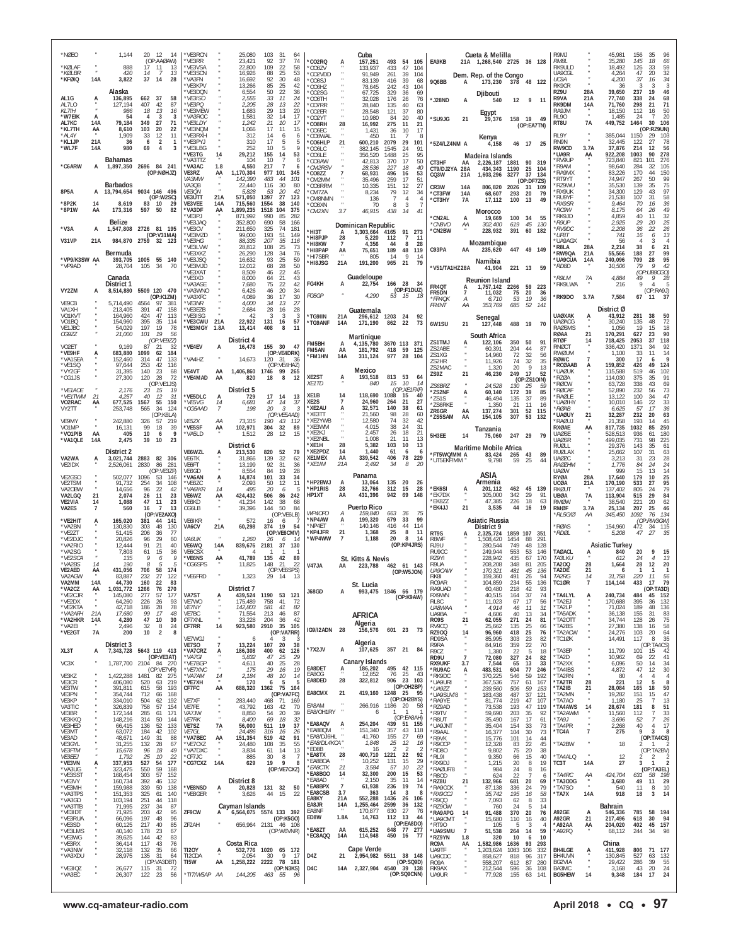| *NØEO<br>*KØLAF<br>*KØI BR                         |                            | 1,144<br>888<br>420                           | 12<br>20<br>- 14<br>(OP:AAØAW)<br>17<br>11<br>13<br>$\overline{7}$<br>13<br>14  | *VE3RCN<br>*VE3RR<br>*VE3VSA<br>'VE3SCN  |                      | 25,080<br>23,421<br>22,800<br>16,926   | 103<br>-31<br>64<br>37<br>92<br>74<br>109<br>22<br>58<br>25<br>53<br>88          | *CO2RQ<br>CO87V<br>CO2VDD*                         |                             | Cuba<br>157,251<br>133.937<br>91,949          | 493<br>433<br>261                  | 54<br>105<br>47<br>104<br>39<br>104                     | EA9KB                                          |                            | Cueta & Melilla<br>21A 1,268,540 2725 36 128<br>Dem. Rep. of the Congo |                          |                                                  | R9MJ<br><b>RM8I</b><br>RK9ULD<br>UA9CGI                 |                   | 45,981<br>35,280<br>18,492<br>4,264     | 156<br>35<br>145<br>18<br>66<br>126<br>33<br>59<br>20<br>32<br>47                         |
|----------------------------------------------------|----------------------------|-----------------------------------------------|---------------------------------------------------------------------------------|------------------------------------------|----------------------|----------------------------------------|----------------------------------------------------------------------------------|----------------------------------------------------|-----------------------------|-----------------------------------------------|------------------------------------|---------------------------------------------------------|------------------------------------------------|----------------------------|------------------------------------------------------------------------|--------------------------|--------------------------------------------------|---------------------------------------------------------|-------------------|-----------------------------------------|-------------------------------------------------------------------------------------------|
| *KFØIQ<br>AL1G                                     | 14A<br>A                   | 3,822<br>Alaska<br>136,895                    | 37<br>14<br>28<br>662<br>37<br>58                                               | *VA3FN<br>'VF3KPV<br>*VE3DQN<br>*VE3ISO  |                      | 16,692<br>13,266<br>6,554<br>2,555     | 92<br>30<br>48<br>25<br>85<br>42<br>50<br>22<br>36<br>33<br>11<br>24             | CO8SJ<br>*CO6HZ<br>CO2SG<br>*CO8TH                 |                             | 83,139<br>78,645<br>67.725<br>32.028          | 416<br>242<br>329<br>176           | 39<br>68<br>43<br>104<br>69<br>36<br>26<br>76           | 9Q6BB<br>*J28ND                                | A                          | 173,230<br>Djibouti<br>540                                             | 378<br>12                | 48 122<br>9<br>-11                               | UC9A<br>RK9CR<br>RZ9U<br>R9VA                           | 28A<br>21A        | 4,200<br>36<br>39,650<br>77,740         | 34<br>37<br>16<br>3<br>-3<br>-3<br>237<br>19<br>46<br>338<br>24<br>68                     |
| AL7LO<br>KL7IH<br>*W7EIK<br>AL7KC                  | A<br>14A                   | 127,194<br>986<br>54<br>79,184                | 407<br>42<br>87<br>18<br>13<br>16<br>3<br>4<br>3<br>349<br>27<br>71             | *VE3PC<br>*VE3MEW<br>*VA3ROC<br>*VE3LDY  |                      | 2,205<br>1,683<br>1,581<br>1,242       | 28<br>22<br>13<br>29<br>13<br>20<br>32<br>14<br>17<br>21<br>10<br>17             | CO7RR<br>CO2ER*<br>*CO2YT<br><b>CO8RH</b>          | 28                          | 28,840<br>28,548<br>10,980<br>16,992          | 135<br>121<br>84<br>275            | 40<br>63<br>37<br>80<br>20<br>40<br>21<br>11            | *SU9JG                                         | 21                         | Egypt<br>29,376                                                        | 158 19                   | 49<br>(OP:EA7TN)                                 | RK9DM<br>RA9JM<br><b>RL90</b><br>RT8U                   | 14A<br>٠<br>7A    | 71,760<br>18,150<br>1,485<br>449,752    | 21<br>71<br>298<br>112<br>16<br>50<br>20<br>24<br>7<br>30<br>1464<br>106                  |
| *KL7TH<br>*AL4Y<br>*KL1JP<br>*WL7F                 | AA<br>21A<br>14A           | 8,610<br>1,909<br>36<br>980                   | 103<br>20<br>22<br>33<br>12<br>11<br>$\overline{2}$<br>6<br>-1<br>69<br>4<br>3  | *VE3NQM<br>*VE3RXH<br>*VF3PYJ<br>*VE3LBG |                      | 1,066<br>312<br>310<br>252             | 17<br>11<br>15<br>14<br>6<br>6<br>17<br>5<br>5<br>10<br>5<br>9                   | *CO6EC<br>CO8WAI <sup>*</sup><br>*CO6HLP<br>CO6LC* | 21                          | 1,431<br>450<br>600,210<br>382.145            | 36<br>11<br>2079<br>1545           | 10<br>17<br>8<br>29<br>101<br>91<br>24                  | *5Z4/LZ4NM A                                   |                            | Kenya<br>4,158                                                         |                          | 46 17 25                                         | RL9Y<br>RN9N<br>RW9CD                                   | 3.7A              | 385,044<br>32,445<br>37,876             | (OP:RZ9UN)<br>29<br>1150<br>103<br>27<br>78<br>122<br>214<br>12<br>56                     |
| *C6ARW                                             | A                          | Bahamas<br>1,897,350                          | 2696 84 241<br>(OP:NØHJZ)                                                       | *VE3TG<br>*VA3TTZ<br>*VA3AC<br>VE3RZ     | 14<br>1.8<br>AA      | 29,212<br>104<br>4,550<br>1,170,304    | 155<br>14<br>53<br>10<br>$\overline{7}$<br>6<br>217<br>-7<br>6<br>977 101<br>345 | CO6LE <sup>*</sup><br>'CO8AW<br>*CM2RSV<br>CO8ZZ   |                             | 356,520<br>42,813<br>28,536<br>68,931         | 1488<br>370<br>227<br>496          | 25<br>95<br>17<br>50<br>40<br>18<br>53<br>16            | CT3HF<br>CT9/DJ2YA<br>CQ3W                     | AA<br>28A<br>21A           | Madeira Islands<br>2,226,187<br>434,343<br>1,603,296                   | 1881<br>1190<br>3277     | 90<br>319<br>25<br>104<br>37<br>134              | 'UA9R<br>'RV9UP<br>R9AM<br>RA9MX                        | AA                | 922,208<br>723,840<br>98,640<br>83,226  | 278<br>1003<br>90<br>101<br>276<br>821<br>105<br>284<br>32<br>170<br>44<br>150            |
| 8P5A                                               | A                          | Barbados<br>13,794,654                        | 9034 146 496<br>(OP:W2SC)                                                       | VA3MW<br>VA3QB<br>VE3ON<br><b>VE3UTT</b> | 21A                  | 142,390<br>22,440<br>5,828<br>571,050  | 483<br>44<br>101<br>30<br>80<br>116<br>20<br>53<br>42<br>27<br>1397<br>123       | 'CM2MM<br>'CO8RRM<br>*CM7ZA                        |                             | 35,496<br>10,335<br>8.234                     | 259<br>151<br>79<br>$\overline{7}$ | 17<br>51<br>27<br>12<br>12<br>34<br>$\overline{4}$      | CR3W<br>*CT3FW                                 | 14 <sub>h</sub><br>14A     | 806,820<br>68,607                                                      | 2026<br>293              | (OP:DF7ZS)<br>31<br>109<br>20<br>79              | 'RT9YT<br>*RZ9WU<br>'RX9UK<br>*RU9YF                    |                   | 74.947<br>35,530<br>34,300<br>21,538    | 50<br>99<br>267<br>75<br>139<br>35<br>43<br>97<br>129<br>58<br>107<br>-31                 |
| *8P2K<br>*8P1W                                     | 14<br>AA                   | 8,619<br>173,316                              | 83<br>10<br>29<br>597<br>50<br>82                                               | VE3VEE<br>*VA3DF<br>*VE3PJ               | 14A<br>AA            | 715,560<br>1,899,235<br>871,992        | 1554<br>38<br>140<br>1518<br>104<br>375<br>990<br>85<br>282                      | *CM8NMN<br>'CO8XN<br>*CM2XN                        | 3.7                         | 136<br>70<br>46,915                           | 8<br>438                           | 4<br>3<br>14<br>$\overline{4}$                          | *CT3HY<br>*CN2AL                               | 7A<br>A                    | 17,112<br><b>Morocco</b><br>19,669                                     | 100<br>100               | 49<br>13<br>-34<br>55                            | <i><b>*RX9SR</b></i><br>*RC9W<br>'RK9JD                 |                   | 9,464<br>8,175<br>4,859                 | 36<br>70<br>16<br>49<br>64<br>26<br>40<br>32<br>11                                        |
| 'V3A<br>V31VP                                      | A<br>21A                   | Belize<br>1,547,808                           | 2726 81 195<br>(OP:V31MA)<br>984,870 2759 32 123                                | *VE3JAQ<br>*VE3CV<br>*VE3MZD<br>*VE3HG   |                      | 352,800<br>211,650<br>99,000<br>88,335 | 690<br>58<br>166<br>325<br>74<br>181<br>193<br>51<br>149<br>207<br>35<br>116     | *НІЗТ<br>HI8PJP <sup>*</sup>                       | 28<br>$\overline{7}$        | Dominican Republic<br>3,303,664<br>5,220      | 4165<br>112                        | 91<br>273<br>$\overline{1}$<br>11                       | *CN8VO<br>*CN2BW                               | АA                         | <i>302,400</i><br>228,932<br>Mozambique                                | 619<br>391               | 45<br>130<br>60<br>182                           | *R9UP<br>*RV9DC<br>*IJF81<br>'UA9AGX                    |                   | 2,925<br>2,208<br>741<br>56             | 25<br>20<br>29<br>$^{26}_{13}$<br>36<br>22<br>16<br>6<br>$\overline{4}$<br>4<br>3         |
| *VP9/K3SW AA<br>*VP9AD                             |                            | Bermuda<br>393,705                            | 1005<br>55 140<br>105<br>34<br>70                                               | 'VE3LVW<br>*VE3XKZ<br>*VF3JSO<br>*VE3MJD |                      | 28,812<br>26,290<br>16,632<br>12,012   | 25<br>108<br>73<br>128<br>34<br>76<br>25<br>93<br>59<br>68<br>28<br>50           | *HI8KW<br>*HI8PAP<br>*HI7SBR<br>'HI8JSG            | AA<br>21A                   | 4.356<br>75,651<br>805<br>191,200             | 44<br>189<br>14<br>965             | 8<br>-28<br>48<br>119<br>Q<br>14<br>21<br>79            | C93PA                                          | AA                         | 235,620<br>Namibia                                                     |                          | 447 49 149                                       | R8LA<br>'RW9QA<br><b>UA9CUA</b><br>*RD8D                | 28A<br>21A<br>14A | 2,214<br>55,566<br>240,096<br>10,506    | 21<br>38<br>6<br>188<br>27<br>99<br>28<br>95<br>709<br>79<br>9<br>42                      |
|                                                    |                            | 28,704<br>Canada<br>District 1                |                                                                                 | 'VE3XAT<br>*VE3XD<br>'VA3ASE             |                      | 8,509<br>8,000<br>7,680                | 22<br>45<br>46<br>21<br>64<br>43<br>75<br>22<br>42                               | FG4KH                                              | А                           | Guadeloupe<br>22,754                          | 166 28                             | -34                                                     | *V51/TA1HZ 28A<br>FR4QT                        | A                          | 41.904<br><b>Reunion Island</b><br>1,757,142                           | 221<br>2266              | 13<br>- 59<br>59 223                             | *R9LM<br><b>RK9LWA</b>                                  | 7A                | 4,884<br>216                            | (OP:UB8CGO)<br>49<br>9<br>28<br>9<br>5                                                    |
| VY2ZM<br>VE9CB<br>VA1XH                            |                            | 8,514,880<br>5,714,490<br>213,405             | 5509 120 470<br>(OP:K1ZM)<br>4564<br>97<br>381<br>391<br>47<br>158              | *VA3WNO<br>*VA3XFC<br>*VE3NR<br>'VE3EZB  |                      | 6,426<br>4,089<br>4,000<br>2,684       | 20<br>46<br>34<br>36<br>17<br>30<br>34<br>27<br>13<br>28<br>16<br>28             | FG5GP                                              |                             | 4,290<br>Guatemala                            | 53 15                              | (OP:F1DUZ)<br>-18                                       | FR5DN<br>*FR4OK<br><b>FR4NT</b>                | 7<br>$\overline{A}$<br>АA  | 11,032<br>6,710<br>353,769                                             | 75<br>53<br>685          | 20<br>36<br>19<br>36<br>52<br>141                | RK9DO                                                   | 3.7A              | 7,584<br>District Ø                     | (OP:RA9J)<br>67<br>11<br>37                                                               |
| VO1KVT<br>VO1BQ<br>VE1JBC<br>CG9ZZ                 |                            | 164,960<br>154,960<br>54,029<br>21,000        | 47<br>424<br>113<br>395<br>35<br>114<br>197<br>19<br>78<br>101<br>19<br>56      | *VE3ISG<br>*VE3CWU<br>*VE3MGY            | 21A<br>1.8A          | 42<br>22,922<br>13,414                 | 3<br>3<br>-3<br>131<br>57<br>16<br>8<br>408<br>11                                | *TG9IIN<br>*TG9ANF                                 | 21A<br>14A                  | 296,612 1203<br>171,190                       | 862                                | 24<br>92<br>22<br>73                                    | 6W1SU                                          | 21                         | Senegal<br>127,448                                                     | 488                      | - 19<br>70                                       | <b>UAØXAK</b><br><b>UAØACG</b><br><b>RAØSMS</b><br>RØAA | А<br>21           | 43,912<br>30,240<br>1.056<br>170,291    | 281<br>50<br>38<br>135<br>48<br>72<br>18<br>19<br>15<br>627<br>23<br>90                   |
| VO2ET<br>*VE9HF                                    | A                          | 9,169<br>683,880                              | (OP:VE9ZZ)<br>87<br>21<br>-32<br>1099<br>62<br>184                              | *VE4EV                                   | A                    | District 4<br>16,478                   | 155<br>30<br>47<br>(OP:VE4DRK)                                                   | FM5BH<br>FM5AN<br>*FM1HN                           | AA<br>14A                   | Martinique<br>4,135,780<br>181,792<br>311,124 | 3670 113<br>418<br>977             | 371<br>-59<br>125<br>28<br>104                          | ZS1TMJ<br>ZS2ABE<br>ZS1XG                      |                            | South Africa<br>122,106<br>60,391<br>14,960                            | 350<br>204<br>72         | -50<br>91<br>44<br>87<br>32<br>56                | <b>RTØF</b><br>RNØCT<br>RWØUM                           | 14                | 718,425<br>336,420<br>1.100             | 37<br>118<br>2053<br>34<br>92<br>1371<br>14<br>11<br>33                                   |
| *VA1SEA<br>*VE1SQ<br>*VY2GF<br>*CG1JS              |                            | 152,460<br>97,644<br>31,395<br>27,300         | 314<br>47<br>133<br>253<br>42<br>116<br>140<br>23<br>68<br>28<br>120<br>72      | 'VA4HZ<br>VE4VT<br>*VE4MAD               | AA<br>AA             | 14,673<br>1,406,860<br>820             | 120<br>31<br>36<br>(OP:VE4HAZ)<br>1746<br>99<br>265<br>8<br>18<br>12             | XE2ST                                              | A                           | Mexico<br>193,518                             | 813                                | 53<br>64                                                | ZS2HR<br>7S2MAC<br>ZS9Z                        | 21                         | 11,926<br>1,320<br>46,230                                              | 74<br>20<br>249          | 32<br>35<br>9<br>13<br>17<br>52<br>(OP:ZS10IN)   | RØWC<br>*RCØAAB<br>'UAØUK<br>'RZØA                      | A                 | 300<br>159,852<br>115,588<br>114,030    | 17<br>9<br>6<br>426<br>49<br>124<br>46<br>102<br>519<br>91<br>375<br>35                   |
| *VE1AOE<br>*VE1TWM<br>VO2RAC                       | 21<br>AA                   | 2,176<br>4,257<br>677,525                     | (OP:VE1JS)<br>23<br>15<br>19<br>40<br>31<br>-12<br>1567<br>55<br>150            | *VE5DLC<br>*VE5VG                        | A<br>14              | District 5<br>729<br>6,681             | 17<br>14<br>13<br>47<br>14<br>37                                                 | XE1TD<br>XE1B<br>XE2S                              | 14<br>7                     | 840<br>118,690<br>24,960                      | 15<br>1088<br>264                  | 10<br>-14<br>(OP:XE1FXF)<br>15<br>40<br>21<br>27        | ZS6BRZ<br>*ZS2NF<br>*ZS1S                      | A                          | 24,528<br>60,140<br>46,494                                             | 130<br>172<br>135        | 25<br>-59<br>39<br>85<br>37<br>89                | 'RØCW<br><b>RØCAF</b><br><b>RAØLE</b><br><b>UAØIHY</b>  |                   | 63,728<br>52,890<br>13,122<br>10,010    | 69<br>43<br>338<br>73<br>232<br>56<br>47<br>100<br>34<br>22<br>33<br>146                  |
| VY2TT<br>VE9MY                                     |                            | 253,748<br>242,880                            | 34<br>565<br>124<br>(OP:K6LA)<br>326<br>57<br>219                               | *CG5AAD<br>VE5ZX                         | $\overline{7}$<br>AA | 198<br>73,315                          | $20\,$<br>3<br>-3<br>(OP:VE5AAD)<br>190<br>43<br>-112                            | *XE2AU<br>*XE3TT<br>*XE2YWB                        | A                           | 32,571<br>21,560<br>12,580                    | 140<br>98<br>74                    | 38<br>61<br>28<br>60<br>32<br>42                        | ZS6RKE<br>ZR6GR<br>'ZS5SAM                     | AA<br>AA                   | 1.350<br>137,274<br>154,105                                            | 21<br>301<br>307         | 11<br>16<br>52<br>115<br>53<br>132               | *RØAB<br>'UAØUY<br><b>RAØU</b>                          | 21                | 6,625<br>32,287<br>21,358               | 57<br>17<br>36<br>232<br>20<br>63<br>45<br>193<br>14                                      |
| VO1MP<br>*VO1PIB<br>*VA1QLE                        | AA<br>14A                  | 16,131<br>405<br>2,475                        | 99<br>18<br>39<br>10<br>q<br>6<br>39<br>10<br>23                                | *VE5SF<br>*VA5LD                         | AA                   | 102,971<br>1,512<br>District 6         | 304<br>32<br>89<br>28<br>12<br>15                                                | *XE3WM<br>*XE2KJ<br>*XE2NBL<br>*XE1H               | 28                          | 4.015<br>2,457<br>1.008<br>5,382              | 38<br>26<br>21<br>103              | 24<br>31<br>18<br>21<br>11<br>13<br>10<br>13            | 5H3EE                                          | 14                         | Tanzania<br>75,060<br>Maritime Mobile Africa                           |                          | 247 29 79                                        | RXØAE<br><b>UAØSE</b><br><b>UAØSR</b><br><b>RUØLL</b>   | AA                | 817,735<br>528,513<br>499,035<br>29.376 | 1032<br>85<br>250<br>180<br>936<br>61<br>731<br>98<br>225<br>143<br>35<br>61              |
| VA2WA<br>VE2IDX                                    | A                          | District 2<br>3,021,744<br>2,526,061          | 2883 82 306<br>2830<br>86<br>281<br>(OP:VE3ZF)                                  | VE6WZL<br>VE6TK<br>VE6FT<br>VE6GD        |                      | 213,530<br>31,866<br>13,199<br>8,554   | 820<br>52<br>79<br>139<br>32<br>62<br>92<br>31<br>36<br>28<br>84<br>19           | *XE2PDZ<br>XE1MEX<br>*XE1IM                        | 14<br>AA<br>21A             | 1,440<br>339,542<br>2,492                     | 61<br>406<br>34                    | 6<br>6<br>78<br>229<br>8<br>20                          | *FT5WQ/MM A<br>*UT5EKF/MM                      |                            | 83,424<br>9,798                                                        | 265<br>59                | 43<br>89<br>25<br>44                             | RUØLAX<br><b>UAØZC</b><br><b>RAØZHM</b><br><b>UAØW</b>  |                   | 25,662<br>3,213<br>1.776<br>999         | 107<br>31<br>63<br>23<br>28<br>31<br>84<br>24<br>24<br>15<br>13<br>14                     |
| VE2GSO<br>VE2TSM<br>VA20BW                         |                            | 502,077<br>91,732<br>14,656                   | 1096<br>53<br>146<br>254<br>34<br>108<br>22<br>96<br>42                         | *VA6AN<br>*VE6ZC<br>*VA6IKR              | А<br>14              | 14,874<br>2,093<br>495                 | 101<br>33<br>34<br>50<br>12<br>11<br>20<br>6<br>5                                | 'HP2BWJ<br><b>HP1RIS</b>                           | A<br>28                     | Panama<br>13,064<br>32,766                    | 135<br>312                         | -20<br>-26<br>15<br>28                                  | *EK6SI                                         | A                          | ASIA<br>Armenia<br>201,112                                             | 462                      | 45<br>139                                        | <b>RYØA</b><br>UCØA<br>RKØUT                            | 28A<br>21A        | 17,640<br>170,190<br>137,402            | 25<br>179<br>10<br>95<br>533<br>27<br>79<br>805<br>-24                                    |
| VA2LGQ<br>VE2VIA<br>VA2ES                          | 21<br>14<br>$\overline{7}$ | 2,074<br>1,088<br>560                         | 26<br>11<br>23<br>47<br>11<br>23<br>16<br>$\overline{7}$<br>13<br>(OP:VE2AXO)   | VE6WZ<br>VE6KD<br>CG6LB                  | AA                   | 424,432<br>41,234<br>39,396            | 506<br>86<br>242<br>142<br>38<br>68<br>144<br>50<br>84<br>(OP:VE6LB)             | HP1XT<br>WP4OFO                                    | AA<br>A                     | 431,396<br><b>Puerto Rico</b><br>159,840      | 942<br>663                         | 69<br>148<br>36<br>75                                   | *EK7DX<br>*EK8ZZ<br>*EK4JJ                     | 21                         | 105,000<br>47,385<br>3,535                                             | 342<br>226<br>44         | 29<br>91<br>18<br>63<br>19<br>16                 | UBØA<br><b>RMØW</b><br><b>RMØF</b><br>RL5G/Ø            | 7Ā<br>3.7A<br>АA  | 113,904<br>38,540<br>25,134<br>345,450  | 29<br>515<br>84<br>62<br>221<br>20<br>25<br>207<br>46<br>76<br>134<br>1092                |
| *VE2HIT<br>*VA2BN<br>*VE2ZT<br>*VF2DJC             |                            | 165,020<br>130,830<br>51,415<br>20.826        | 381<br>44<br>141<br>303<br>48<br>130<br>77<br>206<br>36<br>96<br>29<br>60       | VE6IKR<br>VA6CV<br>VA6UK                 | 21A                  | 572<br>60,298<br>1,260                 | 16<br>6<br>374<br>19<br>54<br>(OP:VE6CMV)<br>26<br>6<br>-14                      | NP4AW<br>'NP4ET<br><b>KP4JFR</b><br>'WP4WW         | A<br>21<br>$\overline{7}$   | 199,320<br>140.146<br>1,368<br>1,188          | 679<br>416<br>25<br>20             | 99<br>33<br>114<br>44<br>8<br>11<br>8<br>14             | RT9S<br><b>R8WF</b>                            |                            | Asiatic Russia<br>District 9<br>2.325.724<br>1,508,420                 | 1859 107<br>1454         | 351<br>88<br>291                                 | <b>RØAS</b><br>*RDØL                                    |                   | 154,960<br>5,208                        | (OP:RW3GW)<br>472<br>34<br>115<br>47<br>27<br>35                                          |
| *VA2RIO<br>'VA2SG<br>*VE2SCA                       |                            | 12.444<br>7,803<br>135<br>190                 | 91<br>21<br>40<br>15<br>$36\,$<br>61<br>9<br>9<br>6<br>8<br>5<br>5              | VE6WQ<br><b>VE6CSX</b><br>*VE6NS         | 14A<br>AA            | 839,676<br>41,789                      | 2181<br>37<br>130<br>135<br>42<br>89                                             |                                                    |                             | St. Kitts & Nevis                             |                                    | (OP:KP4JRS)                                             | RJ9U<br>RU9CC<br>RZ9YI                         |                            | 280,544<br>249.944<br>228,942                                          | 749<br>553<br>435        | 48<br>128<br>53<br>146<br>67<br>170              | <b>TAØACL</b><br>TA3LKU                                 | А                 | <b>Asiatic Turkey</b><br>840<br>612     | 20<br>9<br>15<br>24<br>13<br>$\overline{4}$                                               |
| *VA2BS<br>VE2AED<br>VA2AGW<br>VA2MM                | 14<br>AA<br>14A            | 431,056<br>83,887<br>44,730                   | 706<br>58<br>174<br>27<br>122<br>232<br>160<br>22<br>-83                        | *CG6SPS<br>*VE6FRD                       |                      | 11,825<br>1,323                        | 148<br>21<br>22<br>(OP:VE6SPS)<br>29<br>-14                                      | V47JA                                              | AA                          | 223,788<br>St. Lucia                          | 462                                | 61 143<br>(OP:W5JON)                                    | R9IJA<br>UA9CAW<br>RK81<br>RC9AR               |                            | 208,208<br>170.321<br>159,360<br>104,859                               | 348<br>481<br>491<br>234 | 81<br>205<br>45<br>136<br>94<br>26<br>55<br>136  | TA200<br>TA2DE<br>TA2RG<br>TC1ØR                        | 28<br>21<br>14    | 1,664<br>6<br>31,758<br>114,144         | 28<br>12<br>20<br>-1<br>-1<br>$\mathbf{1}$<br>220<br>11<br>56<br>433<br>17<br>- 79        |
| *VA2CZ<br>*VE2CJR<br>*VE2DX<br>*VE2KTA             | AA                         | 1,031,772 1266<br>145,080<br>64,260<br>42,718 | 76<br>270<br>277<br>57<br>177<br>226<br>26<br>93<br>186<br>28<br>78             | VA7ST<br>VE7WO<br><b>VE7NY</b>           |                      | District 7<br>175,489<br>142,803       | 439,524 1190 53 121<br>758<br>41<br>72<br>41<br>581<br>-82                       | J68GD                                              | А                           | 993,475 1846 66 179                           |                                    | (OP:K9AW)                                               | RA9UAD<br>RX9WN<br>RL8C<br>UA8WAA              |                            | 60,480<br>40,515<br>11,023<br>4,914                                    | 218<br>164<br>67<br>46   | 42<br>93<br>37<br>74<br>17<br>56<br>31<br>11     | *TA4LYL<br>*TA2EJ<br>*TA2LP                             | A                 | 240,734<br>170,688<br>71,024            | (OP:TA3D)<br>484<br>45<br>152<br>132<br>395<br>36<br>48<br>189<br>136                     |
| *VA2AFH<br>*VA2HKR<br>*VA2EI<br>*VE2GT             | 21A<br>14A<br><b>7A</b>    | 17,680<br>4,280<br>2,496<br>200               | 99<br>17<br>48<br>47<br>10<br>30<br>32<br>8<br>24<br>10<br>$\overline{2}$<br>-8 | VE7BC<br>CF7XNI<br>CF7RR                 | 14                   | 71,554<br>33,228<br>923,580            | 213<br>46<br>87<br>204<br>-36<br>42<br>2910<br>35<br>105<br>(OP:VA7RR)           | IG9/I2ADN                                          | 28                          | <b>AFRICA</b><br>Algeria<br>156,576           |                                    | 601 23 73                                               | UA9BA<br>RO9S<br>RV9CQ<br><b>RZ900</b>         | 21                         | 4,606<br>62,055<br>25,662<br>96,960                                    | 40<br>271<br>135<br>418  | 13<br>34<br>-24<br>81<br>25<br>66<br>25<br>76    | *TA5ADK<br>*TA2OTT<br>*TA2BS<br>*TA2ACW                 |                   | 36,138<br>34,744<br>27,380<br>24,276    | 155<br>31<br>83<br>75<br>128<br>-26<br>138<br>58<br>16<br>64<br>103<br>20                 |
| XL3T                                               | A                          | District 3<br>7,343,728                       | 5643 119 413                                                                    | VE7WGJ<br>VE7SO<br>*VA7CRZ               | $\overline{7}$<br>Ą  | 6<br>13,224<br>186,308                 | 3<br>107<br>20<br>-38<br>400<br>126<br>62                                        | *7X2JV                                             | А                           | Algeria<br>107,625                            |                                    | 357 21 84                                               | RD9SA<br>R9RA<br>R9CZ                          | 14                         | 85,995<br>84,916<br>1,380                                              | 303<br>359<br>22         | 23<br>82<br>22<br>70<br>-5<br>18                 | *TC1ØK<br>*TA3EP                                        |                   | 14,491<br>11,799                        | 35<br>117<br>8<br>(OP:TA4CS)<br>101<br>15<br>42                                           |
| VC3X<br>VE3KZ                                      |                            |                                               | (OP:VE3AT)<br>1,787,700 2104 84 270<br>(OP:VE7VR)<br>1,422,288 1481 82 275      | *VA7GI<br>*VE7BGP<br>*VE7XNC<br>*VA7AM   | 14                   | 5,832<br>4,611<br>175<br>2,184         | 25<br>47<br>29<br>25<br>40<br>28<br>29<br>16<br>19<br>48<br>10<br>14             | EA8DET<br>EA8OG                                    | Ą.                          | <b>Canary Islands</b><br>186,202<br>12,852    | 76                                 | 495 42 115<br>25<br>43                                  | RD <sub>9U</sub><br>RX9UKF<br>*RU9AC<br>*RK9DC | $\overline{7}$<br>3.7<br>Ą | 72,080<br>7,544<br>483,531<br>370,225                                  | 327<br>65<br>604<br>546  | 24<br>82<br>13<br>33<br>77<br>246<br>59<br>192   | *TA2D<br>*TA2XX<br>*TA4IBS<br>*TA2RN                    |                   | 10,962<br>6,096<br>4,872<br>-80         | 22<br>41<br>69<br>50<br>14<br>34<br>12<br>30<br>47<br>4<br>$\overline{4}$<br>4            |
| VE3CR<br>VE3TW<br>VE3PN<br>VE3KP                   |                            | 406,080<br>391,811<br>354,744<br>334,010      | 520<br>63<br>219<br>615<br>58<br>193<br>712<br>168<br>66<br>192<br>504<br>62    | *VE7XH<br>CF7FC<br>VE7XF                 | AA                   | 170<br>688,320<br>283,440              | 5<br>6<br>5<br>1362 75<br>164<br>(OP:VA7FC)<br>468 71<br>169                     | EA8DED<br>EA8CMX                                   | 28<br>21                    | 322,812<br>419,160 1248 25 95                 | 906                                | 23 103<br>(OP:OH2BP)<br>(OP:OH2BYS)                     | *UA9URI<br>*UA9ZZ<br>*UA9SUV/8<br>*RA9YE       |                            | 367,536<br>239,560<br>183,438<br>81,774                                | 757<br>506<br>487<br>219 | 61<br>167<br>59<br>153<br>37<br>121<br>47<br>107 | *TA2TR<br>*TA2IB<br>*TA2MN<br>*TA7AO                    | 28<br>21          | 221<br>28,084<br>19,282<br>1.180        | 12<br>5<br>8<br>50<br>165<br>18<br>47<br>151<br>15<br>13<br>25<br>7                       |
| VA3TIC<br>VE3BR<br>VE3KKQ                          |                            | 326,839<br>172,144<br>148,216                 | 758<br>57<br>154<br>285<br>61<br>171<br>314<br>50<br>144                        | VE7FE<br>VA7JW<br><b>VE7RK</b>           |                      | 43,792<br>8,850<br>8,400               | 163<br>42<br>70<br>20<br>39<br>-54<br>69<br>32<br>18                             | EA8AM<br>EA8/OH1RY<br>*EA8AQV                      |                             | 266,916 1186 20<br>6                          | -1<br>439 51                       | -58<br>-1<br>(OP:EA8AH)                                 | *RZ9AD<br>*R9TV<br>*R8UT                       |                            | 73,538<br>59,690<br>35,490                                             | 193<br>203<br>167        | 47<br>119<br>35<br>92<br>17<br>61                | *TA4AWS<br>'TA2AWM<br>*TA9J                             | 14<br>٠           | 28,674<br>11,560<br>3,696               | 181<br>8<br>51<br>33<br>112<br>7<br>52<br>7<br>26                                         |
| VE3HED<br>VE3MT<br>VE3AD<br>VE3GYL                 |                            | 66,415<br>63,072<br>48,671<br>31,255          | 52<br>133<br>136<br>184<br>42<br>102<br>149<br>31<br>88<br>132<br>28<br>67      | VE7SZ<br>VE7GL<br>*VA7BEC<br>*VE7CKZ     | 7A<br>AA             | 56,000<br>24,486<br>151,354<br>24,480  | 37<br>511<br>19<br>316<br>16<br>26<br>519<br>91<br>42<br>108<br>35<br>55         | EA8BQM<br>*EA8/DJ6HL *<br>*EA8/DL4KCA*             |                             | 254,204<br>151,340<br>41,760<br>1,848         | 357<br>155<br>25                   | 155<br>43<br>118<br>-27<br>-69<br>12<br>16              | *UA9.INT<br>*R9AAL<br>*R9VK<br>*R90CP          |                            | 35,404<br>16,377<br>15,776<br>12,328                                   | 154<br>104<br>101<br>83  | 33<br>73<br>30<br>73<br>14<br>44<br>22<br>45     | *TA4PR<br>*TC4A<br>*TA2BW                               | $\overline{7}$    | 2.268<br>275<br>18                      | 40<br>17<br>$\overline{4}$<br>9<br>3<br>8<br>(OP:TA4CS)                                   |
| VE3FTM<br><i><b>VE3EEJ</b></i><br>*VE3VN<br>*VA3UG | A                          | 15,678<br>1,792<br>337,953<br>323,475         | 96<br>18<br>49<br>22<br>25<br>10<br>527<br>54 177<br>59<br>550<br>168           | *VA7DXC<br>*CF7JC<br>*CG7CXZ             | 14A                  | 3,834<br>885<br>629                    | 13<br>61<br>14<br>8<br>30<br>-7<br>9<br>19<br>8<br>(OP:VE7CXZ)                   | *ED8B<br>*EA8TX<br>*EA8BOA<br>*EA8CTK              | 28<br>21                    | 16<br>400,710 1221<br>10,252<br>3,584         | 2<br>131<br>57                     | $\mathcal{L}$<br>-2<br>22<br>92<br>15<br>29<br>10<br>22 | *RD80<br>*RL9I<br>*RX9DJ<br>*RAØUF/8           |                            | 9,802<br>9,350<br>1,215<br>984                                         | 75<br>66<br>20<br>24     | 20<br>38<br>15<br>40<br>8<br>19<br>8<br>16       | *TA4ALQ<br>TC3T                                         | 14A               | 12<br>27                                | (OP:TA2BV)<br>2<br>-2<br>-2<br>3<br>$\mathbf{1}$<br>$\overline{\mathbf{z}}$<br>(OP:TA3EL) |
| *VE3SST<br>*VE3VY<br>*VE3MH                        |                            | 168,454<br>160,734<br>159,988                 | 57<br>303<br>152<br>46<br>392<br>132<br>339<br>50<br>138                        | *VE8NSD                                  | Ą                    | District 8<br>20,828                   | 131 32<br>50                                                                     | *EA8BGO<br>"EA8AD<br>*EA8BPX<br>*EA8CSB            | 14<br>$\overline{7}$<br>3.7 | 32,300<br>2,150<br>61,938<br>363              | 200<br>35<br>236<br>14             | 15<br>53<br>11<br>14<br>19<br>74<br>3<br>8              | *R8OD<br>*RZ8U<br>*RA9CCK                      | 21                         | 624<br>132,966<br>87,138                                               | 22<br>681<br>336         | $\overline{7}$<br>6<br>20<br>69<br>24<br>79      | *TA4RC<br>*TA3ODG<br>*TA7SO                             | AA<br>٠           | 424,704<br>3,680<br>540                 | 631<br>58<br>198<br>49<br>29<br>11<br>10<br>11<br>8                                       |
| *VA3TPS<br>*VA3GD<br>*VA3TTB<br>*VE3IDT            |                            | 151,353<br>103,194<br>71,995<br>71,925        | 325<br>61<br>140<br>251<br>44<br>118<br>237<br>-34<br>87<br>203<br>42<br>95     | *VE8GER<br>ZF9CW                         | А                    | 3,626<br>Cayman Islands                | 15<br>44<br>22<br>6,564,075 5574 133 392                                         | EA8KY<br>EA8JR<br>EA8NF                            | 21A<br>14A                  | 552,288<br>1,255,464<br>170,877               | 1436<br>2599<br>630                | 26<br>106<br>36<br>132<br>27<br>76                      | *RX9CCJ<br>*R9QQ<br>*RZ90W<br>*RA9APG          | 14                         | 35,742<br>7,093<br>760<br>91,488                                       | 195<br>62<br>24<br>370   | 58<br>16<br>33<br>8<br>-5<br>14<br>20<br>76      | *TA7X<br>A92GE                                          | 14A<br>A          | 918<br>Bahrain<br>546,336               | 14<br>18<br>3<br>785<br>58<br>194                                                         |
| *VE3RUA<br>*VE3SD<br>*VE3LMS<br>*VE3WG             |                            | 66,096<br>60,125<br>40,140<br>39,625          | 197<br>48<br>96<br>217<br>40<br>85<br>178<br>23<br>67<br>144<br>42<br>83        | ZF2AH                                    |                      |                                        | (OP:K5GO)<br>656,964 2131 46 108<br>(OP:W6VNR)                                   | ED8W<br>*EA8ZT<br>*EC8AQQ                          | 1.8A<br>AA<br>14A           | 14,763<br>615,252<br>114,948                  | 112                                | 13<br>44<br>(OP:EA8DO)<br>648 77 277<br>450 16 77       | *UA90MT<br>*RT90<br>*UA9SMU<br>*RZ9YN          | $\overline{7}$<br>1.8      | 15,680<br>105<br>51,538<br>320                                         | 110<br>264<br>10         | 40<br>16<br>-3<br>4<br>14<br>59<br>10<br>6       | A92GR<br>*A92AA<br>*A92FQ                               | 21<br>AA          | 217,496<br>204,020<br>68,112            | 94<br>618<br>30<br>402<br>45<br>157<br>244<br>34<br>98                                    |
| *VE3RX<br>*VA3NW<br>*VA3XDU                        |                            | 36,414<br>32,118<br>28,975                    | 117<br>43<br>76<br>132<br>35<br>66<br>135<br>31<br>64                           | <b>TI2OY</b><br>TI2CDA                   | А                    | Costa Rica<br>2,054                    | 532,776 1020 65 172<br>30<br>$\overline{9}$<br>- 17                              | D4Z                                                | 21                          | Cape Verde<br>2,954,982                       | 5511 38 148                        |                                                         | RC <sub>9</sub> A<br>UA9TF<br>UA9CDC           | AA                         | 1,582,986<br>,203,624<br>858.627                                       | 1636<br>1083<br>818      | 93<br>293<br>106<br>332<br>96<br>317             | BH4LGE<br>BH4UVN                                        | А<br>٠            | China<br>411,928<br>130,845             | 806<br>71 177<br>527<br>63<br>132                                                         |
| *VE3IQZ<br>*VA3EC                                  |                            | 26,677<br>26,307                              | (OP:VA3DBT)<br>115<br>31<br>72<br>122<br>23<br>56                               | TI5W<br>*TI7/W5AP AA                     | AA                   | 1,258,222<br>144,205                   | 2222 78 181<br>(OP:N3KS)<br>463 55<br>96                                         | D <sub>4</sub> C                                   | 14A                         | 2,327,904                                     | 4540 39 138                        | (OP:SQ9D)<br>(OP:SQ9CNN)                                | RO <sub>9</sub> A<br>RK9AX<br>UA9UR            |                            | 558,207<br>212,544<br>77,928                                           | 612<br>596<br>155        | 87<br>280<br>36<br>108<br>63<br>141              | BG2VIA<br>BA3MC<br><b>BG5HEW</b>                        | 14                | 29,422<br>3,168<br>9,348                | 286<br>55<br>-39<br>20<br>24<br>43<br>24<br>184<br>17                                     |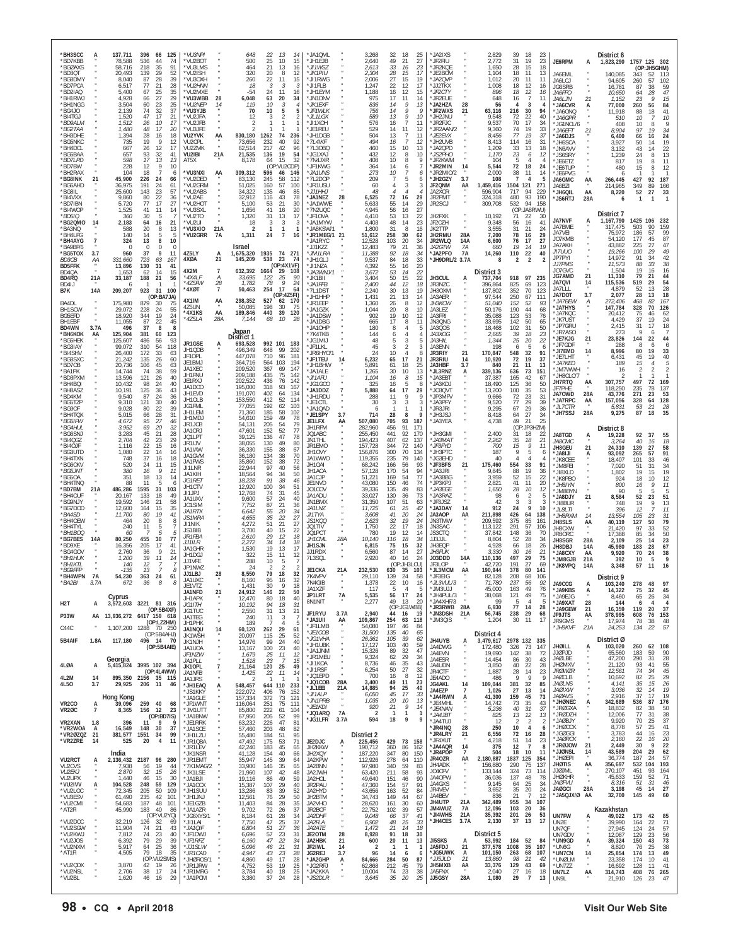| *BH3SCC<br>*BD7KBB<br>*BGØAXS                       |                       | 137,711<br>78,588<br>58,716           | 396<br>66<br>125<br>536<br>44<br>74<br>218<br>35<br>91                           | *VU3NPI<br>*VU2BOT<br>*VU3LMS                      |                           | 648<br>500<br>464                                | 22<br>13<br>14<br>25<br>10<br>15<br>21<br>13<br>16                                                          | *JA1QML<br>* JH1FJB<br>*JI1WSZ                     |                   | 3,268<br>2,640<br>2,613                  | 32<br>49<br>33                     | 18<br>25<br>21<br>27<br>16<br>23                     | *JA2IXS<br>*JF2FIU<br>*JR2KQE                |                            | 2,829<br>2.772<br>1,650                 | 39<br>31<br>28                    | 18<br>23<br>19<br>23<br>15<br>18                                          | JE6RPM                                                           | А                | District 6<br>1,823,290                 | 1757 125 302<br>(OP:JH5GHM)                                                            |
|-----------------------------------------------------|-----------------------|---------------------------------------|----------------------------------------------------------------------------------|----------------------------------------------------|---------------------------|--------------------------------------------------|-------------------------------------------------------------------------------------------------------------|----------------------------------------------------|-------------------|------------------------------------------|------------------------------------|------------------------------------------------------|----------------------------------------------|----------------------------|-----------------------------------------|-----------------------------------|---------------------------------------------------------------------------|------------------------------------------------------------------|------------------|-----------------------------------------|----------------------------------------------------------------------------------------|
| *BD30T<br>*BG8DMY<br>*BD7PCA<br>*BD2IAQ             |                       | 20.493<br>8,040<br>6,517<br>5.400     | 29<br>139<br>52<br>87<br>28<br>39<br>77<br>21<br>28<br>25<br>67                  | *VU2ISH<br>*VU3OXH<br>*VU2HNN<br>*VU2MXE           |                           | 320<br>260<br>18<br>-54                          | 8<br>12<br>20<br>22<br>11<br>15<br>3<br>-3<br>-3<br>24<br>11<br>16                                          | *JK1PIU<br>*JI1RWG<br>*JI1FLB<br>*JH1EYM           |                   | 2.304<br>2,006<br>1.247<br>1,188         | 28<br>27<br>22                     | 17<br>15<br>15<br>19<br>12<br>17<br>12<br>15         | * JF2BOM<br>*JA2QVP<br>*JJ2TKX<br>*JF2CTY    |                            | 1.104<br>1,012<br>1,008<br>896          | 18<br>20<br>18<br>18              | 11<br>13<br>11<br>11<br>12<br>-16                                         | JA6EML<br>JA6LCJ<br>JG6SRB                                       |                  | 140,085<br>94,605<br>16,781             | 343<br>52<br>113<br>57<br>260<br>102<br>87<br>38<br>59                                 |
| *BH1RWJ<br>*BH1NGG<br>*BG4JO                        |                       | 4,928<br>3.504<br>2,139               | $\frac{35}{29}$<br>27<br>66<br>23<br>25<br>60<br>37<br>74<br>32                  | *VU3WBB<br>*VIJ2NFP<br>*VU3YJB                     | 28<br>14                  | 6,048<br>119<br>70                               | 63<br>20<br>34<br>10<br>3<br>$\overline{4}$<br>10<br>5<br>5                                                 | *JN1DNV<br>*JK1EXF<br>*JF1WLK                      |                   | 975<br>836<br>756                        | 16<br>17<br>14<br>14               | 11<br>14<br>13<br>9<br>9<br>ç                        | 'JR2EUE<br>*JA2HZA<br>*JF2WXS                | 28<br>21                   | 648<br>56<br>63,116                     | 16<br>Δ<br>216                    | $\begin{array}{c} 12 \\ 7 \end{array}$<br>16<br>11<br>3<br>4<br>30<br>94  | JA6FFO<br><i>JA6LJN</i><br>*JA6CVR<br>*JA6ONQ                    | 21<br>А          | 10,650<br>1,152<br>77,000<br>11.918     | $\substack{47 \\ 15}$<br>28<br>64<br>23<br>260<br>56<br>84<br>41<br>88<br>18           |
| *BI4TGJ<br>*BD9ALM<br>*BG2TAA                       |                       | 1,520<br>1,512<br>1,480               | 47<br>21<br>17<br>17<br>26<br>10<br>48<br>17<br>20                               | *VU2JFA<br>*VU2JFB<br>*VU3JFE                      |                           | 12                                               | 2<br>3<br>2<br>$\mathbf{1}$<br>$\mathbf{1}$                                                                 | *JL1LGX<br>*JI1XOH<br>*JE1REU                      |                   | 589<br>576<br>529                        | 13<br>16<br>14                     | 9<br>10<br>$\overline{7}$<br>11<br>11<br>12          | *JH2JNU<br>'JR2FJC<br>*JR2AAN/2              |                            | 9,548<br>9,537<br>9,360                 | 72<br>70<br>74                    | 22<br>40<br>17<br>34<br>19<br>33                                          | *JA6GPR<br>*JG1NCL/6<br>*JA6EFT                                  | 21               | 510<br>408<br>8,904                     | 10<br>10<br>9<br>10<br>8<br>97<br>34<br>19                                             |
| *BH3DHE<br>*BG5NKC<br>*BH4DCL                       |                       | 1,394<br>735<br>667                   | 28<br>16<br>18<br>9<br>19<br>12<br>26<br>12<br>17<br>41                          | VU2YVK<br>VU2CPL<br>VU2ZMK                         | AA                        | 830,180<br>73,656<br>62,514                      | 1262<br>74<br>236<br>40<br>92<br>232<br>217<br>42<br>96<br>54                                               | *JH1DGB<br>$*7L4$ IKF<br>*7L3OBQ                   |                   | 504<br>494<br>460                        | 13<br>16<br>15<br>12               | $\overline{7}$<br>11<br>12<br>7<br>10<br>13          | *JE2EVX<br>*JH2UVB<br>*JA2QPD                |                            | 8,456<br>8.413<br>1,209                 | 77<br>114<br>33                   | 19<br>37<br>31<br>16<br>13<br>18                                          | *JA6DJS<br>*JH6SCA<br>*JN6AVV                                    |                  | 6,400<br>3.927<br>3.132                 | 24<br>66<br>16<br>50<br>19<br>14<br>43<br>22<br>14                                     |
| *BG5BAA<br>*BD7LPD<br>*BD7BW<br>*BH2RAX             |                       | 657<br>598<br>228<br>104              | 93<br>32<br>17<br>13<br>13<br>9<br>12<br>10<br>18<br>6                           | VU2IBI<br>AT5X<br>*VU3NXI                          | 21A<br>AA                 | 21,535<br>8,178<br>309,312                       | 19<br>136<br>15<br>32<br>64<br>(OP:VU2CDP)<br>596<br>46<br>146                                              | *JG1XAJ<br>*7N4JXR<br>* JF1KWG<br>*JA1UNS          |                   | 432<br>408<br>364<br>273                 | 10<br>14<br>10                     | 8<br>10<br>9<br>8<br>$\mathbf 6$<br>7<br>6           | *JS2PH0<br>*JF2KWM<br>*JR2MIN<br>'JR2MIO/2   | 14                         | 1.170<br>104<br>5,544<br>2,000          | 23<br>-5<br>72<br>38              | 12<br>6<br>4<br>4<br>18<br>24<br>11<br>14                                 | *JS6SRY<br>*JE6ETZ<br>*JE6TUP<br>*JE6PVG                         |                  | 1.239<br>817<br>480<br>6                | 24<br>13<br>8<br>19<br>11<br>8<br>15<br>8<br>12                                        |
| *BG8INK<br>*BG6AHD<br>*BG8IL                        | 21                    | 45,900<br>36,975<br>25,600            | 24<br>226<br>66<br>191<br>24<br>61<br>23<br>57<br>143                            | *VU2DED<br>*VU2GRM<br>*VU2ABS                      |                           | 83,130<br>51,025<br>34,322                       | 245<br>58<br>112<br>160<br>57<br>100<br>135<br>46<br>85                                                     | *7L2DOP<br>*JR1USU<br>*JJ1HHJ                      |                   | 209<br>60<br>48                          | $\overline{7}$<br>4                | 5<br>6<br>3<br>$\overline{4}$                        | *JH2GZY<br>JF2QNM<br>JA2XCR                  | 3.7<br>AA                  | 108<br>1,459,416<br>596,904             | $\overline{7}$<br>1504 121<br>717 | $\overline{4}$<br>-5<br>271<br>94<br>229                                  | JA6GMC<br><b>JA6B7I</b><br>*JH6QIL                               | AA<br>AA         | 266,445<br>214.965<br>8,220             | 427<br>92<br>187<br>349<br>89<br>$\frac{166}{33}$<br>52<br>27                          |
| *BI4VXX<br>*BD7IBN<br>*BI4WOP                       |                       | 9,860<br>5,720<br>1,525               | 22<br>80<br>36<br>17<br>27<br>77<br>41<br>11<br>14                               | *VU2AE<br>*VU2HOT<br>*VU3SXL                       |                           | 32,912<br>5,100<br>1,656                         | 78<br>116<br>43<br>53<br>21<br>30<br>41<br>16<br>20                                                         | *JA1NEZ<br>*JA1WWE<br>*7N2UQC                      | 28                | 6,525<br>5,633<br>4.945                  | 72<br>55<br>56                     | 29<br>16<br>14<br>29<br>16<br>27                     | JR2PM1<br>JR2SCJ                             |                            | 324,318<br>309,708                      | 480<br>532                        | 93<br>190<br>94<br>158<br>(OP:JA8RWU)                                     | *JS6RTJ                                                          | 28A              | 6<br>District 7                         | $\mathbf{1}$<br>$\mathbf{1}$                                                           |
| *BD5IQ<br>*BG2QMO<br>*BA3NQ<br>*BH4I FG             | 14                    | 360<br>2,183<br>588<br>140            | 30<br>5<br>64<br>21<br>16<br>20<br>8<br>13<br>14<br>5<br>-5                      | *VU2TO<br>*VU2UI<br>*VU3XIO<br>*VU2GRR             | 21A<br><b>7A</b>          | 1,320<br>18<br>$\overline{\phantom{a}}$<br>1,311 | 31<br>13<br>17<br>3<br>3<br>3<br>$\mathbf{1}$<br>$\mathbf{1}$<br>$\mathbf{1}$<br>24<br>$\overline{7}$<br>16 | *JF1OVA<br>*JA1MYW<br>*JA8KSW/1<br>*JR1MEG/1       | 21                | 4,410<br>4,403<br>1,800                  | 53<br>48<br>31<br>258              | 13<br>22<br>23<br>14<br>8<br>16<br>30<br>62          | JH2FXK<br>JF20ZH<br>JK2TTP<br>JH2RMU         | 28A                        | 10,192<br>9,348<br>3,555<br>7,200       | 71<br>56<br>31<br>78              | 22<br>-30<br>16<br>41<br>21<br>24<br>16<br>29                             | <b>JA7NVF</b><br>JA7BME<br>JA7VEI                                | А                | 1,167,790<br>317,475<br>75.972          | 1425<br>106<br>232<br>90<br>159<br>503<br>99<br>186<br>57                              |
| *BH4AYG<br>*BA9BF/6<br>*BG5TOX                      | $\overline{7}$<br>3.7 | 324<br>$\Omega$<br>960                | 13<br>8<br>10<br>$\Omega$<br>$\Omega$<br>$\Omega$<br>37<br>11<br>9               | 4Z5LY                                              |                           | Israel<br>1,675,320                              | 1935<br>74 27                                                                                               | 'JA1RYC<br>*JJ1KZZ<br>*JM1LRA                      |                   | 51,612<br>12,528<br>12,483<br>11,388     | 103<br>79<br>92                    | 20<br>34<br>21<br>36<br>18<br>34                     | JR2WLQ<br>JA2GTW<br>*JA2PFO                  | 14A<br>7A<br>7A            | 6,600<br>660<br>14,260                  | 76<br>19<br>110                   | 17<br>27<br>14<br>19<br>22<br>40                                          | JO7KMB<br>JA7AKH<br>JI7UU0                                       |                  | 54.120<br>43.882<br>19,266              | 177<br>45<br>87<br>47<br>225<br>27<br>49<br>100<br>29                                  |
| <b>BD3CB</b><br><b>BD5FFK</b><br>BD <sub>4</sub> OA | ΑА                    | 331,660<br>13,896<br>1,653            | 723<br>63<br>167<br>130<br>31<br>41<br>14<br>15<br>62                            | 4XØA<br>4X2M                                       | 21<br>7                   | 145,209<br>632,392                               | 23<br>538<br>74<br>(OP:4X1VF)<br>29<br>1664<br>108                                                          | * JH1GL.<br>*JI1NZA<br>*JA3WNJ/1                   |                   | 9,537<br>4,392<br>3,672                  | 84<br>55<br>53                     | 18<br>33<br>20<br>16<br>22<br>14                     | *JH9DRL/2 3.7A                               |                            | -8<br>District 3                        | 2                                 | $\sqrt{2}$<br>2                                                           | JP7PYI<br><i>JJ7PMS</i><br>JO7GVC<br><b>JG7AMD</b>               | 21               | 14.972<br>11,573<br>1,504               | $\substack{42\\38}$<br>91<br>34<br>88<br>33<br>19<br>16<br>16<br>79<br>44<br>21        |
| BD4RQ<br>BD4IJ<br>B7K                               | 21A<br>14A            | 33,187<br>-6<br>209,207               | 188<br>21<br>56<br>923<br>100<br>-31<br>(OP:BA7JA)                               | *4X4LF<br>*475FW<br>*4XØT                          | А<br>28<br>$\overline{7}$ | 33,695<br>1,782<br>50,463                        | 122<br>$\frac{25}{9}$<br>90<br>78<br>24<br>254<br>17<br>64<br>(OP:4Z5FI)                                    | *JK1BII<br>*JA1FFB<br>*7L1DST<br>*ЈН1ННР           |                   | 3,404<br>2,400<br>2,240<br>1,431         | 50<br>44<br>30<br>21               | 15<br>$^{22}_{\bf 18}$<br>12<br>19<br>13<br>13<br>14 | JH3CUL<br>JR3NZC<br>JH30XM<br>JA3AER         | Ą                          | 737,704<br>396,864<br>137.802<br>97,544 | 918<br>825<br>352<br>250          | 97<br>235<br>123<br>69<br>70<br>123<br>67<br>111                          | JA7QVI<br>JA7LLL<br>JA7DOT                                       | 14<br>3.7        | 11,310<br>115,536<br>4,879<br>2,077     | 519<br>29<br>54<br>28<br>52<br>13<br>28<br>18<br>13                                    |
| BA4DL<br>BH1SCW<br>BG5EFD                           |                       | 175,980<br>29,072<br>18,920           | 879<br>30<br>75<br>24<br>228<br>55<br>24<br>19<br>344                            | 4X1IM<br>4Z5UN<br>*4X1KS                           | AA<br>AA                  | 298,352<br>50,085<br>189,846                     | 527<br>62<br>170<br>198<br>30<br>75<br>440<br>39<br>120                                                     | *JR1EEP<br>*JA1GZK<br>*JA1DSW                      |                   | 1,360<br>1,044<br>902                    | 26<br>20<br>19                     | 12<br>8<br>10<br>8<br>10<br>12                       | JH3KCW<br>JA3LEZ<br>JA3FRI                   |                            | 51,040<br>50,176<br>35.088              | 152<br>190<br>123                 | 52<br>93<br>44<br>68<br>53<br>76                                          | *JA7BEW<br>*JA7HYS<br>*JA7KQC                                    | Ą                | 272,406<br>147,784<br>20.412            | 82<br>167<br>468<br>328<br>70<br>126<br>75<br>62<br>46                                 |
| BH1EBF<br>BD4WN<br>*ВН6КОК                          | 3.7A<br>AA            | 11,055<br>496<br>125,904              | 22<br>87<br>45<br>37<br>8<br>-8<br>381<br>60<br>123                              | *4Z5LA                                             | 28A                       | 7,144<br>Japan<br>District 1                     | 10<br>68<br>-28                                                                                             | *JA1DBG<br>* JA10HP<br>*7K4TKB                     |                   | 665<br>180<br>144                        | 17<br>8<br>6                       | 8<br>11<br>4<br>5<br>4                               | JN3QNG<br>JA300S<br>JA3XOG                   |                            | 33,695<br>18,468<br>2.665               | 142<br>102<br>39                  | 50<br>65<br>50<br>31<br>18<br>23                                          | *JK7UST<br>*JP7GRU<br>*JR7ASO<br>*JE7KJG                         | 21               | 4.429<br>2,415<br>273<br>23,826         | 37<br>19<br>24<br>31<br>18<br>17<br>9<br>144<br>22<br>44                               |
| *BG5HEK<br>*BG3IAY<br>*BI4SHV<br>*BG8SXC            |                       | 125,607<br>99,072<br>26,400<br>21,242 | 93<br>486<br>56<br>310<br>54<br>118<br>172<br>33<br>63<br>135<br>26<br>60        | JR1GSE<br>JH1QDB<br>JF10PL                         | A                         | 693.528<br>496,349<br>447,078                    | 992 101 183<br>648<br>99<br>202<br>710<br>96<br>181                                                         | * JG1ML<br>*JF1LKL<br>* JR6HYO/1<br>*JF1TEU        |                   | 48<br>45<br>24<br>6,232                  | 5<br>3<br>10<br>65                 | 3<br>2<br>4<br>-8<br>17<br>21                        | JA3HH<br>JA3ENN<br>JR3RIY<br><b>JR3RIU</b>   | 21<br>14                   | 1,344<br>198<br>170,847<br>10,920       | 25<br>6<br>548<br>72              | 20<br>22<br>-5<br>-6<br>32<br>91<br>19<br>37                              | JF7GDF<br>*JI7EMD<br>*JE7LHT                                     | 14               | 288<br>8.996<br>6,431                   | 6<br>8<br>6<br>80<br>19<br>33<br>45<br>19<br>40                                        |
| *BD70B<br>*BA1PK<br>*BD3PXM                         |                       | 20,736<br>14,744<br>13,596            | 45<br>63<br>106<br>74<br>38<br>59<br>121<br>26<br>40                             | JE1BMJ<br>JA1XEC<br>JH1FNU<br>JE1RXJ               |                           | 364,716<br>209,520<br>209,188<br>202,522         | 564<br>103<br>194<br>367<br>69<br>147<br>75<br>435<br>142<br>436<br>76<br>142                               | *JH1BHW<br>*JA1ALE<br>*JI1AFU                      |                   | 5,891<br>1,265<br>1,104                  | 61<br>30<br>16                     | 18<br>25<br>10<br>13<br>15<br>8                      | JA3HBF<br>*JL3RNZ<br>*JA3EBT                 | 3.7<br>Ą                   | 840<br>339,136<br>37,387                | 21<br>636<br>165                  | 11<br>13<br>73<br>151<br>42<br>67                                         | *JA7KED<br>*JM7WWH<br>*JH8CLC/7                                  |                  | 189<br>16<br>2                          | 15<br>$\overline{4}$<br>5<br>-2                                                        |
| *BH4BQI<br>*BH8ASZ<br>*BD4KM                        |                       | 10,432<br>10,191<br>9,540             | 98<br>24<br>40<br>125<br>36<br>43<br>24<br>87<br>36                              | JA1DCO<br>JH1EVD<br>JH10LB                         |                           | 195,000<br>191,070<br>153.550                    | 318<br>93<br>167<br>402<br>64<br>134<br>52<br>412<br>114                                                    | *JG1GCO<br>*JA1DDZ<br>*JH1RDU                      |                   | 325<br>5,888<br>288                      | 16<br>64<br>11<br>3                | 5<br>8<br>17<br>29<br>9<br>-9                        | 'JA3KDJ<br>*JO3QVT<br>*JP3MFV                |                            | 18.490<br>13,200<br>9,666               | 125<br>100<br>72<br>77            | 36<br>50<br>35<br>53<br>23<br>31<br>29                                    | JH7RTQ<br>JF7PHE<br>JA70WD<br>*JA7RPC                            | AA<br>28A<br>AA  | 307,757<br>118,250<br>43,776<br>157,056 | 497<br>72<br>169<br>235<br>78<br>137<br>$\frac{2}{3}$<br>271<br>23<br>328<br>64<br>128 |
| *BG5TZP<br>*BG9OF<br>*BH4TQX<br>*BG5IFW             |                       | 9,310<br>9,028<br>5,015<br>4,672      | 121<br>30<br>40<br>22<br>39<br>80<br>28<br>31<br>66<br>95<br>27<br>46            | <b>JG1FML</b><br>JH1I FM<br>JH1MDJ                 |                           | 77,055<br>71,360<br>54,610                       | 192<br>62<br>103<br>185<br>58<br>102<br>159<br>49<br>78                                                     | *JE1CTL<br>*JA1QAD<br>*JE1SPY<br>JE1LFX            | 3.7<br>AA         | 30<br>6<br>714<br>507,080                | 28<br>705                          | 3<br>8<br>93<br>187                                  | *JA3PFY<br>*JR3JRI<br>*JH3JSJ<br>*JA3YEA     |                            | 9,520<br>9,295<br>8,418<br>4,738        | 67<br>64<br>49                    | 39<br>29<br>36<br>27<br>34<br>21<br>25                                    | *JL7CTR<br>*JH7SSJ                                               | 28A              | 5,831<br>9,275                          | 21<br>28<br>53<br>35<br>87<br>18                                                       |
| *BG4HUL<br>*BG6SNJ<br>*BI4QGZ                       |                       | 3,952<br>3,283<br>2.704               | 69<br>20<br>32<br>21<br>45<br>28<br>42<br>23<br>29                               | JR1JCB<br>JA1CRJ<br>JQ1LPT<br>JR1IJV               |                           | 54,131<br>47,601<br>39,125<br>38,055             | 205<br>54<br>79<br>152<br>52<br>77<br>136<br>47<br>78<br>130<br>49<br>80                                    | <b>JH1RFM</b><br>JO1ABC<br>JN1THL                  |                   | 282,960<br>255,450<br>194,423            | 456<br>441<br>407                  | 91<br>171<br>92<br>170<br>137<br>62                  | *JH3GMI<br>*JA3MA1                           |                            | 2,400<br>2,262                          | (OP:<br>31<br>35                  | :JP3HZM)<br>18<br>22<br>18<br>21                                          | JA8TGD<br>JA8CMC                                                 | A                | District 8<br>19,228<br>3,264           | 92<br>37<br>55<br>40<br>18<br>16                                                       |
| *BI40JF<br>*BG3UTD<br>*BH4TXN<br>*BG6CKV            |                       | 1.116<br>1,080<br>748<br>520          | 22<br>15<br>16<br>22<br>14<br>16<br>37<br>16<br>18<br>24<br>11<br>15             | JA1IAW<br>JA1GVM<br>JA1FWS                         |                           | 36,330<br>36,180<br>35,860                       | 155<br>38<br>67<br>134<br>38<br>70<br>152<br>38<br>72                                                       | JR1FMO<br>JH10VY<br>JA1WWO<br>JH10AI               |                   | 157,728<br>156,876<br>119,355<br>68,242  | 344<br>300<br>235<br>166           | 72<br>140<br>70<br>134<br>79<br>140<br>93<br>56      | *JF3FYD<br>*JH3PTC<br>* JG3FHD<br>*JF3BFS    | 21                         | 700<br>187<br>40<br>175,460             | 15<br>9<br>554                    | 9<br>11<br>5<br>6<br>$\Delta$<br>Δ<br>33<br>91                            | JH8GEU<br>*JA8IJI<br>*JK8CEE<br>*JM8FEI                          | 21               | 24,310<br>93,092<br>18,407<br>7.020     | 139<br>27<br>58<br>91<br>265<br>57<br>101<br>33<br>46<br>31                            |
| *BG5JNT<br>*BG5OA<br>*BH4TNQ                        |                       | 380<br>351<br>88                      | 16<br>9<br>11<br>18<br>13<br>14<br>11<br>5<br>6                                  | JI1LNR<br><b>JA1KIH</b><br>JG1RET<br>JH1CTV        |                           | 22,944<br>18,564<br>18,228<br>12,920             | 40<br>97<br>56<br>50<br>94<br>34<br>38<br>91<br>46<br>100<br>34<br>51                                       | JH1ACA<br>JA1CJP<br>JE1NVD                         |                   | 57,128<br>51,221<br>43,080               | 170<br>169<br>150                  | 54<br>94<br>77<br>54<br>46<br>74                     | 'JA3JRI<br>*JA3BBG<br>*JP3KPJ                |                            | 9,845<br>3,959<br>2,821                 | 88<br>52<br>41                    | 19<br>36<br>15<br>22<br>11<br>20                                          | *JI8XLD<br>*JK8PBO<br>*JH8IYN                                    |                  | 1.802<br>924<br>800                     | 34<br>51<br>19<br>15<br>19<br>12<br>18<br>10<br>16<br>Q<br>11                          |
| *BD7BM<br>*BH4OUF<br>*BG9NJY<br>*BG7DOD             | 21A                   | 486,286<br>20,167<br>19.592<br>12,600 | 31<br>1595<br>103<br>133<br>18<br>49<br>21<br>58<br>146<br>35<br>164<br>15       | J11.JP.J<br>JA1UXV<br>J01SIM                       |                           | 12,768<br>9,600<br>7,752                         | 45<br>31<br>74<br>57<br>24<br>40<br>21<br>87<br>36                                                          | JO1COV<br>JA1ADU<br>JN1BMX<br>JA1LNZ               |                   | 39,336<br>33,027<br>31,350<br>11,725     | 135<br>130<br>107<br>61            | 83<br>49<br>73<br>36<br>51<br>63<br>25<br>42         | *JA3EGE<br>JA3RAZ<br>*JF3JSZ<br>*JA3DAY      | 14                         | 1,650<br>98<br>42<br>912                | 28<br>6<br>3<br>24                | 10<br>12<br>$\overline{2}$<br>5<br>3<br>3<br>9<br>10                      | * IM8BYN<br>*JA8DJY<br>*JI8BUR                                   | 21               | 90<br>8,584<br>748                      | 5<br>5<br>5<br>52<br>23<br>51<br>19<br>9<br>13                                         |
| *BA4SD<br>*BH4OEW<br>*BH4TYI                        |                       | 11,700<br>464<br>240                  | 41<br>80<br>19<br>20<br>8<br>8<br>11<br>7                                        | JA1RTX<br><i>JS1MRA</i><br>JI1NIK                  |                           | 6,642<br>4,655<br>4,272                          | 55<br>20<br>34<br>35<br>22<br>27<br>21<br>51<br>27                                                          | JI1TYA<br>JS1KOO<br>JO1TIV                         |                   | 3,608<br>2,623<br>1,750                  | 41<br>32<br>22                     | 24<br>20<br>19<br>24<br>17<br>18                     | JA3AOP<br>JN3TMW<br>JN3SAC                   | ΑA                         | 211,898<br>209,592<br>113.122           | 426<br>375<br>291                 | 64<br>138<br>85<br>161<br>57<br>106                                       | *JL8LTI<br>*JH8RXM<br>JH8SLS<br>JH8CXW                           | 14<br>AA         | 396<br>13.554<br>40,119<br>21,420       | 12<br>11<br>105<br>31<br>23<br>79<br>127<br>50<br>52<br>97<br>33                       |
| *BH1BOQ<br>*BG7BES<br>*BD9XE                        | 14A                   | 60<br>80,250<br>16,356                | 5<br>77<br>455<br>30<br>205<br>17<br>41                                          | JS1BIB<br><b>JR1FBA</b><br><i>JJ1ILR</i><br>JA1GHR |                           | 3,700<br>2,610<br>2,272<br>1,530                 | 15<br>22<br>40<br>29<br>12<br>18<br>14<br>34<br>18<br>19<br>13<br>17                                        | JQ1PCT<br>JH1CML<br><b>JH1SJN</b>                  | 28A               | 780<br>10,140<br>6,815                   | 19<br>116<br>75                    | 14<br>12<br>34<br>18<br>15<br>32                     | JS3CTQ<br>JJ3JJL<br>JH3EQP                   |                            | 37.842<br>8,804<br>4,928                | 148<br>52<br>66                   | 36<br>70<br>28<br>-34<br>18<br>26                                         | JR80RC<br>JH8SGR<br>JH8DBJ                                       | 28A<br>14A       | 17.388<br>2,109<br>45,980               | 50<br>85<br>34<br>23<br>25<br>14<br>183<br>28<br>67                                    |
| *BG4GOV<br>*BH1HUK<br>*BH1KTL<br>*BG9FFP            |                       | 2,760<br>1,200<br>140<br>-135         | $\mathsf{Q}$<br>21<br>36<br>39<br>11<br>14<br>12<br>13<br>8                      | JH1DGJ<br>JJ1VFE<br>JP1NWZ                         |                           | 322<br>288<br>24                                 | 15<br>11<br>12<br>10<br>5<br>2<br>2                                                                         | JJ1RDX<br>7L3SQL<br>JE1CKA                         | 21A               | 6,560<br>2,920<br>232,530                | 87<br>40<br>630                    | 27<br>14<br>16<br>24<br>(OP:JH3LCU)<br>35<br>103     | <b>JH3FUK</b><br>J03DDD<br>JF3LOP<br>*JL3MCM | 14A<br>AA                  | 3.330<br>110,136<br>42,720<br>190.944   | -30<br>497<br>191<br>378          | 16<br>21<br>29<br>75<br>27<br>69<br>80<br>141                             | *JA8CXY<br>*JM8GJB<br>*JK8VPQ                                    | AA<br>21A<br>14A | 9,920<br>392<br>3,348                   | 70<br>24<br>38<br>9<br>10<br>5<br>11<br>16<br>57                                       |
| *BH4WPN<br>*BA2BI                                   | <b>7A</b>             | 54,230                                | 363<br>24<br>61<br>36                                                            | JJ1LBJ<br>JA1UXC<br>JE1VTZ<br>JA1NFD               | 28<br>21                  | 8,550<br>8.160<br>1,431<br>24,912                | 79<br>18<br>32<br>95<br>16<br>30<br>9<br>18<br>146<br>22<br>50                                              | 7K4VPV<br>7N4GIB<br>JA1XZF                         |                   | 29,110<br>1,378<br>117                   | 139<br>22<br>5                     | 58<br>24<br>10<br>16<br>$\overline{4}$<br>5          | *JF3EIG<br>"JL3VUL/3<br>LLUEML*              |                            | 82.128<br>71,780<br>45,000              | 208<br>237<br>163                 | 106<br>68<br>-56<br>92<br>49<br>76                                        | JA9CCG<br>*JA9KBS                                                | Ą                | District 9<br>103,240<br>14,322         | 278<br>97<br>48<br>75<br>32<br>45                                                      |
| H <sub>2</sub> T                                    | A                     | Cyprus                                | 3,572,603 3221 81 316<br>(OP:5B4XF)                                              | JH1APK<br><i>JG1ITH</i><br>JG1TUC                  |                           | 12,470<br>10,192<br>2,550                        | 18<br>40<br>80<br>94<br>18<br>31<br>31<br>21<br>13                                                          | <b>JP1LRT</b><br>8N1NIT<br>JF1RYU                  | 7A<br>3.7A        | 5,535<br>2,277<br>2,940                  | 56<br>49<br>44                     | 17<br>24<br>13<br>20<br>(OP:JG1WBB)<br>16<br>-19     | *JH4PUL/3<br>*JA4XHF/3<br>*JR3RWB<br>*JN3DSH | 28A<br>21A                 | 38,068<br>99<br>6,930<br>56,745         | 121<br>-5<br>77<br>238            | 49<br>75<br>$\overline{4}$<br>5<br>14<br>28<br>29<br>68                   | * JA9F JG<br>*JA9XAT<br>*JA9GEW                                  | 28<br>21         | 8,460<br>144<br>16,359                  | 65<br>34<br>-26<br>$\overline{4}$<br>6<br>$\overline{4}$<br>119<br>37<br>20            |
| <b>P33W</b><br>C44C                                 |                       |                                       | AA 13,936,272 6417 159 618<br>(OP:LZ2HM)<br>1,107,200 1288 70 250<br>(OP:5B4AHJ) | JA1TEG<br>JH1PHK<br>JA1NQU<br><b>JK1WSH</b>        | 14                        | 240<br>189<br>60,120<br>20,097                   | 11<br>3<br>ū<br>Δ<br>-5<br>29<br>262<br>61<br>25<br>52<br>115                                               | *JA1UII<br>*JF1LMB<br>*JE1COB                      | AA                | 109,867<br>54,080<br>31,500              | 254<br>197<br>135                  | 118<br>63<br>46<br>84<br>40<br>65                    | *JM3QIS                                      |                            | 1,204<br>District 4                     | 30                                | 11<br>-17                                                                 | JF9JTS<br>JR9GMS<br>*JH9KVF                                      | AA<br>21A        | 378,995<br>17,974<br>24,253             | 608<br>76<br>153<br>78<br>38<br>48<br>22<br>57<br>134                                  |
| 5B4AIF                                              | 1.8A                  | 117,180                               | 496 14 70<br>(OP:5B4AIE)                                                         | JK1NJH<br>JA1UOA<br>JF1NZW                         |                           | 14,976<br>13,167<br>1,679                        | 24<br>99<br>40<br>100<br>23<br>40<br>25<br>11<br>12                                                         | *JG1VHA<br>*JH1UBK<br>*JA1JNM                      |                   | 26,361<br>17,127<br>15,326               | 105<br>103<br>89                   | 39<br>62<br>40<br>59<br>32<br>47<br>29               | JH4UYB<br>JA4DWG<br>JA4EVN                   | A                          | 3,479,617<br>172,480<br>19,690          | 2978 132 335<br>326<br>142        | 73<br>147<br>38<br>72                                                     | <b>JHØILL</b><br><b>JJØPJD</b>                                   | А                | District Ø<br>103,020<br>65,560         | 260<br>62 108<br>90<br>183<br>59                                                       |
| 4LØA                                                | А                     | Georgia<br>5,415,824                  | 3995 102 394<br>(OP:4L4WW)                                                       | JA1PLL<br>JK10PL<br><i>JA1NFB</i>                  | $\overline{\phantom{a}}$  | 1,518<br>21,164<br>1,425                         | 23<br>15<br>7<br>25<br>120<br>49<br>22<br>11<br>14                                                          | *JR1MEU<br>*JI1KOA<br>*JI1RSF<br>*JQ1EPD           |                   | 9,324<br>8,736<br>6,254<br>700           | 62<br>46<br>50<br>16               | 34<br>35<br>43<br>27<br>32<br>12<br>8                | JA4ESR<br>JA4UDN<br>JR4CTF                   |                            | 14,454<br>3,850<br>1,887                | 86<br>40<br>28<br>9               | 30<br>43<br>22<br>28<br>14<br>23<br>Q                                     | <b>JAØLBE</b><br><b>JHØMXV</b><br><b>JRØWZR</b><br><b>JAØCLB</b> |                  | 47,200<br>21.120<br>12,561<br>10,692    | 290<br>31<br>28<br>55<br>93<br>41<br>74<br>34<br>45<br>29<br>82<br>25                  |
| 4L2M<br>4L50                                        | 14<br>3.7             | 895,350<br>29,925<br><b>Hong Kong</b> | 2156 35 115<br>11<br>206<br>46                                                   | JA1 JRS<br>*JH1EAQ<br>*JS1KKY<br>*JA1GLE           | А                         | 548,457<br>222,072<br>157,334                    | 644<br>110<br>233<br>406<br>-76<br>152<br>372<br>73<br>121                                                  | *JQ1COB<br>*JL1EEI<br>*JI1ALP                      | 28A<br>21A        | 3,400<br>14,885<br>6,050                 | 49<br>94<br>45                     | 23<br>11<br>40<br>25<br>17<br>33                     | JE4ADO<br>JG4AKL<br>JA4EZP<br>'JA4RWN        | 14<br>А                    | 486<br>109,044<br>1.026<br>41,300       | 381<br>27<br>159                  | -9<br>32<br>85<br>13<br>14<br>45<br>73                                    | <b>JAØLNS</b><br><b>JAØIXW</b><br><b>JAØAVS</b>                  |                  | 4,141<br>3,036<br>2,916                 | 35<br>15<br>26<br>32<br>19<br>14<br>37<br>17<br>19                                     |
| VR <sub>2</sub> CO<br>VR2ØC                         | A<br>7                | 39,096<br>8,365                       | 40<br>259<br>68<br>156<br>-12<br>23<br>(OP:BD7IS)                                | * JF1WNT<br>*JM1UTT<br>*JA1BNW                     |                           | 116,064<br>85,800<br>67,950                      | 75<br>111<br>251<br>222<br>61<br>104<br>205<br>52<br>99                                                     | *JN1PRB<br>*JE1KDI<br>*JQ1ARQ<br>*JG1LFR           | <b>7A</b><br>3.7A | 1,035<br>920<br>$\overline{2}$<br>594    | 20<br>21<br>$\mathbf{1}$<br>18     | 13<br>10<br>9<br>14<br>-1<br>-1<br>9<br>9            | *JE4MHL<br>*JE4NAN<br>*JA4JBT                | $\boldsymbol{\theta}$      | 14,742<br>5,236<br>825                  | 73<br>40<br>13                    | 35<br>43<br>31<br>37<br>12<br>13                                          | *JHØNEC<br>*JRØGXA<br>*JRØDZH                                    | A                | 342,689<br>18,832<br>12,006             | 87<br>176<br>536<br>82<br>38<br>50<br>77<br>38<br>31                                   |
| VR2XAN<br>*VR2WOA<br>*VR2ØZQZ                       | 1.8<br>А<br>21        | 396<br>16,549<br>381,577              | -11<br>- 9<br>- 9<br>148<br>30<br>37<br>1551<br>34<br>99                         | *JE1RRK<br>*JA1SCE<br>*JH1LZU                      |                           | 63,232<br>57,460<br>55,480                       | 226<br>47<br>81<br>203<br>48<br>82<br>184<br>-51<br>95                                                      |                                                    |                   | District 2                               |                                    |                                                      | LUTPAL*<br>*JR4INQ<br>*JR4LRY<br>* JF4XUT    | 28<br>21                   | 12<br>250<br>6,556<br>4,218             | $\overline{2}$<br>10<br>72<br>-51 | $\overline{2}$<br>$\overline{2}$<br>$\overline{4}$<br>6<br>16<br>28<br>23 | *JAØBJY<br>*JHØCCK<br>*JGØGGI<br>*JAØRCK                         |                  | 9,920<br>8,778<br>3,783<br>2,160        | 37<br>70<br>-25<br>57<br>25<br>41<br>23<br>44<br>16<br>22<br>20<br>16                  |
| *VR2ZRE<br>VU2RCT                                   | -14<br>A              | 525<br>India                          | 20<br>$\overline{4}$<br>11<br>2,136,432 2187 96 280                              | *JR1QBA<br>*JR1LEV<br>*JK1NSR<br>*JR1EMT           |                           | 47,492<br>42,240<br>41,128<br>35,947             | 175<br>53<br>71<br>183<br>45<br>65<br>154<br>40<br>66<br>145<br>39<br>64                                    | JE2DJC<br>JH2KKW<br>JH2XQY<br>JA2KPW               | A                 | 225,456<br>190,712<br>187,220<br>112,926 | 429<br>360<br>347<br>278           | 73 158<br>86<br>162<br>80<br>150<br>64<br>110        | *JA4AQR<br>*JR4PDP<br>JR40ZR                 | 14<br>$\overline{7}$<br>AA | 375<br>504<br>2,180,887                 | 12<br>18<br>1837 125              | 14<br>$\overline{7}$<br>8<br>10<br>11<br>354                              | *JRØJOW<br>*JJØNSL<br>*JHØEPI                                    | 21<br>14         | 2,449<br>43,589<br>36,774               | 22<br>q<br>30<br>204<br>29<br>62<br>57<br>187<br>-24                                   |
| VU2CVS<br><b>VU2EKJ</b><br>VU2UPX                   |                       | 7,938<br>2,870<br>1.440               | 19<br>56<br>44<br>32<br>15<br>-26<br>46<br>15<br>30                              | *7K1MAG/2<br>*JK1LSE<br>*JA1BJI                    |                           | 33,900<br>21,960<br>19,116                       | 146<br>35<br>65<br>42<br>107<br>48<br>86<br>49<br>59                                                        | JA2BNN<br>JA2JWH<br>JA2HOL                         |                   | 97,980<br>63,420<br>49,640               | 340<br>211<br>151                  | 59<br>83<br>93<br>58<br>46<br>90                     | JH4ADK<br>JO4CFV<br>JA40PW                   |                            | 156,880<br>133,144<br>36,036            | 290<br>324<br>137                 | 75<br>137<br>73<br>114<br>48<br>78                                        | <b>JHØTIS</b><br><b>JJØJML</b><br><b>JHØKHR</b>                  | AA               | 356,697<br>270,107<br>45,633            | 532<br>104<br>193<br>451<br>93<br>164<br>159<br>52<br>71                               |
| *VU2IVV<br>*VU2LOC<br>*VU3ESV                       | A                     | 104,528<br>72.345<br>61,490           | 248<br>59<br>129<br>50<br>109<br>205<br>235<br>42<br>101                         | *JA1CCX<br>*JH1SUU<br>*JH1JNJ                      |                           | 15,387<br>13,286<br>12,561                       | 29<br>107<br>40<br>83<br>39<br>52<br>29<br>76<br>50                                                         | JR2PAU<br>JA2HYD<br>JH2BTM                         |                   | 47,360<br>43,656<br>34,743               | 154<br>163<br>149                  | 57<br>91<br>52<br>84<br>44<br>67                     | JA4GXS<br>JR4VEV<br>JA4BEV<br>JH4UTP         | $\alpha$<br>21A            | 9.145<br>3,652<br>836<br>342,489        | 64<br>35<br>21<br>955             | 25<br>34<br>20<br>24<br>-7<br>-12<br>34 107                               | <b>JAØFVU</b><br><b>JAØGCI</b><br>*JA5QJX/Ø AA                   | 28A              | 8,316<br>3,198<br>32,700                | 31<br>$46\,$<br>51<br>27<br>45<br>14<br>60<br>145<br>49                                |
| *VU2CMI<br>*AT2FI<br>*VU2DCC                        |                       | 54,683<br>45,990<br>32,219            | 187<br>48<br>101<br>183<br>40<br>86<br>(OP:VU2YQ)<br>126 32<br>69                | *JE1GZB<br>*JA1AZR<br>*JG6XYS/1<br>*JI1LAI         |                           | 11,403<br>9,702<br>8,184<br>7,750                | 84<br>28<br>35<br>72<br>26<br>37<br>28<br>61<br>34<br>25<br>37<br>47                                        | JA2VHO<br>JR2BCF<br><b>JA2DHF</b><br><i>JA2FLA</i> |                   | 28,620<br>22,752<br>9,048<br>6,902       | 161<br>102<br>66<br>48             | 30<br>60<br>39<br>57<br>37<br>41<br>25<br>33         | JM4WUZ<br>*JI4WHS<br>*JH4CES                 | 7A<br>21A<br>3.7A          | 12,096<br>35,392<br>2,130               | 103<br>201<br>37                  | 20<br>36<br>26<br>53<br>13<br>17                                          | UN7FW<br>UN2E                                                    | А                | Kazakhstan<br>49,022<br>39,990          | 173<br>42<br>85<br>71<br>22<br>164                                                     |
| *VU2SGW<br>*VU2KWJ<br>*VU2JOS                       |                       | 11,904<br>7,812<br>6,392              | 74<br>-21<br>43<br>74<br>23<br>40<br>79<br>29<br>39                              | *JA10IF<br>*JF1DWJ<br>*JF1RFZ                      |                           | 6,804<br>6,696<br>6,160                          | 27<br>-51<br>36<br>57<br>23<br>31<br>47<br>22<br>34                                                         | <i>JA2ATE</i><br>JE20TM<br>JA2HBK                  | 28<br>21          | 1,472<br>8,928<br>600                    | 21<br>91<br>20                     | 18<br>14<br>18<br>30<br>13<br>11                     | JI5SKS                                       | A                          | District 5<br>53.992                    | 184                               | 52<br>-84                                                                 | UN7QF<br>UN7GDV<br>*UN9GD                                        | Α                | 27,945<br>12.087<br>39,324              | 57<br>124<br>24<br>129<br>$\frac{56}{73}$<br>-23<br>150<br>43                          |
| *VU2NXM<br>*AT1FI<br>*VU2QDX                        |                       | 5,917<br>4,505<br>3,870               | 64<br>25<br>36<br>79<br>18<br>35<br>(OP:VU2SMS)<br>19<br>42<br>26                | *JJ1SLW<br>*JR1CAD<br>*JHØROS/1<br>* JR1 JRW       |                           | 5,096<br>4,947<br>4,860<br>4,752                 | 21<br>46<br>31<br>23<br>43<br>28<br>17<br>49<br>28<br>25<br>19<br>53                                        | JF2IWL<br>JG2REJ<br>*JA2GHP<br>*JG2RFJ             | 14<br>3.7<br>А    | $\overline{2}$<br>96<br>84,666<br>62.868 | $\overline{1}$<br>14<br>284<br>212 | -1<br>-1<br>6<br>6<br>50<br>87<br>45<br>79           | JA5FDJ<br>*JG5UWK<br>*JJ5JLD<br>JH5MXB       | 21<br>А<br>21<br>AA        | 377,578<br>101,150<br>13,860<br>33,376  | 1008<br>263<br>98<br>129          | 35<br>107<br>68<br>107<br>21<br>42<br>43<br>69                            | *UN6G<br>*UN7CN<br>*UNØLM                                        | 14               | 8,820<br>25,854<br>23,358               | 38<br>76<br>25<br>49<br>174<br>13<br>174<br>10<br>41<br>-11<br>-41                     |
| *VU2NSL<br>*VU2BL                                   |                       | 2,706<br>1,620                        | 38<br>17<br>24<br>46<br>29<br>16                                                 | *JR1MRG<br>*JA1PCM                                 |                           | 3,784<br>3,380                                   | 40<br>18<br>25<br>37<br>24<br>28                                                                            | * JA2KKA<br>*JS2DLR                                |                   | 10,004<br>3,645                          | 74<br>35                           | 23<br>38<br>25<br>20                                 | JA5FNX<br>JJ5GSY                             | 28A                        | 2,040<br>1,080                          | 27<br>29                          | 16<br>18<br>$\overline{7}$<br>13                                          | *UN7ZZ<br>UN7LZ<br>UN9L                                          | AA               | 16,692<br>314,743<br>21,910             | 128<br>408<br>76 265<br>47<br>126<br>-23                                               |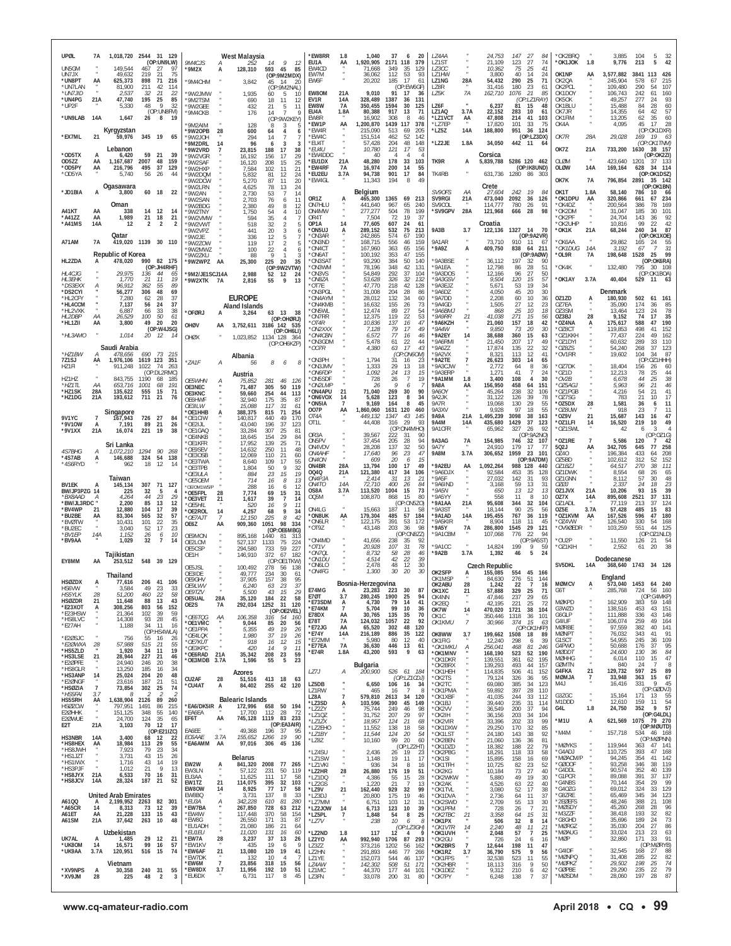| UPØL                                           | 7A                         | 1,018,720 2544 31 129                  |                                                | (OP:UN9LW)                  | 9M4CJS                                        | West Malaysia<br>А                           | 252                          | 14<br>9<br>12                                                         | *EW8RR<br>EU1A                               | 1.8<br>AA                 | 1,040<br>1,920,905                     | 37<br>6<br>2171 118                                | 20<br>379           | LZ4AA<br><b>171ST</b>              |                       | 24,753<br>21.109                            | 147<br>123          | 27<br>84<br>27<br>74                                                              | OK2BRQ<br>*OK1JOK                     | 1.8                   | 3,885<br>9,776                        | 104<br>5<br>32<br>42<br>213<br>5                                    |
|------------------------------------------------|----------------------------|----------------------------------------|------------------------------------------------|-----------------------------|-----------------------------------------------|----------------------------------------------|------------------------------|-----------------------------------------------------------------------|----------------------------------------------|---------------------------|----------------------------------------|----------------------------------------------------|---------------------|------------------------------------|-----------------------|---------------------------------------------|---------------------|-----------------------------------------------------------------------------------|---------------------------------------|-----------------------|---------------------------------------|---------------------------------------------------------------------|
| UN5GM<br>UN7JX<br>*UN8PT                       | AA                         | 149,544<br>49.632<br>625,373           | 467<br>-27<br>219<br>$\frac{21}{71}$<br>898    | 97<br>75<br>216             | 9M2X<br>9M4CHM                                | 128,310<br>A                                 | 3,842                        | 593<br>45<br>85<br>(OP:9M2MDX)<br>45<br>14<br>-20                     | EW4CD<br>FW7M<br>EW6F                        |                           | 71.668<br>36.062<br>20,202             | 349<br>35<br>112<br>53<br>17<br>185                | 129<br>93<br>61     | LZ3CC<br>171HW<br>LZ1NG            | 28A                   | 10,362<br>3,800<br>54,432                   | 75<br>40<br>290     | 25<br>41<br>-14<br>24<br>25<br>71                                                 | OK1NP<br>OK2QA                        | ĄĄ                    | 3,577,882<br>245,904                  | 3841<br>426<br>113<br>578<br>67<br>215                              |
| *UN7LAN<br>*UN7JID<br>*UN4PG                   | 21A                        | 81,900<br>2,537<br>47,740              | 211<br>42<br>32<br>-21<br>195<br>25            | 114<br>-22<br>85            | 9W2.JMW<br>9M2TSM                             | 1,935                                        | 690                          | (OP:9M2NAL)<br>60<br>5<br>10<br>18<br>11<br>-12                       | EW80M<br>EV1R                                | 21A<br>14A                | 9,010<br>328,489                       | (OP:EW6GF)<br>91<br>- 17<br>1387<br>36             | 36<br>131           | LZ8R<br>LZ5K                       | 7A                    | 31,416<br>162,710                           | 180<br>1076         | 23<br>61<br>-21<br>85<br>(OP:LZ1RAY)                                              | OK2PCL<br>OK1DOY<br>OK5OK             |                       | 109,480<br>106,743<br>49,257          | 290<br>54<br>107<br>160<br>242<br>61<br>277<br>24<br>93             |
| *UP2F<br>*UN9LAB                               | 14A                        | 5,330<br>1,647                         | 48<br><b>Q</b><br>26<br>8                      | 32<br>(OP:UN8FM)<br>19      | '9W2GEE<br>'9M4CKB                            |                                              | 432<br>176                   | 21<br>5<br>11<br>14<br><b>Q</b><br>(OP:9W2KEY)                        | EW8W<br>EU4A<br>EW8R                         | 7A<br>1.8A                | 350,455<br>80,388<br>16,902            | 1594<br>30<br>917<br>13<br>308<br>8                | 125<br>71<br>46     | LZ6F<br>LZ1AQ<br>*LZ1VCT           | 3.7A<br>AA            | 6,237<br>22,152<br>47,808                   | 81<br>283<br>214    | 15<br>48<br>10<br>61<br>41<br>103                                                 | OK1BLU<br>OK7JR<br>OK1FIM             |                       | 15,488<br>14,355<br>13,205            | 60<br>84<br>28<br>42<br>57<br>64<br>60<br>62<br>35                  |
| *EX7ML                                         | 21                         | Kyrgyzstan<br>59,976                   | 345 19                                         | 65                          | 9M2AIM<br>'9W2OPB<br>'9W2JOH                  | 28                                           | 128<br>600<br>294            | 3<br>5<br>8<br>64<br>4<br>6<br>14<br>$\overline{7}$<br>7              | *EW1P<br>*EW4R<br>*EW4C<br>*FIJ4T            | AA                        | 1,200,870<br>215.090<br>151,514        | 1439 117<br>513<br>69<br>52<br>462<br>48           | 378<br>-205<br>142  | *LZ7EP<br>*LZ5Z<br>*LZ2JE          | 14A<br>1.8A           | 17,820<br>188,800                           | 101<br>951          | 33<br>75<br>-36<br>124<br>(OP: LZ3DX)                                             | OK4A<br>OK7R                          | 28A                   | 4,095<br>29,028                       | 28<br>45<br>17<br>(OP:OK1DXR)<br>169<br>19<br>63<br>(OP:OK1TNM)     |
| *OD5TX<br>OD5ZZ                                | AA                         | Lebanon<br>6.420<br>1,167,687          | 59<br>21<br>2007<br>48                         | 39<br>159                   | '9M2DRL<br>9W2VRD<br>'9W2VGR<br>'9W2SAF       | 14<br>23,815<br>16,192<br>16,120             | 96                           | 3<br>6<br>-3<br>188<br>17<br>38<br>156<br>17<br>29<br>208<br>15<br>25 | *EU4U<br>*EW4DDC<br>*EU1DX                   | 21A                       | 57,428<br>10,780<br>40<br>48,280       | 204<br>121<br>17<br>178<br>33                      | 148<br>53<br>103    | TK9R                               | A                     | 34,050<br>Corsica<br>5,839,788 5286 120 462 | 442 11              | - 64                                                                              | OK7Z<br>OLØM                          | 21A                   | 733,200<br>423,640                    | 1630<br>38 157<br>(OP:OK2ZI)<br>1201<br>37 133                      |
| *OD5PY<br>*OD5YA                               | AA                         | 216,796<br>5,740                       | 495<br>37<br>56<br>26                          | 129<br>44                   | '9W2HXP<br>'9W2DQM<br>'9W2DCW                 | 5,832                                        | 7,584<br>5,270               | 11<br>21<br>102<br>24<br>81<br>12<br>87<br>11<br>20                   | *EW4RF<br>*EU2EU<br>*EW4GL                   | <b>7A</b><br>3.7A         | 16,974<br>94,738<br>11,343             | 200<br>14<br>901<br>17<br>194<br>8                 | 55<br>84<br>49      | TK4RB                              |                       | 631,736                                     | 1280                | (OP:IK8UND)<br>86<br>- 30.                                                        | <b>OLØW</b><br>OK7K                   | 14A<br>7A             | 169,164<br>796,854                    | 34 114<br>628<br>(OP:OK1DSZ)<br>2891<br>35 142                      |
| *JD1BIA                                        | A                          | Ogasawara<br>3,800                     | 60<br>18                                       | 22                          | '9W2LRN<br>'9W2AN<br>9W2SAN                   |                                              | 4,625<br>2,730<br>2,703      | 78<br>13<br>24<br>53<br>-7<br>14<br>76<br>11<br>6                     | OR1Z                                         | А                         | Belgium<br>465,300                     | 1365<br>69                                         | 213<br>240          | SV90FS<br>SV9RGI                   | AA<br>21A             | Crete<br>27,604<br>473,040                  | 242<br>2092         | 19<br>84<br>36<br>126<br>91                                                       | OK1T<br>*OK1DPU                       | 1.8A<br>AA            | 58,140<br>320,866                     | (OP:OK1BN)<br>786<br>10<br>- 66<br>234<br>661<br>67<br>386<br>78    |
| A41KT<br>*A41ZZ<br>*A41MS                      | AA<br>AA<br>14A            | Oman<br>338<br>1,989<br>12             | 12<br>14<br>21<br>18<br>$\overline{2}$<br>2    | -14<br>21<br>$\overline{2}$ | '9W2BDG<br>'9W2TNY<br>'9W2VMW<br>'9W2VWT      |                                              | 2,380<br>1,750<br>594<br>518 | 49<br>8<br>12<br>54<br>10<br>35<br>32<br>$\overline{2}$<br>5          | ON7HLU<br>ON4MW<br>OR4T<br>OP <sub>1</sub> A | 14                        | 441,640<br>277,277<br>7,504<br>77,605  | 967<br>65<br>504<br>78<br>72<br>19<br>607<br>24    | 199<br>37<br>61     | SV9COL<br>*SV9GPV                  | 28A                   | 114,777<br>121,968<br>Croatia               | 780<br>666          | 26<br>98<br>-28                                                                   | *OK4DZ<br>*OK2DM<br>'OK2PF<br>*OK2UHP |                       | 200,564<br>31,047<br>24,704<br>10,816 | 169<br>101<br>185<br>30<br>92<br>143<br>36<br>42<br>99<br>22        |
| A71AM                                          | <b>7A</b>                  | Qatar                                  | 419,020 1139 30 110                            |                             | '9W2VPZ<br>'9W2JE<br>9W2ZOW                   |                                              | 441<br>336<br>119            | 20<br>3<br>6<br>12<br>5<br>17<br>2<br>5                               | *ON5UJ<br>*ON3AR<br>*ON3ND                   |                           | 289,152<br>242,865<br>168,715          | 532<br>75<br>574<br>67<br>556<br>46                | 213<br>190<br>159   | 9A3B<br>9A1AR                      | 3.7                   | 122,136<br>73,710                           | 1327 14<br>910      | - 70<br>(OP:9A2VR)<br>-11<br>6                                                    | *OK1K<br>'OK6AA                       | 21A                   | 68,244<br>29,862                      | 240<br>34<br>87<br>(OP:OK1XOE)<br>55<br>165<br>24                   |
| HL2ZDA                                         | A                          | Republic of Korea<br>478,020           | 990                                            | 82 175                      | '9W2MWZ<br>9W27KU<br>'9W2WPZ                  | AA<br>25,300                                 | 100<br>88                    | 22<br>4<br>6<br>$\mathsf{Q}$<br>3<br>225<br>20<br>35                  | *ON4CT<br>*ON6AT<br>*ON3SAT                  |                           | 167,960<br>100,192<br>93.290           | 363<br>65<br>47<br>353<br>384<br>50                | 156<br>155<br>140   | *9A97<br>'9A3BSE                   | A                     | 409,750<br>36,112                           | 838<br>197          | 211<br>64<br>(OP:9AØW)<br>32<br>90                                                | *OK1DUG<br>*OL9R                      | 14A<br>7А             | 3,192<br>198,648                      | 31<br>$\overline{7}$<br>-67<br>1528<br>25<br>99<br>(OP:OK6RA)       |
| HL4CJG<br><b>HL3EHK</b>                        |                            | 29.975<br>1,770                        | (OP:JH4RHF)<br>136<br>44<br>21<br>11           | 65<br>19                    | '9M2/JE1SCJ14A<br>'9W2XTK 7A                  |                                              | 2,988<br>2,816               | (OP:9W2VTW)<br>12<br>52<br>24<br>9<br>55<br>13                        | *ON3WM<br>*ON3VS<br>*ON8ZA                   |                           | 78,196<br>54,849<br>53,628             | 348<br>42<br>292<br>37<br>32<br>326                | 131<br>104<br>132   | *9A1EA<br>*9A3DOS<br>*9A3GSV       |                       | 12,798<br>12,166<br>9,504                   | 86<br>96<br>120     | -28<br>51<br>27<br>50<br>15<br>57                                                 | 'OK4K<br>*OK1AY                       | 3.7A                  | 132,480<br>40,404                     | 795<br>30 108<br>(OP:OK1BOA)<br>529<br>$11 \t 63$                   |
| *DS3EXX<br>*DS2CYI<br>*HL2CFY                  | А                          | 96,912<br>56,277<br>7,280              | 362<br>55<br>306<br>48<br>28<br>62             | 89<br>69<br>37              |                                               | <b>EUROPE</b>                                |                              |                                                                       | *OT7E<br>*ON3PGI<br>*ON4AYM                  |                           | 47,770<br>31,008<br>28,012             | 218<br>42<br>204<br>-28<br>132<br>34               | 128<br>86<br>60     | *9A3EJZ<br>*9A6DZ<br>*9A7DD        |                       | 5,671<br>4,050<br>2,208                     | 53<br>45<br>60      | 19<br>34<br>20<br>30<br>10<br>36                                                  | OZ1ZD                                 | A                     | Denmark<br>180,930                    | 502<br>61 161                                                       |
| *HL4CCM<br>*HL2VXK<br>HL2DBP                   | АA                         | 7,137<br>6,887<br>26,529               | 56<br>24<br>66<br>33<br>50<br>100              | 37<br>38<br>61              | *OFØRJ                                        | <b>Aland Islands</b><br>A<br>3,264           |                              | 63<br><b>13</b><br>-38<br>(OP:OHØRJ)                                  | *ON4KMB<br>ON5WL*<br>*ON7RR                  |                           | 16,632<br>12,474<br>12,375             | 155<br>26<br>89<br>27<br>119<br>22                 | 73<br>54<br>53      | *9A4GD<br>*9A6BMJ<br>*9A9RR        | 21                    | 1,505<br>868<br>41,038                      | 27<br>25<br>271     | 12<br>23<br>10<br>18<br>15<br>56                                                  | OZ7EA<br>OZ3SM<br>OZ3BJ               | 28                    | 35,090<br>13,464<br>9,152             | 174<br>36<br>85<br>78<br>123<br>24<br>35<br>74<br>17                |
| *HL1ZII<br>*HL3AMO                             | AA                         | 3,800<br>1,014                         | 49<br>20<br>20 12                              | 20<br>(OP:W4JSG)<br>14      | OHØV<br>OHØX                                  | AA                                           |                              | 3.752.611 3186 142 535<br>(OP:OH6LI)<br>1.023.852 1134 128 364        | $*$ OT4R<br>*ON2XXX<br>*ON4CBN               |                           | 10,836<br>7,128<br>6,572               | 137<br>16<br>79<br>17<br>77<br>16                  | 47<br>49<br>46      | *9А6КZН<br>*9A4W<br>*9A2EY         |                       | 21,060<br>9,850<br>38,688                   | 157<br>73<br>360    | 18<br>42<br>-20<br>-30<br>15<br>63                                                | *OZ4NA<br>*OZ8CT<br>OZ1KKH            |                       | 175,617<br>119,853<br>77,437          | 588<br>47<br>190<br>498<br>152<br>41<br>224<br>49<br>162            |
| *HZ1BW                                         |                            | Saudi Arabia<br>478.656                | 690<br>73                                      | 215                         |                                               | Albania                                      |                              | (OP:OH6KZP)                                                           | *ON3GDM<br>*007R                             |                           | 5,478<br>4,380                         | 61<br>22<br>17<br>63<br>(OP:ON6OM)                 | 44<br>43            | *9A6RMI<br>*9A6ZZ<br>*9A2VX        |                       | 21,450<br>17,874<br>8.321                   | 207<br>135<br>113   | 17<br>49<br>22<br>32<br>12<br>41                                                  | 'OZ1DYI<br>*OZ8ZS<br>'OV1RR           |                       | 60,632<br>54,240<br>19,602            | 289<br>33<br>110<br>268<br>37<br>123<br>104<br>87<br>34             |
| 7Z1SJ<br>HZ1FI                                 | ΑА                         | 1,976,106<br>911,248                   | 1619 123<br>1022<br>74<br>(OP:DL2RMC)          | - 351<br>263                | *ZA1F                                         | А<br>Austria                                 | 56                           | 8<br>6<br>8                                                           | ON3PH<br>ON3JMV<br>*ON6FDP                   |                           | 1,794<br>1,333<br>1,092                | 31<br>16<br>29<br>13<br>24<br>13                   | 23<br>18<br>15      | *9A2TE<br>*9A3CJW<br>*9A3FRP       |                       | 26,623<br>2,772<br>1.271                    | 303<br>64<br>41     | 65<br>-14<br>8<br>36<br>-7<br>24                                                  | OZ7DK<br>*OZ1D                        |                       | 18,404<br>12,213                      | (OP:OZ1HHH)<br>156<br>26<br>60<br>44<br>78<br>25                    |
| HZ1HZ<br>*HZ1TL<br>*HZ1SK                      | ΑА<br>28A                  | 843,755<br>653,716<br>135,622          | 1190<br>68<br>1001<br>68<br>555<br>15          | 185<br>191<br>71            | OE5WHN<br>OE3NEC<br>OE3KNC                    | 75,852<br>71,487<br>59,660                   |                              | 281<br>46<br>- 126<br>305<br>50<br>119<br>44<br>254<br>113            | *ON5SDF<br>*ON2LMF<br>*ON4APU                | 21                        | 728<br>26<br>71,040                    | 26<br>$\overline{7}$<br>q<br>6<br>269<br>30        | 19<br>90            | *9A1MM<br>9A8A<br>9A6OY            | 1.8<br>AA             | 3,400<br>156,950<br>45,264                  | 108<br>458<br>238   | $\overline{4}$<br>30<br>64<br>151<br>32<br>106                                    | *OV2B<br>*OZ5AGJ<br>OZ1PGB            |                       | 6,678<br>5,963<br>4,216               | 38<br>44<br>25<br>46<br>96<br>21<br>41<br>54<br>21                  |
| *HZ1DG                                         | 21A                        | 193,612<br>Singapore                   | 711<br>-21                                     | 76                          | OE6HWF<br>OE3ILW<br>'OE1HHB                   | 32.940<br>15,088<br>388,375                  |                              | 175<br>35<br>-87<br>117<br>31<br>-61<br>815<br>71<br>254              | *ON6VOX<br>*ON5IA<br>007P                    | 14<br>AA                  | 5,628<br>9,169<br>1,860,060            | 123<br>-8<br>164<br>8<br>1631 120                  | 34<br>45<br>460     | 9A2JK<br>9A7R<br>9A3XV             |                       | 31,122<br>19,068<br>9,928                   | 126<br>130<br>97    | 39<br>78<br>29<br>55<br>18<br>55                                                  | 'OZ7SG<br>OZ5DX<br>*OZ8UW             | 28                    | 783<br>1,581<br>918                   | 17<br>21<br>10<br>36<br>11<br>6<br>11<br>23<br>7                    |
| 9V1YC<br>*9V10W<br>*9V1XX                      | $\overline{7}$<br>A<br>21A | 167,943<br>7,191<br>16,074             | 726<br>27<br>89<br>21<br>221<br>19             | 84<br>26<br>38              | 'OE1CIW<br>*OE2IJL<br>OE1GAQ                  | 140,817<br>43,040<br>33,284                  |                              | 440<br>49<br>170<br>196<br>37<br>123<br>307<br>25<br>81               | OT4A<br>OT <sub>1</sub> L                    |                           | 449,132<br>44,408                      | 1347<br>43<br>29<br>316<br>(OP:ON4MHO)             | 145<br>93           | 9A9A<br><b>9A4M</b><br>9A1CFR      | 21A<br>14A            | 1,495,239<br>435,680<br>65,962              | 3098<br>1429<br>327 | 38<br>163<br>37<br>123<br>26<br>92                                                | *0Z9V<br>*OZ1LFI<br>*OZ1SWL           | 21<br>14              | 15,687<br>16,520<br>42                | 143<br>16<br>47<br>219<br>49<br>10<br>6<br>3                        |
|                                                |                            | Sri Lanka                              |                                                |                             | OE4NKB<br>'OE1KFR<br>OF9SEV                   | 18,645<br>17,952<br>14,632                   |                              | 29<br>154<br>84<br>139<br>25<br>71<br>11<br>250<br>48                 | OR <sub>3</sub> A<br>ON5PV<br>ON4VDV         |                           | 39,567<br>37,454<br>28,208             | 222<br>-31<br>28<br>205<br>137<br>32               | 90<br>94<br>50      | 9A3AG<br><b>9A7Y</b>               | 7A                    | 154,985<br>24.910                           | 746<br>179          | (OP:9A2NO)<br>32<br>107<br>17<br>77                                               | *OZ1RE<br>502J                        | ĄĄ                    | 5,586<br>342,705                      | (OP:OZ1G)<br>120<br>42<br>7<br>77<br>258<br>645                     |
| 4S7BHG<br>*4S7AB<br>*4S6RYD                    | А<br>A                     | 1,072,210<br>146,688<br>962            | 90<br>1294<br>54<br>324<br>12<br>18            | -268<br>138<br>-14          | OE3OSB<br>OE3TWA<br>OE3TPB                    | 12,069                                       | 8,640<br>1,804               | 110<br>21<br>60<br>109<br>17<br>55<br>50<br>9<br>32                   | <i><b>ON4AHF</b></i><br>ON4ON<br>ON4BR       | 28A                       | 17,640<br>609<br>13,794                | 23<br>96<br>20<br>- 6<br>100<br>-17                | 47<br>15<br>49      | 9A8M<br>*9A2EU                     | 3.7A<br>AA            | 306,652<br>1,092,264                        | 1959<br>988 128     | 23<br>101<br>(OP:9A7DM)<br>440                                                    | OZ40<br>OZ5BD<br>OZ1BZJ               |                       | 196,384<br>102,612<br>64,517          | 433<br>64<br>208<br>312<br>52<br>152<br>38<br>111<br>270            |
| <b>BV1EK</b>                                   |                            | Taiwan<br>145,134                      | 307<br>71                                      | 127                         | *OE3ULA<br><i><b>OE5OEM</b></i><br>OE/OM1WS/P |                                              | 884<br>714<br>288            | 23<br>15<br>19<br>16<br>13<br>8<br>16<br>6<br>12                      | 0040<br><i>ON4PJA</i><br>ON4TO               | 21A<br>14A                | 121,380<br>2,414<br>72,710             | 417<br>34<br>-31<br>13<br>400<br>26                | 106<br>21<br>84     | *9A6DJX<br>*9A5F<br>*9A6IND        |                       | 92,584<br>27,032<br>3,168                   | 453<br>142<br>59    | 35<br>128<br>-31<br>93<br>13<br>31                                                | OZ1DWK<br>OZ1GNN<br>OZØJ              |                       | 8,554<br>8,112<br>2,337               | 68<br>26<br>65<br>48<br>-57<br>30<br>23<br>24<br>18                 |
| BW/JP3PZG 14<br>*BX8AAD<br>*BW/JL3RDC          | А                          | 225<br>4,264<br>2,200                  | 32<br>- 5<br>44<br>23<br>85<br>13              | 4<br>29<br>12               | 'OE5FPL<br>OE3VET<br>*OE5HIL                  | 28<br>21<br>1,617                            | 7,774<br>520                 | 69<br>15<br>-31<br>39<br>$\overline{7}$<br>14<br>16<br>Q<br>-11       | OS8A<br>OQ5M                                 | 3.7A                      | 113,520<br>108,870                     | 15<br>1004<br>868<br>15<br>(OP:ON5ZO)              | 73<br>80            | *9A5N<br>*9A5YY<br>*9A1AA          | 21A                   | 650<br>558<br>95,608                        | 13<br>11<br>344     | 12<br>13<br>8<br>10<br>32<br>104                                                  | OZ1JVX<br>OZ7X<br>$071$ ADI           | 21A<br>14A            | 10,206<br>895,608<br>77.119           | 39<br>93<br>15<br>131<br>2521<br>37<br>213<br>37<br>124             |
| *BV4WP<br>*BU2BE<br>*BVØTW                     | 21<br>AA                   | 12,880<br>83,304<br>10,431             | 104<br>17<br>565<br>32<br>101<br>22            | 39<br>57<br>35              | OE2ROL*<br>*OE7AJT<br>OE6Z                    | 14<br>4,257<br>-7<br>12,150<br>AA<br>909,360 |                              | 68<br>9<br>34<br>225<br>8<br>42<br>334<br>1051<br>98                  | ON4LG<br>*ON8UK<br>*ON6LR                    | AA                        | 15,663<br>179,304<br>122,175           | 187<br>-11<br>485<br>57<br>391<br>53               | 58<br>184<br>172    | *9A3ST<br>*9A1AD<br>*9A5KIR        | 14A                   | 18,144<br>195,455<br>8,904                  | 90<br>767<br>118    | 25<br>56<br>36<br>119<br>11<br>45                                                 | OZ5E<br>*OZ1KVM<br>*OZ4VW             | 3.7A<br>AA            | 57,428<br>167,526<br>126,540          | 485<br>83<br>15<br>180<br>596<br>47<br>330<br>54<br>168             |
| *BU2EC<br>*BV1EP<br>*BV9AA                     | 14A                        | 3,040<br>1,152<br>1,029                | 17<br>52<br>26<br>6<br>$\overline{7}$<br>32    | 23<br>10<br>14              | OE9MON<br>OE2LCM                              | 895,168<br>527,137                           |                              | (OP:OE6MBG)<br>1440<br>81<br>-313<br>75<br>1133<br>-224               | *OT9Z<br>*ON4MD                              |                           | 43,148<br>41,656                       | 203<br>36<br>(OP:ON8ZZ)<br>238<br>-35              | 98<br>92            | $*9A5Y$<br>*9A1CBM                 | <b>7A</b>             | 286,800<br>107,068                          | 1545<br>776         | 29<br>121<br>22<br>94<br>(OP:9A5ST)                                               | *OV9ØEDR<br>*OU2P                     |                       | 103,259<br>11,550                     | 551<br>44<br>125<br>(OP:OZ1NLD)<br>126<br>21<br>54                  |
| EY8MM                                          | AA                         | Tajikistan<br>253,512                  | 548 39 129                                     |                             | OE5CSP<br>OE1H                                | 294,580<br>146,910                           |                              | 733<br>59<br>227<br>372<br>67<br>182<br>(OP:OE1TKW)                   | *OT1V<br>*ON7QL<br>*ON1DU                    |                           | 20,928<br>8,732<br>4,514               | 107<br>31<br>58<br>28<br>42<br>22                  | 78<br>46<br>39      | *9A1CC<br>*9A2B                    | 3.7A                  | 14,824<br>1,392                             | 199<br>46           | 9<br>59<br>5<br>24                                                                | *OZ1KIH                               |                       | 2,552<br>Dodecanese                   | -38<br>61<br>20                                                     |
| <b>HSØZDX</b>                                  |                            | Thailand                               | 206 41 106                                     |                             | OE5JSL<br>OE3IDE<br>OE9GHV                    | 100.492<br>49,777<br>37,905                  |                              | 278<br>56<br>138<br>234<br>30<br>-61<br>157<br>38<br>95               | *ON6LO<br>*ON4FG                             |                           | 2,478<br>1,300                         | 48<br>12<br>30<br>-20                              | 30<br>-30           | OK2SFP<br>OK1MSP                   | А                     | Czech Republic<br>155,085<br>84,630         | 554<br>276          | 45<br>166<br>51<br>144                                                            | SV5DKL                                | 14A                   | England                               | 368,640 1743 34 126                                                 |
| HS6VW<br>HS5YLK                                | 28                         | 77,010<br>3,584<br>51,200              | 49<br>23<br>22<br>460                          | 33<br>58                    | OE9LWV<br>OE9TZV<br>OE5UAL                    | 28A<br>35,120                                | 6,240<br>5,500               | 63<br>23<br>37<br>43<br>15<br>29<br>184<br>22<br>58                   | E74MG<br>E70T                                | Bosnia<br>A<br>3.7        | -Herzegovina<br>23,283<br>280,245 1900 | 223<br>30<br>25                                    | 87<br>94            | OK2ABU<br>OK1XC<br>OK4NN           | 28<br>21              | 1,242<br>57,888<br>47,846                   | 22<br>329<br>237    | 16<br>25<br>71<br>29<br>65                                                        | <b>MØMCV</b><br>G6T                   |                       | 573,040<br>285,768                    | 1453 64 240<br>724<br>56<br>160<br>(OP:G4MKP)                       |
| <b>HSØZDR</b><br>*E23XOT<br>*E23HSW<br>*HS8LVC | 21<br>A                    | 11,648<br>308,256<br>21,364            | 88<br>13<br>803<br>56<br>39<br>102<br>28<br>93 | 43<br>152<br>59<br>45       | OE2S<br>*OE6TQG                               | 7A<br>292,034<br>АA<br>106,358               |                              | 1252<br>31<br>120<br>(OP:OE2VEL)<br>316<br>54 160                     | *E73SDM<br>*F74KM<br>E78DX                   | A<br>$\overline{7}$<br>AA | 4,730<br>5,704<br>30,765               | 79<br>14<br>99<br>10<br>135<br>35                  | 41<br>36<br>70      | OK2EQ<br>OK7W<br>OK <sub>1</sub> C | $\cdot$<br>14         | 42.195<br>470,020<br>350,446                | 221<br>1721<br>1318 | 25<br>72<br>38<br>104<br>101<br>36                                                | MØKPD<br>G3WZD<br>G6GLP               |                       | 162,909<br>138,516<br>111,888         | 383<br>59 148<br>43 151<br>453<br>336<br>43<br>146                  |
| *E27AH<br>*E2ØSJC                              |                            | 14,308<br>1,188<br>756                 | 34<br>11<br>(OP:HS4WLA)<br>55                  | 16<br>26                    | *OE1VMC<br>*OE1PPA<br>*OE4LOK                 |                                              | 9,044<br>5,355<br>1,980      | 85<br>20<br>56<br>49<br>19<br>26<br>37<br>19<br>26                    | E78T<br>*E72JG<br>*E74Y                      | <b>7A</b><br>AA<br>14A    | 124,032<br>65,520<br>216,189           | 1057<br>22<br>302<br>48<br>886<br>35               | 92<br>120<br>122    | OK1KMU<br>OK8WW                    | $\overline{7}$<br>3.7 | 30,966<br>199,662 1508 18                   | 374                 | 15<br>63<br>(OP:OK1HFP)<br>89                                                     | G4IUF<br><b>MØRBE</b><br><b>MØNPT</b> |                       | 106,074<br>97,559<br>76,032           | 259<br>49<br>164<br>382<br>40<br>141<br>91<br>343<br>41             |
| *E2ØWXA<br>*HS5ZLD<br>*HS3LSE                  | $\frac{28}{1}$<br>21       | 57,988<br>1,920<br>28,944              | 16<br>515<br>-21<br>34<br>11<br>227<br>21      | 55<br>19<br>46              | *OE7KUT<br>*OF3KPC<br>*OE6RAD                 | 21A<br>35,342                                | 918<br>420                   | 16<br>12<br>15<br>9<br>11<br>14<br>208 23<br>59                       | *E72MM<br>*E77EA<br>*E74R                    | 7A<br>1.8A                | 5,980<br>36,630<br>43,200              | -80<br>12<br>446<br>13<br>9<br>593                 | 40<br>61<br>63      | OK1FIG<br>*OK1MKU<br>*OK1MNV       |                       | 12,240<br>256,041<br>168,190                | 298<br>468<br>523   | 39<br>$\begin{array}{c} \hline 6 \\ \hline \end{array}$<br>81<br>246<br>52<br>190 | G1SCT<br>G4PWO<br><b>MØDDT</b>        |                       | 54,955<br>50,688<br>24,600            | 245<br>109<br>36<br>95<br>176<br>37<br>84<br>130<br>-36             |
| *E2ØPFE<br>*HS8GLR<br>*HS3ANP                  | 14                         | 24,940<br>13,250<br>25,024             | 246<br>20<br>185<br>16<br>204<br>20            | 38<br>34<br>48              | OE3MDB                                        | 3.7A<br>1,596<br>Azores                      |                              | 5<br>55<br>23                                                         | LZ7J                                         | А                         | Bulgaria<br><i>200,900</i>             | 526 61 184                                         |                     | *OK1DKR<br>*OK2BRX<br>*OK1HEH      |                       | 139,551<br>139,293<br>114,835               | 361<br>493<br>506   | 62<br>195<br>44<br>157<br>41<br>152                                               | <b>MØHHG</b><br>GØMTN<br>G4FKA        | 21                    | 6,014<br>840<br>129,732               | 47<br>110<br>15<br>- 24<br>$\mathcal{I}$<br>-8<br>597<br>25<br>89   |
| *E2ØNGF<br>*HSØZIA<br>*HS5FAI                  | $\overline{7}$<br>3.7      | 23,616<br>73,854<br>8                  | 187<br>21<br>302<br>25<br>2                    | 51<br>74                    | CU2AF<br>*CU4AT                               | 28<br>51,516<br>А<br>84,402                  |                              | 413 18<br>63<br>255 42 120                                            | LZ5DB<br>LZ1RW                               |                           | 6,650<br>465                           | (OP: LZ1CDJ)<br>106 16<br>16                       | 34<br>-8            | *OK2TS<br>*OK2TC<br>*OK1PMA        |                       | 79,124<br>69,080<br>59,892                  | 326<br>385<br>397   | 36<br>95<br>34<br>123<br>28<br>110                                                | MØMJA<br>M4J                          | 7                     | 33,948<br>16,416                      | 67<br>363 15<br>9<br>45<br>331<br>(OP:GØDVJ)                        |
| HS5SRH<br><b>HSØZCW</b><br>E2ØHHK              | AA                         | 1,638,904<br>797,951<br>151,125        | 2126<br>89<br>1491<br>86<br>348<br>55          | 260<br>215<br>140           | *EA6/DK5IR A<br>*EA6EA                        | <b>Balearic Islands</b><br>17,700            | 172,996 658                  | 50 194<br>112<br>28<br>72                                             | LZ8A<br>*LZ3SD<br>*LZ2ZY                     | $\overline{7}$<br>A       | 579,810<br>103,596<br>75,744           | 2613<br>34<br>390<br>45<br>249<br>46               | 120<br>149<br>98    | *OK1XBF<br>*OK1BJ<br>*OK2VV        |                       | 41,035<br>39,440<br>36,549                  | 244<br>235<br>200   | 33<br>112<br>31<br>114<br>94<br>37                                                | G3ZGC<br>M1DDD<br>G4L                 | $\blacksquare$<br>1.8 | 15,164<br>12,610<br>24,750            | $171 \quad 13$<br>55<br>54<br>159 11<br>352<br>$\overline{9}$<br>57 |
| E2ØWUE<br>E <sub>2</sub> T                     | 21A                        | 24,700<br>3,103                        | 124<br>35<br>70 12                             | 65<br>17<br>(OP:E21IZC)     | EF6T<br>EA6EE                                 | AA<br>745,128<br>49,368                      |                              | 1119 83 233<br>(OP:EA3AIR)<br>196 37<br>- 95                          | *LZ10Z<br>*LZ1ZX<br>*LZ2EHO                  |                           | 31,752<br>18,957<br>11,552             | 207<br>29<br>21<br>124<br>138<br>18                | 97<br>68<br>58      | *OK2IH<br>*OK2VIR<br>*OK1DXW       |                       | 36,156<br>33,396<br>29,250                  | 203<br>202<br>170   | 34<br>104<br>-33<br>99<br>32<br>85                                                | *M1U                                  | A                     | 621,569                               | (OP:G4LDL)<br>1075 79 270<br>(OP:MØUTD)                             |
| HS3NBR<br>*HS8HEX<br>*HS8JWH                   | 14A<br>AA                  | 3,400<br>18,984<br>7,923               | 68<br>- 12<br>113<br>-29<br>79<br>23           | 22<br>55<br>34              | EC6AAE<br>*EA6AMM                             | 3.7A<br>AA<br>97,016                         | 155,652 1266                 | 19<br>90<br>306 45 136                                                | *LZ1BY<br>*LZ8Z                              |                           | 11,544<br>10,160                       | 124<br>$\substack{20\\20}$<br>99<br>(OP:LZ2HT)     | 54<br>60            | *OK1LST<br>*OK2BEN<br>*OK1DZD      |                       | 24,180<br>21,060<br>18,382                  | 143<br>136<br>188   | 38<br>92<br>36<br>81<br>22<br>79                                                  | *M4M<br>*MØYKS                        |                       | 157,718<br>119,944                    | 534<br>46 168<br>(OP:MØPNN)<br>363 47 141                           |
| *HS1JZT<br>*HS1IWX                             |                            | 3,731<br>1,716                         | 43<br>15<br>43<br>14<br>Q                      | 26<br>19                    | EW2W                                          | <b>Belarus</b><br>A                          |                              | 841,320 2008 77 265                                                   | *LZ4SU<br>*LZ1SW<br>*LZ1VKI                  |                           | 2,436<br>1,148<br>936                  | 26 19<br>19<br>11<br>34<br>-8                      | 23<br>17<br>16      | *OK2PBG<br>*OK1SI<br>*OK1TFH       |                       | 18,291<br>15,895<br>10,725                  | 118<br>158<br>82    | 58<br>33<br>16<br>69<br>23<br>52                                                  | *G4ADJ<br>*MØACM/P<br>*GØOOF          |                       | 110,725<br>94,245<br>93,258           | 393<br>47 168<br>41 142<br>354<br>119<br>346<br>38                  |
| *HS3PJF<br>*HS8JYX<br>*HS8JCV                  | 21A<br>14A                 | 1,012<br>6,533<br>28,324               | 21<br>70<br>16<br>187<br>21                    | 13<br>31<br>52              | EW3LN<br>EU3AA<br>EW1TZ                       | 57,122<br>11,625<br>21<br>114,075            |                              | 231<br>50<br>119<br>111<br>17<br>58<br>395<br>32<br>103               | *LZ2HR<br>*LZ1DQ<br>*LZ2GS                   | 28                        | 26,880<br>4,386<br>1,220               | 176<br>-19<br>55<br>15<br>21                       | 51<br>28<br>13      | *OK2KG<br>*OK2WKW<br>*OK2AK        |                       | 10,184<br>5,880<br>4,526                    | 73<br>49<br>63      | 27<br>40<br>19<br>30<br>$^{22}_{17}$<br>40                                        | *G4DDL<br>*G1PCR<br>*G4NBS            |                       | 90,574<br>89,088<br>70,144            | 40 139<br>352<br>137<br>391<br>37<br>99<br>354<br>29                |
| A61QQ                                          | A                          | United Arab Emirates<br>2,199,952 2263 | 82                                             | 301                         | EW8OW<br>EW8BQ<br>*EU3A                       | 8,925<br>14<br>3,731<br>А<br>342,228         |                              | 77<br>17<br>58<br>137<br>8<br>-33<br>610<br>81<br>280                 | *LZ9V<br>*LZ3DJ<br>*LZ7MM                    | 21                        | 162,440<br>20,800<br>6,751             | 929<br>32<br>175<br>19<br>103<br>-12               | 99<br>46<br>-31     | *OK1TVL<br>*OK1DVA<br>*OK2SWD      |                       | 3,080<br>2,736<br>2,709                     | 52<br>64<br>55      | 38<br>11<br>37<br>13<br>30                                                        | *G4OZG<br>*G8ZRE<br>*2EØEFS           |                       | 69,012<br>65,469<br>48,246            | 324<br>33 129<br>345<br>123<br>34<br>388<br>21<br>108               |
| *A65CR<br>A61ET<br>A61SM                       | 14<br>AA<br>21A            | 8,313<br>21,228<br>37,642              | - 73<br>12<br>133<br>15<br>263<br>10           | 39<br>43<br>48              | *EW7BA<br>*EW4W<br>*EW8G                      | 267,850<br>117,448<br>26,550                 |                              | 728<br>63<br>212<br>370<br>58<br>154<br>171<br>31<br>87               | *LZ2JOW<br>*LZ5PL<br>*LZ7V                   | 14<br>$\overline{1}$      | 6,713<br>1,848<br>238                  | 123<br>10<br>8<br>54<br>10<br>6                    | 39<br>25<br>-8      | *OK1PFM<br>*OK2TBC<br>*OK1PX       | 21                    | 728<br>3,358<br>506                         | 26<br>64<br>32      | $\overline{7}$<br>21<br>15<br>31<br>8<br>14                                       | *MØSDY<br>*M3ZZF<br>*G8GHD            |                       | 45,260<br>38,418<br>35,696            | 268<br>96<br>-28<br>193<br>32<br>82<br>73<br>189<br>-24             |
| UK7AL                                          | A                          | Uzbekistan<br>1,485                    | 29 12                                          | 21                          | 'EU1ADH<br>*EU1EU<br>*EW7A                    | 21,080<br>11,020<br>$\frac{28}{1}$<br>3,237  |                              | 186<br>21<br>64<br>131<br>16<br>60<br>37<br>13<br>26                  | *LZ2ND<br>LZ2YO                              | 1.8<br>AA                 | 117<br>992,940                         | (OP: LZ3GH)<br>12<br>$\overline{4}$<br>1706 87 293 |                     | *OK1VTR<br>*OK1UVH<br>*OK2GU       | $\frac{14}{1}$        | 2.240<br>2,048<br>726                       | 48<br>57<br>24      | 11<br>$\frac{21}{25}$<br>$\overline{7}$<br>6<br>-16                               | *MØRGZ<br>*MØAUG<br>*MØP              |                       | 35,030<br>33,024<br>32,860            | 27<br>86<br>204<br>213<br>23<br>63<br>91<br>171<br>-33              |
| *UK8OM<br>*UK9AA                               | 14<br>3.7A                 | 16,571<br>120,951                      | 99<br>- 16<br>516<br>15                        | 57<br>74                    | *EW1KV<br>*EW6AF<br>'EW7DK                    | 21<br>13,080<br>$\overline{7}$               | 435<br>132                   | 19<br>9<br>6<br>120<br>19<br>41<br>10<br>$\overline{4}$<br>-7         | LZ3ZZ<br>LZ2HN<br>LZ1YE                      |                           | 373,216<br>291,893<br>152,073          | 1202<br>56<br>446<br>77<br>544<br>46               | 162<br>266<br>137   | *OK2BRS<br>*OK1RZ<br>*OK1FPS       | $\overline{7}$<br>3.7 | 12,644<br>36,790<br>32,538                  | 198<br>575<br>523   | 11<br>47<br>9<br>56<br>11<br>55                                                   | *G4IDF<br>*MØNPQ                      |                       | 32,545<br>31,408                      | (OP:MØRYB)<br>168<br>-27<br>88<br>285<br>22<br>82                   |
| *XV9NPS<br>*XV9JM                              | A<br>28                    | Vietnam<br>30,358<br>225               | 240 31<br>48<br>2                              | 55<br>3                     | 'EW6M<br>*EW8DX<br>*EU6DX                     | 23,856<br>3.7<br>11,956                      | 6,731                        | 318<br>15<br>56<br>192<br>10<br>51<br>117<br>8<br>45                  | LZ4AW<br>LZ1MC<br>LZ3FN                      |                           | 142,302<br>44,370<br>33,078            | 508<br>51<br>177<br>200 31                         | 171<br>44 101<br>80 | *OK2HBR<br>*OK1DEZ<br>*OK7PY       |                       | 18,113<br>9,312<br>6,248                    | 316<br>210<br>138   | 9<br>50<br>6<br>42<br>$\overline{7}$<br>37                                        | *MØPKZ<br>*GØPBE<br>*MØSDM            |                       | 29,502<br>29,290<br>28,060            | 74<br>198<br>25<br>235<br>22<br>79<br>87<br>197<br>28               |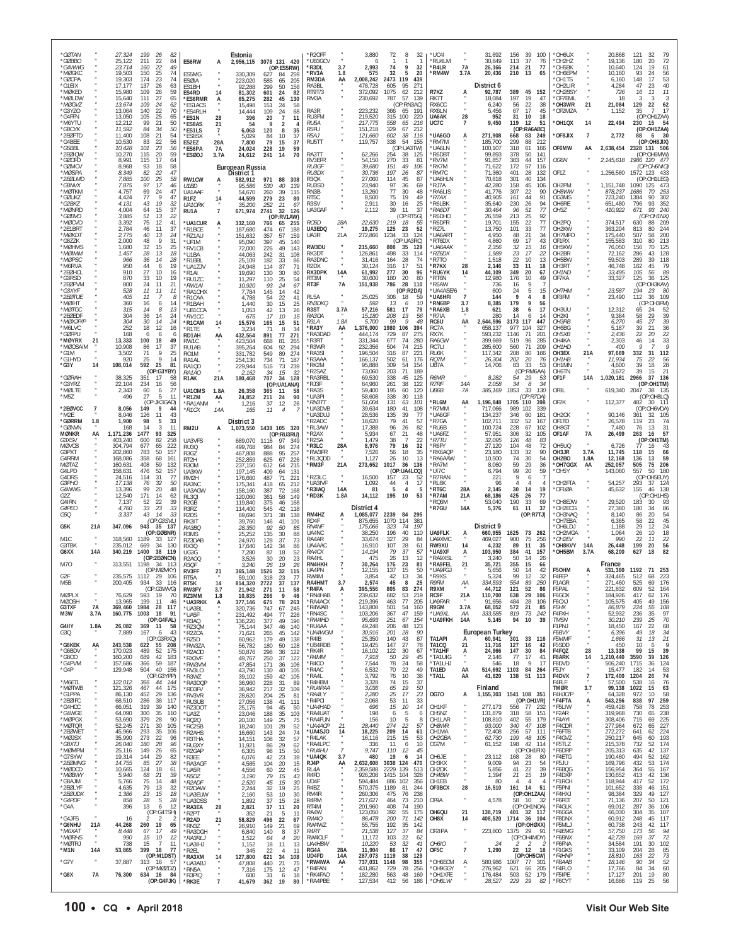| *GØTAN<br>*GØBBO<br>*G4WWG                         |                     | 27,324<br>199<br>26<br>25,122<br>211<br>22<br>23,714<br>160<br>22                            | -82<br>84<br>ES6RW<br>49                                                           | A                     | Estonia                                            | 2.956.115 3078 131 420<br>(OP:ES5RW)                                                  | R2OFF<br>*UB3GCV<br>*R3DL                            | 3.7                         | 3,880<br>6<br>2,993                       | 72<br>8<br>32<br>74<br>9<br>32                                                   | *UC4I<br>*RU4LM<br>*R4LR                       | <b>7A</b>         | 31,692<br>30,849<br>26,166                           | 156<br>39<br>100<br>37<br>113<br>76<br>21<br>77<br>214                         | *OH6UX<br>*OH2HZ<br>*OH5BK                       |                                         | 20,868<br>19,136<br>10,640                | 121<br>32<br>72<br>20<br>180<br>124<br>19<br>61                                |
|----------------------------------------------------|---------------------|----------------------------------------------------------------------------------------------|------------------------------------------------------------------------------------|-----------------------|----------------------------------------------------|---------------------------------------------------------------------------------------|------------------------------------------------------|-----------------------------|-------------------------------------------|----------------------------------------------------------------------------------|------------------------------------------------|-------------------|------------------------------------------------------|--------------------------------------------------------------------------------|--------------------------------------------------|-----------------------------------------|-------------------------------------------|--------------------------------------------------------------------------------|
| *MØGKC<br>*GØCPA<br>*G1EIX<br>*MØKED               |                     | 150<br>19.503<br>25<br>23<br>19,303<br>174<br>17,177<br>137<br>26<br>15,980<br>109<br>26     | 74<br>ES5MG<br>74<br><b>ESØIA</b><br>63<br>ES1BH<br>59<br>ES4RD                    | 14                    | 330,309<br>223,020<br>92,288<br>81,302             | 627<br>84<br>259<br>585<br>65<br>205<br>299<br>50<br>156<br>601<br>24<br>-82          | *RV3A<br>RM3DA<br>RA3BL<br>RT9T/3                    | 1.8<br>AA                   | 575<br>2,008,242<br>478,728<br>372,092    | 32<br>5<br>20<br>2473<br>119<br>439<br>605<br>95<br>271<br>1075<br>62<br>212     | *RM4W<br>R7KZ                                  | 3.7A<br>Ą         | 20,436<br>District 6<br>92,787                       | 210<br>-13<br>65<br>389<br>45<br>152                                           | *OH6EPM<br>OH1TS<br>OH2LIR*<br>*OH2BSY           |                                         | 10,160<br>6,160<br>4,284<br>726           | 93<br>56<br>-24<br>53<br>148<br>17<br>47<br>23<br>40<br>16<br>11<br>11         |
| *møi dw<br>*MØGVZ<br>*G3YZO<br>*G4FFN              |                     | 27<br>15,640<br>111<br>13,674<br>109<br>24<br>140<br>22<br>13,064<br>13,050<br>105<br>25     | 65<br>*ES6RMR<br>62<br>*FS1ACS<br>70<br>*ES4RLH<br>65<br>*FS1N                     | А<br>28               | 65.275<br>15.498<br>14,444<br>396                  | 282<br>45<br>130<br>151<br>58<br>-24<br>109<br>24<br>68<br>20<br>$\overline{7}$<br>11 | RM3A<br>RA3R<br>RU3FM                                |                             | 230,692<br>223,232<br>219,520             | 57<br>787<br>139<br>(OP:RN3AC)<br>366<br>65<br>191<br>315<br>100<br>220          | RK7T<br>RX6CC<br>RX6IN<br>UA6AK                | 28                | 18.084<br>6,240<br>5,456<br>952                      | 197<br>19<br>47<br>56<br>22<br>38<br>17<br>67<br>45<br>31<br>10<br>18          | OF7FMI<br>*OH3WR<br>*OF2MZA                      | 21                                      | 18<br>21,084<br>1,152                     | -3<br>-3<br>3<br>129<br>22<br>62<br>$\overline{7}$<br>17<br>35<br>(OP:OH1ZAA)  |
| *M6YTU<br>*G8CYK<br>*2EØFTD                        |                     | 12,212<br>99<br>21<br>11,592<br>84<br>34<br>11.400<br>108<br>21                              | 50<br>*ES8AS<br>50<br>*ES1LS<br>54<br>*ES8SX                                       | 21<br>$\overline{7}$  | 54<br>6,063<br>5,029                               | 9<br>$\overline{2}$<br>120<br>8<br>35<br>84<br>10<br>37                               | RU <sub>5</sub> A<br>R5FU<br>R <sub>5</sub> AJ       |                             | 217,775<br>151,218<br>121,660             | 558<br>216<br>65<br>329<br>67<br>212<br>602<br>38<br>116                         | UC7C<br>*UA6GO                                 | 7<br>A            | 9,450<br>271.908                                     | 119<br>12<br>51<br>(OP:RA6ABC)<br>668<br>83<br>249                             | *OH1QX<br>*OF8JIX                                | 14<br>$\overline{7}$                    | 22,494<br>2,772                           | 230<br>54<br>15<br>(OP:OH1ZAA)<br>88<br>- 30<br>6                              |
| *G4BEE<br>*G5BBL<br>*2EØIQW<br>*GØOFD              |                     | 83<br>22<br>10,530<br>23<br>10,428<br>101<br>10,270<br>115<br>20<br>8,991<br>115<br>17       | 56<br>ES2EZ<br>56<br>*ES6PA<br>59<br>*ESØDJ<br>64                                  | 28A<br>7A<br>3.7A     | 7,800<br>24,024<br>24,612                          | 79<br>15<br>37<br>228<br>19<br>59<br>241<br>14<br>70                                  | RU5TT<br>RA3TT<br>RV3EFR                             |                             | 119,757<br>62,266<br>54,150               | 338<br>54<br>155<br>(OP:UA3TW)<br>254<br>38<br>125<br>270<br>33<br>81            | *RM7M<br>*UA6LN<br>'R6DBT<br>*RV7M             |                   | 185,700<br>100,107<br>99.893<br>91,857               | 212<br>299<br>88<br>318<br>61<br>166<br>378<br>50<br>141<br>383<br>44<br>157   | OF6MW<br>OG6N                                    | AA                                      | 2,145,618                                 | (OP:OH8JIX)<br>2,638,454 2328 131 506<br>(OP:OH6MW)<br>1986 120 477            |
| *GØMCV<br>*MØSPA<br>*2EØLMD<br>*G8NVX              |                     | 8,968<br>93<br>18<br>82<br>8,349<br>22<br>7,885<br>100<br>25<br>97<br>17<br>7,875            | 58<br>47<br>58<br>RW1CW<br>46<br>U1BD                                              | А                     | European Russia<br>District 1<br>582,912<br>95,586 | 971<br>88<br>308<br>530<br>40<br>139                                                  | <i>RU3GF</i><br><i>RU3DX</i><br>R3QX<br>RU3SD        |                             | 39,680<br>30,736<br>27.060<br>23,940      | 151<br>49<br>106<br>197<br>26<br>87<br>114<br>45<br>87<br>97<br>36<br>69         | *RK7M<br>*RM7C<br>*UA6HLN<br>*RJ7A             |                   | 71,622<br>71,360<br>70,818<br>42,280                 | 172<br>57<br>116<br>401<br>28<br>132<br>301<br>40<br>134<br>158<br>45<br>106   | OF1Z<br>OH2PM                                    |                                         | 1,256,560<br>1,151,748                    | (OP:OH6NIO)<br>1572 123 433<br>(OP:OH1LEG)<br>1090 125<br>473                  |
| *MØTKM<br>*GØUKZ<br>*G2BK7<br>*MØNRD               |                     | 69<br>4.757<br>24<br>4,424<br>77<br>9<br>19<br>4.131<br>43<br>4,004<br>15                    | 47<br>UA1AAF<br>47<br>R <sub>1FZ</sub><br>32<br>UA10RK<br>37                       | 14                    | 54.670<br>44,599<br>35,200                         | 260<br>39<br>115<br>279<br>23<br>80<br>252<br>21<br>67                                | RN3B<br>RT5C<br>R3SV                                 |                             | 13,260<br>8,500<br>2.911<br>2,112         | 77<br>30<br>48<br>75<br>19<br>49<br>30<br>16<br>25<br>39<br>37<br>11             | *RA6LIS<br>$*$ R7AX<br>'R6LBK<br>*RA6DT        |                   | 41.776<br>40,905<br>35,640<br>30,464                 | 22<br>90<br>307<br>161<br>44<br>91<br>230<br>26<br>94<br>96<br>51<br>77        | OH8WW<br>OG3MS<br>OH6RE                          |                                         | 878,237<br>723,240<br>651,480             | 253<br>1686<br>70<br>1384<br>90<br>302<br>352<br>93<br>796<br>671<br>93<br>240 |
| *GØBVD<br>*MØCVO<br>*2E1BRT                        |                     | 64<br>3,885<br>51<br>13<br>3,392<br>75<br>12<br>2,784<br>11<br>46                            | RU1A<br>22<br>41<br>*UA1CUR<br>37<br>*R1BCE                                        | $\overline{7}$<br>А   | 671,974<br>332,160<br>187,680                      | 2741<br>32<br>126<br>(OP:RV1AW)<br>766<br>65<br>255<br>474<br>67<br>188               | UA3GAF<br>RO5D<br>UA3EDQ                             | 28A                         | 22,630<br>19,275                          | (OP:RT5G)<br>219<br>18<br>-55<br>52<br>125<br>23                                 | R6DHO<br>'R6DFR<br>R771                        |                   | 26,559<br>19,701<br>13,750                           | 213<br>25<br>92<br>22<br>155<br>77<br>33<br>101<br>77                          | OH3Z<br>OH <sub>2</sub> PQ<br>OH <sub>2</sub> KW |                                         | 410,922<br>374,517<br>363,204             | (OP:OH1NX)<br>630<br>209<br>88<br>813<br>80<br>244                             |
| *MØKD1<br>*G8ZZK<br>*MØHMS<br>*MØIMM               |                     | 40<br>2,775<br>13<br>9<br>2,000<br>48<br>32<br>1.680<br>15<br>1,457<br>28<br>13              | -24<br>*RZ1AU<br>31<br>*UF1M<br>25<br>*RV1CB<br>18<br>*U1BA                        |                       | 151,632<br>95,090<br>72,000<br>44.063              | 357<br>57<br>159<br>397<br>45<br>140<br>226<br>49<br>143<br>242<br>-31<br>108         | UA3R<br>RW3DU<br>RK3DT                               | 21A                         | 272,866<br>215,660<br>126,861             | 1234<br>33<br>-124<br>(OP:UA3RC)<br>808<br>35<br>- 129<br>498<br>33<br>114       | *UA6ART<br>'RT6DX<br>*ИА6ААК<br>*RZ6DX         |                   | 4.950<br>4,860<br>2,356<br>1,989                     | 48<br>21<br>34<br>17<br>69<br>43<br>32<br>15<br>16<br>23<br>17<br>22           | OH7MFO<br>OF1RX<br>OH <sub>5</sub> KW<br>OH2BR   |                                         | 175,440<br>155,583<br>76,050<br>72,162    | 507<br>58<br>200<br>310<br>80<br>213<br>156<br>70<br>125<br>286<br>43<br>128   |
| *MØPSC<br>*M6RVA<br>*2EØHCL<br>*G3RSD              |                     | 966<br>36<br>14<br>44<br>950<br>6<br>27<br>910<br>10<br>33<br>870<br>10                      | 28<br>*R1BBL<br>19<br>*UA1ZJV<br>16<br>*R1AI<br>19<br>*RU1ZC                       |                       | 25,109<br>24.948<br>19,690<br>11,297               | 182<br>33<br>86<br>37<br>114<br>71<br>30<br>130<br>80<br>25                           | RA3DNC<br>R <sub>2</sub> DX<br><b>RX3DPK</b><br>RT3M | 14A                         | 31,416<br>30,124<br>61,992<br>30,600      | 74<br>164<br>28<br>51<br>316<br>17<br>277<br>30<br>96<br>180<br>20<br>80         | *R7TO<br>'R7KX<br>*RU6YK<br>*RT6N              | 28<br>14          | 1,518<br>2,146<br>44,109<br>12,980                   | 22<br>10<br>13<br>33<br>11<br>18<br>349<br>20<br>67<br>176<br>10<br>49         | OH5BW<br>OH3RT<br>OH <sub>1</sub> ND<br>OF7KA    |                                         | 59.503<br>46,748<br>33,495<br>33,327      | 289<br>-39<br>118<br>162<br>45<br>79<br>89<br>105<br>56<br>125<br>36<br>125    |
| *2EØPVM<br>*G3XYF<br>*2FØTUF                       |                     | 24<br>800<br>11<br>528<br>11<br>11<br>405<br>11<br>-7                                        | 21<br>*RW1AI<br>11<br>*RA10HX<br>8<br>*R1CAA                                       |                       | 10,920<br>7,784<br>4,788                           | 110<br>54<br>93<br>24<br>67<br>145<br>14<br>42<br>22<br>54<br>41                      | RT3F<br>RL5A                                         | <b>7A</b>                   | 151,938<br>25,025                         | 786<br>28<br>110<br>(OP:R2DA)<br>306<br>18<br>59                                 | *R6AW<br>*UA4ASE/6<br>*UA6HFI                  | $\overline{7}$    | 736<br>600<br>144                                    | 9<br>16<br>24<br>5<br>15<br>q<br>4<br>-8                                       | OH7HM<br>OF3FM                                   |                                         | 23,587<br>23,490                          | (OP:OH3KAV)<br>194<br>23<br>-80<br>112<br>109<br>-36                           |
| *MØIHT<br>*MØTGC<br>*2EØEDF<br>*MØX IP/F           |                     | 360<br>16<br>6<br>315<br>14<br>8<br>304<br>36<br>14<br>14<br>304<br>30                       | 14<br>*R1BAH<br>13<br>*UB1CCA<br>24<br>*RV1CC<br>24<br>*R1CAM                      | 14                    | 1,440<br>1,053<br>675<br>15,576                    | 30<br>15<br>25<br>42<br>13<br>26<br>17<br>10<br>15<br>165<br>15<br>51                 | <i>RN3DKQ</i><br>R <sub>3</sub> ST<br>RA3OA<br>R3I A | 3.7A<br>1.8A                | 592<br>57,216<br>15,180<br>5.700          | 13<br>10<br>6<br>581<br>17<br>79<br>208<br>13<br>56<br>99<br>$\mathcal{Q}$<br>48 | *RN6BP<br>*RA6XB<br>*R7IA<br>RC6U              | 3.7<br>1.8<br>AA  | 8,385<br>621<br>280<br>2,644,596                     | 179<br>9<br>56<br>38<br>17<br>6<br>14<br>14<br>3173<br>117<br>447              | OH3UU<br>OH <sub>2KI</sub><br>OH3RB              |                                         | 12,312<br>9,384<br>6,270                  | (OP:OH3FM)<br>52<br>65<br>24<br>58<br>29<br>39<br>$\frac{45}{39}$<br>27<br>39  |
| *M6LVC<br>*GØFPU<br>*MØYRX<br>*MØOSA/M             | 21                  | 252<br>18<br>-12<br>168<br>6<br>6<br>100<br>13,333<br>18<br>10,908<br>86<br>17               | 16<br>*R1TE<br>6<br>RD1AH<br>49<br>RW1C<br>37<br>RU1AB                             | AA                    | 3,234<br>432,564<br>423,504<br>395,264             | 71<br>8<br>34<br>271<br>891<br>77<br>668<br>81<br>265<br>604<br>92<br>294             | *RA3Y<br>*RA3DAD<br>*R3RT<br>R3WR                    | AA                          | ,376,000<br>444,174<br>331,344<br>232,356 | 1980<br>106<br>394<br>729<br>87<br>275<br>677<br>280<br>74<br>504<br>74<br>215   | RC7A<br>RX7K<br>RA6GW<br>RC7LI                 |                   | 658,137<br>593,232<br>399,669<br>285,600             | 977<br>104<br>327<br>1146<br>71<br>201<br>96<br>519<br>285<br>560<br>71<br>209 | OH6BG<br>OH5XB<br>OH4KA<br>OH <sub>1HD</sub>     |                                         | 5,187<br>2,436<br>2.303<br>400            | 36<br>21<br>22<br>22<br>20<br>33<br>46<br>14<br>9                              |
| *G1M<br>*G1HYD<br>*G3Y                             | 14                  | 9<br>3,502<br>71<br>9<br>920<br>25<br>592<br>25<br>108,014<br>(OP:G3YBY)                     | 25<br>R01M<br>14<br>RA1AL<br>81<br>RA1QD                                           |                       | 331,782<br>254,130<br>229,944                      | 549<br>89<br>274<br>734<br>71<br>187<br>516<br>73<br>239                              | 'RA3SI<br>R3AAA<br>'RK2M<br>R2SAZ                    |                             | 196,504<br>166,137<br>95.888<br>73,060    | 87<br>316<br>221<br>502<br>61<br>176<br>309<br>54<br>154<br>203<br>71<br>189     | RU6K<br>RQ7M<br>UB7A                           |                   | 117,342<br>26,304<br>14,706                          | 208<br>80<br>166<br>202<br>20<br>76<br>33<br>83<br>53<br>(OP:RM6AA)            | OH3EX<br>OH <sub>1</sub> HB<br>OH1MN<br>OH6TN    | 21A                                     | 97,669<br>11,934<br>4,600<br>3,672        | 112<br>332<br>31<br>75<br>22<br>56<br>39<br>28<br>18<br>39<br>15<br>21         |
| *GØRAH<br>*G3YRZ<br>*MØLTE                         |                     | 38,325<br>351<br>-17<br>22,104<br>234<br>16<br>2,343<br>60<br>6                              | RA1AO<br>-58<br>R <sub>1</sub> AK<br>56<br>27<br><b>UA10MS</b>                     | 21A<br>1.8A           | 2,162<br>180,468<br>26,358                         | 15<br>-34<br>-32<br>707<br>34<br>128<br>(OP:UA1ANA)<br>365<br>-11<br>58               | RA3RBL<br>'RJ3F<br>RA3S                              |                             | 69.530<br>64,960<br>59,400                | 338<br>45<br>125<br>261<br>38<br>122<br>195<br>60<br>120                         | <b>R6MR</b><br><b>R7RF</b><br>UB6B             | 14A<br>7A         | 8,282<br>2,058<br>385,169                            | 29<br>54<br>53<br>34<br>34<br>8<br>1853<br>-33<br>130                          | OF1F<br>OF8L                                     | <b>14A</b>                              | 1,020,181<br>619,340                      | 2966<br>136<br>-37<br>(OP:OH1TM)<br>2047<br>-38<br>- 135                       |
| *M5Z<br>*2EØVCC<br>*M2F                            | $\overline{7}$      | 496<br>27<br>5<br>(OP:JK3GAD)<br>8,056<br>149<br>9<br>8.046<br>126<br>11                     | 11<br>*R17M<br>*RA1ANM<br>44<br>$*$ R1CX<br>43                                     | AA<br>14A             | 24,852<br>1,216<br>165                             | 211<br>90<br>24<br>37<br>12<br>26<br>11<br>$\overline{4}$                             | *UA3PI<br>*RN3TT<br>*UA3DVB<br>*UA3DU.               |                             | 58,608<br>51,004<br>39,634<br>28.536      | 338<br>30<br>118<br>131<br>101<br>63<br>180<br>41<br>108<br>135<br>39<br>77      | *RL6M<br>*R7MM<br>*UA6GF                       | AA                | 1,196,848<br>717,066<br>134.237                      | (OP:R7DA)<br>1705<br>110<br>398<br>989<br>339<br>102<br>181<br>346<br>60       | OF2K<br>OH <sub>2</sub> CK                       |                                         | 112,377<br>90.146                         | (OP:OH8LO)<br>482<br>111<br>30<br>(OP:OH6VDA)<br>32<br>105<br>361              |
| *GØRRM<br>*GØNVN<br><b>MØNKR</b><br>G3XSV          | 1.8<br>AA           | 1.900<br>98<br>5<br>168<br>14<br>3<br>1477<br>93<br>1,171,236<br>403,240<br>600<br>82        | 33<br>11<br>RM2U<br>325<br>258<br>UA3VFS                                           | А                     | District 3<br>1,073,550<br>689,070                 | 1438 105 320<br>(OP:RU3RU)<br>1116<br>97<br>-349                                      | *R2ADC<br>'RL3AW<br>'R2AX<br>R2SA                    |                             | 18,620<br>17,388<br>5,934<br>1,479        | 79<br>41<br>57<br>96<br>26<br>82<br>67<br>21<br>-48<br>38<br>22<br>-7            | *R7GA<br>*RU6B<br>*UA6FZ<br>*R7TU              |                   | 102,711<br>100,724<br>57.951<br>32,095               | 52<br>332<br>167<br>228<br>67<br>102<br>32<br>306<br>105<br>126<br>48<br>83    | OF1TD<br>OH8GT<br>OF1AF                          | 7A                                      | 26,578<br>7,480<br>26,499                 | 74<br>119<br>23<br>76<br>13<br>31<br>263<br>57<br>16<br>(OP:OH1TM)             |
| <b>MØVCB</b><br>G3PXT<br>G4RRM<br>MØTAZ            |                     | 304,794<br>677<br>65<br>50<br>202,860<br>783<br>358<br>68<br>168.086<br>160,631<br>408<br>59 | 222<br>RU3Q<br>157<br>R3GZ<br>161<br>RT <sub>2</sub> H<br>132<br>R <sub>3</sub> OM |                       | 499,768<br>467,808<br>252,859<br>237,150           | 984<br>84<br>274<br>888<br>95<br>257<br>625<br>67<br>226<br>215<br>64                 | 'R3LC<br>'RW3FR<br>*RL3QDD<br>*RM3F                  | 28A<br>21A                  | 8,976<br>7,526<br>1,127<br>273,652        | 79<br>32<br>16<br>35<br>56<br>18<br>10<br>13<br>26<br>1017<br>36<br>136          | *R6FY<br>'RK6AQP<br>*RA6AAW<br>*RA7M           |                   | 27,120<br>23,180<br>10,500<br>8,060                  | 104<br>48<br>72<br>133<br>32<br>90<br>30<br>74<br>54<br>59<br>29<br>36         | OH5UQ<br>OH3JR<br>OH <sub>2</sub> BO<br>*OH7GGX  | 3.7A<br>1.8A<br>AA                      | 6,726<br>11,745<br>12,168<br>252,057      | 77<br>16<br>43<br>118<br>15<br>66<br>59<br>136<br>13<br>206<br>505<br>75       |
| G4I PD<br>G4DRS<br>G3PHO                           |                     | 52<br>476<br>158,631<br>24,516<br>114<br>31<br>17.138<br>32<br>76                            | 157<br>UA3KW<br>77<br>RM2H<br>50<br>RA3NC                                          |                       | 197.145<br>176,660<br>175,341                      | 612<br>409<br>131<br>64<br>487<br>71<br>221<br>418<br>65<br>212                       | RZ3LC<br>*UA3IVF                                     | $\alpha$                    | 16,500<br>1,092                           | (OP:UA4LCQ)<br>157<br>23<br>52<br>17<br>44<br>$\overline{4}$                     | 'UI7C<br>*R7RAN<br>*RI 6K                      |                   | 6,794<br>221<br>96                                   | 20<br>99<br>59<br>9<br>6<br>Δ                                                  | *OH5Y<br>*OH2FTA                                 |                                         | 143,060<br>54,257                         | 557<br>180<br>50<br>(OP)<br>OH5EUY)<br>293<br>37<br>124                        |
| G4WWS<br>G27<br>G4IRN<br>G4PEO                     |                     | 13,396<br>99<br>20<br>12,540<br>171<br>14<br>7,137<br>52<br>22<br>4,760<br>33<br>23          | 48<br>UA3AGW<br>62<br>RL301<br>39<br>R <sub>2GB</sub><br>33<br>R3RZ                |                       | 158,160<br>120,060<br>119,840<br>114,400           | 387<br>72<br>168<br>361<br>58<br>149<br>375<br>46<br>168<br>545<br>42<br>118          | *R3IAQ<br>*RD3K                                      | 14A<br>1.8A                 | 81<br>14,112<br>District 4                | 5<br>5<br>$\overline{4}$<br>195<br>10<br>53                                      | *RT6C<br>*R7AM<br>'RQ6M<br>*R7GU               | 28A<br>21A<br>14A | 2,145<br>68,186<br>53,040<br>5,376                   | 30<br>14<br>19<br>425<br>26<br>77<br>190<br>33<br>69<br>11<br>37<br>61         | OF1ØA<br>*OH8EJW<br>*OH2ECG                      |                                         | 45,632<br>29,520<br>27.360                | 155<br>138<br>46<br>(OP:OH1HS)<br>183<br>30<br>93<br>180<br>34<br>86           |
| G5O<br>G5K                                         | 21A                 | 43<br>14<br>3,337<br>(OP:GSVL)<br>347,096<br>943<br>- 35<br>(OP:GØBNR)                       | 33<br>R <sub>2</sub> D <sub>S</sub><br>RK3IT<br>- 137<br>RA3BC<br>R3MS             |                       | 69,696<br>39,760<br>28,350<br>25,252               | 371<br>38<br>138<br>146<br>41<br>101<br>92<br>50<br>85<br>135<br>30<br>88             | RM4HZ<br>RD4F<br><b>RN4NF</b><br>UA4NC               | A                           | 1,085,077<br>875,655<br>175,066<br>38,250 | 2239<br>84<br>295<br>1070<br>114<br>381<br>197<br>323<br>74<br>196<br>40<br>110  | UA9FLK                                         | A                 | District 9<br>660,955                                | (OP:R7TJ)<br>1625<br>73<br>262                                                 | *OH3NAQ<br>OH7EBA<br>*OH6LDJ<br>OH2MGA           |                                         | 8.140<br>6,365<br>1.188<br>1,064          | 54<br>86<br>-20<br>58<br>45<br>22<br>29<br>24<br>-12<br>26<br>10<br>18         |
| M1C<br>G3TBK<br>G6XX                               | 14A                 | 318,560<br>1189<br>-33<br>235,012<br>669<br>34<br>1400<br>38<br>340,219<br>(OP:2EØNCN)       | 127<br>RZ3DAB<br>130<br>RX3Q<br>119<br>UG3G<br>R2A00                               |                       | 24,970<br>17,640<br>7,280<br>3,526                 | 128<br>37<br>73<br>142<br>-34<br>86<br>18<br>87<br>52<br>20<br>23                     | RA4AR<br>UA4AAC<br><i>RA4CX</i><br>RA4HL             |                             | 33,674<br>16,910<br>14,194<br>475         | 327<br>29<br>84<br>107<br>28<br>61<br>79<br>37<br>57<br>26<br>13<br>12           | UA9XMC<br>RW9XU<br>*UA9XF<br>*RA9XSL           | 14<br>Α           | 469,027<br>4,232<br>103,950<br>3,240                 | 900<br>75<br>-256<br>89<br>11<br>35<br>384<br>41<br>157<br>50<br>14<br>26      | *OH2EV<br><b>OH8KVY</b><br>*OH5BM                | 14A<br>3.7A                             | 990<br>26,448<br>68,200                   | 22<br>22<br>11<br>199<br>56<br>20<br>627<br>82<br>18                           |
| M70<br>G <sub>2F</sub>                             |                     | 313,551<br>1198<br>-34<br>(OP:MØVKY)<br>235,575 1112<br>- 29                                 | - 113<br>R3OF<br>RV3FF<br>-106<br>RT5A                                             | 21                    | 3,240<br>365,148<br>59,100                         | 30<br>26<br>19<br>26<br>1526<br>32<br>115<br>318<br>23<br>-77                         | RN4HKH<br>UA4PN<br>RW4M                              |                             | 30,264<br>12.155<br>3.854                 | 176<br>23<br>81<br>137<br>50<br>15<br>42<br>34<br>13                             | *RA9FFL<br>*UA9FGJ<br>*R9XS                    | 21                | 35,721<br>5.656<br>5.324                             | 355<br>15<br>66<br>50<br>14<br>42<br>99<br>12<br>32                            | F50HM<br>F4FFP                                   | А                                       | France<br>531,360<br>324.465              | 1192<br>71 253<br>512<br>68<br>223                                             |
| M <sub>5</sub> B<br><b>MØPLX</b><br><b>MØOSH</b>   |                     | 200,405<br>934<br>33 116<br>(OP:G3WVG)<br>76,629<br>593<br>19<br>13.965<br>199<br>11         | RT5K<br>RW3FY<br>70<br>R73MM<br>46<br>*UA3RKK                                      | 14<br>3.7<br>1.8<br>А | 814.320<br>21,942<br>10,835<br>377,146             | 2722<br>37<br>137<br>271<br>11<br>58<br>9<br>266<br>46<br>675<br>78<br>263            | RA4HMT<br>*R4FA<br>*RN4HAB<br>*RA4ACX                | 3.7<br>А                    | 2.574<br>395,556<br>239,632<br>219,396    | 45<br>8<br>25<br>274<br>805<br>83<br>682<br>53<br>219<br>77<br>205<br>463        | R9FM<br>R9XM<br>RC9F<br><b>UA9FAR</b>          | АA<br>21A         | 334.593<br>44,712<br>110,700<br>91.656               | 554<br>89<br>250<br>121<br>52<br>86<br>638<br>29<br>106<br>28<br>484<br>106    | F1AGR<br>F5PAL<br>F6GOX<br>F6CXJ                 |                                         | 271.460<br>221.832<br>184,926<br>105,575  | 525<br>69<br>176<br>609<br>52<br>164<br>417<br>62<br>176<br>49<br>405<br>156   |
| G3TXF<br>M3W<br>G4IIY                              | 7A<br>3.7A<br>1.8A  | 369,460<br>1984<br>28<br>160,775<br>1003<br>18<br>(OP:G4FAL)<br>$369$ 11<br>26,082           | 117<br>*UA3BL<br>91<br>*UA5F<br>*R3AQ<br>-58<br>*RZ3QM                             |                       | 320,736<br>231,492<br>136,220<br>75,144            | 747<br>67<br>245<br>494<br>77<br>226<br>377<br>49<br>196<br>347<br>46<br>140          | *R4WAB<br>*RN4SC<br>*RW4HD<br>*RU4AA                 |                             | 143,808<br>103,206<br>95,693<br>49,248    | 501<br>54<br>160<br>47<br>367<br>159<br>251<br>67<br>154<br>206<br>48<br>123     | R9GM<br>*UA9XL<br>*UA9FKH                      | 3.7A<br>ΑA<br>14A | 68,052<br>333,585<br>5,145                           | 21<br>572<br>85<br>73<br>819<br>242<br>94<br>10<br>39                          | <i>F5HX</i><br>F4FXH<br>TM5N<br>F1PNJ            |                                         | 86,879<br>52,932<br>30,210<br>18,450      | 224<br>55<br>108<br>97<br>236<br>35<br>70<br>239<br>-25<br>167<br>22<br>68     |
| G3Q<br>*G8KEK<br>*G6BDV                            | AA                  | 7,889<br>167<br>- 6<br>(OP:G3RXQ)<br>243,538<br>622<br>55<br>170,023<br>489<br>52            | 43<br>*R2ZCA<br>*RZ5D<br>208<br>*RW3ZA<br>175<br>*R2AOD                            |                       | 71,621<br>60,962<br>56,782<br>50,876               | 265<br>45<br>142<br>179<br>49<br>138<br>180<br>50<br>128<br>298<br>36<br>122          | *UA4WGM<br>*R4IB<br>*UB4RDB<br>*RK4R                 |                             | 30,916<br>25,350<br>19,425<br>16,102      | 201<br>28<br>90<br>87<br>140<br>43<br>147<br>27<br>78<br>122<br>30<br>67         | TA1API<br>TA1CQ<br>*TA1HF                      | А<br>21<br>Ą.     | <b>European Turkey</b><br>60,941<br>11,716<br>24,966 | 301<br>33<br>116<br>127<br>16<br>42<br>147<br>30<br>84                         | F6BVY<br>F5MMF<br>F5SDD<br>F4FQZ                 | ×<br>$\cdot$<br>28                      | 6,396<br>1,666<br>450<br>13,338           | 34<br>49<br>18<br>31<br>21<br>13<br>-9<br>10<br>6<br>99<br>15<br>39            |
| $*$ G800<br>*G4PVM<br>*G4P                         |                     | 42<br>689<br>160,200<br>157,686<br>366<br>59<br>504<br>40<br>129,948<br>(OP:G3YPP)           | 183<br>*RX3VF<br>187<br>*RW3VM<br>156<br>*RV3LO                                    |                       | 49,767<br>47,854<br>43,790                         | 250<br>37<br>122<br>171<br>106<br>36<br>130<br>40<br>105<br>159                       | *R4MM<br>*R4CO<br>*R4AC<br>*RA4L                     |                             | 7,918<br>7,544<br>6,532<br>3,792          | 50<br>29<br>45<br>78<br>24<br>58<br>70<br>22<br>49<br>76<br>10<br>38             | *TA1UIG<br>*TA1LHJ<br>TA1ED<br>*TA1L           | AA<br>AA          | 2,146<br>546<br>514,692 1103<br>41,820               | 17<br>41<br>77<br>18<br>9<br>17<br>84<br>264<br>138<br>51<br>113               | <b>F8ARK</b><br>F8DVD<br>F5.JY<br>F4DVX          | $\frac{14}{1}$<br>٠<br>$\boldsymbol{7}$ | 1,210,440<br>506,240<br>15.477<br>172,400 | 3590<br>39<br>126<br>1715<br>36<br>124<br>53<br>182<br>14<br>1204<br>26<br>74  |
| *M6FTI<br>*MØTWB<br>*G1PPA                         |                     | 122,012<br>366<br>44<br>121,326<br>467<br>44<br>86,130<br>29<br>452                          | *R3WZ<br>- 144<br>*RA3DQP<br>175<br>*RD3FV<br>136<br>*RV3VR                        |                       | 39,102<br>36,960<br>36,942<br>28,620               | 42<br>105<br>228<br>31<br>89<br>217<br>32<br>109<br>204<br>25<br>81                   | *R4HBM<br>*RU4PAA<br>*RA4IY                          |                             | 3.328<br>3,036<br>2,280                   | 74<br>15<br>37<br>65<br>19<br>50<br>17<br>25<br>23                               | <b>0G70</b>                                    | А                 | Finland<br>1,155,303                                 | 1541 108 351                                                                   | F4FI F<br><b>TMØR</b><br>F4HJC/P                 | 3.7                                     | 57.500<br>99,138<br>64.328                | 76<br>538<br>16<br>1022<br>15<br>63<br>58<br>972<br>10                         |
| *2EØIFC<br>*G4HCC<br>*G4WGE<br>*MØPGX              |                     | 38<br>68,510<br>286<br>319<br>39<br>66,051<br>300<br>35<br>64,090<br>53,690<br>379<br>28     | 117<br>*RU3UB<br>140<br>*RZ3DOT<br>110<br>*UA3Z<br>90<br>*RQ2Q                     |                       | 27,056<br>25,175<br>23,046<br>20,100               | 41<br>138<br>111<br>94<br>45<br>-50<br>188<br>35<br>103<br>149<br>25<br>-75           | *R4PCI<br>*UA4HAD<br>*RA4UAT<br>*RA4FUN              |                             | 2,068<br>696<br>198<br>156                | 33<br>53<br>11<br>15<br>10<br>14<br>6<br>5<br>ć<br>10<br>5<br>8                  | OH1KF<br>OH5NZ<br>OH1LAR                       |                   | 277,173<br>131,879<br>108,810                        | (OP:OH1VR)<br>556<br>77 232<br>318<br>58<br>151<br>402<br>55<br>179            | *F4FTA<br>*F5LIW<br>*F2AR<br>*F4AYI              | А                                       | 543,256<br>459,428<br>319,968<br>308,406  | 259<br>838<br>97<br>758<br>78<br>253<br>238<br>730<br>65<br>225<br>715<br>69   |
| *MØTQR<br>*2EØWET<br>*MØJSX<br>*G8XTJ              |                     | 30<br>52,245<br>271<br>35<br>45,966<br>293<br>35,990<br>273<br>22<br>26,040<br>180<br>28     | 105<br>*RC2SB<br>106<br>*R2AHS<br>96<br>*R3THA<br>96<br>*RU3XY                     |                       | 18,240<br>16,660<br>14,151<br>11,921               | 101<br>28<br>52<br>143<br>24<br>74<br>108<br>32<br>57<br>29<br>62<br>86               | *UA4ACP<br>*UA4SJO<br>*R4LAK<br>*RA4LPC              | 21<br>14                    | 28,440<br>18,225<br>16,116<br>336         | 274<br>22<br>57<br>209<br>14<br>61<br>215<br>15<br>53<br>11<br>10<br>6           | <i>OH8WR</i><br>OH1MA<br><i>OH2GBA</i><br>OG7M |                   | 93,000<br>72,408<br>62,730<br>61,152                 | 340<br>47<br>108<br>57<br>256<br>111<br>199<br>48<br>105<br>198<br>42<br>114   | *F4CDR<br>*F6FTB<br>*F4GVZ<br>*F5TLZ             |                                         | 277,984<br>272,272<br>250,217<br>215,378  | 227<br>672<br>65<br>224<br>641<br>62<br>193<br>645<br>60<br>732<br>52<br>174   |
| *MØMPM<br>*G7SYW<br>*2EØMNG<br>*MØDCD              |                     | 149<br>25,116<br>26<br>19,314<br>144<br>29<br>14,755<br>27<br>85<br>10,665<br>124<br>18      | 65<br>*R2GAF<br>82<br>*R3FF<br>38<br>*RA3AGF<br>61<br>*UA5R                        |                       | 6,305<br>6,076<br>4,585                            | 98<br>15<br>50<br>39<br>42<br>23<br>104<br>20<br>15                                   | *RU4HU<br>*UA4QK<br>RJ4P<br>RL4A                     | $\overline{7}$<br>3.7<br>AA | 9,747<br>480<br>2,632,608<br>2,359,588    | 110<br>45<br>12<br>19<br>6<br>14<br>3038 124<br>470<br>2229<br>139<br>513        | OH6JE<br>OH3KX<br>OH <sub>2</sub> DK           | ٠                 | 23,112<br>9,009<br>5,856                             | (OP:OH1FIX)<br>168<br>28<br>-80<br>94<br>23<br>-54<br>41<br>22<br>39           | *F6DRP<br>*F4ETG<br>*F5JU<br>*F6BQG              |                                         | 205,313<br>190,460<br>169,796<br>156,954  | 137<br>635<br>42<br>494<br>52<br>162<br>174<br>432<br>53<br>364<br>55<br>167   |
| *MØBWY<br>*G8AJM<br>*2FØI YF                       |                     | 5,940<br>21<br>68<br>5,766<br>75<br>14<br>79<br>13<br>4,635                                  | 39<br>$*$ R5DZ<br>48<br>*R2ADF<br>32<br>*R2DAW                                     |                       | 4,556<br>3,190<br>2,520<br>2,244                   | 22<br>60<br>45<br>79<br>15<br>43<br>$\frac{45}{11}$<br>15<br>30<br>32<br>19<br>25     | R4FD<br>UD4F<br>R <sub>4</sub> B <sub>Z</sub>        | $\cdot$                     | 926,208<br>594,484<br>570,375             | 1415 104<br>328<br>886<br>102<br>356<br>1189<br>81<br>244                        | OH4BW<br>OH1EB<br>OF3BCX                       | 28                | 1,394<br>80<br>16,510                                | 21<br>15<br>19<br>4<br>$\overline{4}$<br>4<br>161 14<br>51                     | *F4DXP<br>*F1RCH<br>*F5PNI                       | ٠                                       | 130,652<br>118,944<br>101,652             | 413<br>42<br>136<br>417<br>52<br>172<br>151<br>338<br>46                       |
| *2EØUDX<br>*G4PDF<br>*G4A                          |                     | 23<br>1,386<br>15<br>28<br>5<br>858<br>396<br>13<br>6<br>(OP:G4TSH)                          | 18<br>*UA3EUW<br>28<br>*UA3DSS<br>12<br>*RA3EA<br>*R2PT                            | 28                    | 2,160<br>1,892<br>2,821<br>352                     | 53<br>10<br>30<br>37<br>15<br>28<br>37<br>11<br>20<br>21<br>5<br>11                   | RM4R<br>R4RM<br>RT4M<br>RA4W                         |                             | 260,306<br>217,627<br>201,960<br>123,050  | 475<br>76<br>238<br>464<br>73<br>210<br>408<br>190<br>74<br>392<br>55<br>175     | OF9A<br>OH6QU                                  | 21                | 4,578<br>138,719                                     | (OP:OH1ZAA)<br>58 10 32<br>(OP:OH1NOA)<br>401 32 117                           | *F4HXJ<br>*F6FET<br>*F4GLK<br>*F6GGA             |                                         | 98,384<br>71,136<br>69,012<br>66,030      | 329<br>49<br>127<br>207<br>50<br>121<br>106<br>287<br>36<br>107<br>304<br>35   |
| *G4JFS<br>*G6NHU<br>*М6ХАТ<br><i><b>*MØRHS</b></i> | 21A                 | 16<br>2<br>2<br>44,268<br>260<br>19<br>8,448<br>67<br>17<br>990<br>15<br>10                  | 2<br>*R2AD<br>65<br>*RN3Z<br>49<br>*RA3DGH<br>12<br><i>*RA3RLJ</i>                 | 21                    | 58,829<br>26,910<br>6,840<br>1,512                 | 496<br>22<br>-67<br>149<br>21<br>69<br>37<br>140<br>8<br>20<br>64<br>$\overline{4}$   | RW40<br>RW4WZ<br>R4RT<br>RW4CLF                      | ×                           | 86,478<br>55,755<br>21,538<br>11,172      | 71<br>200<br>142<br>192<br>35<br>142<br>127<br>37<br>84<br>103<br>22<br>62       | OH8X<br>OF2IPA                                 | 14<br>٠           | 408,520<br>223,800                                   | 1714<br>36<br>104<br>(OP:OHØXX)<br>1375<br>-29<br>-91<br>(OP:OH4MDY)           | *F8DNX<br>*F5MLJ<br>*F4EMG<br>*F6BNX             | ×                                       | 60,912<br>60,738<br>57,750<br>42,728      | 248<br>117<br>45<br>243<br>42<br>117<br>94<br>173<br>56<br>72<br>169<br>37     |
| *MØTRJ<br>*M1N<br>*G7Y                             | $\mathbf{u}$<br>14A | 738<br>15<br>-7<br>53,865<br>399 18<br>(OP:M1DST)<br>37,887<br>313<br>- 16                   | 11<br>*UA3IHJ<br>77<br>*R2FI<br>*RA3XM<br>-57                                      | 14                    | 1,152<br>345<br>127,800                            | 18<br>11<br>13<br>22<br>$\overline{4}$<br>11<br>621<br>34<br>108                      | UA4HBW<br>RG4A<br>UD4FD<br>*RW4WA                    | 28A<br>14A                  | 10.220<br>11,904<br>287,073<br>737,031    | 41<br>32<br>53<br>86<br>17<br>47<br>1119<br>38<br>129<br>1148<br>98<br>355       | <b>OH6IO</b><br>OF5C<br>*OH6ECM                | $\overline{7}$    | 24<br>1,290<br>580,986                               | 2<br>$\mathcal{P}$<br>22 12<br>18<br>(OP:OH5CW)<br>1007<br>77                  | *F6FNA<br>*F1GKS<br>*F4HNP<br>*F8AAB             |                                         | 34.584<br>33,109<br>18,810<br>18,146      | 102<br>30<br>191<br>204<br>28<br>85<br>73<br>22<br>163<br>90<br>34<br>52       |
| $*$ G8X                                            | 7A                  | (OP:MØZDZ)<br>76,300<br>634 16<br>(OP:G4FJK)                                                 | *UA3ABJ<br>*RN5A<br>84<br>*R3PIO<br>*RK3E                                          | $\overline{7}$        | 47,808<br>7,316<br>600<br>41,679                   | 440<br>75<br>-21<br>175<br>12<br>47<br>31<br>18<br>6<br>362<br>19<br>80               | *R4FAN<br>*RK4FAO<br>*RA4PBE                         | AA                          | 431.862<br>182,280<br>127,534             | 78<br>256<br>729<br>563<br>48<br>169<br>412<br>56<br>186                         | *OH9GGY<br>*OH1XFE<br>*OH6LW                   | Α                 | 276,962<br>176,484<br>28,527                         | 301<br>205<br>66<br>621<br>503<br>52<br>179<br>29<br>229<br>82                 | *F4FLO<br>*F5IPE<br>*F6CYT                       | ٠                                       | 17,766<br>17,127<br>16,686                | 84<br>34<br>60<br>201<br>19<br>80<br>119<br>25<br>56                           |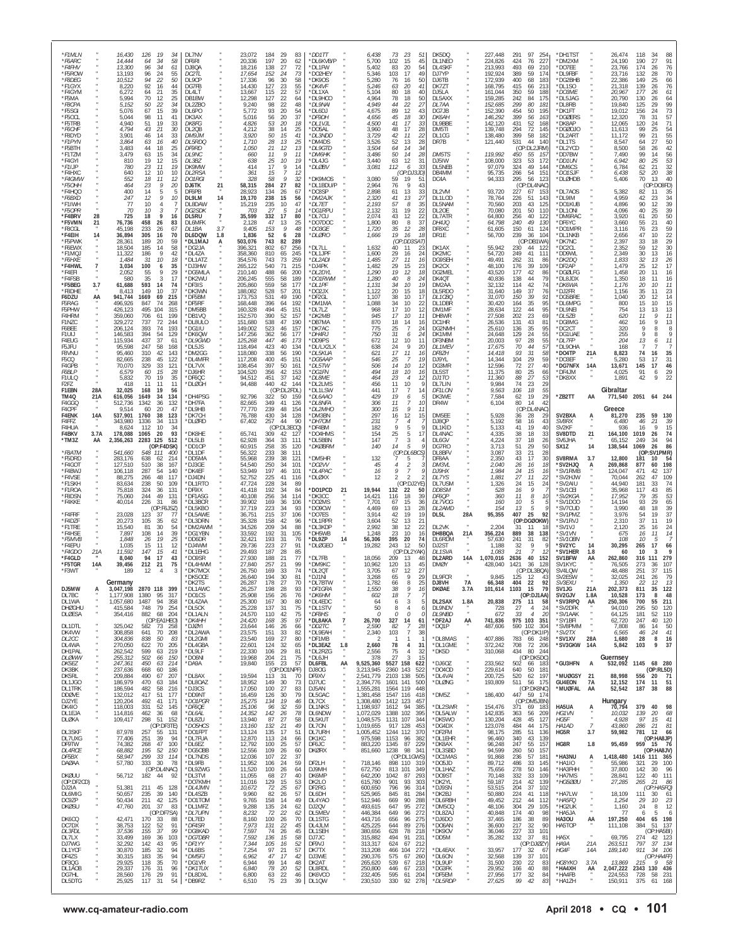| *F8DEG<br>10,512<br>94<br>22<br>50<br>DL9CP<br>17,336<br>30<br>400<br>183<br>*DG2BHB<br>66<br>96<br>58<br>*DK9OS<br>5,280<br>76<br>16<br>50<br>DJ6TB<br>172,939<br>68<br>22,386<br>149<br>25<br>92<br>127<br>23<br>55<br>213<br>21,318<br>76<br>61<br>*F1GYX<br>8,220<br>16<br>44<br>DG7FB<br>14,430<br>*DK4VF<br>5,246<br>63<br>20<br>41<br>DK7ZT<br>168,795<br>415<br>66<br>*DL1SO<br>139<br>26<br>22<br>57<br>*F4GYM<br>35<br>18<br>350<br>59<br>188<br>177<br>6,272<br>64<br>21<br>DL4LT<br>13,667<br>115<br>*DL1XA<br>5,104<br>80<br>40<br>DJ5LA<br>161,044<br><i>*DO3ME</i><br>20,967<br>26<br>242<br>*DL5JAG<br>20,790<br>64<br>*F5MA<br>5,994<br>70<br>12<br>25<br>DB1BW<br>12,298<br>127<br>22<br>64<br>*DL9HCO<br>4,964<br>78<br>18<br>50<br>DL5AXX<br>159,285<br>84<br>175<br>130<br>26<br>99<br>*F8CPA<br>50<br>22<br>34<br>9,240<br>22<br>*DL9NAI<br>4,949<br>27<br>299<br>80<br>*DL8RB<br>5.152<br>DL2ZB0<br>98<br>48<br>44<br>22<br>DL 7AA<br>152,685<br>181<br>19,840<br>125<br>29<br>67<br>15<br>39<br>93<br>20<br>89<br>12<br>454<br>19,012<br>73<br>*F5SGI<br>5,076<br>DL6PO<br>5,772<br>54<br>*DL6DJ<br>4,675<br>43<br>DG7JB<br>152,390<br>50<br>195<br>*DK1FT<br>156<br>24<br>$\frac{57}{71}$<br>11<br>$20\,$<br>37<br>399<br>31<br>*F5OCL<br>5,044<br>98<br>41<br>DK3AX<br>5,016<br>56<br>4,656<br>45<br>18<br>30<br>DK6AH<br>146,292<br>56<br>*DGØERS<br>12,320<br>78<br><i>*DF9DH</i><br>163<br>*F5TRB<br>4,940<br>51<br>19<br>33<br><b>DK8FG</b><br>4,826<br>53<br>20<br>18<br>*DL1VJL<br>4,500<br>41<br>17<br>33<br>DL9BBE<br>142,120<br>431<br>52<br>168<br>*DK8AP<br>12,065<br>120<br>24<br>54<br>55<br>4.794<br>21<br>4,212<br>38<br>3,960<br>28<br>294<br>72<br>145<br>*DGØOJO<br>99<br>25<br>*F6CHF<br>43<br>30<br>DL2QB<br>14<br>25<br>*DO5AL<br>48<br>17<br>DM5TI<br>139,748<br>11,613<br>*F8DYD<br>3,901<br>46<br>14<br>33<br>DM9JM<br>3,920<br>50<br>15<br>41<br>*DL3NDD<br>3,729<br>42<br>11<br>22<br>DL1CG<br>138,480<br>399<br>58<br>182<br>*DL2ART<br>11,172<br>99<br>21<br>50<br>40<br>1.710<br>28<br>13<br>25<br>13<br>28<br>531<br>44<br>*DL1TS<br>27<br>*F1PYN<br>3,864<br>63<br>16<br>DI 5RDC<br>*DM4DS<br>52<br>DR7B<br>121,440<br>140<br>8.547<br>3.526<br>64<br>42<br>*F5BTH<br>3,483<br>44<br>18<br>25<br><b>DF9RD</b><br>1,050<br>21<br>12<br>13<br>*DL9GTD<br>3,504<br>14<br>34<br>(OP:DL2JRM)<br>*DL2YCD<br>8,500<br>58<br>64<br>26<br>56<br>53<br>32<br>38<br>*F1TZM<br>9<br>11<br>3,486<br>50<br>28<br>DM5TS<br>119,992<br>*DD7BW<br>7,490<br>99<br>3,479<br>63<br>15<br>34<br>DL9NC<br>11<br>*DM6HK<br>14<br>450<br>14<br>660<br>55<br>- 15.<br>25<br>*F4GYI<br>810<br>19<br>12<br>15<br>DL3BZ<br>638<br>$^{25}_{17}$<br>10<br>19<br>*DL4JG<br>3,440<br>63<br>12<br>31<br>DJ5IW<br>108,000<br>323<br>53<br>172<br>*DD1UN<br>6,942<br>80<br>$*$ F1IJP<br>780<br>23<br>11<br>19<br>9<br>112<br>33<br>97,079<br>324<br>49<br>*DM6CS<br>21<br>DK9MW<br>414<br>14<br>*DLØBV<br>3,081<br>6<br>DL5NEB<br>144<br>6,784<br>62<br>12<br>*F4HXC<br>151<br>10<br>361<br>15<br>(OP:DJ3JD)<br>95,735<br>266<br>54<br>*DO1SJF<br>6,438<br>52<br>20<br>640<br>10<br>DL2RSA<br>-7<br>12<br>DB4MM<br>552<br>328<br>58<br>9<br>32<br>*DK9MOS<br>3,080<br>59<br>295<br>123<br>*DLØHDB<br>70<br>40<br>*F4GMW<br>18<br>11<br>12<br><b>DO1RGI</b><br>19<br>51<br>DC4A<br>94,333<br>56<br>5,406<br>13<br>(OP:DO8FD)<br>23<br>9<br>27<br>*DL1BDU/P<br>20<br>21<br>58,315<br>284<br>82<br>2,964<br>$\mathsf{Q}$<br>43<br>*F5OHH<br>464<br>DJ6TK<br>76<br>(OP:DL4NAC)<br>33<br>DL2VM<br>93,720<br>227<br>*DL7AOS<br>5,382<br>82<br>$\frac{35}{34}$<br>*F4HQO<br>400<br>14<br>5<br>5<br>DF6PB<br>28,923<br>134<br>26<br>67<br>*DC8SP<br>2,898<br>61<br>13<br>67 153<br>11<br>9<br>12<br>10<br>DL9LM<br>14<br>238<br>15<br>56<br>*DM2AJK<br>41<br>13<br>DL1LOD<br>78,764<br>51<br>143<br>DL9IM<br>4,959<br>42<br>23<br>*F6BXD<br>247<br>19,170<br>2,320<br>27<br>226<br>*F1IWH<br>10<br>235<br>47<br>203<br>125<br>*DO1KUB<br>4,896<br>90<br>39<br>77<br>DL8DAW<br>15,219<br>10<br>*DL7ET<br>2,193<br>57<br>8<br>35<br>DL5NAM<br>70,560<br>43<br>12<br>4<br>$\frac{39}{50}$<br>$\sqrt{5}$<br>19<br>25<br>10<br>-27<br>*DG1RPU<br>2,132<br>31<br>22<br>DL2OE<br>70,080<br>201<br>50<br>*DL1ONI<br>4,096<br>40<br>*F5OPR<br>70<br>DG2SDK<br>703<br>14<br>110<br>$\overline{7}$<br>*F4BRV<br>725<br>18<br>9<br>DL5RU<br>35,599<br>332<br>17<br>80<br>*DL7CU<br>2,074<br>43<br>12<br>22<br>DL7ATR<br>64,800<br>256<br>40<br>122<br>*DM6RAC<br>3,920<br>61<br>20<br>28<br>16<br>$\frac{40}{59}$<br>*F5VMN<br>47<br>25<br>*DO7DOC<br>64,798<br>240<br>49<br>*DF6YC<br>55<br>21<br>21<br>76,736<br>458<br>83<br><b>DL6MFK</b><br>2,128<br>13<br>1,800<br>80<br>8<br>37<br>130<br>3,660<br>26<br>DH4.IO<br>3.7<br>9<br>*F8CGL<br>45,198<br>233<br>26<br>67<br>DL1BA<br>9,405<br>153<br>48<br>*DO3GE<br>1,720<br>35<br>12<br>28<br>DF8XC<br>61,605<br>150<br>61<br>124<br>*D01MPR<br>3,116<br>76<br>23<br>*F4EIH<br>305<br>70<br>52<br>28<br>19<br>239<br>104<br>*DL1NKB<br>47<br>$\frac{22}{29}$<br>30<br>14<br>36,894<br>16<br>DL6DQW<br>1.8<br>1,836<br>*DLØRO<br>16<br>18<br>DR1E<br>56,700<br>36<br>10<br>6<br>1,666<br>2,656<br>*F5PWK<br>28,361<br>189<br>20<br>59<br>*DL1MAJ<br>503,076<br>743<br>82<br>289<br>(OP:DD3SAT)<br>(OP:DB1WA)<br>*DK7NC<br>2,397<br>33<br>18<br>Α<br>185<br>58<br>802<br>256<br>*DL7LL<br>40<br>55,942<br>2,352<br>59<br>*F6EWX<br>18,504<br>14<br>*DG2JA<br>1,632<br>DK1AX<br>230<br>44<br>*DC2CL<br>12<br>396,321<br>67<br>11<br>23<br>122<br>9<br>29<br>$\frac{16}{26}$<br>*F1MQJ<br>11,322<br>186<br>42<br>*DL4ZA<br>358,360<br>810<br>65<br>245<br>*DL1JPF<br>1,600<br>16<br>24<br>DK2MC<br>54,720<br>249<br>41<br>111<br>*DD9WL<br>2,349<br>30<br>13<br>*F6HXE<br>31<br>10<br>18<br>743<br>73<br>259<br>27<br>11<br>49,491<br>32<br>13<br>1,484<br>*DL1ATZ<br>354,576<br>*DL2ADI<br>1,485<br>16<br>DG9SEH<br>262<br>31<br>86<br>*DK2DQ<br>1,833<br>3,034<br>29<br>*F4HWL<br>100<br>35<br>*DJ3HW<br>540<br>71<br>215<br>*DJ4PK<br>15<br>48,100<br>39<br>109<br>*DF2AP<br>1,479<br>25<br>12<br>7<br>6<br>265,122<br>1,482<br>23<br>DK <sub>2</sub> CX<br>176<br>55<br>29<br>488<br>19<br>*DGØLFG<br>20<br>16<br>*F4EFI<br>2,052<br>9<br>*DG5MLA<br>210,140<br>66<br>200<br>*DL2DYL<br>1,290<br>12<br>18<br>DG2MEL<br>43,520<br>177<br>42<br>86<br>1,458<br>11<br>16<br>35<br>*F4FSB<br>17<br>*DK2WU<br>555<br>58<br>189<br>*DO1RWM<br>40<br>8<br>24<br>138<br>79<br>1,350<br>580<br>-3<br>206,245<br>1,280<br>DK4OT<br>40,836<br>44<br>*DL8JDX<br>18<br>11<br>559<br>11<br>*F5BEG<br>3.7<br>61,688<br>593<br>14<br>74<br>*DF3IS<br>205,860<br>58<br>177<br>*DL1PF<br>1,131<br>34<br>10<br>19<br>DM2AA<br>32,132<br>114<br>42<br>74<br>*DK6WA<br>1,176<br>20<br>10<br>23<br>149<br>10<br>528<br>57<br>*DO2JX<br>20<br>15<br>149<br>35<br>*F8DHE<br>8,413<br>37<br>*DK3WN<br>188,082<br>201<br>1,122<br>18<br>DL5RDO<br>31,640<br>37<br>76<br>*DJ2FR<br>1,156<br>11<br>69<br>531<br>10<br>31,070<br>150<br>20<br>14<br>F6DZU<br>941,744<br>1669<br>215<br>*DF5BM<br>173,753<br>49<br>190<br>*DF2GL<br>1,107<br>38<br>17<br>DL1CBQ<br>39<br>91<br>*DG5BRE<br>1,040<br>12<br>AA<br>10<br>15<br>35<br>95<br>10<br>847<br>74<br>268<br>*DF5RF<br>396<br>64<br>192<br>34<br>22<br>DL1DBR<br>30,420<br>164<br>*DL6MPG<br>800<br>15<br>F5RAG<br>496,926<br>168,448<br>*DM1MA<br>1,088<br>95<br>F5PHW<br>426,123<br>495<br>104<br>315<br>*DM5BB<br>160,328<br>494<br>45<br>151<br>*DL7LZ<br>968<br>17<br>10<br>12<br>DM1MF<br>28,634<br>122<br>44<br>*DL9NEI<br>754<br>13<br>13<br>13<br>11<br>706<br>152,570<br>390<br>945<br>27,508<br>202<br>23<br>9<br>F4HRM<br>359,060<br>61<br>199<br>*DB1VO<br>52<br>157<br>*DK2MB<br>17<br>10<br>11<br>DH8WR<br>69<br>$^*$ DI 57B<br>620<br>11<br>F1NZC<br>329,272<br>737<br>72<br>244<br>*DL8ULO<br>151,680<br>538<br>47<br>190<br>*DB7MA<br>870<br>18<br>14<br>DC1HR<br>26,536<br>131<br>43<br>81<br>*DG8MG<br>462<br>16<br>9<br>13<br>16<br>393<br>74<br>523<br>775<br>24<br>136<br>35<br>95<br>206,124<br>193<br>*DG1IU<br>149,002<br>46<br>157<br>*DK7AC<br>25<br>DG2NMH<br>25,610<br>*DC2CT<br>320<br>9<br>F6BEE<br>-7<br>8<br>8<br>F1UIJ<br>146,583<br>394<br>54<br>129<br>*DK6QW<br>147,256<br>362<br>56<br>177<br>*DH4RJ<br>750<br>31<br>24<br>DK1MM<br>24,648<br>129<br>24<br>55<br>*DG1UAE<br>255<br>9<br>9<br>6<br>8<br>115,934<br>437<br>447<br>*DD9PS<br>12<br>20,003<br>97<br>28<br>55<br>*DL7FP<br>204<br>11<br>F4EUG<br>37<br>*DL9GWD<br>125,268<br>46<br>173<br>672<br>10<br>DF3NBM<br>13<br>-61<br>11<br>6<br>58<br>F5JFU<br>95,598<br>247<br>168<br>*DL5JS<br>118,494<br>423<br>40<br>134<br>*DL/LX2LX<br>24<br>9<br>20<br>DL1MEV<br>17,675<br>70<br>44<br>57<br>DL9OHA<br>168<br>638<br>310<br>42<br>338<br>17<br>93<br>31<br>58<br>35<br>F8VNU<br>95,460<br>143<br>*DM2GG<br>118,080<br>56<br>190<br>*DL5KUA<br>621<br>11<br>16<br>DF8ZH<br>14,418<br>*DO4TP<br>21A<br>8,823<br>74<br>16<br>31<br>59<br>45<br>122<br>*DL4MFR<br>117,208<br>400<br>151<br>*DG5AAP<br>25<br>14,344<br>104<br>29<br>5,280<br>F5CQ<br>82,665<br>238<br>45<br>546<br>-7<br>19<br>DJ9YL<br>*DO3EF<br>-53<br>17<br>329<br>397<br>14<br>72<br>27<br>40<br>46<br>F4GPB<br>70,070<br>33<br>121<br>*DL7VX<br>108,454<br>50<br>161<br>*DL5TW<br>506<br>10<br>12<br>DG3MR<br>12,596<br>*DG7NFX<br>14A<br>13,671<br>145<br>17<br>29<br>25<br>15<br>28<br>*DJ6HR<br>104,520<br>356<br>42<br>153<br>494<br>18<br>10<br>11,375<br>80<br>*DF4JM<br>91<br><i>F6BLP</i><br>6,579<br>60<br>*DG1FN<br>16<br>DL5ST<br>66<br>4,025<br>6<br>19<br>451<br>37<br>27<br>9<br>22<br>F1ULQ<br>5,832<br>70<br>35<br>*DF6QC<br>94,512<br>142<br>*DL8ME<br>464<br>23<br>12<br>DJ1TO<br>11,360<br>88<br>53<br>*DK8XX<br>1,891<br>42<br>$\overline{4}$<br>23<br>29<br>94,488<br>440<br>42 144<br>*DL2LMS<br>10<br>9,984<br>74<br>F2FZ<br>418<br>-11<br>11<br>11<br>*DLØGH<br>456<br>11<br>9<br>DL7LIN<br>9,563<br>106<br>18<br>55<br>Gibraltar<br>F1EBN<br>28A<br>32,025<br>168<br>19<br>56<br>(OP:DL2FDL)<br>*DL1LSW<br>441<br>17<br>$\overline{1}$<br>14<br>DF1LON<br>19<br>*DH4PSG<br>92,796<br>19<br>7,584<br>29<br>*ZB2TT<br>TM4Q<br>1649<br>34<br>134<br>322<br>*DL6AAO<br>62<br>AA<br>2051 64 244<br>21A<br>616,056<br>50<br>159<br>429<br>6<br>DK3WE<br>771,540<br>42<br>F4GGQ<br>1342<br>36<br>132<br>*DH7FA<br>82,665<br>349<br>41<br>126<br>*DL8NFA<br>306<br>11<br>10<br>DR4W<br>6,104<br>80<br>14<br>512,736<br>47<br>77,770<br>239<br>*DL2MHO<br>300<br>9<br>Greece<br>F4CPF<br>9,514<br>20<br>*DI 9HB<br>48<br>154<br>15<br>11<br>(OP:DL4NAC)<br>60<br>SV2BXA<br>F4ENK<br>14A<br>537,901<br>1760<br>38<br>123<br>*DK7CH<br>76,788<br>430<br>34<br>128<br>*DM3BN<br>297<br>16<br>12<br>15<br>DM5EE<br>5,928<br>28<br>29<br>81,270<br>235<br>59<br>130<br>36<br>$\ddot{A}$<br>257<br>*DH7OM<br>231<br>DJ8QP<br>5,192<br>43<br>SV8RX<br>39<br>F4FF7<br>343,980<br>34<br>113<br>*DLØRD<br>67,402<br>44<br>90<br>58<br>46<br>21<br>1336<br>-7<br>16<br>6,480<br>4<br>F4HUA<br>8,624<br>112<br>10<br>34<br>(OP:DL3ECQ)<br>*DF4BM<br>182<br>9<br>5<br>DL1KID<br>5,133<br>41<br>19<br>40<br>SV2KF<br>936<br>15<br>16<br>9<br>F4BKV<br>3.7A<br>178,088<br>20<br>93<br>*DK8HE<br>65,741<br>309<br>*DO4HMS<br>25<br>33<br>SV8DTD<br>21<br>164,100<br>74<br>1065<br>127<br>5<br>17<br>DL4NAC<br>4,335<br>38<br>18<br>1019<br>26<br>42<br>154<br>94<br>*TM3Z<br>2,356,263<br>2283<br>125<br>512<br>*DL5LB<br>62,928<br>364<br>33<br>111<br>*DL5BBN<br>147<br>$\overline{7}$<br>3<br>DL6GV<br>4,224<br>37<br>18<br>26<br>SV6JHA<br>65,152<br>249<br>AA<br>34<br>(OP:F4DSK)<br>258<br>35<br>14<br>5<br>3,713<br>51<br>29<br>50<br>86<br>*DD10P<br>60,915<br>120<br>*DKØBRM<br>140<br>DG7RO<br>SX1Z<br>14<br>138,544<br>1069<br>26<br>541,660<br>(OP:DL6BCS)<br>*F8ATM<br>548 111<br>56,322<br>233<br>38<br>3,087<br>28<br>:SV1PMR)<br>400<br>*DL1DF<br>111<br>DL8BFV<br>33<br>21<br>(OP:<br>239<br>38<br>*DM5HR<br>2,350<br>43<br>30<br>SV8RMA<br>12,800<br>*F5DRD<br>283,176<br>638<br>62<br>214<br>*DD5MA<br>55,968<br>121<br>132<br>DF8AA<br>17<br>3.7<br>181<br>10<br>54<br>5<br>198<br>250<br>*F4GOT<br>510<br>38<br>54,540<br>34<br>*DO2VV<br>$\mathcal{P}$<br>2,040<br>'SV2HJQ<br>269,868<br>877<br>127,510<br>167<br>*DJ3GE<br>101<br>45<br>$\overline{4}$<br>DM3VL<br>26<br>16<br>18<br>А<br>60<br>197<br>*DL4PAC<br>*F4BWJ<br>106,118<br>287<br>54<br>140<br>*DK4EF<br>53,949<br>46<br>101<br>16<br>9<br>7<br>DJ9HX<br>1,984<br>24<br>15<br>16<br>*SV1RMB<br>124,047<br>471<br>42<br>137<br>109<br>*F4VSE<br>48<br>*DJ4DN<br>52,752<br>225<br>*DLØXX<br>DL7YS<br>1,881<br>27<br>*SV2HJW<br>70,044<br>88.275<br>266<br>117<br>41<br>116<br>12<br>2<br>2<br>11<br>22<br>262<br>47<br>*F1SKH<br>50<br>228<br>(OP:DJ2YE)<br>24<br>24<br>44,940<br>74<br>83,634<br>238<br>109<br>*DL1RTO<br>47,724<br>34<br>89<br>DL7USM<br>1,326<br>15<br>'SV2AIU<br>181<br>33<br>192<br>*DO1PCD<br>9<br>35,968<br>85<br>53<br>65<br>*F1ROA<br>324<br>36<br>34<br>19,944<br>132<br>16<br>'SV1CEI<br>117<br>43<br>75,818<br>131<br>*DF9IX<br>41.418<br>84<br>21<br>22<br>50<br><i>DD8SM</i><br>528<br>8<br>*F8DSN<br>75,060<br>244<br>49<br>131<br>*DF1ASG<br>40,108<br>256<br>34<br>114<br>*DK3CC<br>14,421<br>116<br>18<br>39<br>DF6QP<br>360<br>11<br>*SV2KGA<br>17,952<br>79<br>35<br>10<br>*F4KKE<br>226<br>39,902<br>169<br>*DO2MS<br>10<br>*SV1DOO<br>14,194<br>93<br>40,014<br>-31<br>86<br>*DL3BCR<br>36<br>106<br>7,701<br>15<br>36<br>DI 7VOG<br>160<br>5<br>29<br>67<br>28<br>39<br>(OP:F6JSZ)<br>*DL5KBO<br>37,719<br>223<br>34<br>93<br>*DO9CW<br>4,469<br>69<br>13<br>DL2AMD<br>154<br>13<br>5<br>'SV7CUD<br>3,990<br>48<br>18<br>*F4FRF<br>23,028<br>215<br>37<br>*DO7ES<br>3.914<br>19<br>19<br>407<br>25<br>92<br>*SV1PMZ<br>3,976<br>19<br>37<br>123<br>-37<br>77<br><b>DI 5AWF</b><br>36,751<br>106<br>42<br>DL5L<br>28A<br>95,355<br>54<br>*F4DZF<br>20,273<br>105<br>35<br>*DL3DRN<br>35,328<br>158<br>42<br>96<br>*DL1RPR<br>3,604<br>52<br>13<br>21<br>(OP:DGØOKW)<br>*SV1RVJ<br>2,310<br>37<br>11<br>19<br>62<br>*F1TRE<br>15,540<br>30<br>34,526<br>209<br>*DL3KDF<br>2,992<br>38<br>22<br>DL2VK<br>2,204<br>'SV1VJ<br>24<br>81<br>54<br>*DM2AWM<br>34<br>88<br>12<br>2,120<br>25<br>31<br>11<br>16<br>18<br>39<br>31<br>*F4HSE<br>7,897<br>108<br>14<br>*DG1YBN<br>33,592<br>192<br>105<br>*DH5WB<br>1,248<br>23<br>10<br>16<br>DH8BQA<br>21A<br>356,224<br>889<br>38<br>138<br>*SV1VN<br>16<br>14<br>675<br>11<br>*F5MVB<br>19<br>25<br>32,421<br>31<br>76<br>395<br>20<br>*SV10BN<br>10<br>1,848<br>26<br>*DD6DR<br>193<br>*DL9ZP<br>56,306<br>74<br>DL6RDM<br>57,630<br>241<br>31<br>82<br>108<br>5<br>14<br>*F4EPU<br>1,035<br>15<br>27<br>*DLØGEO<br>243<br>50<br>*SV2YC<br>66<br>11<br>12<br>*DJ4WM<br>29,736<br>223<br>91<br>19,282<br>12<br>DJ2ST<br>1,188<br>32<br>9<br>14<br>30,295<br>265<br>17<br>187<br>85<br>*F4GDO<br>21A<br>11,592<br>147<br>15<br>41<br>*DL1EHG<br>29,493<br>28<br>(OP:DL2YAK)<br>DL1SVA<br>1,083<br>21<br>'SV1HER<br>60<br>10<br>3<br>$\mathcal{I}$<br>1.8<br>17<br>*DL7FB<br>18,056<br>279<br>*F4GLD<br>8,040<br>27,930<br>188<br>21<br>77<br>209<br>14A<br>1,070,016<br>40<br>SV1BFW<br>262,860<br>316<br>94<br>43<br>*DO9SR<br>13<br>48<br>DL2ARD<br>2636<br>152<br>AA<br>111<br>*F5TGR<br>14A<br>39,456<br>212<br>21<br>75<br>*DL4HWM<br>27,840<br>257<br>21<br>99<br>*DM9KC<br>10,962<br>120<br>13<br>45<br><b>DMØY</b><br>428,040<br>1421<br>36<br>128<br>SV1KYC<br>76,505<br>273<br>36<br>107<br>74<br>(OP:DL3BQA)<br>115<br>*F3WT<br>189<br>12<br>3<br>*DK7MCX<br>26,750<br>169<br>33<br>*DL2OT<br>3.705<br>67<br>12<br>27<br>SV4LQW<br>48,488<br>251<br>37<br>4<br>DL9FCR<br>*DK5OCE<br>26,640<br>194<br>30<br>81<br>*DJ1NI<br>3,268<br>65<br>9<br>29<br>9,845<br>125<br>12<br>43<br>SV2ESW<br>32,025<br>241<br>79<br>26<br>Germany<br>178<br>92<br>CI/2FY1<br>26.287<br>つフ<br>70<br>1N 7RT<br>782<br>D ISVH<br>66 24R<br>40A<br>'nr dis<br>66<br>9<br>DJ5MW<br>3,047,198<br>2870 118<br>399<br>*DL1AWC<br>198<br>28<br>93<br>*DF1GRA<br>38<br><b>DKØAE</b><br>1103 15<br>79<br>SV1JG<br>21A<br>202,373<br>811<br>35<br>122<br>26,257<br>1.550<br>16<br>3.7A<br>101,614<br>1380<br>18<br>SV2GJV<br>48<br>DL7BC<br>1,177,908<br>95<br>317<br>*DO1CS<br>25,908<br>156<br>76<br>*DK6HM<br>$\overline{7}$<br>(OP:DJ1AA)<br>1.8A<br>10,528<br>173<br>8<br>26<br>602<br>DL1WA<br>1,057,680<br>1487<br>94<br>358<br>*DL4ZAA<br>25,300<br>167<br>30<br>80<br>*DL4EDC<br>64<br>6<br>3<br>DL2SAX<br>1.8A<br>20,838<br>275 11<br>58<br>*SV3RPQ<br>AA<br>250,306<br>700<br>55<br>211<br>415,584<br>748<br>79<br>137<br>31<br>75<br>*DL1STV<br>DL9NDV<br>728<br>295<br>50<br>120<br><b>DHØGHU</b><br>254<br>*DL5CK<br>25,228<br>50<br>27<br>24<br>*SV2DFK<br>94,010<br>8<br>4<br>6<br>-4<br>$\epsilon$<br>DLØESA<br>354,416<br>882<br>68<br>204<br>*DL1ALN<br>24,570<br>110<br>42<br>75<br>*DF8HS<br>0<br>0<br>0<br>DL9NBD<br>672<br>33<br>$\overline{4}$<br>20<br>*SV1AAK<br>64,125<br>181<br>52<br>119<br>$\Omega$<br>(OP:EA1HEO)<br>24,420<br>35<br>97<br>*DL8AKA<br>26,700<br>327<br>741,836<br>975 103 351<br>*SY1BFI<br>40<br>120<br>*DK4HH<br>168<br>$\overline{7}$<br>14<br>61<br>*DF2AJ<br>AA<br>247<br>62,720<br>DL1DTL<br>325,042<br>582<br>73<br>258<br>*DJØYI<br>23,644<br>146<br>26<br>66<br>*DD2TC<br>2,590<br>82<br>7<br>28<br>*DQ1P<br>487,606<br>590 102<br>304<br>*SV8PMM<br>7,808<br>86<br>14<br>50<br>70<br>33<br>*DL9EAH<br>103<br>$\overline{7}$<br>38<br>(OP:DK1IP)<br>41<br>DK4VW<br>308,858<br>641<br>208<br>*DL2AWA<br>23,575<br>151<br>82<br>2,340<br>*SV2TX<br>6,565<br>46<br>24<br>*DL8MAS<br>407,886<br>28A<br>DL2CC<br>304,836<br>23,540<br>27<br>80<br>*DF1MB<br>783 66 248<br>*SV1XV<br>1,680<br>16<br>838<br>50<br>83<br>*DL2GMI<br>169<br>$\overline{2}$<br>-28<br>8<br>-1<br>-1<br>70<br>22,601<br>65<br>1.8<br>78<br>708<br>72 206<br>*SV3GKW<br>9<br>37<br>DL4WA<br>270,050<br>622<br>205<br>*DL4GBA<br>124<br>32<br>*DL3EAZ<br>2,660<br>4<br>31<br>*DL1GME<br>372,242<br>14A<br>5,842<br>103<br>29<br>434<br>DH1PAL<br>262,542<br>599<br>63<br>219<br>*DL9LF<br>22,330<br>81<br>*DL2RZG<br>2,556<br>75<br>32<br>310,068<br>80 244<br>106<br>$\overline{4}$<br>*DK5D<br><b>DLØWW</b><br>255,312<br>15<br>(OP:DK5DC)<br>502<br>66<br>150<br>*DO6NI<br>19,968<br>204<br>21<br>75<br>*DL6JH<br>378<br>27<br>$\mathcal{R}$<br>Guernsey<br>233,562<br>*GU3HFN<br>214<br>155<br>23<br>57<br>DL6FBL<br>AA<br>5527 158<br>*DJ6OZ<br>502 66 183<br>532,092<br>1145 68 280<br>DK5EZ<br>247,361<br>450<br>63<br>*DA9A<br>19,840<br>9,525,360<br>622<br>A<br>DK3BK<br>(OP:DO1NPF)<br>*D040D<br>229,614<br>50 181<br>(OP:RL5D)<br>237,636<br>668<br>60<br>186<br>DJ80G<br>3,213,945<br>2360<br>143<br>522<br>640<br>*DL8AX<br>19,594<br>520<br>*MUØGSY<br>DK5RL<br>209,884<br>490<br>67<br>207<br>113<br>2,541,779<br>2103<br>138<br>505<br>*DL4VAI<br>200,725<br>62 197<br>21<br>88,998<br>71<br>31<br>70<br>DF9XV<br>556<br>-20<br><b>7A</b><br>DL1JGO<br>186,979<br>470<br>63<br>184<br>*DL8OAZ<br>18,952<br>149<br>30<br>73<br>DJ7UC<br>2,394,776<br>1601 141<br>500<br>*DLØNG<br>193,809<br>511<br>56 175<br><b>GU4EON</b><br>12,152<br>174<br>51<br>11<br>*DJ3CS<br>100<br>27<br>*MUØFAL |
|--------------------------------------------------------------------------------------------------------------------------------------------------------------------------------------------------------------------------------------------------------------------------------------------------------------------------------------------------------------------------------------------------------------------------------------------------------------------------------------------------------------------------------------------------------------------------------------------------------------------------------------------------------------------------------------------------------------------------------------------------------------------------------------------------------------------------------------------------------------------------------------------------------------------------------------------------------------------------------------------------------------------------------------------------------------------------------------------------------------------------------------------------------------------------------------------------------------------------------------------------------------------------------------------------------------------------------------------------------------------------------------------------------------------------------------------------------------------------------------------------------------------------------------------------------------------------------------------------------------------------------------------------------------------------------------------------------------------------------------------------------------------------------------------------------------------------------------------------------------------------------------------------------------------------------------------------------------------------------------------------------------------------------------------------------------------------------------------------------------------------------------------------------------------------------------------------------------------------------------------------------------------------------------------------------------------------------------------------------------------------------------------------------------------------------------------------------------------------------------------------------------------------------------------------------------------------------------------------------------------------------------------------------------------------------------------------------------------------------------------------------------------------------------------------------------------------------------------------------------------------------------------------------------------------------------------------------------------------------------------------------------------------------------------------------------------------------------------------------------------------------------------------------------------------------------------------------------------------------------------------------------------------------------------------------------------------------------------------------------------------------------------------------------------------------------------------------------------------------------------------------------------------------------------------------------------------------------------------------------------------------------------------------------------------------------------------------------------------------------------------------------------------------------------------------------------------------------------------------------------------------------------------------------------------------------------------------------------------------------------------------------------------------------------------------------------------------------------------------------------------------------------------------------------------------------------------------------------------------------------------------------------------------------------------------------------------------------------------------------------------------------------------------------------------------------------------------------------------------------------------------------------------------------------------------------------------------------------------------------------------------------------------------------------------------------------------------------------------------------------------------------------------------------------------------------------------------------------------------------------------------------------------------------------------------------------------------------------------------------------------------------------------------------------------------------------------------------------------------------------------------------------------------------------------------------------------------------------------------------------------------------------------------------------------------------------------------------------------------------------------------------------------------------------------------------------------------------------------------------------------------------------------------------------------------------------------------------------------------------------------------------------------------------------------------------------------------------------------------------------------------------------------------------------------------------------------------------------------------------------------------------------------------------------------------------------------------------------------------------------------------------------------------------------------------------------------------------------------------------------------------------------------------------------------------------------------------------------------------------------------------------------------------------------------------------------------------------------------------------------------------------------------------------------------------------------------------------------------------------------------------------------------------------------------------------------------------------------------------------------------------------------------------------------------------------------------------------------------------------------------------------------------------------------------------------------------------------------------------------------------------------------------------------------------------------------------------------------------------------------------------------------------------------------------------------------------------------------------------------------------------------------------------------------------------------------------------------------------------------------------------------------------------------------------------------------------------------------------------------------------------------------------------------------------------------------------------------------------------------------------------------------------------------------------------------------------------------------------------------------------------------------------------------------------------------------------------------------------------------------------------------------------------------------------------------------------------------------------------------------------------------------------------------------------------------------------------------------------------------------------------------------------------------------------------------------------------------------------------------------------------------------------------------------------------------------------------------------------------------------------------------------------------------------------------------------------------------------------------------------------------------------------------------------------------------------------------------------------------------------------------------------------------------------------------------------------------------------------------------------------------------------------------------------------------------------------------------------------------------------------------------------------------------------------------------------------------------------------------------------------------------------------------------------------------------------------------------------------------------------------------------------------------------------------------------------------------------------------------------------------------------------------------------------------------------------------------------------------------------------------------------------------------------------------------------------------------------------------------------------------------------------------------------------------------------------------------------------------------------------------------------------------------------------------------------------------------------------------------------------------------------------------------------------------------------------------------------------------------------------------------------------------------------------------------------------------------------------------------------------------------------------------------------------------------------------------------------------------------------------------------------------------------------------------------------------------------------------------------------------------------------------------------------------------------------------------------------------------------------------------------------------------------------------------------------------------------------------------------------------------------------------------------------------------------------------------------------------------------------------------------------------------------------------------------------------------------------------------------------------------------------------------------------------------------------------------------------------------------------------------------------------------------------------------------------------------------------------------------------------------------------------------------------------------------------------------------------------------------------------------------------------------------------------------------------------------------------------------------------------------------------------------------------------------------------------------------------------------------------------------------------------------------------------------------------------------------------------------------------------------------------------------------------------------------------------------------------------------------------------------------------------------------------------------------------------------------------------------------------------------------------------------------------------------------------------------------------------------------------------------------------------------------------------------------------------------------------------------------------------------------------------------------------------------------------------------------------------------------------------------------------------------------------------------------------------------------------------------------------------------------------------------------------------------------------------------------------------------------------------------------------------------------------------------------------------------------------------------------------------------------------------------------------------------------------------------------------------------------------------------------------------------------------------------------------------------------------------------------------------------------------------------------------------------------------------------------------------------------------------------------------------------------------------------------------------------------------------------------------------------------------------------------------------------------------------------------------------------------------------------------------------------------------------------------------------------------------------------------------------------------------------------------------------------------------------------------------------------------------------------------------------------------------------------------------------------------------------------------------------------------------------------------------------------------------------------------------------------------------------------------------------------------------------------------------------------------------------------------------------------------------------------------------------------------------------------------------------------------------------------------------------------------------------------------------------------------------------------------------------------------------------------------------------------------------------------------------------------------------------------------------------------------------------------------------------------------------------------------------------------------------------------------------------------------------------------------------------------------------------------------------------------------------------------------------------------------------------------------------------------------------------------------------------------------------------------------------------------------------------------------------------------------------------------------------------------------------------------------------------------------------------------------------------------------------------------------------------------------------------------------------------------------------------------------------------------------------------------------------------------------------------------------------------------------------------------------------------------------------------------------------------------------------------------------------------------------------------------------------------------------------------------------------------------------------------------------------------------------------------------------------------------------------------------------------------------------------------------------------------------------------------------------------------------------------------------------------------------------------------------------------------------------------------------------------------------------------------------------------------------------------------------------------------------------------------------------------------------------------------------------------------------------------------------------------------------------------------------------------------------------------------------------------------------------------------------------------------------------------------------------------------------------------------------------------------------------------------------------------------------------------------------------------------------------------------------------------------------------------------------------------------------------------------------------------------------------------------------------------------------------------------------------------------------------------------------------------------------------------------------------------------------------------------------------------------------------------------------------------------------------------------------------------------------------------------------------------------------------------------------------------------------------------------------------------------------------------------------------------------------------------------------------------------------------------------------------------------------------------------------------------------------------------------------------------------------------------------------------------------------------------------------------------------------------------------------------------------------------------------------------------------------------------------------------------------------------------------------------------------------------------------------------------------------------------------------------------------------------------------------------------------------------------------------------------------------------------------------------------------------------------------------------------------------------------------------------------------------------------------------------------------------------------------------------------------------------------------------------------------------------------------------------------------------------------------------------------------------------------------------------------------------------------------------------------------------------------------------------------------------------------------------------------------------------------------------------------------------------------------------------------------------------------------------------------------------------------------------------------------------------------------------------------------------------------------------------------------------------------------------------------------------------------------------------------------------------------------------------------------------------------------------------------------------------------------------------------------------------------------------------------------------------------------------------------------------------------------------------------------------------------------------------------------------------------------------------------------------------------------------------------------------------------------------------------------------------------------------------------------------------|
|                                                                                                                                                                                                                                                                                                                                                                                                                                                                                                                                                                                                                                                                                                                                                                                                                                                                                                                                                                                                                                                                                                                                                                                                                                                                                                                                                                                                                                                                                                                                                                                                                                                                                                                                                                                                                                                                                                                                                                                                                                                                                                                                                                                                                                                                                                                                                                                                                                                                                                                                                                                                                                                                                                                                                                                                                                                                                                                                                                                                                                                                                                                                                                                                                                                                                                                                                                                                                                                                                                                                                                                                                                                                                                                                                                                                                                                                                                                                                                                                                                                                                                                                                                                                                                                                                                                                                                                                                                                                                                                                                                                                                                                                                                                                                                                                                                                                                                                                                                                                                                                                                                                                                                                                                                                                                                                                                                                                                                                                                                                                                                                                                                                                                                                                                                                                                                                                                                                                                                                                                                                                                                                                                                                                                                                                                                                                                                                                                                                                                                                                                                                                                                                                                                                                                                                                                                                                                                                                                                                                                                                                                                                                                                                                                                                                                                                                                                                                                                                                                                                                                                                                                                                                                                                                                                                                                                                                                                                                                                                                                                                                                                                                                                                                                                                                                                                                                                                                                                                                                                                                                                                                                                                                                                                                                                                                                                                                                                                                                                                                                                                                                                                                                                                                                                                                                                                                                                                                                                                                                                                                                                                                                                                                                                                                                                                                                                                                                                                                                                                                                                                                                                                                                                                                                                                                                                                                                                                                                                                                                                                                                                                                                                                                                                                                                                                                                                                                                                                                                                                                                                                                                                                                                                                                                                                                                                                                                                                                                                                                                                                                                                                                                                                                                                                                                                                                                                                                                                                                                                                                                                                                                                                                                                                                                                                                                                                                                                                                                                                                                                                                                                                                                                                                                                                                                                                                                                                                                                                                                                                                                                                                                                                                                                                                                                                                                                                                                                                                                                                                                                                                                                                                                                                                                                                                                                                                                                                                                                                                                                                                                                                                                                                                                                                                                                                                                                                                                                                                                                                                                                                                                                                                                                                                                                                                                                                                                                                                                                                                                                                                                                                                                                                                                                                                                                                                                                                                                                                                                                                                                                                                                                                                                                                                                                                                                                                                                                                                                                                                                                                                                                                                                                                                                                                                                                                                                                                                                                                                                                                                                                                                                                                                                                                                                                                                                                                                                                                                                                                                                                                                                                                                                                                                                                                                                                                                                                                                                                                                                                                                                                                                                                                                                                                                                                                                                                                                                                                                                                                                                                                                                                                                                                                                                                                                                                                                                                                                                                                                                                                                                                                                                                                                                                                                                                                                                                                                                                                                                                                                                                                                                                                                                                                                |
|                                                                                                                                                                                                                                                                                                                                                                                                                                                                                                                                                                                                                                                                                                                                                                                                                                                                                                                                                                                                                                                                                                                                                                                                                                                                                                                                                                                                                                                                                                                                                                                                                                                                                                                                                                                                                                                                                                                                                                                                                                                                                                                                                                                                                                                                                                                                                                                                                                                                                                                                                                                                                                                                                                                                                                                                                                                                                                                                                                                                                                                                                                                                                                                                                                                                                                                                                                                                                                                                                                                                                                                                                                                                                                                                                                                                                                                                                                                                                                                                                                                                                                                                                                                                                                                                                                                                                                                                                                                                                                                                                                                                                                                                                                                                                                                                                                                                                                                                                                                                                                                                                                                                                                                                                                                                                                                                                                                                                                                                                                                                                                                                                                                                                                                                                                                                                                                                                                                                                                                                                                                                                                                                                                                                                                                                                                                                                                                                                                                                                                                                                                                                                                                                                                                                                                                                                                                                                                                                                                                                                                                                                                                                                                                                                                                                                                                                                                                                                                                                                                                                                                                                                                                                                                                                                                                                                                                                                                                                                                                                                                                                                                                                                                                                                                                                                                                                                                                                                                                                                                                                                                                                                                                                                                                                                                                                                                                                                                                                                                                                                                                                                                                                                                                                                                                                                                                                                                                                                                                                                                                                                                                                                                                                                                                                                                                                                                                                                                                                                                                                                                                                                                                                                                                                                                                                                                                                                                                                                                                                                                                                                                                                                                                                                                                                                                                                                                                                                                                                                                                                                                                                                                                                                                                                                                                                                                                                                                                                                                                                                                                                                                                                                                                                                                                                                                                                                                                                                                                                                                                                                                                                                                                                                                                                                                                                                                                                                                                                                                                                                                                                                                                                                                                                                                                                                                                                                                                                                                                                                                                                                                                                                                                                                                                                                                                                                                                                                                                                                                                                                                                                                                                                                                                                                                                                                                                                                                                                                                                                                                                                                                                                                                                                                                                                                                                                                                                                                                                                                                                                                                                                                                                                                                                                                                                                                                                                                                                                                                                                                                                                                                                                                                                                                                                                                                                                                                                                                                                                                                                                                                                                                                                                                                                                                                                                                                                                                                                                                                                                                                                                                                                                                                                                                                                                                                                                                                                                                                                                                                                                                                                                                                                                                                                                                                                                                                                                                                                                                                                                                                                                                                                                                                                                                                                                                                                                                                                                                                                                                                                                                                                                                                                                                                                                                                                                                                                                                                                                                                                                                                                                                                                                                                                                                                                                                                                                                                                                                                                                                                                                                                                                                                                                                                                                                                                                                                                                                                                                                                                                                                                                                                                                                                                                |
|                                                                                                                                                                                                                                                                                                                                                                                                                                                                                                                                                                                                                                                                                                                                                                                                                                                                                                                                                                                                                                                                                                                                                                                                                                                                                                                                                                                                                                                                                                                                                                                                                                                                                                                                                                                                                                                                                                                                                                                                                                                                                                                                                                                                                                                                                                                                                                                                                                                                                                                                                                                                                                                                                                                                                                                                                                                                                                                                                                                                                                                                                                                                                                                                                                                                                                                                                                                                                                                                                                                                                                                                                                                                                                                                                                                                                                                                                                                                                                                                                                                                                                                                                                                                                                                                                                                                                                                                                                                                                                                                                                                                                                                                                                                                                                                                                                                                                                                                                                                                                                                                                                                                                                                                                                                                                                                                                                                                                                                                                                                                                                                                                                                                                                                                                                                                                                                                                                                                                                                                                                                                                                                                                                                                                                                                                                                                                                                                                                                                                                                                                                                                                                                                                                                                                                                                                                                                                                                                                                                                                                                                                                                                                                                                                                                                                                                                                                                                                                                                                                                                                                                                                                                                                                                                                                                                                                                                                                                                                                                                                                                                                                                                                                                                                                                                                                                                                                                                                                                                                                                                                                                                                                                                                                                                                                                                                                                                                                                                                                                                                                                                                                                                                                                                                                                                                                                                                                                                                                                                                                                                                                                                                                                                                                                                                                                                                                                                                                                                                                                                                                                                                                                                                                                                                                                                                                                                                                                                                                                                                                                                                                                                                                                                                                                                                                                                                                                                                                                                                                                                                                                                                                                                                                                                                                                                                                                                                                                                                                                                                                                                                                                                                                                                                                                                                                                                                                                                                                                                                                                                                                                                                                                                                                                                                                                                                                                                                                                                                                                                                                                                                                                                                                                                                                                                                                                                                                                                                                                                                                                                                                                                                                                                                                                                                                                                                                                                                                                                                                                                                                                                                                                                                                                                                                                                                                                                                                                                                                                                                                                                                                                                                                                                                                                                                                                                                                                                                                                                                                                                                                                                                                                                                                                                                                                                                                                                                                                                                                                                                                                                                                                                                                                                                                                                                                                                                                                                                                                                                                                                                                                                                                                                                                                                                                                                                                                                                                                                                                                                                                                                                                                                                                                                                                                                                                                                                                                                                                                                                                                                                                                                                                                                                                                                                                                                                                                                                                                                                                                                                                                                                                                                                                                                                                                                                                                                                                                                                                                                                                                                                                                                                                                                                                                                                                                                                                                                                                                                                                                                                                                                                                                                                                                                                                                                                                                                                                                                                                                                                                                                                                                                                                                                                                                                                                                                                                                                                                                                                                                                                                                                                                                                                                                                |
|                                                                                                                                                                                                                                                                                                                                                                                                                                                                                                                                                                                                                                                                                                                                                                                                                                                                                                                                                                                                                                                                                                                                                                                                                                                                                                                                                                                                                                                                                                                                                                                                                                                                                                                                                                                                                                                                                                                                                                                                                                                                                                                                                                                                                                                                                                                                                                                                                                                                                                                                                                                                                                                                                                                                                                                                                                                                                                                                                                                                                                                                                                                                                                                                                                                                                                                                                                                                                                                                                                                                                                                                                                                                                                                                                                                                                                                                                                                                                                                                                                                                                                                                                                                                                                                                                                                                                                                                                                                                                                                                                                                                                                                                                                                                                                                                                                                                                                                                                                                                                                                                                                                                                                                                                                                                                                                                                                                                                                                                                                                                                                                                                                                                                                                                                                                                                                                                                                                                                                                                                                                                                                                                                                                                                                                                                                                                                                                                                                                                                                                                                                                                                                                                                                                                                                                                                                                                                                                                                                                                                                                                                                                                                                                                                                                                                                                                                                                                                                                                                                                                                                                                                                                                                                                                                                                                                                                                                                                                                                                                                                                                                                                                                                                                                                                                                                                                                                                                                                                                                                                                                                                                                                                                                                                                                                                                                                                                                                                                                                                                                                                                                                                                                                                                                                                                                                                                                                                                                                                                                                                                                                                                                                                                                                                                                                                                                                                                                                                                                                                                                                                                                                                                                                                                                                                                                                                                                                                                                                                                                                                                                                                                                                                                                                                                                                                                                                                                                                                                                                                                                                                                                                                                                                                                                                                                                                                                                                                                                                                                                                                                                                                                                                                                                                                                                                                                                                                                                                                                                                                                                                                                                                                                                                                                                                                                                                                                                                                                                                                                                                                                                                                                                                                                                                                                                                                                                                                                                                                                                                                                                                                                                                                                                                                                                                                                                                                                                                                                                                                                                                                                                                                                                                                                                                                                                                                                                                                                                                                                                                                                                                                                                                                                                                                                                                                                                                                                                                                                                                                                                                                                                                                                                                                                                                                                                                                                                                                                                                                                                                                                                                                                                                                                                                                                                                                                                                                                                                                                                                                                                                                                                                                                                                                                                                                                                                                                                                                                                                                                                                                                                                                                                                                                                                                                                                                                                                                                                                                                                                                                                                                                                                                                                                                                                                                                                                                                                                                                                                                                                                                                                                                                                                                                                                                                                                                                                                                                                                                                                                                                                                                                                                                                                                                                                                                                                                                                                                                                                                                                                                                                                                                                                                                                                                                                                                                                                                                                                                                                                                                                                                                                                                                                                                                                                                                                                                                                                                                                                                                                                                                                                                                                                                                                |
|                                                                                                                                                                                                                                                                                                                                                                                                                                                                                                                                                                                                                                                                                                                                                                                                                                                                                                                                                                                                                                                                                                                                                                                                                                                                                                                                                                                                                                                                                                                                                                                                                                                                                                                                                                                                                                                                                                                                                                                                                                                                                                                                                                                                                                                                                                                                                                                                                                                                                                                                                                                                                                                                                                                                                                                                                                                                                                                                                                                                                                                                                                                                                                                                                                                                                                                                                                                                                                                                                                                                                                                                                                                                                                                                                                                                                                                                                                                                                                                                                                                                                                                                                                                                                                                                                                                                                                                                                                                                                                                                                                                                                                                                                                                                                                                                                                                                                                                                                                                                                                                                                                                                                                                                                                                                                                                                                                                                                                                                                                                                                                                                                                                                                                                                                                                                                                                                                                                                                                                                                                                                                                                                                                                                                                                                                                                                                                                                                                                                                                                                                                                                                                                                                                                                                                                                                                                                                                                                                                                                                                                                                                                                                                                                                                                                                                                                                                                                                                                                                                                                                                                                                                                                                                                                                                                                                                                                                                                                                                                                                                                                                                                                                                                                                                                                                                                                                                                                                                                                                                                                                                                                                                                                                                                                                                                                                                                                                                                                                                                                                                                                                                                                                                                                                                                                                                                                                                                                                                                                                                                                                                                                                                                                                                                                                                                                                                                                                                                                                                                                                                                                                                                                                                                                                                                                                                                                                                                                                                                                                                                                                                                                                                                                                                                                                                                                                                                                                                                                                                                                                                                                                                                                                                                                                                                                                                                                                                                                                                                                                                                                                                                                                                                                                                                                                                                                                                                                                                                                                                                                                                                                                                                                                                                                                                                                                                                                                                                                                                                                                                                                                                                                                                                                                                                                                                                                                                                                                                                                                                                                                                                                                                                                                                                                                                                                                                                                                                                                                                                                                                                                                                                                                                                                                                                                                                                                                                                                                                                                                                                                                                                                                                                                                                                                                                                                                                                                                                                                                                                                                                                                                                                                                                                                                                                                                                                                                                                                                                                                                                                                                                                                                                                                                                                                                                                                                                                                                                                                                                                                                                                                                                                                                                                                                                                                                                                                                                                                                                                                                                                                                                                                                                                                                                                                                                                                                                                                                                                                                                                                                                                                                                                                                                                                                                                                                                                                                                                                                                                                                                                                                                                                                                                                                                                                                                                                                                                                                                                                                                                                                                                                                                                                                                                                                                                                                                                                                                                                                                                                                                                                                                                                                                                                                                                                                                                                                                                                                                                                                                                                                                                                                                                                                                                                                                                                                                                                                                                                                                                                                                                                                                                                                                                                |
|                                                                                                                                                                                                                                                                                                                                                                                                                                                                                                                                                                                                                                                                                                                                                                                                                                                                                                                                                                                                                                                                                                                                                                                                                                                                                                                                                                                                                                                                                                                                                                                                                                                                                                                                                                                                                                                                                                                                                                                                                                                                                                                                                                                                                                                                                                                                                                                                                                                                                                                                                                                                                                                                                                                                                                                                                                                                                                                                                                                                                                                                                                                                                                                                                                                                                                                                                                                                                                                                                                                                                                                                                                                                                                                                                                                                                                                                                                                                                                                                                                                                                                                                                                                                                                                                                                                                                                                                                                                                                                                                                                                                                                                                                                                                                                                                                                                                                                                                                                                                                                                                                                                                                                                                                                                                                                                                                                                                                                                                                                                                                                                                                                                                                                                                                                                                                                                                                                                                                                                                                                                                                                                                                                                                                                                                                                                                                                                                                                                                                                                                                                                                                                                                                                                                                                                                                                                                                                                                                                                                                                                                                                                                                                                                                                                                                                                                                                                                                                                                                                                                                                                                                                                                                                                                                                                                                                                                                                                                                                                                                                                                                                                                                                                                                                                                                                                                                                                                                                                                                                                                                                                                                                                                                                                                                                                                                                                                                                                                                                                                                                                                                                                                                                                                                                                                                                                                                                                                                                                                                                                                                                                                                                                                                                                                                                                                                                                                                                                                                                                                                                                                                                                                                                                                                                                                                                                                                                                                                                                                                                                                                                                                                                                                                                                                                                                                                                                                                                                                                                                                                                                                                                                                                                                                                                                                                                                                                                                                                                                                                                                                                                                                                                                                                                                                                                                                                                                                                                                                                                                                                                                                                                                                                                                                                                                                                                                                                                                                                                                                                                                                                                                                                                                                                                                                                                                                                                                                                                                                                                                                                                                                                                                                                                                                                                                                                                                                                                                                                                                                                                                                                                                                                                                                                                                                                                                                                                                                                                                                                                                                                                                                                                                                                                                                                                                                                                                                                                                                                                                                                                                                                                                                                                                                                                                                                                                                                                                                                                                                                                                                                                                                                                                                                                                                                                                                                                                                                                                                                                                                                                                                                                                                                                                                                                                                                                                                                                                                                                                                                                                                                                                                                                                                                                                                                                                                                                                                                                                                                                                                                                                                                                                                                                                                                                                                                                                                                                                                                                                                                                                                                                                                                                                                                                                                                                                                                                                                                                                                                                                                                                                                                                                                                                                                                                                                                                                                                                                                                                                                                                                                                                                                                                                                                                                                                                                                                                                                                                                                                                                                                                                                                                                                                                                                                                                                                                                                                                                                                                                                                                                                                                                                                                                                |
|                                                                                                                                                                                                                                                                                                                                                                                                                                                                                                                                                                                                                                                                                                                                                                                                                                                                                                                                                                                                                                                                                                                                                                                                                                                                                                                                                                                                                                                                                                                                                                                                                                                                                                                                                                                                                                                                                                                                                                                                                                                                                                                                                                                                                                                                                                                                                                                                                                                                                                                                                                                                                                                                                                                                                                                                                                                                                                                                                                                                                                                                                                                                                                                                                                                                                                                                                                                                                                                                                                                                                                                                                                                                                                                                                                                                                                                                                                                                                                                                                                                                                                                                                                                                                                                                                                                                                                                                                                                                                                                                                                                                                                                                                                                                                                                                                                                                                                                                                                                                                                                                                                                                                                                                                                                                                                                                                                                                                                                                                                                                                                                                                                                                                                                                                                                                                                                                                                                                                                                                                                                                                                                                                                                                                                                                                                                                                                                                                                                                                                                                                                                                                                                                                                                                                                                                                                                                                                                                                                                                                                                                                                                                                                                                                                                                                                                                                                                                                                                                                                                                                                                                                                                                                                                                                                                                                                                                                                                                                                                                                                                                                                                                                                                                                                                                                                                                                                                                                                                                                                                                                                                                                                                                                                                                                                                                                                                                                                                                                                                                                                                                                                                                                                                                                                                                                                                                                                                                                                                                                                                                                                                                                                                                                                                                                                                                                                                                                                                                                                                                                                                                                                                                                                                                                                                                                                                                                                                                                                                                                                                                                                                                                                                                                                                                                                                                                                                                                                                                                                                                                                                                                                                                                                                                                                                                                                                                                                                                                                                                                                                                                                                                                                                                                                                                                                                                                                                                                                                                                                                                                                                                                                                                                                                                                                                                                                                                                                                                                                                                                                                                                                                                                                                                                                                                                                                                                                                                                                                                                                                                                                                                                                                                                                                                                                                                                                                                                                                                                                                                                                                                                                                                                                                                                                                                                                                                                                                                                                                                                                                                                                                                                                                                                                                                                                                                                                                                                                                                                                                                                                                                                                                                                                                                                                                                                                                                                                                                                                                                                                                                                                                                                                                                                                                                                                                                                                                                                                                                                                                                                                                                                                                                                                                                                                                                                                                                                                                                                                                                                                                                                                                                                                                                                                                                                                                                                                                                                                                                                                                                                                                                                                                                                                                                                                                                                                                                                                                                                                                                                                                                                                                                                                                                                                                                                                                                                                                                                                                                                                                                                                                                                                                                                                                                                                                                                                                                                                                                                                                                                                                                                                                                                                                                                                                                                                                                                                                                                                                                                                                                                                                                                                                                                                                                                                                                                                                                                                                                                                                                                                                                                                                                                                                                |
|                                                                                                                                                                                                                                                                                                                                                                                                                                                                                                                                                                                                                                                                                                                                                                                                                                                                                                                                                                                                                                                                                                                                                                                                                                                                                                                                                                                                                                                                                                                                                                                                                                                                                                                                                                                                                                                                                                                                                                                                                                                                                                                                                                                                                                                                                                                                                                                                                                                                                                                                                                                                                                                                                                                                                                                                                                                                                                                                                                                                                                                                                                                                                                                                                                                                                                                                                                                                                                                                                                                                                                                                                                                                                                                                                                                                                                                                                                                                                                                                                                                                                                                                                                                                                                                                                                                                                                                                                                                                                                                                                                                                                                                                                                                                                                                                                                                                                                                                                                                                                                                                                                                                                                                                                                                                                                                                                                                                                                                                                                                                                                                                                                                                                                                                                                                                                                                                                                                                                                                                                                                                                                                                                                                                                                                                                                                                                                                                                                                                                                                                                                                                                                                                                                                                                                                                                                                                                                                                                                                                                                                                                                                                                                                                                                                                                                                                                                                                                                                                                                                                                                                                                                                                                                                                                                                                                                                                                                                                                                                                                                                                                                                                                                                                                                                                                                                                                                                                                                                                                                                                                                                                                                                                                                                                                                                                                                                                                                                                                                                                                                                                                                                                                                                                                                                                                                                                                                                                                                                                                                                                                                                                                                                                                                                                                                                                                                                                                                                                                                                                                                                                                                                                                                                                                                                                                                                                                                                                                                                                                                                                                                                                                                                                                                                                                                                                                                                                                                                                                                                                                                                                                                                                                                                                                                                                                                                                                                                                                                                                                                                                                                                                                                                                                                                                                                                                                                                                                                                                                                                                                                                                                                                                                                                                                                                                                                                                                                                                                                                                                                                                                                                                                                                                                                                                                                                                                                                                                                                                                                                                                                                                                                                                                                                                                                                                                                                                                                                                                                                                                                                                                                                                                                                                                                                                                                                                                                                                                                                                                                                                                                                                                                                                                                                                                                                                                                                                                                                                                                                                                                                                                                                                                                                                                                                                                                                                                                                                                                                                                                                                                                                                                                                                                                                                                                                                                                                                                                                                                                                                                                                                                                                                                                                                                                                                                                                                                                                                                                                                                                                                                                                                                                                                                                                                                                                                                                                                                                                                                                                                                                                                                                                                                                                                                                                                                                                                                                                                                                                                                                                                                                                                                                                                                                                                                                                                                                                                                                                                                                                                                                                                                                                                                                                                                                                                                                                                                                                                                                                                                                                                                                                                                                                                                                                                                                                                                                                                                                                                                                                                                                                                                                                                                                                                                                                                                                                                                                                                                                                                                                                                                                                                                                                                |
|                                                                                                                                                                                                                                                                                                                                                                                                                                                                                                                                                                                                                                                                                                                                                                                                                                                                                                                                                                                                                                                                                                                                                                                                                                                                                                                                                                                                                                                                                                                                                                                                                                                                                                                                                                                                                                                                                                                                                                                                                                                                                                                                                                                                                                                                                                                                                                                                                                                                                                                                                                                                                                                                                                                                                                                                                                                                                                                                                                                                                                                                                                                                                                                                                                                                                                                                                                                                                                                                                                                                                                                                                                                                                                                                                                                                                                                                                                                                                                                                                                                                                                                                                                                                                                                                                                                                                                                                                                                                                                                                                                                                                                                                                                                                                                                                                                                                                                                                                                                                                                                                                                                                                                                                                                                                                                                                                                                                                                                                                                                                                                                                                                                                                                                                                                                                                                                                                                                                                                                                                                                                                                                                                                                                                                                                                                                                                                                                                                                                                                                                                                                                                                                                                                                                                                                                                                                                                                                                                                                                                                                                                                                                                                                                                                                                                                                                                                                                                                                                                                                                                                                                                                                                                                                                                                                                                                                                                                                                                                                                                                                                                                                                                                                                                                                                                                                                                                                                                                                                                                                                                                                                                                                                                                                                                                                                                                                                                                                                                                                                                                                                                                                                                                                                                                                                                                                                                                                                                                                                                                                                                                                                                                                                                                                                                                                                                                                                                                                                                                                                                                                                                                                                                                                                                                                                                                                                                                                                                                                                                                                                                                                                                                                                                                                                                                                                                                                                                                                                                                                                                                                                                                                                                                                                                                                                                                                                                                                                                                                                                                                                                                                                                                                                                                                                                                                                                                                                                                                                                                                                                                                                                                                                                                                                                                                                                                                                                                                                                                                                                                                                                                                                                                                                                                                                                                                                                                                                                                                                                                                                                                                                                                                                                                                                                                                                                                                                                                                                                                                                                                                                                                                                                                                                                                                                                                                                                                                                                                                                                                                                                                                                                                                                                                                                                                                                                                                                                                                                                                                                                                                                                                                                                                                                                                                                                                                                                                                                                                                                                                                                                                                                                                                                                                                                                                                                                                                                                                                                                                                                                                                                                                                                                                                                                                                                                                                                                                                                                                                                                                                                                                                                                                                                                                                                                                                                                                                                                                                                                                                                                                                                                                                                                                                                                                                                                                                                                                                                                                                                                                                                                                                                                                                                                                                                                                                                                                                                                                                                                                                                                                                                                                                                                                                                                                                                                                                                                                                                                                                                                                                                                                                                                                                                                                                                                                                                                                                                                                                                                                                                                                                                                                                                                                                                                                                                                                                                                                                                                                                                                                                                                                                                                                                                |
|                                                                                                                                                                                                                                                                                                                                                                                                                                                                                                                                                                                                                                                                                                                                                                                                                                                                                                                                                                                                                                                                                                                                                                                                                                                                                                                                                                                                                                                                                                                                                                                                                                                                                                                                                                                                                                                                                                                                                                                                                                                                                                                                                                                                                                                                                                                                                                                                                                                                                                                                                                                                                                                                                                                                                                                                                                                                                                                                                                                                                                                                                                                                                                                                                                                                                                                                                                                                                                                                                                                                                                                                                                                                                                                                                                                                                                                                                                                                                                                                                                                                                                                                                                                                                                                                                                                                                                                                                                                                                                                                                                                                                                                                                                                                                                                                                                                                                                                                                                                                                                                                                                                                                                                                                                                                                                                                                                                                                                                                                                                                                                                                                                                                                                                                                                                                                                                                                                                                                                                                                                                                                                                                                                                                                                                                                                                                                                                                                                                                                                                                                                                                                                                                                                                                                                                                                                                                                                                                                                                                                                                                                                                                                                                                                                                                                                                                                                                                                                                                                                                                                                                                                                                                                                                                                                                                                                                                                                                                                                                                                                                                                                                                                                                                                                                                                                                                                                                                                                                                                                                                                                                                                                                                                                                                                                                                                                                                                                                                                                                                                                                                                                                                                                                                                                                                                                                                                                                                                                                                                                                                                                                                                                                                                                                                                                                                                                                                                                                                                                                                                                                                                                                                                                                                                                                                                                                                                                                                                                                                                                                                                                                                                                                                                                                                                                                                                                                                                                                                                                                                                                                                                                                                                                                                                                                                                                                                                                                                                                                                                                                                                                                                                                                                                                                                                                                                                                                                                                                                                                                                                                                                                                                                                                                                                                                                                                                                                                                                                                                                                                                                                                                                                                                                                                                                                                                                                                                                                                                                                                                                                                                                                                                                                                                                                                                                                                                                                                                                                                                                                                                                                                                                                                                                                                                                                                                                                                                                                                                                                                                                                                                                                                                                                                                                                                                                                                                                                                                                                                                                                                                                                                                                                                                                                                                                                                                                                                                                                                                                                                                                                                                                                                                                                                                                                                                                                                                                                                                                                                                                                                                                                                                                                                                                                                                                                                                                                                                                                                                                                                                                                                                                                                                                                                                                                                                                                                                                                                                                                                                                                                                                                                                                                                                                                                                                                                                                                                                                                                                                                                                                                                                                                                                                                                                                                                                                                                                                                                                                                                                                                                                                                                                                                                                                                                                                                                                                                                                                                                                                                                                                                                                                                                                                                                                                                                                                                                                                                                                                                                                                                                                                                                                                                                                                                                                                                                                                                                                                                                                                                                                                                                                                                                                                |
|                                                                                                                                                                                                                                                                                                                                                                                                                                                                                                                                                                                                                                                                                                                                                                                                                                                                                                                                                                                                                                                                                                                                                                                                                                                                                                                                                                                                                                                                                                                                                                                                                                                                                                                                                                                                                                                                                                                                                                                                                                                                                                                                                                                                                                                                                                                                                                                                                                                                                                                                                                                                                                                                                                                                                                                                                                                                                                                                                                                                                                                                                                                                                                                                                                                                                                                                                                                                                                                                                                                                                                                                                                                                                                                                                                                                                                                                                                                                                                                                                                                                                                                                                                                                                                                                                                                                                                                                                                                                                                                                                                                                                                                                                                                                                                                                                                                                                                                                                                                                                                                                                                                                                                                                                                                                                                                                                                                                                                                                                                                                                                                                                                                                                                                                                                                                                                                                                                                                                                                                                                                                                                                                                                                                                                                                                                                                                                                                                                                                                                                                                                                                                                                                                                                                                                                                                                                                                                                                                                                                                                                                                                                                                                                                                                                                                                                                                                                                                                                                                                                                                                                                                                                                                                                                                                                                                                                                                                                                                                                                                                                                                                                                                                                                                                                                                                                                                                                                                                                                                                                                                                                                                                                                                                                                                                                                                                                                                                                                                                                                                                                                                                                                                                                                                                                                                                                                                                                                                                                                                                                                                                                                                                                                                                                                                                                                                                                                                                                                                                                                                                                                                                                                                                                                                                                                                                                                                                                                                                                                                                                                                                                                                                                                                                                                                                                                                                                                                                                                                                                                                                                                                                                                                                                                                                                                                                                                                                                                                                                                                                                                                                                                                                                                                                                                                                                                                                                                                                                                                                                                                                                                                                                                                                                                                                                                                                                                                                                                                                                                                                                                                                                                                                                                                                                                                                                                                                                                                                                                                                                                                                                                                                                                                                                                                                                                                                                                                                                                                                                                                                                                                                                                                                                                                                                                                                                                                                                                                                                                                                                                                                                                                                                                                                                                                                                                                                                                                                                                                                                                                                                                                                                                                                                                                                                                                                                                                                                                                                                                                                                                                                                                                                                                                                                                                                                                                                                                                                                                                                                                                                                                                                                                                                                                                                                                                                                                                                                                                                                                                                                                                                                                                                                                                                                                                                                                                                                                                                                                                                                                                                                                                                                                                                                                                                                                                                                                                                                                                                                                                                                                                                                                                                                                                                                                                                                                                                                                                                                                                                                                                                                                                                                                                                                                                                                                                                                                                                                                                                                                                                                                                                                                                                                                                                                                                                                                                                                                                                                                                                                                                                                                                                                                                                                                                                                                                                                                                                                                                                                                                                                                                                                                                                                                |
|                                                                                                                                                                                                                                                                                                                                                                                                                                                                                                                                                                                                                                                                                                                                                                                                                                                                                                                                                                                                                                                                                                                                                                                                                                                                                                                                                                                                                                                                                                                                                                                                                                                                                                                                                                                                                                                                                                                                                                                                                                                                                                                                                                                                                                                                                                                                                                                                                                                                                                                                                                                                                                                                                                                                                                                                                                                                                                                                                                                                                                                                                                                                                                                                                                                                                                                                                                                                                                                                                                                                                                                                                                                                                                                                                                                                                                                                                                                                                                                                                                                                                                                                                                                                                                                                                                                                                                                                                                                                                                                                                                                                                                                                                                                                                                                                                                                                                                                                                                                                                                                                                                                                                                                                                                                                                                                                                                                                                                                                                                                                                                                                                                                                                                                                                                                                                                                                                                                                                                                                                                                                                                                                                                                                                                                                                                                                                                                                                                                                                                                                                                                                                                                                                                                                                                                                                                                                                                                                                                                                                                                                                                                                                                                                                                                                                                                                                                                                                                                                                                                                                                                                                                                                                                                                                                                                                                                                                                                                                                                                                                                                                                                                                                                                                                                                                                                                                                                                                                                                                                                                                                                                                                                                                                                                                                                                                                                                                                                                                                                                                                                                                                                                                                                                                                                                                                                                                                                                                                                                                                                                                                                                                                                                                                                                                                                                                                                                                                                                                                                                                                                                                                                                                                                                                                                                                                                                                                                                                                                                                                                                                                                                                                                                                                                                                                                                                                                                                                                                                                                                                                                                                                                                                                                                                                                                                                                                                                                                                                                                                                                                                                                                                                                                                                                                                                                                                                                                                                                                                                                                                                                                                                                                                                                                                                                                                                                                                                                                                                                                                                                                                                                                                                                                                                                                                                                                                                                                                                                                                                                                                                                                                                                                                                                                                                                                                                                                                                                                                                                                                                                                                                                                                                                                                                                                                                                                                                                                                                                                                                                                                                                                                                                                                                                                                                                                                                                                                                                                                                                                                                                                                                                                                                                                                                                                                                                                                                                                                                                                                                                                                                                                                                                                                                                                                                                                                                                                                                                                                                                                                                                                                                                                                                                                                                                                                                                                                                                                                                                                                                                                                                                                                                                                                                                                                                                                                                                                                                                                                                                                                                                                                                                                                                                                                                                                                                                                                                                                                                                                                                                                                                                                                                                                                                                                                                                                                                                                                                                                                                                                                                                                                                                                                                                                                                                                                                                                                                                                                                                                                                                                                                                                                                                                                                                                                                                                                                                                                                                                                                                                                                                                                                                                                                                                                                                                                                                                                                                                                                                                                                                                                                                                                                                                |
|                                                                                                                                                                                                                                                                                                                                                                                                                                                                                                                                                                                                                                                                                                                                                                                                                                                                                                                                                                                                                                                                                                                                                                                                                                                                                                                                                                                                                                                                                                                                                                                                                                                                                                                                                                                                                                                                                                                                                                                                                                                                                                                                                                                                                                                                                                                                                                                                                                                                                                                                                                                                                                                                                                                                                                                                                                                                                                                                                                                                                                                                                                                                                                                                                                                                                                                                                                                                                                                                                                                                                                                                                                                                                                                                                                                                                                                                                                                                                                                                                                                                                                                                                                                                                                                                                                                                                                                                                                                                                                                                                                                                                                                                                                                                                                                                                                                                                                                                                                                                                                                                                                                                                                                                                                                                                                                                                                                                                                                                                                                                                                                                                                                                                                                                                                                                                                                                                                                                                                                                                                                                                                                                                                                                                                                                                                                                                                                                                                                                                                                                                                                                                                                                                                                                                                                                                                                                                                                                                                                                                                                                                                                                                                                                                                                                                                                                                                                                                                                                                                                                                                                                                                                                                                                                                                                                                                                                                                                                                                                                                                                                                                                                                                                                                                                                                                                                                                                                                                                                                                                                                                                                                                                                                                                                                                                                                                                                                                                                                                                                                                                                                                                                                                                                                                                                                                                                                                                                                                                                                                                                                                                                                                                                                                                                                                                                                                                                                                                                                                                                                                                                                                                                                                                                                                                                                                                                                                                                                                                                                                                                                                                                                                                                                                                                                                                                                                                                                                                                                                                                                                                                                                                                                                                                                                                                                                                                                                                                                                                                                                                                                                                                                                                                                                                                                                                                                                                                                                                                                                                                                                                                                                                                                                                                                                                                                                                                                                                                                                                                                                                                                                                                                                                                                                                                                                                                                                                                                                                                                                                                                                                                                                                                                                                                                                                                                                                                                                                                                                                                                                                                                                                                                                                                                                                                                                                                                                                                                                                                                                                                                                                                                                                                                                                                                                                                                                                                                                                                                                                                                                                                                                                                                                                                                                                                                                                                                                                                                                                                                                                                                                                                                                                                                                                                                                                                                                                                                                                                                                                                                                                                                                                                                                                                                                                                                                                                                                                                                                                                                                                                                                                                                                                                                                                                                                                                                                                                                                                                                                                                                                                                                                                                                                                                                                                                                                                                                                                                                                                                                                                                                                                                                                                                                                                                                                                                                                                                                                                                                                                                                                                                                                                                                                                                                                                                                                                                                                                                                                                                                                                                                                                                                                                                                                                                                                                                                                                                                                                                                                                                                                                                                                                                                                                                                                                                                                                                                                                                                                                                                                                                                                                                                                                                |
|                                                                                                                                                                                                                                                                                                                                                                                                                                                                                                                                                                                                                                                                                                                                                                                                                                                                                                                                                                                                                                                                                                                                                                                                                                                                                                                                                                                                                                                                                                                                                                                                                                                                                                                                                                                                                                                                                                                                                                                                                                                                                                                                                                                                                                                                                                                                                                                                                                                                                                                                                                                                                                                                                                                                                                                                                                                                                                                                                                                                                                                                                                                                                                                                                                                                                                                                                                                                                                                                                                                                                                                                                                                                                                                                                                                                                                                                                                                                                                                                                                                                                                                                                                                                                                                                                                                                                                                                                                                                                                                                                                                                                                                                                                                                                                                                                                                                                                                                                                                                                                                                                                                                                                                                                                                                                                                                                                                                                                                                                                                                                                                                                                                                                                                                                                                                                                                                                                                                                                                                                                                                                                                                                                                                                                                                                                                                                                                                                                                                                                                                                                                                                                                                                                                                                                                                                                                                                                                                                                                                                                                                                                                                                                                                                                                                                                                                                                                                                                                                                                                                                                                                                                                                                                                                                                                                                                                                                                                                                                                                                                                                                                                                                                                                                                                                                                                                                                                                                                                                                                                                                                                                                                                                                                                                                                                                                                                                                                                                                                                                                                                                                                                                                                                                                                                                                                                                                                                                                                                                                                                                                                                                                                                                                                                                                                                                                                                                                                                                                                                                                                                                                                                                                                                                                                                                                                                                                                                                                                                                                                                                                                                                                                                                                                                                                                                                                                                                                                                                                                                                                                                                                                                                                                                                                                                                                                                                                                                                                                                                                                                                                                                                                                                                                                                                                                                                                                                                                                                                                                                                                                                                                                                                                                                                                                                                                                                                                                                                                                                                                                                                                                                                                                                                                                                                                                                                                                                                                                                                                                                                                                                                                                                                                                                                                                                                                                                                                                                                                                                                                                                                                                                                                                                                                                                                                                                                                                                                                                                                                                                                                                                                                                                                                                                                                                                                                                                                                                                                                                                                                                                                                                                                                                                                                                                                                                                                                                                                                                                                                                                                                                                                                                                                                                                                                                                                                                                                                                                                                                                                                                                                                                                                                                                                                                                                                                                                                                                                                                                                                                                                                                                                                                                                                                                                                                                                                                                                                                                                                                                                                                                                                                                                                                                                                                                                                                                                                                                                                                                                                                                                                                                                                                                                                                                                                                                                                                                                                                                                                                                                                                                                                                                                                                                                                                                                                                                                                                                                                                                                                                                                                                                                                                                                                                                                                                                                                                                                                                                                                                                                                                                                                                                                                                                                                                                                                                                                                                                                                                                                                                                                                                                                                                                                |
|                                                                                                                                                                                                                                                                                                                                                                                                                                                                                                                                                                                                                                                                                                                                                                                                                                                                                                                                                                                                                                                                                                                                                                                                                                                                                                                                                                                                                                                                                                                                                                                                                                                                                                                                                                                                                                                                                                                                                                                                                                                                                                                                                                                                                                                                                                                                                                                                                                                                                                                                                                                                                                                                                                                                                                                                                                                                                                                                                                                                                                                                                                                                                                                                                                                                                                                                                                                                                                                                                                                                                                                                                                                                                                                                                                                                                                                                                                                                                                                                                                                                                                                                                                                                                                                                                                                                                                                                                                                                                                                                                                                                                                                                                                                                                                                                                                                                                                                                                                                                                                                                                                                                                                                                                                                                                                                                                                                                                                                                                                                                                                                                                                                                                                                                                                                                                                                                                                                                                                                                                                                                                                                                                                                                                                                                                                                                                                                                                                                                                                                                                                                                                                                                                                                                                                                                                                                                                                                                                                                                                                                                                                                                                                                                                                                                                                                                                                                                                                                                                                                                                                                                                                                                                                                                                                                                                                                                                                                                                                                                                                                                                                                                                                                                                                                                                                                                                                                                                                                                                                                                                                                                                                                                                                                                                                                                                                                                                                                                                                                                                                                                                                                                                                                                                                                                                                                                                                                                                                                                                                                                                                                                                                                                                                                                                                                                                                                                                                                                                                                                                                                                                                                                                                                                                                                                                                                                                                                                                                                                                                                                                                                                                                                                                                                                                                                                                                                                                                                                                                                                                                                                                                                                                                                                                                                                                                                                                                                                                                                                                                                                                                                                                                                                                                                                                                                                                                                                                                                                                                                                                                                                                                                                                                                                                                                                                                                                                                                                                                                                                                                                                                                                                                                                                                                                                                                                                                                                                                                                                                                                                                                                                                                                                                                                                                                                                                                                                                                                                                                                                                                                                                                                                                                                                                                                                                                                                                                                                                                                                                                                                                                                                                                                                                                                                                                                                                                                                                                                                                                                                                                                                                                                                                                                                                                                                                                                                                                                                                                                                                                                                                                                                                                                                                                                                                                                                                                                                                                                                                                                                                                                                                                                                                                                                                                                                                                                                                                                                                                                                                                                                                                                                                                                                                                                                                                                                                                                                                                                                                                                                                                                                                                                                                                                                                                                                                                                                                                                                                                                                                                                                                                                                                                                                                                                                                                                                                                                                                                                                                                                                                                                                                                                                                                                                                                                                                                                                                                                                                                                                                                                                                                                                                                                                                                                                                                                                                                                                                                                                                                                                                                                                                                                                                                                                                                                                                                                                                                                                                                                                                                                                                                                                                                                |
|                                                                                                                                                                                                                                                                                                                                                                                                                                                                                                                                                                                                                                                                                                                                                                                                                                                                                                                                                                                                                                                                                                                                                                                                                                                                                                                                                                                                                                                                                                                                                                                                                                                                                                                                                                                                                                                                                                                                                                                                                                                                                                                                                                                                                                                                                                                                                                                                                                                                                                                                                                                                                                                                                                                                                                                                                                                                                                                                                                                                                                                                                                                                                                                                                                                                                                                                                                                                                                                                                                                                                                                                                                                                                                                                                                                                                                                                                                                                                                                                                                                                                                                                                                                                                                                                                                                                                                                                                                                                                                                                                                                                                                                                                                                                                                                                                                                                                                                                                                                                                                                                                                                                                                                                                                                                                                                                                                                                                                                                                                                                                                                                                                                                                                                                                                                                                                                                                                                                                                                                                                                                                                                                                                                                                                                                                                                                                                                                                                                                                                                                                                                                                                                                                                                                                                                                                                                                                                                                                                                                                                                                                                                                                                                                                                                                                                                                                                                                                                                                                                                                                                                                                                                                                                                                                                                                                                                                                                                                                                                                                                                                                                                                                                                                                                                                                                                                                                                                                                                                                                                                                                                                                                                                                                                                                                                                                                                                                                                                                                                                                                                                                                                                                                                                                                                                                                                                                                                                                                                                                                                                                                                                                                                                                                                                                                                                                                                                                                                                                                                                                                                                                                                                                                                                                                                                                                                                                                                                                                                                                                                                                                                                                                                                                                                                                                                                                                                                                                                                                                                                                                                                                                                                                                                                                                                                                                                                                                                                                                                                                                                                                                                                                                                                                                                                                                                                                                                                                                                                                                                                                                                                                                                                                                                                                                                                                                                                                                                                                                                                                                                                                                                                                                                                                                                                                                                                                                                                                                                                                                                                                                                                                                                                                                                                                                                                                                                                                                                                                                                                                                                                                                                                                                                                                                                                                                                                                                                                                                                                                                                                                                                                                                                                                                                                                                                                                                                                                                                                                                                                                                                                                                                                                                                                                                                                                                                                                                                                                                                                                                                                                                                                                                                                                                                                                                                                                                                                                                                                                                                                                                                                                                                                                                                                                                                                                                                                                                                                                                                                                                                                                                                                                                                                                                                                                                                                                                                                                                                                                                                                                                                                                                                                                                                                                                                                                                                                                                                                                                                                                                                                                                                                                                                                                                                                                                                                                                                                                                                                                                                                                                                                                                                                                                                                                                                                                                                                                                                                                                                                                                                                                                                                                                                                                                                                                                                                                                                                                                                                                                                                                                                                                                                                                                                                                                                                                                                                                                                                                                                                                                                                                                                                                                                                |
|                                                                                                                                                                                                                                                                                                                                                                                                                                                                                                                                                                                                                                                                                                                                                                                                                                                                                                                                                                                                                                                                                                                                                                                                                                                                                                                                                                                                                                                                                                                                                                                                                                                                                                                                                                                                                                                                                                                                                                                                                                                                                                                                                                                                                                                                                                                                                                                                                                                                                                                                                                                                                                                                                                                                                                                                                                                                                                                                                                                                                                                                                                                                                                                                                                                                                                                                                                                                                                                                                                                                                                                                                                                                                                                                                                                                                                                                                                                                                                                                                                                                                                                                                                                                                                                                                                                                                                                                                                                                                                                                                                                                                                                                                                                                                                                                                                                                                                                                                                                                                                                                                                                                                                                                                                                                                                                                                                                                                                                                                                                                                                                                                                                                                                                                                                                                                                                                                                                                                                                                                                                                                                                                                                                                                                                                                                                                                                                                                                                                                                                                                                                                                                                                                                                                                                                                                                                                                                                                                                                                                                                                                                                                                                                                                                                                                                                                                                                                                                                                                                                                                                                                                                                                                                                                                                                                                                                                                                                                                                                                                                                                                                                                                                                                                                                                                                                                                                                                                                                                                                                                                                                                                                                                                                                                                                                                                                                                                                                                                                                                                                                                                                                                                                                                                                                                                                                                                                                                                                                                                                                                                                                                                                                                                                                                                                                                                                                                                                                                                                                                                                                                                                                                                                                                                                                                                                                                                                                                                                                                                                                                                                                                                                                                                                                                                                                                                                                                                                                                                                                                                                                                                                                                                                                                                                                                                                                                                                                                                                                                                                                                                                                                                                                                                                                                                                                                                                                                                                                                                                                                                                                                                                                                                                                                                                                                                                                                                                                                                                                                                                                                                                                                                                                                                                                                                                                                                                                                                                                                                                                                                                                                                                                                                                                                                                                                                                                                                                                                                                                                                                                                                                                                                                                                                                                                                                                                                                                                                                                                                                                                                                                                                                                                                                                                                                                                                                                                                                                                                                                                                                                                                                                                                                                                                                                                                                                                                                                                                                                                                                                                                                                                                                                                                                                                                                                                                                                                                                                                                                                                                                                                                                                                                                                                                                                                                                                                                                                                                                                                                                                                                                                                                                                                                                                                                                                                                                                                                                                                                                                                                                                                                                                                                                                                                                                                                                                                                                                                                                                                                                                                                                                                                                                                                                                                                                                                                                                                                                                                                                                                                                                                                                                                                                                                                                                                                                                                                                                                                                                                                                                                                                                                                                                                                                                                                                                                                                                                                                                                                                                                                                                                                                                                                                                                                                                                                                                                                                                                                                                                                                                                                                                                                                                                |
|                                                                                                                                                                                                                                                                                                                                                                                                                                                                                                                                                                                                                                                                                                                                                                                                                                                                                                                                                                                                                                                                                                                                                                                                                                                                                                                                                                                                                                                                                                                                                                                                                                                                                                                                                                                                                                                                                                                                                                                                                                                                                                                                                                                                                                                                                                                                                                                                                                                                                                                                                                                                                                                                                                                                                                                                                                                                                                                                                                                                                                                                                                                                                                                                                                                                                                                                                                                                                                                                                                                                                                                                                                                                                                                                                                                                                                                                                                                                                                                                                                                                                                                                                                                                                                                                                                                                                                                                                                                                                                                                                                                                                                                                                                                                                                                                                                                                                                                                                                                                                                                                                                                                                                                                                                                                                                                                                                                                                                                                                                                                                                                                                                                                                                                                                                                                                                                                                                                                                                                                                                                                                                                                                                                                                                                                                                                                                                                                                                                                                                                                                                                                                                                                                                                                                                                                                                                                                                                                                                                                                                                                                                                                                                                                                                                                                                                                                                                                                                                                                                                                                                                                                                                                                                                                                                                                                                                                                                                                                                                                                                                                                                                                                                                                                                                                                                                                                                                                                                                                                                                                                                                                                                                                                                                                                                                                                                                                                                                                                                                                                                                                                                                                                                                                                                                                                                                                                                                                                                                                                                                                                                                                                                                                                                                                                                                                                                                                                                                                                                                                                                                                                                                                                                                                                                                                                                                                                                                                                                                                                                                                                                                                                                                                                                                                                                                                                                                                                                                                                                                                                                                                                                                                                                                                                                                                                                                                                                                                                                                                                                                                                                                                                                                                                                                                                                                                                                                                                                                                                                                                                                                                                                                                                                                                                                                                                                                                                                                                                                                                                                                                                                                                                                                                                                                                                                                                                                                                                                                                                                                                                                                                                                                                                                                                                                                                                                                                                                                                                                                                                                                                                                                                                                                                                                                                                                                                                                                                                                                                                                                                                                                                                                                                                                                                                                                                                                                                                                                                                                                                                                                                                                                                                                                                                                                                                                                                                                                                                                                                                                                                                                                                                                                                                                                                                                                                                                                                                                                                                                                                                                                                                                                                                                                                                                                                                                                                                                                                                                                                                                                                                                                                                                                                                                                                                                                                                                                                                                                                                                                                                                                                                                                                                                                                                                                                                                                                                                                                                                                                                                                                                                                                                                                                                                                                                                                                                                                                                                                                                                                                                                                                                                                                                                                                                                                                                                                                                                                                                                                                                                                                                                                                                                                                                                                                                                                                                                                                                                                                                                                                                                                                                                                                                                                                                                                                                                                                                                                                                                                                                                                                                                                                                                                                |
|                                                                                                                                                                                                                                                                                                                                                                                                                                                                                                                                                                                                                                                                                                                                                                                                                                                                                                                                                                                                                                                                                                                                                                                                                                                                                                                                                                                                                                                                                                                                                                                                                                                                                                                                                                                                                                                                                                                                                                                                                                                                                                                                                                                                                                                                                                                                                                                                                                                                                                                                                                                                                                                                                                                                                                                                                                                                                                                                                                                                                                                                                                                                                                                                                                                                                                                                                                                                                                                                                                                                                                                                                                                                                                                                                                                                                                                                                                                                                                                                                                                                                                                                                                                                                                                                                                                                                                                                                                                                                                                                                                                                                                                                                                                                                                                                                                                                                                                                                                                                                                                                                                                                                                                                                                                                                                                                                                                                                                                                                                                                                                                                                                                                                                                                                                                                                                                                                                                                                                                                                                                                                                                                                                                                                                                                                                                                                                                                                                                                                                                                                                                                                                                                                                                                                                                                                                                                                                                                                                                                                                                                                                                                                                                                                                                                                                                                                                                                                                                                                                                                                                                                                                                                                                                                                                                                                                                                                                                                                                                                                                                                                                                                                                                                                                                                                                                                                                                                                                                                                                                                                                                                                                                                                                                                                                                                                                                                                                                                                                                                                                                                                                                                                                                                                                                                                                                                                                                                                                                                                                                                                                                                                                                                                                                                                                                                                                                                                                                                                                                                                                                                                                                                                                                                                                                                                                                                                                                                                                                                                                                                                                                                                                                                                                                                                                                                                                                                                                                                                                                                                                                                                                                                                                                                                                                                                                                                                                                                                                                                                                                                                                                                                                                                                                                                                                                                                                                                                                                                                                                                                                                                                                                                                                                                                                                                                                                                                                                                                                                                                                                                                                                                                                                                                                                                                                                                                                                                                                                                                                                                                                                                                                                                                                                                                                                                                                                                                                                                                                                                                                                                                                                                                                                                                                                                                                                                                                                                                                                                                                                                                                                                                                                                                                                                                                                                                                                                                                                                                                                                                                                                                                                                                                                                                                                                                                                                                                                                                                                                                                                                                                                                                                                                                                                                                                                                                                                                                                                                                                                                                                                                                                                                                                                                                                                                                                                                                                                                                                                                                                                                                                                                                                                                                                                                                                                                                                                                                                                                                                                                                                                                                                                                                                                                                                                                                                                                                                                                                                                                                                                                                                                                                                                                                                                                                                                                                                                                                                                                                                                                                                                                                                                                                                                                                                                                                                                                                                                                                                                                                                                                                                                                                                                                                                                                                                                                                                                                                                                                                                                                                                                                                                                                                                                                                                                                                                                                                                                                                                                                                                                                                                                                                                                                |
|                                                                                                                                                                                                                                                                                                                                                                                                                                                                                                                                                                                                                                                                                                                                                                                                                                                                                                                                                                                                                                                                                                                                                                                                                                                                                                                                                                                                                                                                                                                                                                                                                                                                                                                                                                                                                                                                                                                                                                                                                                                                                                                                                                                                                                                                                                                                                                                                                                                                                                                                                                                                                                                                                                                                                                                                                                                                                                                                                                                                                                                                                                                                                                                                                                                                                                                                                                                                                                                                                                                                                                                                                                                                                                                                                                                                                                                                                                                                                                                                                                                                                                                                                                                                                                                                                                                                                                                                                                                                                                                                                                                                                                                                                                                                                                                                                                                                                                                                                                                                                                                                                                                                                                                                                                                                                                                                                                                                                                                                                                                                                                                                                                                                                                                                                                                                                                                                                                                                                                                                                                                                                                                                                                                                                                                                                                                                                                                                                                                                                                                                                                                                                                                                                                                                                                                                                                                                                                                                                                                                                                                                                                                                                                                                                                                                                                                                                                                                                                                                                                                                                                                                                                                                                                                                                                                                                                                                                                                                                                                                                                                                                                                                                                                                                                                                                                                                                                                                                                                                                                                                                                                                                                                                                                                                                                                                                                                                                                                                                                                                                                                                                                                                                                                                                                                                                                                                                                                                                                                                                                                                                                                                                                                                                                                                                                                                                                                                                                                                                                                                                                                                                                                                                                                                                                                                                                                                                                                                                                                                                                                                                                                                                                                                                                                                                                                                                                                                                                                                                                                                                                                                                                                                                                                                                                                                                                                                                                                                                                                                                                                                                                                                                                                                                                                                                                                                                                                                                                                                                                                                                                                                                                                                                                                                                                                                                                                                                                                                                                                                                                                                                                                                                                                                                                                                                                                                                                                                                                                                                                                                                                                                                                                                                                                                                                                                                                                                                                                                                                                                                                                                                                                                                                                                                                                                                                                                                                                                                                                                                                                                                                                                                                                                                                                                                                                                                                                                                                                                                                                                                                                                                                                                                                                                                                                                                                                                                                                                                                                                                                                                                                                                                                                                                                                                                                                                                                                                                                                                                                                                                                                                                                                                                                                                                                                                                                                                                                                                                                                                                                                                                                                                                                                                                                                                                                                                                                                                                                                                                                                                                                                                                                                                                                                                                                                                                                                                                                                                                                                                                                                                                                                                                                                                                                                                                                                                                                                                                                                                                                                                                                                                                                                                                                                                                                                                                                                                                                                                                                                                                                                                                                                                                                                                                                                                                                                                                                                                                                                                                                                                                                                                                                                                                                                                                                                                                                                                                                                                                                                                                                                                                                                                                                                                |
|                                                                                                                                                                                                                                                                                                                                                                                                                                                                                                                                                                                                                                                                                                                                                                                                                                                                                                                                                                                                                                                                                                                                                                                                                                                                                                                                                                                                                                                                                                                                                                                                                                                                                                                                                                                                                                                                                                                                                                                                                                                                                                                                                                                                                                                                                                                                                                                                                                                                                                                                                                                                                                                                                                                                                                                                                                                                                                                                                                                                                                                                                                                                                                                                                                                                                                                                                                                                                                                                                                                                                                                                                                                                                                                                                                                                                                                                                                                                                                                                                                                                                                                                                                                                                                                                                                                                                                                                                                                                                                                                                                                                                                                                                                                                                                                                                                                                                                                                                                                                                                                                                                                                                                                                                                                                                                                                                                                                                                                                                                                                                                                                                                                                                                                                                                                                                                                                                                                                                                                                                                                                                                                                                                                                                                                                                                                                                                                                                                                                                                                                                                                                                                                                                                                                                                                                                                                                                                                                                                                                                                                                                                                                                                                                                                                                                                                                                                                                                                                                                                                                                                                                                                                                                                                                                                                                                                                                                                                                                                                                                                                                                                                                                                                                                                                                                                                                                                                                                                                                                                                                                                                                                                                                                                                                                                                                                                                                                                                                                                                                                                                                                                                                                                                                                                                                                                                                                                                                                                                                                                                                                                                                                                                                                                                                                                                                                                                                                                                                                                                                                                                                                                                                                                                                                                                                                                                                                                                                                                                                                                                                                                                                                                                                                                                                                                                                                                                                                                                                                                                                                                                                                                                                                                                                                                                                                                                                                                                                                                                                                                                                                                                                                                                                                                                                                                                                                                                                                                                                                                                                                                                                                                                                                                                                                                                                                                                                                                                                                                                                                                                                                                                                                                                                                                                                                                                                                                                                                                                                                                                                                                                                                                                                                                                                                                                                                                                                                                                                                                                                                                                                                                                                                                                                                                                                                                                                                                                                                                                                                                                                                                                                                                                                                                                                                                                                                                                                                                                                                                                                                                                                                                                                                                                                                                                                                                                                                                                                                                                                                                                                                                                                                                                                                                                                                                                                                                                                                                                                                                                                                                                                                                                                                                                                                                                                                                                                                                                                                                                                                                                                                                                                                                                                                                                                                                                                                                                                                                                                                                                                                                                                                                                                                                                                                                                                                                                                                                                                                                                                                                                                                                                                                                                                                                                                                                                                                                                                                                                                                                                                                                                                                                                                                                                                                                                                                                                                                                                                                                                                                                                                                                                                                                                                                                                                                                                                                                                                                                                                                                                                                                                                                                                                                                                                                                                                                                                                                                                                                                                                                                                                                                                                                                                                |
| 186,594<br>17,050<br>(OP:DK8NC)<br>52,542<br>187<br>88<br>DL1TRK<br>482<br>58<br>216<br>83<br>DJ5AN<br>1,555,281<br>1564 119 448<br>AA<br>38<br>DDØVE<br>132,012<br>417<br>51<br>177<br>*DD9NT<br>16,459<br>126<br>30<br>79<br>DL5GAC<br>1,381,458<br>1547 116<br>418<br>*DM5Z<br>186,400<br>447 59 174<br>(OP:DM5JBN)<br>DJ2YE<br>120,204<br>492<br>*DO1PGR<br>15,275<br>134<br>19<br>DL7CX<br>1,308,480<br>1412 123<br>457<br>41<br>171<br>46<br>Hungary                                                                                                                                                                                                                                                                                                                                                                                                                                                                                                                                                                                                                                                                                                                                                                                                                                                                                                                                                                                                                                                                                                                                                                                                                                                                                                                                                                                                                                                                                                                                                                                                                                                                                                                                                                                                                                                                                                                                                                                                                                                                                                                                                                                                                                                                                                                                                                                                                                                                                                                                                                                                                                                                                                                                                                                                                                                                                                                                                                                                                                                                                                                                                                                                                                                                                                                                                                                                                                                                                                                                                                                                                                                                                                                                                                                                                                                                                                                                                                                                                                                                                                                                                                                                                                                                                                                                                                                                                                                                                                                                                                                                                                                                                                                                                                                                                                                                                                                                                                                                                                                                                                                                                                                                                                                                                                                                                                                                                                                                                                                                                                                                                                                                                                                                                                                                                                                                                                                                                                                                                                                                                                                                                                                                                                                                                                                                                                                                                                                                                                                                                                                                                                                                                                                                                                                                                                                                                                                                                                                                                                                                                                                                                                                                                                                                                                                                                                                                                                                                                                                                                                                                                                                                                                                                                                                                                                                                                                                                                                                                                                                                                                                                                                                                                                                                                                                                                                                                                                                                                                                                                                                                                                                                                                                                                                                                                                                                                                                                                                                                                                                                                                                                                                                                                                                                                                                                                                                                                                                                                                                                                                                                                                                                                                                                                                                                                                                                                                                                                                                                                                                                                                                                                                                                                                                                                                                                                                                                                                                                                                                                                                                                                                                                                                                                                                                                                                                                                                                                                                                                                                                                                                                                                                                                                                                                                                                                                                                                                                                                                                                                                                                                                                                                                                                                                                                                                                                                                                                                                                                                                                                                                                                                                                                                                                                                                                                                                                                                                                                                                                                                                                                                                                                                                                                                                                                                                                                                                                                                                                                                                                                                                                                                                                                                                                                                                                                                                                                                                                                                                                                                                                                                                                                                                                                                                                                                                                                                                                                                                                                                                                                                                                                                                                                                                                                                                                                                                                                                                                                                                                                                                                                                                                                                                                                                                                                                                                                                                                                                                                                                                                                                                                                                                                                                                                                                                                                                                                                                                                                                                                                                                                                                                                                                                                                                                                                                                                                                                                                                                                                                                                                                                                                                                                                                                                                                                                                                                                                                                                                                                                                                                                                                                                                                                                                                                                                                                                                                                                                                                                                                                                                                                                                                                                                                                                                                                                                                                                                                                                                                                                                                                                                                                                                                                                                                                                                                                                                                                                                                                                                                                                                                                                                                                                                                                                                                                                                                                                                                                                                                                                                                                                                                                                                                     |
| DK4IO<br>118,003<br>331<br>52<br>145<br>*DF6QE<br>15,106<br>96<br>32<br>59<br>DL1NKS<br>1,198,937<br>1612 94<br>385<br>*DL2SWR<br>154,476<br>371<br>69 183<br>HA5UA<br>70,794<br>379<br>40<br>98<br>Ą<br>114,816<br>14,352<br>142<br>$rac{26}{27}$<br>78<br>DL6NDW<br>1,072,029<br>*DL5ALW<br>142,835<br>DL1EJA<br>462<br>68<br>*DL6AL<br>1388 102<br>395<br>56 209<br>HG1VN<br>10,032<br>139<br>20<br>68<br>36<br>363<br>$\overline{a}$<br>51<br>DLØKA<br>109,417<br>298<br>152<br>*DL8ZU<br>13,940<br>87<br>58<br>DL5KUT<br>1,048,575<br>1131<br>107<br>344<br>*DK5WO<br>130,204<br>428<br>45<br>127<br>HG5F<br>4,928<br>97<br>15<br>41<br>(OP:DF3TE)<br>13,160<br>132<br>21<br>49<br>1,019,655<br>917 128<br>484<br>44<br>175<br>$\overline{7}$<br>21<br>81<br>*DO5HCS<br>DL70N<br>453<br>*DG4DX<br>123,078<br>HA1AD<br>43,860<br>286<br>DL3SKF<br>87,978<br>257<br>55 131<br>*DO1FPT<br>135<br>17<br>51<br>DL7URH<br>1,005,452<br>285<br>51<br>13,124<br>1244 112<br>370<br>*DF2FM<br>98,175<br>136<br>HG5R<br>3.7<br>59,982<br>781<br>12 66                                                                                                                                                                                                                                                                                                                                                                                                                                                                                                                                                                                                                                                                                                                                                                                                                                                                                                                                                                                                                                                                                                                                                                                                                                                                                                                                                                                                                                                                                                                                                                                                                                                                                                                                                                                                                                                                                                                                                                                                                                                                                                                                                                                                                                                                                                                                                                                                                                                                                                                                                                                                                                                                                                                                                                                                                                                                                                                                                                                                                                                                                                                                                                                                                                                                                                                                                                                                                                                                                                                                                                                                                                                                                                                                                                                                                                                                                                                                                                                                                                                                                                                                                                                                                                                                                                                                                                                                                                                                                                                                                                                                                                                                                                                                                                                                                                                                                                                                                                                                                                                                                                                                                                                                                                                                                                                                                                                                                                                                                                                                                                                                                                                                                                                                                                                                                                                                                                                                                                                                                                                                                                                                                                                                                                                                                                                                                                                                                                                                                                                                                                                                                                                                                                                                                                                                                                                                                                                                                                                                                                                                                                                                                                                                                                                                                                                                                                                                                                                                                                                                                                                                                                                                                                                                                                                                                                                                                                                                                                                                                                                                                                                                                                                                                                                                                                                                                                                                                                                                                                                                                                                                                                                                                                                                                                                                                                                                                                                                                                                                                                                                                                                                                                                                                                                                                                                                                                                                                                                                                                                                                                                                                                                                                                                                                                                                                                                                                                                                                                                                                                                                                                                                                                                                                                                                                                                                                                                                                                                                                                                                                                                                                                                                                                                                                                                                                                                                                                                                                                                                                                                                                                                                                                                                                                                                                                                                                                                                                                                                                                                                                                                                                                                                                                                                                                                                                                                                                                                                                                                                                                                                                                                                                                                                                                                                                                                                                                                                                                                                                                                                                                                                                                                                                                                                                                                                                                                                                                                                                                                                                                                                                                                                                                                                                                                                                                                                                                                                                                                                                                                                                                                                                                                                                                                                                                                                                                                                                                                                                                                                                                                                                                                                                                                                                                                                                                                                                                                                                                                                                                                                                                                                                                                                                                                                                                                                                                                                                                                                                                                                                                                                                                                                                                                                                                                                                                                                                                                                                                                                                                                                                                                                                                                                                                                                                                                                                                                                                                                                                                                                                                                                                                                                                                                                                                                                                                                                                                                                                                                                                                                                                                                                                                                                                                                                                                                                                                                                                                                                                                                                                                                                                                                                                                                                                                                                                                                                                                                                                                                                                                                                                                                                                                                                                                                                                                                                                                                                                                                                                                                                                                                                               |
| DL7UXG<br>39<br>340<br>139<br>(OP:HA8JP)<br>77,406<br>251<br>94<br>*DL7FUA<br>12,870<br>113<br>24<br>66<br>DK1KC<br>975,598<br>1153<br>96<br>382<br>*DL1EHR<br>96,460<br>43<br>247<br>47<br>25<br>959 15 76<br>DF9TW<br>268<br>100<br>*DL6EZ<br>12,792<br>100<br>57<br>883,220<br>87<br>229<br>96,248<br>HG8R<br>95,459<br>74,382<br>DF6JC<br>1345<br>*DK8AX<br>55<br>157<br>1.8<br>DL4RCE<br>68,882<br>195<br>12,556<br>1238 98 341<br>94,599<br>260<br>(OP:HA8JV)<br>52<br>150<br>*DG5OBB<br>109<br>26<br>60<br><b>DKØRX</b><br>851,660<br>*DL3SBD<br>50<br>157<br>33<br>299<br>12,036<br>*HA3NU<br>58,947<br>114<br>*DL7NDS<br>22<br>37<br>(OP:DL1GWS)<br>91,868<br>1,418,480<br>1416 111 365<br>DF5BX<br>107<br>*DC1MAS<br>236<br>57<br>181<br>A                                                                                                                                                                                                                                                                                                                                                                                                                                                                                                                                                                                                                                                                                                                                                                                                                                                                                                                                                                                                                                                                                                                                                                                                                                                                                                                                                                                                                                                                                                                                                                                                                                                                                                                                                                                                                                                                                                                                                                                                                                                                                                                                                                                                                                                                                                                                                                                                                                                                                                                                                                                                                                                                                                                                                                                                                                                                                                                                                                                                                                                                                                                                                                                                                                                                                                                                                                                                                                                                                                                                                                                                                                                                                                                                                                                                                                                                                                                                                                                                                                                                                                                                                                                                                                                                                                                                                                                                                                                                                                                                                                                                                                                                                                                                                                                                                                                                                                                                                                                                                                                                                                                                                                                                                                                                                                                                                                                                                                                                                                                                                                                                                                                                                                                                                                                                                                                                                                                                                                                                                                                                                                                                                                                                                                                                                                                                                                                                                                                                                                                                                                                                                                                                                                                                                                                                                                                                                                                                                                                                                                                                                                                                                                                                                                                                                                                                                                                                                                                                                                                                                                                                                                                                                                                                                                                                                                                                                                                                                                                                                                                                                                                                                                                                                                                                                                                                                                                                                                                                                                                                                                                                                                                                                                                                                                                                                                                                                                                                                                                                                                                                                                                                                                                                                                                                                                                                                                                                                                                                                                                                                                                                                                                                                                                                                                                                                                                                                                                                                                                                                                                                                                                                                                                                                                                                                                                                                                                                                                                                                                                                                                                                                                                                                                                                                                                                                                                                                                                                                                                                                                                                                                                                                                                                                                                                                                                                                                                                                                                                                                                                                                                                                                                                                                                                                                                                                                                                                                                                                                                                                                                                                                                                                                                                                                                                                                                                                                                                                                                                                                                                                                                                                                                                                                                                                                                                                                                                                                                                                                                                                                                                                                                                                                                                                                                                                                                                                                                                                                                                                                                                                                                                                                                                                                                                                                                                                                                                                                                                                                                                                                                                                                                                                                                                                                                                                                                                                                                                                                                                                                                                                                                                                                                                                                                                                                                                                                                                                                                                                                                                                                                                                                                                                                                                                                                                                                                                                                                                                                                                                                                                                                                                                                                                                                                                                                                                                                                                                                                                                                                                                                                                                                                                                                                                                                                                                                                                                                                                                                                                                                                                                                                                                                                                                                                                                                                                                                                                                                                                                                                                                                                                                                                                                                                                                                                                                                                                                                                                                                                                                                                                                                                                                                                                                                                                                                                                                                                                                                                                                                                                                                                                                                                                                                                                                                                                                                                                                                           |
| DAØAA<br>57,780<br>333<br>30<br>11,952<br>59<br>DF2LH<br>898 110 319<br>*DO5JD<br>89,712<br>486<br>*HA1IO<br>55,986<br>100<br>78<br>*DL9FB<br>106<br>24<br>718,146<br>33<br>145<br>321<br>29<br>(OP:DL4NAC)<br>DJ9MH<br>813 101<br>278<br>*DL9ZWG<br>11,520<br>100<br>26<br>64<br>672,750<br>349<br>75,656<br>50<br>146<br>*HA3FHH<br>37,800<br>96<br>*DL1HAZ<br>142<br>30<br>56,712<br><b>DKØUU</b><br>182 44<br>92<br>*DL3TVI<br>11,055<br>68<br>27<br>40<br>DK6MP<br>642,200<br>1042<br>87<br>293<br>*DO9ST<br>70,148<br>332<br>33<br>109<br>*HA7MS<br>28,841<br>122<br>40<br>111<br>11,016<br>129<br>53<br>DK2LO<br>93<br>*DK2YL<br>59,187<br>214<br>139<br>*HG500U<br>265<br>(OP:DF2CD)<br>*DO7KMH<br>15<br>615,780<br>901<br>303<br>42<br>27,285<br>21<br>86<br>DJ2IA<br>51,381<br>211<br>45<br>128<br>*DL4JMN<br>10,672<br>72<br>25<br>67<br>DF2RG<br>600,650<br>796<br>96<br>314<br>*DJ9SN<br>53,515<br>204<br>37<br>102<br>(OP:HA5FQ)                                                                                                                                                                                                                                                                                                                                                                                                                                                                                                                                                                                                                                                                                                                                                                                                                                                                                                                                                                                                                                                                                                                                                                                                                                                                                                                                                                                                                                                                                                                                                                                                                                                                                                                                                                                                                                                                                                                                                                                                                                                                                                                                                                                                                                                                                                                                                                                                                                                                                                                                                                                                                                                                                                                                                                                                                                                                                                                                                                                                                                                                                                                                                                                                                                                                                                                                                                                                                                                                                                                                                                                                                                                                                                                                                                                                                                                                                                                                                                                                                                                                                                                                                                                                                                                                                                                                                                                                                                                                                                                                                                                                                                                                                                                                                                                                                                                                                                                                                                                                                                                                                                                                                                                                                                                                                                                                                                                                                                                                                                                                                                                                                                                                                                                                                                                                                                                                                                                                                                                                                                                                                                                                                                                                                                                                                                                                                                                                                                                                                                                                                                                                                                                                                                                                                                                                                                                                                                                                                                                                                                                                                                                                                                                                                                                                                                                                                                                                                                                                                                                                                                                                                                                                                                                                                                                                                                                                                                                                                                                                                                                                                                                                                                                                                                                                                                                                                                                                                                                                                                                                                                                                                                                                                                                                                                                                                                                                                                                                                                                                                                                                                                                                                                                                                                                                                                                                                                                                                                                                                                                                                                                                                                                                                                                                                                                                                                                                                                                                                                                                                                                                                                                                                                                                                                                                                                                                                                                                                                                                                                                                                                                                                                                                                                                                                                                                                                                                                                                                                                                                                                                                                                                                                                                                                                                                                                                                                                                                                                                                                                                                                                                                                                                                                                                                                                                                                                                                                                                                                                                                                                                                                                                                                                                                                                                                                                                                                                                                                                                                                                                                                                                                                                                                                                                                                                                                                                                                                                                                                                                                                                                                                                                                                                                                                                                                                                                                                                                                                                                                                                                                                                                                                                                                                                                                                                                                                                                                                                                                                                                                                                                                                                                                                                                                                                                                                                                                                                                                                                                                                                                                                                                                                                                                                                                                                                                                                                                                                                                                                                                                                                                                                                                                                                                                                                                                                                                                                                                                                                                                                                                                                                                                                                                                                                                                                                                                                                                                                                                                                                                                                                                                                                                                                                                                                                                                                                                                                                                                                                                                                                                                                                                                                                                                                                                                                                                                                                                                                                                                                                                                                                                                                                                                                                                                                                                                                                                                                                                                                                                                                                                                                                                                                                                                                                                                                                                                                                                                                                                                                                                                                                                                                                                                                                                 |
| DL6MIG<br>50,657<br>235<br>39<br>9,960<br>82<br>26<br>525,965<br>845<br>284<br>50,880<br>224<br>118<br>*HA7LW<br>18,109<br>111<br>61<br>140<br>*DL4SZB<br>57<br>DL6DH<br>81<br>*DK2BJ<br>41<br>-30<br>DC9ZP<br>50,434<br>211<br>42<br>125<br>*DO1TOM<br>9,765<br>158<br>14<br>49<br>DL4YAO<br>512,946<br>669<br>90<br>288<br>*DL6RBH<br>49,452<br>212<br>44<br>112<br>*HA5FQ<br>1,254<br>29<br>10<br>23<br>12<br><b>DKØSU</b><br>47,760<br>135<br>493,615<br>95<br>272<br>*DM5CQ<br>29<br>*HG2UK<br>24<br>201<br>-37<br>83<br>*DL1MFZ<br>9,288<br>62<br>DJ2QV<br>647<br>48,106<br>304<br>105<br>1,160<br>8<br>24<br>٠<br>22<br>(OP:DF7SA)<br>*DL7UPN<br>8,232<br>72<br>62<br>DL5MEV<br>446,384<br>649<br>96<br>272<br>*DL8ZAJ<br>40,848<br>174<br>40<br>98<br>*HA5JA<br>5<br>77<br>6<br>6<br>42,471<br>33<br>100<br>26<br>70<br>DL1STG<br>443,716<br>275<br>197,250<br>65 198<br>DK6CQ<br>170<br>88<br>*DL7ED<br>8,160<br>656<br>96<br>*DJ6DO<br>37,465<br>186<br>38<br>89<br>HA3OU<br>AA<br>404                                                                                                                                                                                                                                                                                                                                                                                                                                                                                                                                                                                                                                                                                                                                                                                                                                                                                                                                                                                                                                                                                                                                                                                                                                                                                                                                                                                                                                                                                                                                                                                                                                                                                                                                                                                                                                                                                                                                                                                                                                                                                                                                                                                                                                                                                                                                                                                                                                                                                                                                                                                                                                                                                                                                                                                                                                                                                                                                                                                                                                                                                                                                                                                                                                                                                                                                                                                                                                                                                                                                                                                                                                                                                                                                                                                                                                                                                                                                                                                                                                                                                                                                                                                                                                                                                                                                                                                                                                                                                                                                                                                                                                                                                                                                                                                                                                                                                                                                                                                                                                                                                                                                                                                                                                                                                                                                                                                                                                                                                                                                                                                                                                                                                                                                                                                                                                                                                                                                                                                                                                                                                                                                                                                                                                                                                                                                                                                                                                                                                                                                                                                                                                                                                                                                                                                                                                                                                                                                                                                                                                                                                                                                                                                                                                                                                                                                                                                                                                                                                                                                                                                                                                                                                                                                                                                                                                                                                                                                                                                                                                                                                                                                                                                                                                                                                                                                                                                                                                                                                                                                                                                                                                                                                                                                                                                                                                                                                                                                                                                                                                                                                                                                                                                                                                                                                                                                                                                                                                                                                                                                                                                                                                                                                                                                                                                                                                                                                                                                                                                                                                                                                                                                                                                                                                                                                                                                                                                                                                                                                                                                                                                                                                                                                                                                                                                                                                                                                                                                                                                                                                                                                                                                                                                                                                                                                                                                                                                                                                                                                                                                                                                                                                                                                                                                                                                                                                                                                                                                                                                                                                                                                                                                                                                                                                                                                                                                                                                                                                                                                                                                                                                                                                                                                                                                                                                                                                                                                                                                                                                                                                                                                                                                                                                                                                                                                                                                                                                                                                                                                                                                                                                                                                                                                                                                                                                                                                                                                                                                                                                                                                                                                                                                                                                                                                                                                                                                                                                                                                                                                                                                                                                                                                                                                                                                                                                                                                                                                                                                                                                                                                                                                                                                                                                                                                                                                                                                                                                                                                                                                                                                                                                                                                                                                                                                                                                                                                                                                                                                                                                                                                                                                                                                                                                                                                                                                                                                                                                                                                                                                                                                                                                                                                                                                                                                                                                                                                                                                                                                                                                                                                                                                                                                                                                                                                                                                                                                                                                                                                                                                                                                                                                                                                                                                                                                                                                                                                                                                                                                                                                                                                                                                                                               |
| 38,753<br>122<br>52<br>7,973<br>22<br>45<br>36,600<br>90<br>HA5TOP<br>384<br>51 137<br>DC7DX<br>-91<br><i>*DF4SR</i><br>131<br>DL4JLM<br>425,225<br>644<br>89<br>276<br>*DO6AN<br>217<br>32<br>111,108<br>155<br>37<br>99<br>7,597<br>26<br>33<br>DL3FDL<br>37,536<br>*DG8KAD<br>74<br>45<br>DL1SEH<br>380,656<br>628<br>78<br>218<br>*DK9OV<br>36,046<br>227<br>101<br>(OP:HA5BI)<br>٠<br>169<br>274<br>DL7LX<br>36<br>103<br>7,592<br>136<br>15<br>58<br>315,882<br>494<br>91<br>231<br>*DD5M<br>132<br>HA5X<br>69,795<br>42 123<br>33,499<br>*DG7DBR<br>DJ7JC<br>35,282<br>-37<br>-81<br>7,344<br>313,317<br>(OP:DJØZY)<br>DJ7WG<br>32,292<br>142<br>43<br>95<br>*DF1YY<br>105<br>16<br>52<br>DF9VJ<br>624<br>67<br>212<br>HA9A<br>21A<br>263,511<br>797<br>37 134                                                                                                                                                                                                                                                                                                                                                                                                                                                                                                                                                                                                                                                                                                                                                                                                                                                                                                                                                                                                                                                                                                                                                                                                                                                                                                                                                                                                                                                                                                                                                                                                                                                                                                                                                                                                                                                                                                                                                                                                                                                                                                                                                                                                                                                                                                                                                                                                                                                                                                                                                                                                                                                                                                                                                                                                                                                                                                                                                                                                                                                                                                                                                                                                                                                                                                                                                                                                                                                                                                                                                                                                                                                                                                                                                                                                                                                                                                                                                                                                                                                                                                                                                                                                                                                                                                                                                                                                                                                                                                                                                                                                                                                                                                                                                                                                                                                                                                                                                                                                                                                                                                                                                                                                                                                                                                                                                                                                                                                                                                                                                                                                                                                                                                                                                                                                                                                                                                                                                                                                                                                                                                                                                                                                                                                                                                                                                                                                                                                                                                                                                                                                                                                                                                                                                                                                                                                                                                                                                                                                                                                                                                                                                                                                                                                                                                                                                                                                                                                                                                                                                                                                                                                                                                                                                                                                                                                                                                                                                                                                                                                                                                                                                                                                                                                                                                                                                                                                                                                                                                                                                                                                                                                                                                                                                                                                                                                                                                                                                                                                                                                                                                                                                                                                                                                                                                                                                                                                                                                                                                                                                                                                                                                                                                                                                                                                                                                                                                                                                                                                                                                                                                                                                                                                                                                                                                                                                                                                                                                                                                                                                                                                                                                                                                                                                                                                                                                                                                                                                                                                                                                                                                                                                                                                                                                                                                                                                                                                                                                                                                                                                                                                                                                                                                                                                                                                                                                                                                                                                                                                                                                                                                                                                                                                                                                                                                                                                                                                                                                                                                                                                                                                                                                                                                                                                                                                                                                                                                                                                                                                                                                                                                                                                                                                                                                                                                                                                                                                                                                                                                                                                                                                                                                                                                                                                                                                                                                                                                                                                                                                                                                                                                                                                                                                                                                                                                                                                                                                                                                                                                                                                                                                                                                                                                                                                                                                                                                                                                                                                                                                                                                                                                                                                                                                                                                                                                                                                                                                                                                                                                                                                                                                                                                                                                                                                                                                                                                                                                                                                                                                                                                                                                                                                                                                                                                                                                                                                                                                                                                                                                                                                                                                                                                                                                                                                                                                                                                                                                                                                                                                                                                                                                                                                                                                                                                                                                                                                                                                                                                                                                                                                                                                                                                                                                                                                                                                                                                                                                                                                                                                                                                                                                                                                                                                                                                                                                                                                          |
| *DL4EAX<br>DL1YCF<br>185<br>32<br>94<br>7,254<br>57<br>DK7TX<br>33,957<br>HG4F<br>189,140<br>911<br>34 106<br>30,870<br>*DL6BS<br>97<br>21<br>313,208<br>466 104<br>272<br>177<br>32<br>-67<br>14A<br>183<br>35<br>94<br>*DM5FJ<br>47<br>42<br>290,376<br>32,568<br>37<br>(OP:HA4FF)<br>DF4ZS<br>30,315<br>6,962<br>17<br>DJ3WE<br>575<br>67<br>260<br>*DL6ON<br>139<br>101<br>35<br>70<br>539<br>31,500<br>230<br>DF3QG<br>29,925<br>118<br>*DG1VR<br>6,944<br>99<br>14<br>48<br>DK2AT<br>265,620<br>218<br>*DL9UP<br>22<br><b>HG8YKO</b><br>13,869<br>215<br>9 58<br>67<br>83<br>3.7A<br>DL1AOB<br>29,337<br>176<br>31<br>96<br>*DK1TUX<br>6,840<br>78<br>20<br>52<br>DL8RDL<br>250,800<br>446<br>67<br>233<br>*DG3FK<br>29,952<br>166<br>40<br>88<br>*HA4XH<br>2,047,222<br>2343 130 436<br>AA<br>DK6VCO<br>232,405<br>595 61<br>*DF5EM<br>27,956<br>84<br>*HA4FB<br>DG7HL<br>28,560<br>29<br>91<br>*DL8DXL<br>6,800<br>63<br>22<br>46<br>204<br>177<br>32<br>224,553<br>728 58 231<br>176<br>*DB9RZ<br>DL5DTG<br>25,925<br>117<br>31<br>54<br>6,510<br>75<br>23<br>39<br>DL10W<br>230,510<br>330 92 278<br><i>*DL5RDP</i><br>27,625<br>99<br>42<br>83<br>*HA1ZH<br>150,911<br>375 61 168                                                                                                                                                                                                                                                                                                                                                                                                                                                                                                                                                                                                                                                                                                                                                                                                                                                                                                                                                                                                                                                                                                                                                                                                                                                                                                                                                                                                                                                                                                                                                                                                                                                                                                                                                                                                                                                                                                                                                                                                                                                                                                                                                                                                                                                                                                                                                                                                                                                                                                                                                                                                                                                                                                                                                                                                                                                                                                                                                                                                                                                                                                                                                                                                                                                                                                                                                                                                                                                                                                                                                                                                                                                                                                                                                                                                                                                                                                                                                                                                                                                                                                                                                                                                                                                                                                                                                                                                                                                                                                                                                                                                                                                                                                                                                                                                                                                                                                                                                                                                                                                                                                                                                                                                                                                                                                                                                                                                                                                                                                                                                                                                                                                                                                                                                                                                                                                                                                                                                                                                                                                                                                                                                                                                                                                                                                                                                                                                                                                                                                                                                                                                                                                                                                                                                                                                                                                                                                                                                                                                                                                                                                                                                                                                                                                                                                                                                                                                                                                                                                                                                                                                                                                                                                                                                                                                                                                                                                                                                                                                                                                                                                                                                                                                                                                                                                                                                                                                                                                                                                                                                                                                                                                                                                                                                                                                                                                                                                                                                                                                                                                                                                                                                                                                                                                                                                                                                                                                                                                                                                                                                                                                                                                                                                                                                                                                                                                                                                                                                                                                                                                                                                                                                                                                                                                                                                                                                                                                                                                                                                                                                                                                                                                                                                                                                                                                                                                                                                                                                                                                                                                                                                                                                                                                                                                                                                                                                                                                                                                                                                                                                                                                                                                                                                                                                                                                                                                                                                                                                                                                                                                                                                                                                                                                                                                                                                                                                                                                                                                                                                                                                                                                                                                                                                                                                                                                                                                                                                                                                                                                                                                                                                                                                                                                                                                                                                                                                                                                                                                                                                                                                                                                                                                                                                                                                                                                                                                                                                                                                                                                                                                                                                                                                                                                                                                                                                                                                                                                                                                                                                                                                                                                                                                                                                                                                                                                                                                                                                                                                                                                                                                                                                                                                                                                                                                                                                                                                                                                                                                                                                                                                                                                                                                                                                                                                                                                                                                                                                                                                                                                                                                                                                                                                                                                                                                                                                                                                                                                                                                                                                                                                                                                                                                                                                                                                                                                                                                                                                                                                                                                                                                                                                                                                                                                                                                                                                                                                                                                                                                                                                                                                                                                                                                                                                                                                                                                                                                                                                                                   |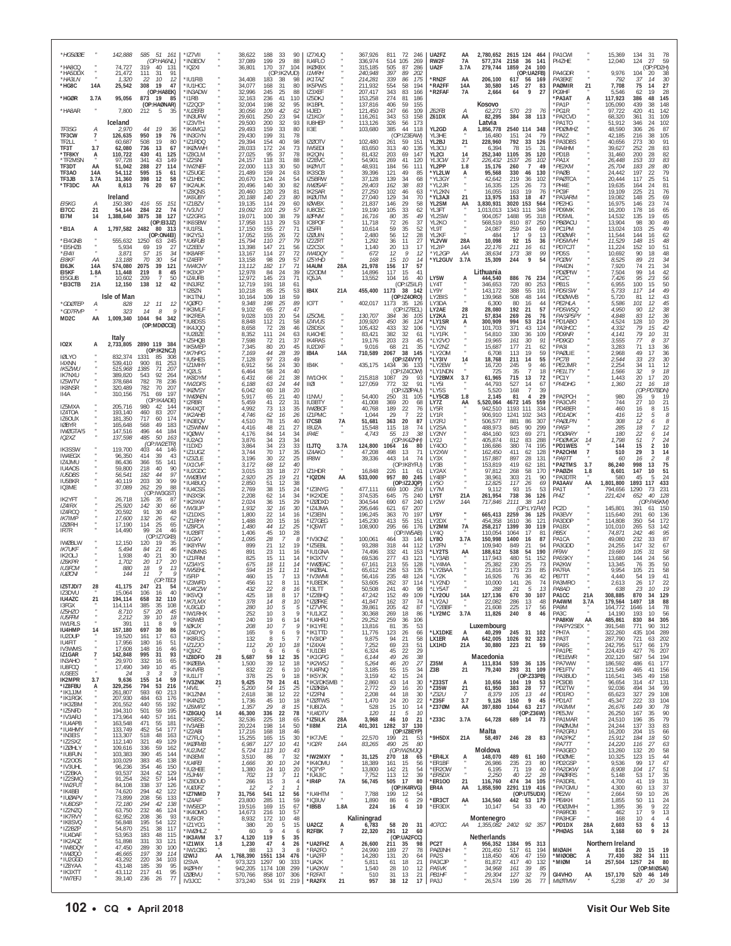| *HG5ØØE                                  |                   | 142,888                       | 585 51 161<br>(OP:HA6NL)                                           | *IZ7VII<br>*IN3EOV                  |                      | 38,622<br>37,089                | 188<br>33<br>90<br>199<br>29<br>88                                  | IZ7XUQ<br>IU4FLO                               |               | 367,926<br>336,974             | 811<br>72<br>246<br>105<br>269<br>514                    | UA2FZ<br>RW2F                        | AA<br>7A                  | 2.780.652 2615 124 464<br>577,374      | 2158<br>36                 | -141                                                | PA1CWI<br>PI4ZHE                       |                      | 15,369<br>12,040              | 134<br>31<br>-78<br>59<br>27<br>124                               |
|------------------------------------------|-------------------|-------------------------------|--------------------------------------------------------------------|-------------------------------------|----------------------|---------------------------------|---------------------------------------------------------------------|------------------------------------------------|---------------|--------------------------------|----------------------------------------------------------|--------------------------------------|---------------------------|----------------------------------------|----------------------------|-----------------------------------------------------|----------------------------------------|----------------------|-------------------------------|-------------------------------------------------------------------|
| *HA8CQ<br>*HA5DDX<br>*HA3LN              | $\cdot$           | 74,727<br>21,472<br>1,320     | 319<br>40 131<br>91<br>111<br>-31<br>22<br>10<br>12                | *IQ2XI<br>*IU1FIB                   |                      | 36,801<br>34,408                | 37<br>170<br>104<br>(OP:IK2VUD)<br>183<br>38<br>98                  | <b>IKØXBX</b><br><b>I1MRH</b><br><b>IK1TAZ</b> |               | 315,185<br>240,948<br>214,281  | 505<br>87<br>286<br>397<br>89<br>202<br>339<br>86<br>175 | UA2F<br>RN2F                         | 3.7A<br>AA                | 279,744<br>206,100                     | 1859<br>24<br>617          | 100<br>(OP:UA2FB)<br>169<br>56                      | PA4GDR<br><b>PA3EKE</b>                |                      | 9,976<br>792                  | (OP:PD2H)<br>104<br>20<br>38<br>30<br>37<br>14                    |
| *HG8C                                    | 14A               | 25,542                        | 308<br>19<br>47<br>(OP:HA8EK)<br>873                               | *IU1HCC<br>*IN3ADW                  |                      | 34,077<br>32,996                | 168<br>31<br>80<br>245<br>25<br>88                                  | <b>IK5PWS</b><br>IZ3XEF                        |               | 211,932<br>207,417             | 58<br>554<br>194<br>343<br>83<br>166                     | *RA2FF<br>*R2FAF                     | 14A<br>7A                 | 30,580<br>2,664                        | 27<br>145<br>64            | 83<br>9<br>27                                       | PAØMIR<br>PG9HF                        | 21                   | 7,708<br>5.546                | 27<br>75<br>14<br>62<br>19<br>28<br>48                            |
| *HGØR<br>*HA8AR                          | 3.7A              | 95,056<br>7,800               | - 19<br>85<br>(OP:HAØNAR)<br>212<br>- 5<br>35                      | *I1RB<br>*IZ2QCP<br>*IU2EFB         |                      | 32.163<br>32,004<br>30,056      | 41<br>236<br>110<br>198<br>32<br>95<br>109<br>42<br>62              | IZ5DKJ<br>IK1BPL<br>14JED                      |               | 153,258<br>137,816<br>121,450  | 274<br>81<br>186<br>406<br>59<br>155<br>247<br>109<br>66 | Z62FB                                | А                         | Kosovo<br>62.271                       | 570<br>23                  | - 76                                                | <b>PA3AT</b><br>'PA1P<br>*PG1R         | А                    | 117,923<br>105,090<br>97,722  | 145<br>386<br>439<br>148<br>38<br>420<br>142<br>41                |
| TF3SG                                    | А                 | Iceland<br>2,970              | 44<br>19<br>36                                                     | *IN3UFW<br>'I73VTH<br>*IK4MGJ       |                      | 29,601<br>29,500<br>29,493      | 250<br>23<br>94<br>200<br>93<br>32<br>159<br>33<br>80               | IZ1KGY<br><b>IU8HEP</b><br>II3E                |               | 116,261<br>113,126<br>103,680  | 343<br>53<br>158<br>326<br>56<br>173<br>385<br>44<br>118 | Z61DX<br>YL2GD                       | AA<br>А                   | 82,295<br>Latvia<br>1,856,778          | 384<br>2540 114            | 38<br>113<br>348                                    | *PA2CVD<br>PA1TO<br>*PDØMHZ            |                      | 68.320<br>51.912<br>48,590    | 109<br>361<br>31<br>346<br>102<br>24<br>306<br>87<br>26           |
| TF3CW<br>TF2LL                           | $\overline{1}$    | 126,635<br>60,687             | 950<br>19<br>76<br>508<br>19<br>80                                 | *IN3GYN<br>*IZ1RDC                  |                      | 29.430<br>29,394                | 199<br>31<br>78<br>40<br>154<br>98                                  | IZØOTV                                         |               | 102,480                        | (OP:IZ3EAW)<br>261<br>59<br>151                          | YI 3HF<br>YL2BJ                      | 21                        | 16.480<br>228,960                      | 151<br>792                 | $\frac{24}{33}$<br>79<br>126                        | *PA2Z<br>*PA3DBS                       |                      | 42,185<br>40,656              | 216<br>38<br>105<br>273<br>30<br>-91                              |
| TF3T<br>*TF8KY<br>*TF2MSN                | 3.7<br>А          | 62,080<br>110.722<br>97,728   | 736<br>13<br>67<br>41<br>430<br>125<br>341<br>43<br>149            | *IKØVWH<br>*IZ8CLM<br>*IZ2SNI       |                      | 28,033<br>27,025<br>24,157      | 172<br>24<br>73<br>37<br>78<br>95<br>118<br>31<br>88                | IW5EDI<br>IK20IN<br>IZ2BVC                     |               | 83,650<br>81,432<br>54,901     | 313<br>40<br>135<br>203<br>69<br>147<br>269<br>41<br>120 | YL3CU<br>YL2CI<br>YL3CW              | 14<br>3.7                 | 6,394<br>252,340<br>226,432            | 78<br>1105<br>1537         | 15<br>31<br>35<br>120<br>26<br>102                  | *PA4HM<br>*PD1B<br>$*$ PA1X            |                      | 39,627<br>31,460<br>26,448    | 252<br>28<br>83<br>82<br>200<br>28<br>153<br>33<br>83             |
| TF3DT<br>TF3AO<br>TF3JB                  | AA<br>14A<br>3.7A | 51,042<br>54,112<br>31,360    | 288<br>27<br>114<br>595<br>15<br>61<br>398<br>12<br>58             | *IW2NEF<br>*IZ5UGE<br>*IZ1HBC       |                      | 22,000<br>21,489<br>20,670      | 30<br>113<br>50<br>24<br>159<br>63<br>124<br>24<br>54               | <b>IKØYUT</b><br>IK3SCB<br>IZ5BRW              |               | 48,931<br>39,396<br>37,128     | 56<br>184<br>111<br>121<br>49<br>85<br>139<br>34<br>68   | YL2PP<br>*YL2LW<br>*YL3GY            | 1.8<br>А                  | 15,176<br>95,568<br>42,642             | 260<br>330<br>219          | $\overline{7}$<br>49<br>46<br>130<br>36<br>102      | *PE2KM<br>PAØB <sup>*</sup><br>*PAØTCA |                      | 25,704<br>24,442<br>20,444    | 80<br>183<br>28<br>197<br>79<br>22<br>51<br>117<br>25             |
| *TF3DC                                   | AA                | 8,613<br>Ireland              | 76<br>20<br>67                                                     | *IK2AUK<br>*IZ8ONS<br>*IK6UBY       |                      | 20,496<br>20,460<br>20,188      | 30<br>140<br>82<br>29<br>120<br>81<br>140<br>80                     | <b>IWØSAF</b><br>IK2SAR<br><b>IKØUTM</b>       |               | 29,403<br>27,250               | 38<br>162<br>83<br>46<br>102<br>63<br>70                 | *YL2JR<br>*YL2KN<br>*YL3AJI          | 21                        | 16,335<br>16.055<br>13,975             | 125<br>163<br>153          | 26<br>73<br>19<br>76<br>18<br>47                    | *PH4E<br>*PC9F                         |                      | 19,635<br>19,109              | 164<br>24<br>81<br>225<br>76<br>21<br>148<br>25                   |
| EI5KG<br>EI7CC                           | А<br>21           | 150,380<br>54,144             | 416<br>55<br>151<br>284<br>22<br>74                                | *IZ1BZV<br>*IV3JVJ                  |                      | 19,135<br>19,092                | 23<br>29<br>114<br>60<br>101<br>29<br>57                            | <b>IOWBX</b><br><b>IU8CEC</b>                  |               | 27,040<br>21,837<br>19,190     | 129<br>34<br>146<br>29<br>58<br>105<br>33<br>62          | YL2SM<br>YL3FT                       | AA                        | 3,830,931<br>1.013.013                 | 3020<br>153<br>1343<br>111 | 564<br>348                                          | *PA3ARM<br>PE2HG<br>*PD9MK             |                      | 19,082<br>16,975<br>16,200    | 69<br>74<br>146<br>23<br>178<br>65<br>16                          |
| F17M<br>*EI1A                            | 14<br>A           | 1,388,640<br>1,797,582 2482   | 38<br>3875<br>127<br>(OP:El3JZ)<br>80 313                          | *IZ2GRG<br>*IK6SBW<br>*IU1FSL       |                      | 19,071<br>17,958<br>17.150      | 38<br>79<br>100<br>29<br>113<br>53<br>155<br>27<br>71               | <b>IØPNM</b><br>IC8POF<br><b>175FFI</b>        |               | 16,716<br>11,718<br>10,614     | 35<br>49<br>80<br>72<br>26<br>37<br>59<br>35<br>52       | YL2SW<br>YL2KO<br><b>YI 9T</b>       |                           | 904.057<br>568,519<br>24,087           | 1488<br>810<br>259         | 95<br>318<br>87<br>250<br>24<br>69                  | *PD5ML<br>*PBØACU<br>*PC1PM            |                      | 14,532<br>13,904<br>13,024    | 135<br>19<br>65<br>98<br>30<br>49<br>49<br>103<br>25              |
| *EI4GNB<br>*EI5HZB                       |                   | 555,632<br>5,934              | (OP:ON4EI)<br>1250<br>63<br>245<br>27<br>69<br>19                  | *IK2YSJ<br>*IU6FUB<br>*IZ2EEV       |                      | 17,052<br>15,794<br>13,398      | 26<br>155<br>72<br>110<br>27<br>79<br>21<br>147<br>56               | <b>IZØUIN</b><br>IZ2ZRT<br>IZ2CSX              |               | 2,480<br>1,292<br>1,140        | 56<br>12<br>28<br>36<br>11<br>27<br>20<br>17<br>13       | YL2KF<br>YL2VW<br>YL2IP              | 28A<br>14A                | 484<br>10,098<br>22,176                | 17<br>92<br>211            | - 9<br>13<br>15<br>36<br>16<br>61                   | *PDØWR<br>*PD5MVH<br>*PD7CJT           |                      | 11,544<br>11,529<br>11,224    | 62<br>144<br>16<br>$\it 48$<br>148<br>15<br>51<br>152<br>10       |
| E[41]<br>EI8KF                           | ΑА                | 3,871<br>13,188               | 57<br>15<br>34<br>54<br>70<br>30                                   | *IK8ARF<br>*IZ4EFP                  |                      | 13,167<br>13,158                | 72<br>114<br>27<br>98<br>29<br>57                                   | IW4DQY<br>IZ5YHD                               |               | 672<br>168                     | 12<br>9<br>12<br>15<br>10<br>14                          | *YL2GP<br>*YL2GUV                    | ΑA<br>3.7A                | 38,634<br>15,309                       | 173<br>244                 | 38<br>99<br>9<br>54                                 | *PD5S<br>*PCØW                         |                      | 10,692<br>8,525               | 90<br>18<br>48<br>89<br>34<br>21                                  |
| EI6JK<br>EI5KF<br>EI5GUB                 | 14A<br>1.8A       | 574,080<br>11,448<br>10,602   | 2075<br>39<br>121<br>219<br>8<br>45<br>209<br>$\overline{7}$<br>50 | *IW4CNY<br>*IK3XJP<br>*IZ4UFB       |                      | 13,112<br>12,978<br>12,972      | 182<br>17<br>71<br>24<br>39<br>84<br>145<br>23<br>71                | <b>I4AUM</b><br>IZ2ODM<br>IQ5JA                | 28A           | 21,978<br>14,896<br>13,552     | 57<br>156<br>17<br>117<br>41<br>15<br>104<br>16<br>40    | LY5W                                 |                           | Lithuania<br>444,540                   | 886                        | 76<br>234                                           | PA4DN<br>*PDØPIW<br>$*PC2C$            |                      | 7,920<br>7,504<br>7,426       | 34<br>74<br>21<br>42<br>99<br>14<br>95<br>23<br>56                |
| *EI3CTB                                  | 21A               | 12,150<br>Isle of Man         | 138<br>42<br>12                                                    | $*$ IN3JR7<br>* I2BZN<br>*IK1TNL    |                      | 12.719<br>10,218<br>10,164      | 191<br>18<br>-61<br>85<br>25<br>53<br>109<br>18<br>59               | IB4X                                           | 21A           | 455,400                        | (OP:IZ5ILF)<br>1173 38<br>142<br>(OP:IZ40R0)             | I Y4T<br>LY9Y<br>LY2BIS              |                           | 346.653<br>143.172<br>139.968          | 720<br>388<br>508          | 80<br>253<br>55<br>191<br>48<br>144                 | *PB1S<br>*PD5ISW<br>*PDØWVB            |                      | 6,955<br>5,733<br>5.720       | 50<br>100<br>15<br>117<br>14<br>49<br>43<br>81<br>12              |
| *GDØTEP<br>*GD7RVP                       | А                 | 828<br>323                    | 12<br>11<br>12<br>14<br>8<br>9                                     | *IQØFO<br>*IK3MLF<br>*IK2REA        |                      | 9,348<br>9.102<br>9,028         | 198<br>25<br>89<br>27<br>47<br>65<br>103<br>20<br>54                | IO7T<br><b>IZ5CML</b>                          |               | 402,017<br>130,707             | 1173<br>126<br>(OP:IZ7ECL)<br>384<br>36<br>105           | LY3DA<br>LY <sub>2</sub> AF<br>LY2KA | 28<br>21                  | 6.300<br>28,080<br>57,834              | 80<br>192<br>269           | 16<br>44<br>21<br>57<br>26<br>76                    | *PE2HLA<br>*PD5WSQ<br>*PA/SP5PY        |                      | 5.586<br>4.950<br>4,848       | 101<br>12<br>45<br>$38\,$<br>90<br>12<br>83<br>12<br>36           |
| MD <sub>2</sub> C                        | AA                |                               | 1,009,340 1044 94 342<br>(OP:MDØCCE)                               | *IU8DSS<br>*IK4JQQ                  |                      | 8,848<br>8,658                  | 112<br>21<br>58<br>28<br>72<br>46                                   | IZ4VUS<br>IZ8DSX                               |               | 109,920<br>105,432             | 450<br>124<br>36<br>433<br>32<br>106                     | *LY1SR<br>*LY2N                      | Ą                         | 300,909<br>101,703                     | 994<br>371                 | 53<br>214<br>43<br>124                              | *PD1ABO<br>*РАЗНСС                     |                      | 4,524<br>4,332                | $\frac{29}{42}$<br>128<br>10<br>79<br>15<br>79                    |
| <b>IO2X</b>                              | А                 | Italy<br>2,733,805            | 2890 119 384<br>(OP:IK2NCJ)                                        | 'IU2BZE<br>*IZ5HQB<br>*IK5MEF       |                      | 8,352<br>7,598<br>7,345         | 111<br>24<br>63<br>21<br>72<br>37<br>80<br>20<br>45                 | IU4CHE<br><b>IK4RAS</b><br><b>IU2DXF</b>       |               | 83,421<br>19,176<br>9,016      | 382<br>32<br>61<br>23<br>203<br>45<br>21<br>68<br>35     | *LY1FK<br>*LY2VO<br>*LY2NZ           |                           | 54,810<br>19.965<br>15,687             | 330<br>161<br>177          | 36<br>109<br>30<br>91<br>21<br>62                   | *PD9NR<br>*PD9GD<br>PA3I               |                      | 4,141<br>3,555<br>3,283       | 31<br>10<br>77<br>37<br>8<br>71<br>36<br>13                       |
| <b>IØLYO</b><br>14XNN                    |                   | 832,374<br>539,410            | 1331<br>85<br>-308<br>900<br>81<br>253                             | *IK7HPG<br>*IU5HES<br>*IZ1MHY       |                      | 7,169<br>7,128<br>6.912         | 44<br>28<br>39<br>97<br>23<br>49<br>24<br>56<br>30                  | IB4A<br>IB4K                                   | 14A           | 710,589<br>435,175             | 2067<br>38<br>145<br>(OP:IZ4VYY)<br>1434<br>36 133       | *LY20M<br>*LY3IV<br>*LY2EW           | 14                        | 6,708<br>18,768<br>16,720              | 113<br>211<br>245          | 19<br>59<br>14<br>55<br>9<br>46                     | *PAØLIE<br>PCDB<br>*PE2JMR             |                      | 2.968<br>2,544<br>2,254       | 49<br>17<br>36<br>33<br>30<br>23<br>12<br>34<br>11                |
| <b>IK5ZWU</b><br><b>IK7NXU</b><br>IZ5WTV |                   | 515.968<br>389,820<br>378,684 | 1385<br>71<br>207<br>543<br>92<br>264<br>782<br>78<br>236          | *IQ2LS<br>*IK8DYM<br>*IW2DFS        |                      | 6,464<br>6,431<br>6,188         | 58<br>24<br>40<br>21<br>38<br>66<br>63<br>24<br>44                  | IW1CHX<br>iiøi                                 |               | 215,818<br>127,059             | (OP:IZ4COW)<br>1087<br>-29<br>-93<br>772<br>32<br>91     | *LY1NDN<br>*LY2BMX<br>*LY5I          | 3.7                       | 725<br>61,965<br>44,793                | 35<br>715<br>527           | $\overline{7}$<br>18<br>13<br>72<br>14<br>67        | *PE1LTY<br>*PC1Y<br>*PI4DHG            |                      | 1,566<br>1,443<br>1,360       | 32<br>9<br>18<br>20<br>20<br>17<br>21<br>16<br>18                 |
| <b>IK8NSR</b><br>II4A                    |                   | 320,489<br>310,156            | 70<br>782<br>207<br>751<br>69<br>197<br>(OP:IK4ADE)                | *IKØVSY<br>*IWØAEN<br>*I2RBR        |                      | 6,042<br>5,917<br>5.459         | 18<br>60<br>20<br>65<br>21<br>40<br>41<br>31                        | <b>I1NVU</b><br><b>IU3BTY</b>                  |               | 54,400<br>41,008               | (OP:IZØPAU)<br>250<br>31<br>105<br>369<br>20             | *I Y5S<br>*LY5CB<br>LY7Z             | 1.8<br>AA                 | 5.520<br>2.145                         | 168<br>81<br>145<br>4672   | $\overline{7}$<br>39<br>$\overline{4}$<br>29<br>559 | *PA2PCH<br>*PA3CVR                     |                      | 980<br>744                    | (OP<br>PD7BDN)<br>19<br>26<br>9<br>27<br>10<br>21                 |
| IZ5MXA<br>IZ4TOA<br>IZ6OUX               |                   | 205,716<br>193,140<br>181,350 | 980<br>42<br>-144<br>460<br>83<br>207<br>717<br>60<br>174          | *IK4XQT<br>*IK2AHF                  |                      | 4,992<br>4.746                  | 22<br>73<br>13<br>35<br>62<br>16<br>26                              | <b>IWØBCF</b><br>IZ1PMC                        |               | 40,768<br>1.044                | 68<br>189<br>22<br>76<br>$\overline{7}$<br>29<br>22      | LY5R<br><b>IY1R</b>                  |                           | 5,520,064<br>942.510<br>906.910        | 1193<br>111<br>1241<br>102 | 334<br>343                                          | *PD4BER<br>*PD1ADK                     |                      | 460<br>416                    | 15<br>16<br>8<br>12<br>5<br>8                                     |
| <b>IØBYR</b><br>IWØGTA/5                 |                   | 165,648<br>147,516            | 568<br>49<br>183<br>496<br>44<br>184                               | *IN3EQV<br>*IZ5WNW<br>*IQØWV        |                      | 4,510<br>4,416<br>4.176         | 78<br>15<br>40<br>48<br>21<br>27<br>84<br>14<br>34                  | I7CSB<br><b>I8UZA</b><br>IR4E                  | 7A            | 51,681<br>15,548<br>4,743      | 20<br>87<br>363<br>115<br>18<br>74<br>55<br>38<br>13     | LY2RJ<br>LY2SA<br>LY2NY              |                           | 506,577<br>488,973<br>484,160          | 881<br>845<br>923          | 86<br>307<br>90<br>299<br>69<br>271                 | *PAØLPN<br>*PA5P<br>*PDØARY            |                      | 308<br>285<br>180             | 12<br>8<br>18<br>12<br>22<br>6<br>14                              |
| 102XZ<br>IK3SSW                          |                   | 137,598<br>119,700            | 485<br>50<br>163<br>(OP:IW2ETR)<br>403<br>44<br>146                | *IU2ACI<br>*I1DXD<br>*IZ1UGZ        |                      | 3,876<br>3,864<br>3,744         | 23<br>34<br>34<br>23<br>33<br>34<br>70<br>35<br>17                  | <b>I1JTQ</b><br>IZ4AKO                         | 3.7A          | 124,800<br>47,208              | (OP:IK4ZHH)<br>1064<br>16<br>80<br>498<br>13<br>71       | LY2J<br>LY400<br>LY2XW               |                           | 405,874<br>186,686<br>162,450          | 812<br>380<br>411          | 83<br>288<br>74<br>195<br>62<br>128                 | *PDØMGX<br>*PD1WES<br>*PA2CHM          | 14<br>$\overline{1}$ | 1,798<br>144<br>510           | 51<br>24<br>15<br>10<br>$\overline{2}$<br>29<br>14<br>3           |
| IW4EGX<br>IZ4JMU<br>IU4AOS               |                   | 96,350<br>86,436<br>59,800    | 414<br>39<br>43<br>55<br>366<br>141<br>218<br>40<br>90             | *IZ3ZLE<br>*IX1CVF<br>*IU2GDC       |                      | 3,196<br>3,172<br>3.015         | 30<br>22<br>25<br>68<br>12<br>40<br>33<br>18<br>27                  | IR8W<br>IZ1HDR                                 |               | 39,336<br>16,848               | 443<br>14<br>74<br>(OP:IK8YFU)<br>226<br>-11<br>-61      | LY3X<br>LY3B<br>LY2AX                |                           | 157.887<br>153,819<br>97.812           | 897<br>419<br>268          | 28<br>131<br>62<br>181<br>58<br>170                 | *РА9ТТ<br>*PA2TMS<br>*PAØZH            | 3.7<br>1.8           | 60<br>86,240<br>8,601         | 16<br>8<br>998<br>13<br>75<br>51<br>147<br>10                     |
| <b>IU5DBS</b><br><b>IU5BKR</b><br>IQ3ME  |                   | 56,541<br>40,119<br>37,089    | 97<br>182<br>44<br>203<br>30<br>99<br>29<br>262<br>88              | *IWØEWI<br>*IU4BUQ                  |                      | 2,920<br>2,850                  | 25<br>19<br>21<br>12<br>51<br>38                                    | *IQ2DN                                         | AA            | 533,000                        | 957<br>80<br>245<br>(OP:IZ2JQP)                          | LY4BP<br>LY50                        |                           | 38,961<br>12,825                       | 303<br>117                 | 21<br>90<br>26<br>69                                | *PA3DTR<br>PA3AAV                      | AA                   | 580<br>1,801,800              | 45<br>24<br>1893<br>433<br>117                                    |
| <b>IK2YFT</b><br><b>IZ4IRX</b>           |                   | 26,718<br>25,920              | (OP:IW3GST)<br>87<br>126<br>-35<br>142<br>30<br>66                 | *IU4CSS<br>*IN3XSK<br>*IK2IKW       |                      | 2,769<br>2,208<br>2,024         | 38<br>15<br>24<br>34<br>14<br>62<br>36<br>15<br>29                  | *IZ3NYG<br>*IK2XDE<br>*IZØDXD                  |               | 477,111<br>374,535<br>304,544  | 669 100<br>259<br>645<br>75<br>240<br>690<br>67<br>240   | LY7M<br>LY5T<br>LY2W                 | 21A<br>14A                | 9,112<br>261,954<br>717,846            | 93<br>738<br>2111          | 15<br>-53<br>36<br>126<br>38<br>143                 | PA1T<br>PI4Z                           |                      | 794,656<br>221,424            | 1290<br>231<br>73<br>40<br>128<br>652<br>(OP:PA5KM)               |
| IZ4RCQ<br><b>IK7IMP</b>                  |                   | 20,592<br>17,600              | 91<br>30<br>48<br>132<br>26<br>62                                  | $*$ IW3LIP<br>*IZ1DXS<br>*IZ1RHY    |                      | 1.932<br>1,800<br>1,488         | 32<br>16<br>30<br>22<br>14<br>16<br>20<br>15<br>16                  | *174.JMA<br>*IZ3EIN<br>*IZ7GEG                 |               | 295,646<br>196,245<br>145,230  | 621<br>67<br>207<br>197<br>363<br>70<br>413<br>55<br>151 | LY5Y<br>LY2DX                        |                           | 665,413<br>454,358                     | 2259<br>1610               | (OP:LY1FW)<br>36<br>125<br>36<br>121                | PC <sub>2</sub> D<br>PA3EVY<br>PA3DDP  |                      | 145,801<br>115,640<br>114,808 | 391<br>150<br>61<br>291<br>60<br>136<br>350<br>54<br>172          |
| 17ØIRH<br>IR7R                           |                   | 17,190<br>14,490              | 25<br>65<br>114<br>99<br>24<br>46<br>(OP:IZ7GXB)                   | *IZ8FCA<br>*IU2BFT<br>*I1GXV        |                      | 1.480<br>1,406<br>1,095         | 12<br>44<br>25<br>10<br>45<br>28<br>28<br>7<br>8                    | *IQ5WT<br>*IV3ONZ                              |               | 108,900<br>100,061             | 295<br>66<br>176<br>(OP:IW5AB)<br>464<br>33<br>146       | LY2MM<br>LY4Q<br>LY80                | 7A<br>3.7A                | 258,217<br>110,054<br>150,998          | 1399<br>1064<br>1400       | 30<br>119<br>17<br>81<br>87<br>16                   | PA1BX<br>PB5X<br>PA1CA                 |                      | 101,010<br>74,871<br>49,080   | 142<br>265<br>53<br>242<br>95<br>46<br>87<br>232<br>33            |
| <b>IWØBLW</b><br><b>IK7UKF</b><br>IK20LJ |                   | 12,150<br>5,494<br>1,938      | 120<br>-19<br>35<br>84<br>21<br>46<br>40<br>-21<br>30              | *IK8YFW<br>*IN3MNS<br>*IZ1FRM       |                      | 899<br>891<br>825               | 21<br>12<br>19<br>23<br>11<br>16<br>15<br>11<br>14                  | 'IZ5EBL<br>*IU1GNA<br>*IK3XTV                  |               | 93,288<br>74.496<br>69,536     | 318<br>44<br>112<br>332<br>41<br>153<br>277<br>43<br>121 | LY2FN<br>*LY2TS<br>*LY3AB            | AA                        | 109,940<br>188,612<br>117,943          | 849<br>538<br>54<br>480    | 21<br>94<br>190<br>51<br>152                        | PA3GDD<br>PF9W<br>PA5SKY               |                      | 24,255<br>19,669<br>13,680    | 147<br>32<br>67<br>105<br>58<br>31<br>144<br>24<br>56             |
| IZ6KPR<br><b>IU3FCM</b><br><b>IUØCNI</b> |                   | 1,702<br>880<br>144           | 20<br>17<br>20<br>9<br>13<br>18<br>11<br>9                         | *IZ3AYS<br>*IW5EHL<br>*I5FIP        |                      | 675<br>594                      | 18<br>14<br>-11<br>15<br>11<br>11<br>$\overline{7}$<br>13           | *IWØFAC<br>*IKØBAL                             |               | 67,161<br>65.612               | 55<br>213<br>128<br>258<br>53<br>135                     | *LY4MA<br>*LY2BAA                    |                           | 25.382<br>21.816                       | 230<br>173                 | 25<br>73<br>23<br>85<br>42                          | PA2KW<br>PA7RA                         |                      | 13.345<br>9,954               | 50<br>76<br>35<br>58<br>105<br>21<br>19<br>41<br>54               |
| IZ5TJD/7<br>173DVU                       | $\frac{28}{1}$    | 41,175<br>15.064              | (OP:TED)<br>247<br>21<br>54<br>40<br>106<br>16                     | 'IZ3WFD<br>*ILI4C7W                 |                      | 460<br>456<br>432               | 15<br>12<br>22<br>8<br>16                                           | *IV3WMI<br>'IU3EDK<br>*131 TT                  |               | 56.416<br>53.605<br>50,508     | 235<br>48<br>124<br>262<br>37<br>114<br>241<br>40<br>98  | *LY2K<br>*LY2ND<br>$*$ I Y5AT        |                           | 16.926<br>10,000<br>288                | 76<br>141<br>21            | 36<br>26<br>74<br>13<br>-5                          | PB7TT<br>PA3MRC<br><b>PA8AD</b>        |                      | 4.440<br>2,613<br>638         | 26<br>22<br>19<br>23<br>10                                        |
| IU4AZC<br>13FGX                          | 21                | 194,114<br>114,114            | 658<br>32<br>110<br>385<br>35<br>108                               | *IK5VQI<br>*IK7LMX<br>*IU3GJD       |                      | 425<br>378<br>280               | 18<br>8<br>17<br>8<br>14<br>10<br>5<br>10<br>5                      | *IZ2BHQ<br>*170FKF<br>*IZ7VPK                  |               | 47,242<br>41.847<br>39,861     | 152<br>49<br>109<br>37<br>162<br>74<br>87<br>205<br>42   | *LY2OU<br>*LY2AJ<br>*LY2BBF          | 14A<br>$\mathbf{u}$       | 127,136<br>22.082<br>21,608            | 670<br>286<br>225          | 30<br>107<br>13<br>48<br>17<br>56                   | PA1CC<br>PA4WM<br>PA9M                 | 21A<br>3.7A          | 308,885<br>179,564<br>164,772 | 870<br>34<br>129<br>1497<br>18<br>88<br>1646<br>14<br>78          |
| IZ5HZO<br><b>IU5FFM</b><br><b>IW1RLS</b> |                   | 8,710<br>2,212<br>391         | 57<br>20<br>45<br>39<br>18<br>10<br>11<br>8<br>9                   | *IW1RHX<br>*IK8WEI<br>*IØKJX        |                      | 252<br>240<br>208               | 10<br>3<br>9<br>19<br>6<br>14<br>10<br>-7                           | *IU1JCZ<br>*IU4HRJ<br>*IK1YFE                  |               | 30,368<br>29,252<br>13,816     | 269<br>18<br>86<br>259<br>36<br>106<br>81<br>35<br>53    | *LY2MC                               | 3.7A                      | 11,826<br>Luxembourg                   | 240                        | 8<br>46                                             | PA3C<br>*PA8KW<br>*PA/PY2SEX           | AA                   | 14,190<br>485,861<br>391,548  | 193<br>10<br>56<br>830<br>305<br>84<br>771<br>90<br>312           |
| <b>IU4HMP</b><br>IU2DUP<br>IU4FIT        | 14                | 157,180<br>19,520<br>17,956   | 697<br>30<br>86<br>161<br>-17<br>63<br>180<br>16<br>51             | *IZ4DYQ<br>*IK8RJS                  |                      | 165<br>132                      | 9<br>6<br>9<br>8<br>5<br>20<br>10                                   | *IK1TTD<br>*IV3IDP                             |               | 11,776<br>9,875                | 123<br>26<br>66<br>21<br>58<br>94<br>69<br>23<br>51      | *LX1DKE<br>LX1ER                     | A<br>AA                   | 40,299<br>642,005                      | 245 31 102<br>1026         | 92<br>323<br>- 59                                   | *PH7A<br>*PA3T<br>*PA9S                |                      | 322,260<br>287,790            | 435<br>104<br>289<br>721<br>63<br>202<br>66                       |
| IV3WMS<br>IZ1GAR<br>IN3AHO               | $\overline{7}$    | 17,608<br>142,848<br>29,970   | 148<br>16<br>46<br>995<br>31<br>93<br>332<br>16<br>65              | *IZ1ZJO<br>*IQ1KZ<br>*IZ8DFO        | 28                   | 112<br>$\Omega$<br>5,687        | 18<br>6<br>6<br>-6<br>59<br>35<br>12                                | *IZ4XAI<br>*IU1DEI<br>*IK1GPG                  |               | 7,252<br>6,324<br>6,144        | 22<br>29<br>45<br>49<br>38<br>26                         | LX1HD                                | 21A                       | 30,880<br>Macedonia                    | 223<br>21                  |                                                     | *PA1PE<br>*PE1EWR                      |                      | 242,795<br>224,419<br>202,120 | 517<br>179<br>427<br>76<br>207<br>194<br>587<br>54                |
| IU8FCQ<br><b>IU3EES</b>                  | $\overline{a}$    | 17,490<br>24                  | 349<br>10<br>45<br>3<br>-3<br>-3<br>59                             | *IKØEBA<br>*IK4VFB<br>*IU1LIT       | $\alpha$<br>$\alpha$ | 1,500<br>832<br>378             | 39<br>12<br>18<br>22<br>10<br>6<br>25<br>9<br>18                    | *IK2WSJ<br>*IU4FNQ<br>*IK5YJK                  |               | 5,264<br>3,185<br>3,159        | 46<br>20<br>27<br>55<br>15<br>34<br>42<br>15<br>24       | Z35M<br>Z3B                          | A<br>21                   | 111,834<br>79,240                      | 539 36<br>293 31           | 135<br>109<br>(OP:Z33PB)                            | *PA7WW<br>*PE1FTV<br>*PA3BUD           |                      | 186,592<br>121,549<br>116,541 | 486<br>61<br>177<br>465<br>156<br>41<br>345<br>49<br>158          |
| <b>IK2MPR</b><br>*IZ8FBU<br>*IK1JJM      | 3.7<br>A          | 9,636<br>329,256<br>261,807   | 155<br>14<br>794<br>216<br>53<br>593<br>60<br>213                  | *IV3ZNK<br>$^*$ I4VIL<br>*IK17NM    | 21                   | 9,425<br>5,200<br>2.618         | 70<br>24<br>41<br>54<br>15<br>25<br>38<br>12<br>22                  | *IK3/DK5MB<br>*IZØKBA<br>*172FNI               |               | 2,860<br>2,772<br>2,208        | 43<br>14<br>30<br>29<br>16<br>20<br>44<br>18<br>30       | *Z33ST<br>*Z35W<br>*73211            | A<br>21<br>$\overline{7}$ | 10,656<br>61,950<br>8,379              | 104 19<br>383<br>105       | 53<br>28<br>77<br>13<br>44                          | *PC9DB<br>*PD2TW<br>*PD1RO             |                      | 96,654<br>92,036<br>65,623    | 314<br>47<br>131<br>494<br>99<br>-34<br>327<br>108<br>29          |
| *IK1RGK<br>*IK3ZBM<br>*IZ5NFD            |                   | 207,930<br>201,552<br>194,310 | 484<br>63<br>176<br>440<br>55<br>192<br>59<br>195<br>501           | *IK4NZD<br>*IZ6MPZ<br>*IZ8GUQ       | 14                   | 1,736<br>1,357<br>46,300        | 45<br>10<br>18<br>29<br>8<br>15<br>22<br>78<br>336                  | *IZØTWS<br>*IU8IZA<br>*IU4DTV                  |               | 1,470<br>528<br>120            | 22<br>24<br>20<br>15<br>10<br>14<br>11<br>5<br>-10       | *Z35F<br>*Z37ØM                      | 3.7<br>AA                 | 9,126<br>397,880                       | 150<br>1044 63 217         | - 9<br>45<br>(OP:Z36W)                              | *PD1AT<br>*PA3MM<br>*PE5JW             |                      | 45,347<br>26,676<br>26,250    | 222<br>33<br>104<br>78<br>149<br>$30^{\circ}$<br>90<br>167<br>35  |
| *IV3ARJ<br>*IU4APB<br>*IU4HMY            |                   | 173,964<br>163,548<br>133,749 | 440<br>57<br>161<br>471<br>55<br>181<br>54<br>452<br>- 177         | *IK5BSC<br>*IV3AEB                  |                      | 32,536<br>20,224                | 225<br>18<br>65<br>198<br>14<br>50                                  | *IZ5ILK<br>*II8M                               | 28A<br>21A    | 3,968<br>401,301               | 46<br>10<br>21<br>1282<br>37 130                         | *Z33C                                | 3.7A                      | 64,728                                 | 689 14 73                  |                                                     | *PA1MAR<br>*PAØMJM                     | ٠                    | 24,510<br>24,244              | 196<br>35<br>79<br>83<br>137<br>-33                               |
| *IN3EIS<br>*IZ2SXZ<br>*IZØHLY            |                   | 113,307<br>112,140<br>109,616 | 518<br>48<br>163<br>321<br>49<br>129<br>336<br>59<br>162           | *IZ2ABI<br>*IZ7FLQ<br>*IKØFMB       |                      | 17,216<br>15,255<br>6,987       | 18<br>168<br>46<br>15<br>165<br>30<br>127<br>10<br>41               | *IK7JVE<br>$*102R$                             | 14A           | 22,570<br>83,265               | (OP:IZ8EYP)<br>199<br>21<br>53<br>25<br>490<br>80        | *9H5DX                               | 21A                       | Malta<br>58,497                        | 246 28                     | 83                                                  | *PA2GRU<br>*PA2PKZ<br>*PA7TT           |                      | 16,200<br>15,912<br>14,220    | 204<br>15<br>66<br>50<br>184<br>18<br>63<br>116<br>27             |
| *IU8FUN<br>*IZ200S                       |                   | 103,383<br>103,029            | 45<br>390<br>144<br>383<br>45<br>138                               | $*$ II I2 IMZ<br>*IN3EMI<br>*IU4FEI |                      | 5,724<br>3,510<br>1.666         | 113<br>10<br>43<br>86<br>7<br>32<br>10<br>24<br>$30^{\circ}$        | *IW2MXY<br>*IK40MU                             | $\alpha$      | 31,125<br>18,389               | (OP:IW2MJQ)<br>270<br>18<br>65<br>161<br>15<br>-56       | *ER4LX<br>*ER1BF                     | $\ddot{A}$                | Moldova<br>148,070<br>26,986           | 235<br>23                  | 489 61 160<br>-80                                   | *PA3GFO<br>*PDØME<br>*PD2GSP           |                      | 13,260<br>10,325<br>9,536     | $\overline{58}$<br>20<br>132<br>123<br>15<br>44<br>47<br>99<br>17 |
| *IV3UHL<br>*IZ2BKA<br>*IZ2SMQ            |                   | 96,236<br>93,537<br>91,254    | 354<br>46<br>150<br>324<br>42<br>129<br>57<br>144<br>262           | *IU2HEE<br>*15. IHW<br>*IZ8DUD      |                      | 1,380<br>702<br>266             | 24<br>10<br>20<br>13<br>7<br>11<br>15<br>3<br>$\overline{4}$        | *IQ7YP<br>*IU4JIC<br>*IR4P                     | $\cdot$<br>7A | 13,800<br>7,752<br>56,745      | 142<br>21<br>54<br>39<br>113<br>12<br>505<br>17<br>80    | *ER20W<br>*ER5DX<br>*ER100           | 21                        | 6,195<br>2.250<br>116,760              | 71<br>40<br>474            | 19<br>40<br>22<br>-28<br>34<br>105                  | *PA2DKW<br>*PAØRRS<br>*PA3DRL          |                      | 8,908<br>5,148<br>4,700       | 104<br>51<br>17<br>35<br>53<br>17<br>41<br>19<br>31               |
| *IW2FUT<br>*IK4BEI<br>*IUØAPV            |                   | 84,108<br>74,620<br>73,899    | 338<br>37<br>126<br>294<br>42<br>122<br>208<br>56<br>133           | *ILIØ IFZ<br>*IZ7NMD<br>*IZ4AIF     | $\overline{7}$       | 12<br>31,756<br>23,800          | 541<br>12<br>56<br>285<br>59<br>11                                  | *IU4HTM<br>*IQ3UV                              |               | 7,788<br>1,890                 | (OP:IK4RVG)<br>199<br>12<br>54<br>29<br>86<br>6          | ER4A<br>*ER3CT                       | AA<br>AA                  | 1,858,590<br>134,560                   | 2291 119<br>442 53 179     | 416<br>(OP:UT5UDX)                                  | *PA7GMU<br>*PE2W<br>*PE4KH             |                      | 4.300<br>2,664<br>1,855       | 37<br>60<br>13<br>26<br>59<br>10<br>24<br>50<br>11                |
| *IU8DSP<br>*IZ2NZQ<br>*IK7RVY            |                   | 72,180<br>63,750<br>62,952    | 138<br>294<br>42<br>232<br>46<br>124<br>93<br>208<br>36            | *IW5ECP<br>*IK40MO                  |                      | 19,516<br>14,673                | 15<br>169<br>67<br>216<br>10<br>57                                  | *IB5B                                          | 1.8A          | 224                            | 16<br>4<br>10                                            | *ER3DX                               |                           | 10,147                                 | 54 33                      | 40                                                  | *PDØJMH<br>*PA9ROB                     | ٠<br>٠               | 1,395<br>462                  | 22<br>36<br>Q<br>17<br>9<br>13                                    |
| *IK8SVQ<br>*IZ2BZP                       |                   | 56,848<br>54,870              | 195<br>54<br>122<br>251<br>38<br>117                               | *IU5ICR<br>*IZ1YCG<br>*IWØHLZ       |                      | 8,932<br>380<br>60              | 172<br>10<br>48<br>15<br>20<br>5<br><b>Q</b><br>$\overline{4}$<br>6 | UA2CZ<br>R2FBK                                 | A<br>7        | Kaliningrad<br>6,783<br>22,320 | 58 20<br>31<br>291<br>- 12<br>60                         | 407CC                                | ΑA                        | Montenegro<br>1,355,082 2402 92 357    |                            |                                                     | *PA3HGF<br>*PD1DX<br>*PHØAS            | 28A<br>14A           | 168<br>2,603<br>3,168         | 10<br>4<br>$\overline{4}$<br>13<br>53<br>6<br>9<br>60<br>24       |
| *IU4DAF<br>*IK2AQZ<br>*IW8DQY            |                   | 53,953<br>51,898<br>47,450    | 48<br>183<br>115<br>331<br>33<br>121<br>289<br>30<br>100           | *IK3AVM<br>*IZ1WIX<br>*IW1CBG       | 3.7<br>1.8           | 4,120<br>1,230<br>88            | 119<br>5<br>35<br>47<br>4<br>26<br>13<br>3<br>8                     | *UA2FHZ<br>*RA2FO                              | А             | 26,600<br>24,990               | (OP:UA2FCC)<br>211<br>98<br>-35<br>189<br>27<br>78       | PC <sub>2</sub> T<br>PAØJNH          | A                         | Netherlands<br>956,352 1384<br>201,450 | 517                        | 95 313<br>61<br>194                                 | <b>MIØAIH</b>                          | А                    | Northern Ireland<br>816       | 20<br>15<br>- 19                                                  |
| *IWØQ0<br>*IU2GGD<br>*IZ8YAA             |                   | 46,665<br>43,292<br>43,148    | 197<br>39<br>114<br>220<br>34<br>103<br>185<br>39<br>95            | I2WIJ<br>I2SVA<br><b>IKØPHY</b>     | AA                   | 1,768,390<br>973,323<br>942,205 | 1551 134<br>476<br>1297<br>90<br>333<br>1174 108<br>299             | *UA2FP<br>*UA2K<br>*UA2KW                      |               | 14,280<br>5,811<br>1,540       | 131<br>20<br>64<br>21<br>61<br>18<br>10                  | PA2S<br>PA3CJP<br>PA5VK              |                           | 118.450<br>81.872<br>34.968            | 406<br>417                 | 47<br>159<br>40<br>132<br>39<br>-85                 | *MIØOBC<br>*MIØM                       | A<br>14              | 77,430<br>257,504             | 382<br>34 111<br>1257<br>24<br>- 80<br>(OP:MIØSAI)                |
| *IK3XTT<br>*IW7EFJ                       |                   | 43.112<br>39,140              | 41<br>95<br>217<br>236<br>26<br>77                                 | IZØBVU<br>IV3JCC                    |                      | 570,766<br>373,240              | 858 107<br>306<br>534 91 219                                        | *R2FAT<br>*RA2FX                               | 21            | 510<br>957                     | 28<br>12<br>31<br>13<br>21<br>17<br>38<br>12             | PB1HF<br>PA3J                        |                           | 29,304<br>26,574                       | 161<br>127<br>199          | 32<br>79<br>77<br>26                                | GI4VHO<br><b>MIØTMW</b>                | AA                   | 157,170<br>5,238              | 520 46 149<br>47 20<br>- 34                                       |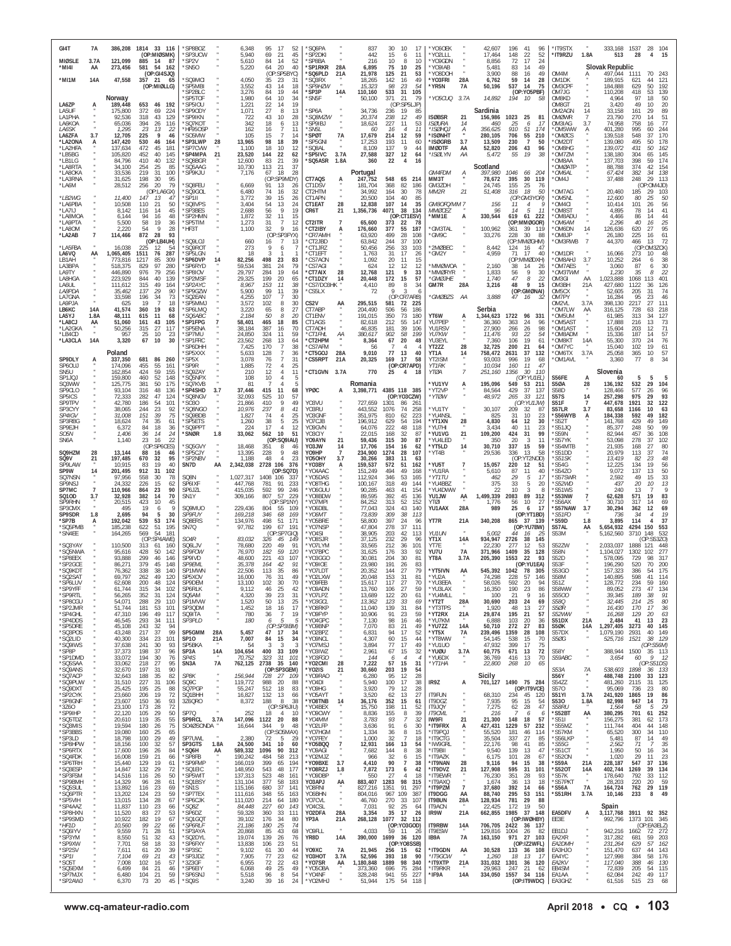| GI4T<br><b>MIØSLE</b>         | 7A<br>3.7 <sub>f</sub> | 121.099                       | 386,208 1814 33 116<br>(OP:MIØSMK)<br>885<br>14<br>- 87         | *SP8BO7<br>*SP3UCW<br>*SP2V            |                       | 6,348<br>5,940<br>5,610         | 95<br>17<br>52<br>69<br>21<br>45<br>84<br>14<br>52                                      | 'SQ6PA<br>'SP2DKI<br>'SP8BA                       |                      | 837<br>442<br>216              | 30<br>15<br>10      | 10<br>17<br>6<br>11<br>10<br>8                          | *Y060EK<br>*YO2LLL<br>*Y09GDN             |                                 | 42,607<br>17,464<br>8.856     | 196<br>41<br>96<br>148<br>22<br>52<br>17<br>72<br>24               | *IT9STX<br>*IT9RZU                     | 1.8A                                      | 333,168 1537<br>513                          | 28                                     | 28 104<br>15<br>$\overline{4}$ |
|-------------------------------|------------------------|-------------------------------|-----------------------------------------------------------------|----------------------------------------|-----------------------|---------------------------------|-----------------------------------------------------------------------------------------|---------------------------------------------------|----------------------|--------------------------------|---------------------|---------------------------------------------------------|-------------------------------------------|---------------------------------|-------------------------------|--------------------------------------------------------------------|----------------------------------------|-------------------------------------------|----------------------------------------------|----------------------------------------|--------------------------------|
| *MI4I<br>*MI1M                | AA<br>14A              | 273,456<br>47,558             | 581<br>54<br>162<br>(OP:GI4SJQ)<br>357 21<br>65                 | *SN50<br>'SQ9MCI                       |                       | 5,220<br>4,050                  | 20<br>40<br>64<br>(OP)<br>SP5BYC)<br>35<br>23<br>31                                     | *SP1RKR<br>'SQ6PLD<br>'SQ3RX                      | 28A<br>21A           | 6,895<br>21,978<br>18,265      | 75<br>125<br>142    | 10<br>25<br>21<br>53<br>16<br>49                        | *YO9IAB<br>'Y08DOF<br>*YO3FRI             | 28A                             | 5.481<br>3,900<br>6,762       | 83<br>49<br>14<br>88<br>49<br>16<br>59<br>14<br>28                 | OM4M<br>OM1DK                          | Α                                         | <b>Slovak Republic</b><br>497,044<br>189,915 | 1111<br>70<br>621                      | 243<br>121                     |
|                               |                        | Norway                        | (OP:MIØLLG)                                                     | 'SP5MBI<br>SP2BLC<br>SP5TOR            |                       | 3,552<br>3,276<br>1,980         | 43<br>14<br>18<br>84<br>19<br>44<br>34<br>64<br>10                                      | <i><b>SP9HZW</b></i><br>'SP3P<br>SN <sub>5F</sub> | 14A                  | 15,323<br>110,160<br>50,100    | 98<br>533<br>371    | 23<br>54<br>31<br>105<br>21<br>79                       | *YR5N<br>*Y05CUQ                          | 7A<br>3.7A                      | 50,196<br>14,892              | 537<br>14<br>75<br>(OP:YO5PBF)<br>194<br>10<br>- 58                | OM3CPF<br>OM7JG<br>OM8KD               |                                           | 184,888<br>110,208<br>4,964                  | 629<br>418<br>53<br>97<br>18           | 192<br>139<br>50               |
| LA6ZP<br>LA5UF                |                        | 189,448<br>175,800            | 653<br>46<br>- 192<br>372<br>69<br>224                          | *SP5IOU<br>*SP9ODY                     |                       | 1,221<br>1,071                  | 22<br>19<br>14<br>27<br>8<br>13                                                         | 'SP6A                                             |                      | 34,736                         | 236                 | (OP:SP5LJP)<br>19<br>85                                 |                                           |                                 | Sardinia                      |                                                                    | OM8GT<br>OM2AGN                        | 21<br>14                                  | 3,420<br>33,158                              | 49<br>10<br>161                        | 20<br>89                       |
| LA1PHA<br>LA6KOA<br>LA6SK     |                        | 92,536<br>65,036<br>1,295     | 318<br>43<br>129<br>394<br>26<br>116<br>23<br>13<br>22          | SP9IKN<br><b>SQ7KO</b><br>'HF95OSP     |                       | 722<br>342<br>162               | 43<br>10<br>28<br>18<br>13<br>6<br>$\overline{7}$<br>16<br>11                           | <i><b>SQ8MZW</b></i><br>'SP9IBJ<br>*SN5L          |                      | 20,374<br>18,624<br>60         | 238<br>227<br>16    | 12<br>49<br>11<br>53<br>11<br>$\overline{4}$            | <b>ISØBSR</b><br><b>ISØURA</b><br>*ISØHQJ | 21<br>14<br>$\frac{A}{n}$       | 156.986<br>460<br>356.625     | 1023<br>25<br>81<br>25<br>6<br>910<br>51<br>174                    | <b>OMØWR</b><br>OM3IAG<br>*OM5WW       | 3.7                                       | 23,790<br>74,958<br>401,280                  | 270<br>14<br>758<br>995<br>60          | 51<br>77<br>244                |
| LA6ZFA<br>*LA2ONA<br>*LA2HFA  | 3.7<br>A               | 12,705<br>147,420<br>137,634  | 225<br>9<br>46<br>530<br>46<br>164<br>472<br>181<br>45          | 'SO5MW<br>*SP3LWP<br>'SP7CVW           | 28                    | 105<br>13,965<br>1,100          | 15<br>-7<br>14<br>98<br>18<br>39<br>18<br>10<br>12                                      | 'SPØT<br>SP5GNI<br>'SQ8AL                         | 7A                   | 17,679<br>17,253<br>8,109      | 214<br>193<br>137   | 12<br>59<br>11<br>60<br>9<br>44                         | *ISØNHT<br>*ISØGRB<br><b>IMØDTF</b>       | 3.7<br>AA                       | 280,105<br>13,509<br>52,820   | 706<br>55<br>210<br>230<br>$\overline{7}$<br>50<br>206<br>43<br>96 | 'OMØCS<br>'OM2DT<br>*OM8HG             |                                           | 139,518<br>139,080<br>139,072                | 548<br>37<br>495<br>50<br>431<br>50    | 170<br>178<br>162              |
| *LB5BG<br>*LB1LG<br>*LA8RTA   |                        | 105,820<br>84,796<br>34,100   | 452<br>40<br>145<br>410<br>40<br>132<br>254<br>25<br>85         | *SP4MPA<br>*SQ8BGR<br>'SQ5AAG          | 21                    | 23,520<br>12,600<br>10,730      | 22<br>144<br>62<br>83<br>21<br>39<br>21<br>37<br>113                                    | 'SP5IVC<br>'SQ5ASR                                | 3.7A<br>1.8A         | 27,588<br>360                  | 327<br>22           | 12<br>64<br>$\overline{4}$<br>16                        | *ISØLYN                                   | AA                              | 5,472<br>Scotland             | 19<br>55<br>38                                                     | *OM7ZM<br>OM8AA<br>OMØATP              |                                           | 138,180<br>137,703<br>88,788                 | 304<br>65<br>398<br>374                | 145<br>174<br>154              |
| *LA8OKA<br>*LA3RNA<br>*LA6M   |                        | 33,536<br>31,625<br>28,512    | 219<br>31<br>100<br>198<br>30<br>95<br>79<br>256<br>20          | *SP9KJU<br>'SQ8FEU                     |                       | 7,176<br>6,669                  | 28<br>67<br>18<br>(OP:SP9MDY)<br>91<br>13<br>26                                         | CT7AQS<br>CT1DSV                                  | A                    | Portugal<br>247,752<br>181.704 | 548<br>368          | 65<br>214<br>82<br>186                                  | GM4FDM<br>MM3T<br>GM3ZDH                  | А                               | 397,980<br>78,672<br>24,745   | 1046<br>66<br>-204<br>395<br>30<br>119<br>155<br>25<br>-76         | *OM6AL<br>UMM <sup>*</sup>             |                                           | 67,424<br>37,488                             | 382<br>34<br>248<br>29                 | 138<br>113<br>(OP:OM4JD)       |
| *LB2WG<br>*LA6PBA             |                        | 11,400<br>10,508              | (OP:LA6GX)<br>147<br>13<br>47<br>110<br>21<br>50                | SQ9GOL<br>'SP1II<br>'SQ8VPS            |                       | 6,480<br>3,772<br>3,404         | 74<br>16<br>32<br>39<br>15<br>26<br>54<br>13<br>24                                      | CT2HTM<br>CT1APN<br>CT1EAT                        | 28                   | 34,992<br>20,500<br>12,838     | 164<br>104<br>107   | 30<br>78<br>40<br>85<br>14<br>35                        | MM <sub>2R</sub><br>GM8OFQ/MM 7           | 21                              | 51,408<br>156                 | 316<br>18<br>50<br>(OP:GM3YOR)<br>11<br>$\overline{4}$             | 'OM7AG<br>*OM5NL<br>'OM4CI             |                                           | 20,460<br>12,600<br>10,414                   | 185<br>29<br>80<br>25<br>101           | 103<br>50<br>56                |
| *LA7IJ<br>*LA8MOA             |                        | 8.142<br>6.144                | 116<br>14<br>45<br>16<br>48<br>94                               | 'SP3BES<br>*SP2HMN                     |                       | 2,688<br>1,872                  | 56<br>9<br>19<br>32<br>11<br>15                                                         | CR6T                                              | 21                   | 1,356,736                      | 4071                | 38<br>134<br>(OP:CT1ESV)                                | <b>MMØCEZ</b><br>*MM1E                    | A                               | 96<br>330,544                 | 14<br>5<br>11<br>619<br>61<br>222                                  | 'OM8ST<br>'OM8ADU                      |                                           | 4,895<br>4,466                               | 78<br>14<br>86                         | 41<br>44                       |
| *LA9PTA<br>*LA8OM<br>*LA2AB   | $\overline{7}$         | 5,500<br>2,220<br>114,466     | 19<br>58<br>36<br>54<br>9<br>28<br>872<br>28<br>93              | *SP5TIM<br>*HF3T                       |                       | 1,273<br>1,100                  | 31<br>$\overline{7}$<br>12<br>9<br>32<br>16<br>(OP:SP3FYX)                              | CT2ITR<br>*CT2IBY<br><b>CR7AMH</b>                | $\overline{7}$       | 65,600<br>176,660<br>63,920    | 373<br>377<br>499   | -22<br>78<br>55<br>187<br>28<br>108                     | 'GM3TAL<br>GM9C                           |                                 | 100,962<br>33,276             | (OP:MMØGOR)<br>39 119<br>361<br>30<br>228<br>-88                   | *OM6AM<br>'OM6DN<br>*OM8JP             | 14                                        | 2,296<br>126,636<br>26,180                   | 40<br>16<br>620<br>27<br>225<br>16     | 25<br>95<br>61                 |
| *LA5FBA<br>LA6VQ              | AA                     | 16,038<br>1,065,405           | (OP:LB4UH)<br>225<br>12<br>54<br>1511<br>287<br>76              | SQ9LOJ<br>'SQ9ROT<br>'SP5LGN           |                       | 660<br>273<br>18                | 16<br>$\overline{7}$<br>13<br>9<br>6                                                    | *CT2JBD<br>*CT1JRZ<br>*CT1EFT                     |                      | 63,842<br>50,456<br>1.763      | 244<br>256<br>31    | 37<br>100<br>33<br>103<br>17<br>26                      | *2MØBEC<br>*GM2Y                          |                                 | 8,442<br>4,959                | (OP:MMØGHM)<br>124<br>16<br>-47<br>71<br>17<br>40                  | *OM3RWB<br>*OM1DR                      |                                           | 44,370<br>16,066                             | 466<br>13<br>(OP:OM3ZCK)<br>273<br>10  | 72                             |
| LB1AH<br>LA3BPA<br>LA9TY      |                        | 773,816<br>518,375<br>446,890 | 1217<br>85<br>309<br>829<br>97<br>280<br>976<br>79<br>256       | SP6DVP<br>'SP6RYD<br>SP8IOV            | 14                    | 82,256<br>59,534<br>29,797      | 498<br>23<br>83<br>381<br>24<br>79<br>284<br>19<br>64                                   | 'CS7AON<br>'CS7AGI<br>*CT7AIX                     | 28                   | 1,092<br>624<br>12,768         | 20<br>12<br>121     | 11<br>15<br>12<br>12<br>9<br>33                         | MMØWOA<br>*MMØRYR                         |                                 | 2,160<br>1,833                | (OP:MMØDXH)<br>38<br>14<br>26<br>56<br>9<br>30                     | LHA8MO*<br>*OM7AES<br>*OM3TWM          | 3.7                                       | 10,252<br>3,060<br>1,230                     | 264<br>87<br>35                        | 38<br>6<br>30<br>22<br>8       |
| LA8HGA<br>LA6UL<br>LA8PDA     |                        | 223,929<br>111,612<br>35,462  | 40<br>139<br>844<br>315<br>49<br>164<br>90<br>137<br>29         | SP2MSF<br>'SP2AYC<br>'SP9GZW           |                       | 29,325<br>8,967<br>5,900        | 199<br>20<br>65<br>153<br>11<br>38<br>99<br>11<br>39                                    | *CT1DZY<br>'CS7/DO3HK<br>'CS5LX                   | 14                   | 20,448<br>4,410<br>-72         | 172<br>89<br>Q      | 15<br>57<br>8<br>34<br>3<br>6                           | *GMØJHE<br>GM7R                           | 28A                             | 1,740<br>3,216                | $\it 8$<br>47<br>22<br>48<br>9<br>15<br>(OP:GMØNAI)                | OM3GI<br>OM3BH<br>OM5CX                | AA<br>21A                                 | 1,023,888<br>427,680<br>52,605               | 1068<br>113<br>1122<br>36<br>205<br>31 | 401<br>126<br>74               |
| LA7GNA<br>LA9PJA<br>LB6KC     | 14A                    | 33,598<br>625<br>41,574       | 196<br>34<br>73<br>19<br>18<br>360<br>19<br>63                  | 'SQ2EAN<br>'SP5MMJ<br>'SP6LMQ          |                       | 4,255<br>3,572<br>3,220         | 107<br>$\overline{7}$<br>30<br>102<br>30<br>8<br>65<br>8<br>27                          | CS2V<br>CT7ABP                                    | ĄĄ                   | 295,515<br>204,490             | 581<br>506          | (OP:CR7ARB)<br>72<br>225<br>56<br>186                   | *GMØBZS                                   | AA                              | 3,888<br>Serbia               | 47<br>16<br>-32                                                    | OM7PY<br>OM2VL<br>*OM7LW               | 3.7A                                      | 16,284<br>398,130<br>316,125                 | 95<br>23<br>2217<br>27<br>728          | 46<br>111<br>218               |
| LA5YJ<br>*LA8CJ<br>*LA2GKA    | 1.8A<br>AA             | 48,111<br>51,060<br>50,256    | 615<br>11<br>68<br>161<br>43<br>105<br>315<br>27<br>117         | 'SO6ABC<br>*SP1FPG<br>SP5FNA           |                       | 2,184<br>58,401<br>38,184       | 50<br>8<br>20<br>465<br>18<br>85<br>387<br>70<br>16                                     | CT1ENV<br>CT1AGS<br>CT7ADH                        |                      | 191,015<br>82,618<br>46,835    | 350<br>212<br>181   | 73<br>180<br>55<br>147<br>39<br>106                     | YT6W<br>YU7PEP<br>YU1RSV                  | A                               | 1,344,623<br>36.360<br>27.900 | 1722<br>96<br>331<br>363<br>24<br>96<br>266<br>26<br>98            | OM5UM<br>'OM5AST<br>*OM1AST            |                                           | 61.985<br>17,888<br>15,604                   | 313<br>34<br>216<br>203<br>12          | 127<br>73<br>71                |
| *LB4CD<br>*LA3CLA             | 14A                    | 957<br>3,320                  | 25<br>10<br>23<br>10<br>30<br>67                                | *SP7MU<br>*SP1FRC<br>'SP6DHH           |                       | 24,850<br>23,562<br>7,425       | 324<br>11<br>59<br>13<br>268<br>64<br>170<br>38<br>7                                    | *CT1FHL<br><b>CT2HPM</b><br>'CS7AFM               | АA                   | 380,617<br>8,364               | 902<br>67           | 58<br>199<br>20<br>48                                   | YU7KW<br>YU3EYL<br>YT2ZZ                  | 28                              | 11.476<br>7.360<br>32.725     | 93<br>22<br>54<br>19<br>106<br>-61<br>200<br>21<br>64              | OM8ADM*<br>'OM8KT<br>'OM7YC            | 14A                                       | 15,336<br>55,300<br>15,040                   | 187<br>14<br>370<br>24<br>102<br>19    | 57<br>76<br>61                 |
| SP9DLY<br>SP60UJ              |                        | Poland<br>337,350<br>174,096  | 681<br>86<br>260<br>455<br>55<br>161                            | SP5XXX<br>*SP5X<br><b>SP9R</b>         |                       | 5,633<br>3,078<br>1,885         | 128<br>$\overline{7}$<br>36<br>76<br>$\overline{7}$<br>31<br>72<br>$\overline{4}$<br>25 | 'CT5GOJ<br>'CS5RPT                                | 28A<br>21A           | 9,010<br>20,325                | 77<br>169           | 13<br>40<br>17<br>58<br>(OP:CR7APD)                     | YT1A<br>YT2ISM<br>YT1RK                   | 14                              | 758,472<br>93.003<br>10,034   | 37<br>2631<br>132<br>19<br>996<br>68<br>160<br>11                  | 'OM6TX<br>*OM1AVL                      | 3.7A                                      | 25,058<br>3,360                              | 365<br>10<br>77                        | 57<br>34<br>8                  |
| SN5U<br>SP1JQJ                |                        | 162,854<br>159,800            | 424<br>59<br>155<br>460<br>52<br>148                            | 'SQ9ZAY<br>SQ5NPX                      |                       | 210<br>108                      | 12<br>4<br>11<br>10<br>5                                                                | <b>'CT1GVN</b>                                    | 3.7A                 | 770                            | 25                  | 4<br>18                                                 | YTØA                                      |                                 | 251,160                       | 30<br>1356<br>110<br>(OP:YU1EL)<br>549                             | S56FE                                  | A                                         | Slovenia<br>-60                              | 5                                      | 5                              |
| SQ3WW<br>SP9CLO<br>SP5ICS     |                        | 125,775<br>93,104<br>72,333   | 381<br>50<br>175<br>316<br>48<br>136<br>282<br>47<br>124        | 'SQ7KVB<br>*SP4SHD<br>'SQ8NGV          | 3.7                   | 81<br>37,446<br>32,093          | -5<br>415<br>11<br>68<br>57<br>525<br>10                                                | YPØC                                              | А                    | Romania<br>3,398,771           |                     | 4385 118 385<br>(OP:YO3CZW)                             | *YU1YV<br>*YT2VP<br>*YTØW                 | А                               | 195,096<br>84,564<br>48,972   | 53<br>211<br>37<br>429<br>137<br>265<br>33<br>121                  | S5ØA<br><b>S58D</b><br><b>S57S</b>     | 28<br>14                                  | 136,192<br>128,466<br>257,298                | 532<br>29<br>577<br>975<br>- 29        | 104<br>96<br>93                |
| SP9TPV<br>SP3CYY<br>SP4IGV    |                        | 42,780<br>38,065<br>31,008    | 186<br>54<br>101<br>23<br>244<br>92<br>151<br>39<br>75          | 'S030<br>*SO8NGO<br>'SQ9BDB            |                       | 21,866<br>10,976<br>1,827       | 410<br>9<br>49<br>237<br>8<br>41<br>74<br>25<br>$\overline{4}$                          | YO3VU<br>Y03RU<br>YO3GNF                          |                      | 727,659<br>443.552<br>351,975  | 1301<br>1076<br>810 | 86<br>261<br>74<br>258<br>62<br>223                     | *YU1TY<br>*YU4NSL                         |                                 | 30,107<br>825                 | (OP:YU1JW)<br>209<br>32<br>87<br>10<br>23<br>31                    | S51F<br>S57LR<br>*S56WYB               | $\overline{7}$<br>3.7                     | 447.678<br>83.658<br>184.338                 | 1921<br>1166<br>592                    | 122<br>63<br>182               |
| SP3RBG<br>SP9EJH<br>SO5N      |                        | 18,624<br>6,372<br>1,406      | 74<br>35<br>61<br>84<br>18<br>36<br>14<br>36<br>24              | 'SP5ETS<br>*SQ9PPT<br>*SNØR            | 1.8                   | 1,260<br>224<br>33,062          | 38<br>25<br>5<br>17<br>12<br>4<br>10<br>562<br>51                                       | YO7CJB<br>YO9GVN<br>YO3CIY                        |                      | 196,912<br>64,076<br>22,015    | 629<br>222<br>168   | 54<br>194<br>48<br>118<br>32<br>-87                     | *YT1XN<br>*YU7HI<br>*YU1VG                | 28<br>21                        | 4,830<br>3,434<br>109,200     | 30<br>12<br>64<br>40<br>11<br>23<br>99<br>424<br>31                | 'S52T<br>'S51JQ<br>'S59N               |                                           | 141,768<br>85,377<br>82,944                  | 429<br>49<br>248<br>50<br>457<br>36    | 149<br>99<br>108               |
| SN6A<br>SQ9HZM                | 28                     | 1,140<br>13,144               | 23<br>16<br>22<br>(OP:SP6CES)<br>88<br>16<br>46                 | SQ5GVY<br>*SP5CJY                      |                       | 18,468<br>13,395                | (OP:SQ9IAU)<br>351<br>8<br>46<br>228<br>9<br>48                                         | YO9AYN<br>YO3JW<br>YO9HP                          | 14<br>$\overline{7}$ | 59,436<br>17,706<br>234,900    | 315<br>154<br>1274  | 30<br>87<br>16<br>62<br>28<br>107                       | *YU4LED<br>*YT5LD<br>*YT4B                | 14                              | 350<br>30,710<br>29,536       | 20<br>3<br>11<br>337<br>15<br>59<br>13<br>58<br>336                | 'S57YK<br>S54MTB<br>'S51DD             |                                           | 53,098<br>21,935<br>20,979                   | 278<br>37<br>168<br>27<br>113<br>37    | 102<br>80<br>74                |
| SQ9V<br>SP9LAW<br>SP9W        | 21<br>14               | 197,485<br>10,915<br>201,495  | 670<br>32<br>95<br>40<br>83<br>19<br>912<br>31<br>102           | *SP2NBV<br>SN7D                        | AA                    | 1,188<br>2,342,038              | 48<br>23<br>2728 106<br>-376<br>(OP:SQ7D)                                               | YO5OHY<br>'YO3BY<br>'YO4AAC                       | 3.7                  | 30,266<br>159,537<br>151,249   | 383<br>572<br>494   | 11<br>63<br>51<br>162<br>49<br>168                      | *YU5T<br>*YU1RA                           |                                 | 15,057<br>5,610               | (OP:YT2NOD)<br>220<br>12<br>-51<br>87<br>11<br>40                  | *S51SK<br>'S54G<br>S54Z0               |                                           | 13,419<br>12,225<br>9,072                    | 82<br>134<br>19<br>137<br>13           | 48<br>56<br>50                 |
| SQ7NSN<br>SP9NSJ<br>SP7MC     |                        | 97,956<br>24,332<br>110.966   | 558<br>30<br>78<br>226<br>15<br>62<br>864<br>23<br>90           | SQ8N<br>SP6IXF<br>SP6JZL               |                       | 1,027,317<br>447,768<br>415.035 | 1408<br>106<br>337<br>781<br>91<br>233<br>99<br>592<br>246                              | 'YO5DAS<br>'YO8THG<br>'YO6GUU                     |                      | 112,924<br>100,167<br>90,285   | 346<br>318<br>463   | 53<br>165<br>49<br>144<br>154<br>41                     | *YT1TU<br>*YU4BBZ<br>*YU4DWW              |                                 | 462<br>375<br>22              | $\sqrt{5}$<br>29<br>17<br>33<br>5<br>20<br>10<br>3                 | 'S57SWR<br>*S52WD<br>'S51WS            |                                           | 2,592<br>437<br>240                          | 49<br>15<br>20<br>10<br>13             | 33<br>13<br>9                  |
| SQ10D<br>SP9RHN<br>SP3CMX     | 3.7                    | 32,928<br>20,515<br>495       | 382<br>14<br>70<br>423<br>10<br>45<br>19<br>9<br>6              | SN <sub>1</sub> Y<br>SQ9MUO            |                       | 309,166<br>229,436              | 229<br>807<br>57<br>(OP:SP1NY)<br>804<br>55<br>109                                      | 'YO8BDW<br>'Y07MPI<br>'YO6DBL                     |                      | 89,595<br>84.252<br>77,043     | 392<br>313<br>324   | 45<br>136<br>52<br>152<br>43<br>140                     | YU1JW<br>YTØI<br>YU1AAX                   | AA<br>28A                       | 1,499,339<br>1,776<br>989     | 2083<br>89<br>312<br>10<br>-27<br>56<br>25<br>6<br>17              | 'S53NW<br>S56AX<br>'S57NAW             | $\overline{7}$<br>3.7                     | 62,628<br>30,710<br>30,294                   | 571<br>19<br>317<br>14<br>362<br>12    | 83<br>69<br>69                 |
| SP9SDR<br>*SP7B<br>*SQ5PMB    | 1.8                    | 2,695<br>192,042<br>185,238   | 94<br>$30^{\circ}$<br>5<br>539<br>53<br>174<br>622<br>51<br>195 | SP9FUY<br>SQ8ERS<br>SN7Q               |                       | 169,218<br>134,976<br>97,782    | 346<br>68<br>169<br>498<br>51<br>171<br>199<br>67<br>191                                | *YO6MT<br>'Y05BRE<br>YO7NSP                       |                      | 73,839<br>58,800<br>47,804     | 309<br>397<br>278   | 38<br>113<br>24<br>96<br>37<br>111                      | YT7R                                      | 21A                             | 340,208                       | (OP:YT1BD)<br>865<br>37<br>- 139<br>(OP:YU7BW)                     | <i><b>*S51FO</b></i><br>*S59D<br>S57AL | 1.8<br>AA                                 | 736<br>3,895<br>5,654,932                    | -34<br>114<br>4294 150                 | 79<br>37<br>553                |
| *SN4EE<br>'SQ3YAY             |                        | 164,265<br>110,500            | 569<br>54<br>181<br>(OP:SP4AWE)<br>313<br>61<br>160             | SO <sub>4R</sub>                       |                       | 83,032<br>78,680                | (OP:SP7GIO)<br>326<br>45<br>149<br>220<br>49<br>91                                      | 'Y04SI<br>'Y08SJR<br>*YO7LYM                      |                      | 38,905<br>37,125               | 203<br>232          | 42<br>113<br>29<br>96<br>36<br>101                      | <b>YU1UN</b><br>YT1X<br>YT7E              | 14A                             | 5,002<br>934,947              | 44<br>16<br>2726<br>38<br>145<br>277<br>12                         | S53M<br>S52ZW                          |                                           | 5,162,560<br>2,033,037                       | 3710 148<br>1888 121                   | 532<br>(OP:S53ZO)<br>448       |
| *SQ5NWA<br>*SP8EEX            |                        | 95,616<br>93,888              | 428<br>50<br>142<br>299<br>46<br>146                            | SQ6LJV<br>SP9FOW<br>SP9IVD             |                       | 76,970<br>48,600                | 182<br>59<br>120<br>221<br>43<br>107<br>91                                              | 'YO7BPC<br>'YO3GGO                                |                      | 33,565<br>31,625<br>30.081     | 212<br>176<br>204   | 33<br>92<br>30<br>-81                                   | YU7U<br>YT8A                              | 7A<br>3.7A                      | 22,230<br>371,966<br>205,390  | 53<br>35<br>1409<br>128<br>93<br>1553<br>22                        | <b>S58N</b><br>S52D                    |                                           | 1,104,027<br>578,095                         | 1302<br>102<br>729<br>98<br>70         | 277<br>317                     |
| *SP2GCE<br>*SQ9KDT<br>*SO2SA  |                        | 86,271<br>76,362<br>69.797    | 379<br>45<br>148<br>140<br>338<br>38<br>262<br>49<br>120        | SP9EML<br>SP1MWN<br>SP5XOV             |                       | 35,378<br>22,506<br>16.000      | 164<br>42<br>113<br>35<br>86<br>76<br>31<br>49                                          | 'YO9IOE<br>*YO7LDT<br>YO2I XW                     |                      | 23,980<br>20,352<br>20.048     | 191<br>144<br>153   | 26<br>83<br>27<br>79<br>31<br>81                        | *YT5IVN<br>*YU2A                          | AA                              | 545,392<br>74.298             | (OP:YU1EA)<br>1042<br>78<br>305<br>57<br>228<br>146                | S53F<br>S53GO<br><b>S58M</b>           |                                           | 196,290<br>157,323<br>140.895                | 520<br>386<br>-54<br>598               | 200<br>175<br>114              |
| *SP6LUV<br>*SP9YFF<br>*SP9RTL |                        | 62,608<br>61,744<br>56.265    | 200<br>48<br>124<br>315<br>34<br>102<br>352<br>31<br>124        | SP9DEM<br>SP6RLK<br>SO <sub>5</sub> AM |                       | 13,100<br>9,112<br>4,320        | 102<br>30<br>70<br>46<br>25<br>42<br>39<br>23<br>31                                     | *YO9FEB<br>*YO9ADN<br>'YO7LPZ                     |                      | 15,617<br>13,760<br>13,689     | 117<br>106<br>122   | 70<br>27<br>27<br>59<br>20<br>61                        | *YU3EEA<br>*YU3LAX<br>*YU4MLL             |                                 | 58,026<br>16,350<br>100       | 592<br>94<br>20<br>190<br>23<br>86<br>9<br>21<br>16                | S51Z<br><b>S58WW</b><br><i>S5500</i>   |                                           | 128,772<br>89,052<br>39.345                  | 234<br>59<br>273<br>47<br>189<br>-38   | 160<br>134<br>91               |
| *SP8CGU<br>*SP2JMR<br>*SP4GHL |                        | 54,071<br>51,744<br>47,310    | 288<br>29<br>110<br>181<br>53<br>101<br>196<br>49<br>117        | SP1MVW<br>SP30DM<br>SQ9ITA             |                       | 1,520<br>1,452<br>780           | 50<br>13<br>25<br>18<br>17<br>16<br>36<br>$\overline{7}$<br>19                          | *YO3GCL<br>'Y08RKP<br>*YO9FYP                     |                      | 13.362<br>11,040<br>10,906     | 123<br>139<br>91    | 33<br>69<br>31<br>84<br>23<br>59                        | *YT2T<br>*YT3TPS<br>*YT2RX                | 28A<br>21A                      | 30,690<br>1.920<br>29,874     | 203<br>24<br>69<br>48<br>13<br>27<br>195<br>21<br>57               | <b>S580</b><br>S50R<br>S52WW           | $\boldsymbol{\ast}$                       | 32,445<br>16,430<br>16,268                   | 214<br>25<br>170<br>17<br>129<br>20    | 80<br>36<br>63                 |
| *SP4DDS<br>*SP5DRE<br>*SQ3POS |                        | 46,545<br>45,108<br>43,248    | 293<br>-34<br>111<br>243<br>32<br>-94<br>217<br>37<br>99        | SP3PLD<br>SP5GMM                       | ×<br>28A              | 180<br>5,457                    | -5<br>6<br>H,<br>(OP:SP3IBM)<br>47<br>17<br>34                                          | 'YO4GPC<br>*YO9BNP<br>'YO2BPZ                     |                      | 7,130<br>7,070<br>6,831        | 98<br>83<br>94      | 16<br>$46\,$<br>21<br>49<br>17<br>52                    | *YU7KM<br>*YU7ZZ<br>*YT5X                 | 14A<br>7A                       | 6.888<br>50,710<br>239,496    | 103<br>20<br>36<br>272<br>27<br>83<br>28<br>1359<br>108            | S51DX<br>S5ØK<br>S57DX                 | 21A<br>14A                                | 2,484<br>1,297,405<br>1.079.190              | 41<br>13<br>3273<br>40<br>2931<br>40   | 23<br>145<br>149               |
| *SQ2LID<br>*SQ9IWS<br>*SP8P   |                        | 40,300<br>37,638<br>37,373    | 23<br>101<br>334<br>241<br>30<br>93<br>96<br>198<br>37          | SP10<br>SP5BKA<br>SP3A                 | 21A<br>14A            | 7,007<br>54<br>104,654          | 84<br>15<br>34<br>3<br>-3<br>-3<br>400<br>33<br>109                                     | *YO9NCL<br>*YO7MSJ<br>*YO3IWZ                     |                      | 4,307<br>3,894<br>2,961        | 60<br>77<br>67      | 15<br>44<br>17<br>49<br>15<br>32                        | *YT8WW<br>*YU1UO<br>*YUØU                 | ٠<br>3.7A                       | 54.145<br>47,932<br>60,775    | 538<br>15<br>70<br>399<br>17<br>75<br>72<br>671<br>13              | S5ØG<br><b>S58Y</b>                    | $\boldsymbol{\ast}$                       | 525,716                                      | 1521<br>-38<br>388,944 1500 35         | 129<br>(OP:SS6M)<br>113        |
| *SP1DMD<br>*SQ5SAA<br>*SQ9ANS |                        | 33,072<br>33,062<br>32,670    | 194<br>30<br>76<br>218<br>27<br>95<br>197<br>31<br>90           | SP4S<br>SN <sub>3</sub> A              | 7A                    | 70,752<br>762,125               | 323<br>31<br>101<br>35<br>2738<br>140<br>(OP:SP3GEM)                                    | *YO3FGO<br>'YO2CMI<br>*YO2IS                      | 28<br>21             | 144<br>7,222<br>30,660         | 6<br>57<br>203      | $\overline{4}$<br>4<br>15<br>31<br>19<br>54             | *YU6DX<br>$*$ YT1HA                       | $\alpha$                        | 36,769<br>22,800              | 70<br>416<br>13<br>65<br>268<br>10                                 | S59ABC<br>S53A                         | $\scriptstyle{''}$<br>7A                  | 3,654<br>538,603                             | 60<br>1898<br>36                       | 9<br>-12<br>(OP:S51DS)<br>133  |
| *SQ7ACP<br>*SQ9PUW<br>*SQ9DXT |                        | 32,643<br>31,510<br>25,425    | 82<br>188<br>35<br>227<br>31<br>106<br>195<br>25<br>88          | SP8K<br>SQ9C<br>SQ7PGP                 | $\cdot$               | 156,944<br>119,772<br>55.247    | 728<br>27<br>109<br>988<br>20<br>88<br>512<br>18<br>83                                  | 'Y09RA0<br>*YO4DI<br>*YO9HG                       | $\blacksquare$       | 6,280<br>5,940<br>3,920        | 95<br>100<br>79     | 12<br>28<br>17<br>38<br>12<br>-28                       | IR9Z                                      | Α                               | Sicily<br>701,127             | 1490 75 284<br>(OP:IT9VCE)                                         | S56Y<br>S54ZZ<br>S570                  | ×<br>$\epsilon$                           | 488,748<br>481,260<br>95.069                 | 2100<br>33<br>2115<br>31<br>736<br>23  | 123<br>125<br>80               |
| *SP2CYK<br>*SP8GNF<br>*3Z6O   |                        | 23,660<br>23,607<br>23,100    | 206<br>19<br>72<br>150<br>93<br>-36<br>173<br>28<br>72          | SQ1BHH<br>3Z6QRO                       | $\cdot$               | 16,827<br>8,372                 | 132<br>13<br>66<br>188<br>8<br>38<br>(OP:SP6JIU)                                        | *Y05AYT<br>YO8TNB<br>'YO4BEX                      | ٠<br>14              | 3,520<br>36,176<br>15,750      | 62<br>352<br>198    | 13<br>27<br>15<br>61<br>11<br>52                        | IT9FUN<br>IT9DGZ<br>IT9JQY                | ٠                               | 68,310<br>7,935<br>7,275      | 234<br>45 120<br>95<br>15<br>-54<br>62<br>28<br>47                 | S51YI<br>S530<br>S58RU                 | 3.7A<br>1.8A                              | 241,920<br>82,998<br>1.564                   | 1865<br>19<br>947<br>14<br>58          | 86<br>73<br>29<br>5            |
| *SP9IHP<br>*SQ5TDZ<br>*SQ3MIS |                        | 22,120<br>20,610<br>19,594    | 29<br>105<br>50<br>119<br>35<br>55<br>75<br>180<br>26           | SP7Q<br>SP9RCL<br>SO4ØSONDA            | 3.7A                  | 252<br>147,096                  | 18<br>$\overline{4}$<br>-10<br>1122<br>20<br>88<br>9<br>344<br>48                       | 'Y09CWY<br>*YO4MM<br>'YO2LFP                      |                      | 8,836<br>3,783<br>3,636        | 155<br>93<br>91     | 8<br>39<br>7<br>32<br>6<br>30                           | IT9CML<br>IW9FI<br>*IT9FRX                | $\boldsymbol{\epsilon}$<br>21   | 216<br>21,300<br>427,431      | 6<br>-6<br>148<br>18<br>57<br>57<br>1229<br>232                    | *S52BT<br>*S51I<br>*S55MZ              | AA<br>$\epsilon$                          | 380,295<br>156,275<br>111,744                | 701<br>61<br>381<br>62<br>404<br>44    | 252<br>173<br>148              |
| *SP3BBS<br>*SP3LD             |                        | 19,080<br>18,798              | 25<br>160<br>65<br>29<br>100<br>49                              | SP7UWL                                 |                       | 16,644<br>2,380                 | (OP:SO5MAX)<br>72<br>5<br>29                                                            | 'YO7HGM<br>*YO7FEY                                |                      | 1,334<br>1,000                 | 36<br>32            | 8<br>15<br>$\overline{7}$<br>18                         | *IT9PQJ<br>*IT9CTG                        | Ą.<br>٠<br>٠                    | 55,520<br>35,504              | 181<br>46<br>114<br>337<br>27<br>85                                | *S57KM<br>*S56LKP                      | $\cdot$<br>$\cdot$<br>$\boldsymbol{\ast}$ | 65,520<br>5,481                              | 300<br>-34<br>87<br>14                 | 110<br>49                      |
| *SP8HPW<br>*SP6RTX<br>*SQ4FDK |                        | 18,156<br>17,600<br>16,008    | 32<br>57<br>100<br>84<br>196<br>26<br>159<br>21<br>66           | SP3GTS<br>*SQ6H<br>*SP8FB              | 1.8A<br>AA<br>$\cdot$ | 24,500<br>589,332<br>190,242    | 341<br>10<br>60<br>1096<br>90<br>312<br>484<br>58<br>213                                | *Y05BQQ<br>'YO9AGI<br>*YO2MJZ                     | $\overline{7}$<br>٠  | 12,931<br>7,682<br>966         | 166<br>144<br>32    | 13<br>54<br>8<br>38<br>6<br>15                          | *IW9GRL<br>*IT9BII<br>*IT9AZK             | ٠                               | 22,176<br>9,540<br>6,175      | 98<br>41<br>85<br>139<br>13<br>47<br>101<br>28<br>67               | *S55G<br>S51CT<br>*S520N               | $\bar{a}$<br>$\cdot$                      | 2,562<br>1,950<br>1,020                      | 71<br>50<br>16<br>29<br>11             | 35<br>34<br>23                 |
| *SP6TRH<br>*SQ3ESP<br>*SP3FSM |                        | 15,440<br>14,847<br>14,516    | 129<br>19<br>61<br>29<br>132<br>72<br>116<br>26<br>50           | *SP9FMP<br>*SQ1EIC<br>*SP5WIT          |                       | 166,019<br>148,950<br>137,313   | 399<br>65<br>194<br>177<br>543<br>48<br>523<br>48<br>161                                | *YO9BXE<br>*Y08RZJ<br>*YO9DBF                     | 3.7<br>1.8           | 4,410<br>7,872<br>550          | 90<br>173<br>27     | $\overline{7}$<br>38<br>6<br>42<br>18<br>$\overline{4}$ | *IT9NAN<br>*IT9DVZ<br>*IT9EWR             | 28<br>$^{21}$                   | 9,116<br>127,908<br>76,230    | 94<br>15<br>38<br>595<br>31<br>101<br>351<br>28<br>93              | *S59A<br>*S520T<br>*S57K               | 21A<br>14A                                | 228,187<br>402,744<br>178,640                | 547<br>37<br>1269<br>39<br>33<br>792   | 136<br>134<br>112              |
| *SP9BMH<br>*SQ5SUL<br>*SQ6PTR |                        | 14,329<br>13,892<br>13,202    | 96<br>28<br>61<br>116<br>23<br>69<br>23<br>59<br>124            | *SQ1BSY<br>*SN1S<br>*SP7TEX            |                       | 131,104<br>115,166<br>111,616   | 377<br>58<br>183<br>680<br>37<br>141<br>348<br>55<br>163                                | Y03APJ<br>YO8RNI<br>YO6BHN                        | AA<br>٠              | 883,407<br>827,216<br>804,016  | 1283<br>1351<br>967 | 98<br>315<br>91<br>297<br>109<br>387                    | *IT9AXO<br>*IT9PZM<br>IT9DGG              | $\cdot$<br>$\overline{7}$<br>AA | 1.674<br>37,680<br>88,740     | 13<br>18<br>36<br>392<br>14<br>66<br>295<br>53<br>151              | *S57PKT<br>*S56A<br>*S51RH             | $\sim$<br><b>7A</b><br>3.7A               | 28,203<br>164,724<br>10,146                  | 220<br>20<br>762<br>233                | 59<br>29 119<br>8<br>49        |
| *SP5VIH<br>*SP4AAZ<br>*SP8HXN |                        | 13,015<br>11,837<br>11,520    | 134<br>28<br>67<br>110<br>23<br>66<br>83<br>27<br>53            | *SP6CJK<br>$*$ SQ8Z<br>*SP6DZ          |                       | 111,020<br>84,448<br>59,328     | 214<br>64<br>180<br>227<br>60<br>143<br>360<br>33<br>111                                | YO7CVL<br>Y04CSL<br>YO2DFA                        | $\cdot$<br>28A       | 46,760<br>7,031<br>3,354       | 270<br>92<br>35     | 33<br>107<br>25<br>64<br>17<br>-26                      | IT9BUN<br><b>IT9ACN</b><br>IR9W           | 28A<br>21A                      | 128,934<br>22,425<br>662,855  | 781<br>29<br>88<br>19<br>172<br>50<br>1985<br>37<br>148            | EA5DFV                                 | Ą                                         | Spain<br>3,117,768                           | 3911 92 352                            |                                |
| *SP9SMD<br>*HF1D<br>*SQ6IYV   |                        | 10,922<br>10,560<br>9,559     | 19<br>67<br>182<br>22<br>-99<br>66<br>71<br>28<br>51            | *SQ1GQT<br>*SP6RLF<br>*SP3AYA          |                       | 39,102<br>21,186<br>20,868      | 34<br>176<br>80<br>180<br>25<br>74<br>85<br>43<br>68                                    | YP3A<br>YO9FLL                                    | 21A<br>٠             | 268,128<br>4,033               | 1077<br>59          | 32<br>112<br>(OP:YO3GOD)<br>11<br>- 26                  | IT9RBW<br>IT9ESW                          | 14A                             | 706,705<br>129,816            | (OP:IWØHBY)<br>2422<br>36<br>137<br>1004<br>26<br>82               | EE3E<br>EB1DJ                          |                                           | 992,796<br>942,216 1662                      | 1373 101                               | 345<br>(OP:EA3ELZ)<br>72 272   |
| *SP3YM<br>*SP9XW<br>*SP2SV    |                        | 8,550<br>7,701<br>7,611       | 43<br>51<br>32<br>18<br>33<br>58<br>20<br>39<br>61              | *SQ2DYL<br>*SP6FXY<br>*SP3SC           |                       | 19,074<br>13,838<br>9,102       | 139<br>26<br>76<br>106<br>23<br>51<br>61<br>30<br>44                                    | YR8D<br>Y09XC                                     | 14A<br>7A            | 390,000<br>21,945              | 1699<br>256         | 36 120<br>(OP:YO8SSB)<br>15<br>62                       | IB9A<br>*IT9GDN                           | 7A<br>AA                        | 163,150<br>30,528             | 27<br>103<br>971<br>(OP:IZ2WFL)<br>133<br>36<br>108                | EA2XR<br>EA2DMH<br>EA3HJO              | $\cdot$<br>$\cdot$                        | 317,282<br>231,264<br>151,470                | 681<br>59<br>629<br>57<br>637<br>44    | 203<br>162<br>143              |
| $*SP11$<br>*SO5T<br>*SQ5EXM   |                        | 7,104<br>7,008<br>6,499       | 69<br>21<br>43<br>102<br>16<br>57<br>84<br>21<br>46             | *SP3JDZ<br>*3Z3GF<br>*SP6EIY           |                       | 7,905<br>6,955<br>6,068         | 77<br>23<br>62<br>$\frac{22}{25}$<br>72<br>43<br>49<br>49                               | Y03H0T<br>*YO7SR<br>*Y050BA                       | 3.7A<br>ĄĄ           | 52,596<br>1,180,848<br>373,360 | 393<br>1889<br>696  | 18<br>90<br>340<br>98<br>75<br>284                      | *IT9GCW<br>*IT9XTP<br>*IT9RKR             | 21A                             | 1,260<br>331,032<br>29,963    | 18<br>13<br>17<br>120<br>1301<br>36<br>21<br>62<br>247             | EA4YC<br>EA2KV<br>EB4SM                | $\epsilon$                                | 127,998<br>117,040<br>72,839                 | 384<br>58<br>388<br>46<br>205<br>54    | 176<br>130<br>115              |
| *SP7MJX<br>*SP2AWJ            |                        | 6,480<br>6,370                | 104<br>21<br>59<br>73<br>20<br>45                               | *SP6SNJ<br>*SQ9S                       |                       | 5,518<br>3,240                  | 96<br>8<br>54<br>39<br>16<br>24                                                         | *YO4NF<br>*YO2MHJ                                 | $\blacksquare$       | 328,248<br>51,944              | 941<br>175          | 55<br>227<br>54 118                                     | *IF9A                                     | 14A                             | 334,050                       | 1557 34 116<br>(OP:IT9WDC)                                         | FA1AA<br>EA3GHZ                        | $\epsilon$<br>$\epsilon$                  | 62,084<br>61,516                             | 242<br>515<br>23                       | 49 117<br>68                   |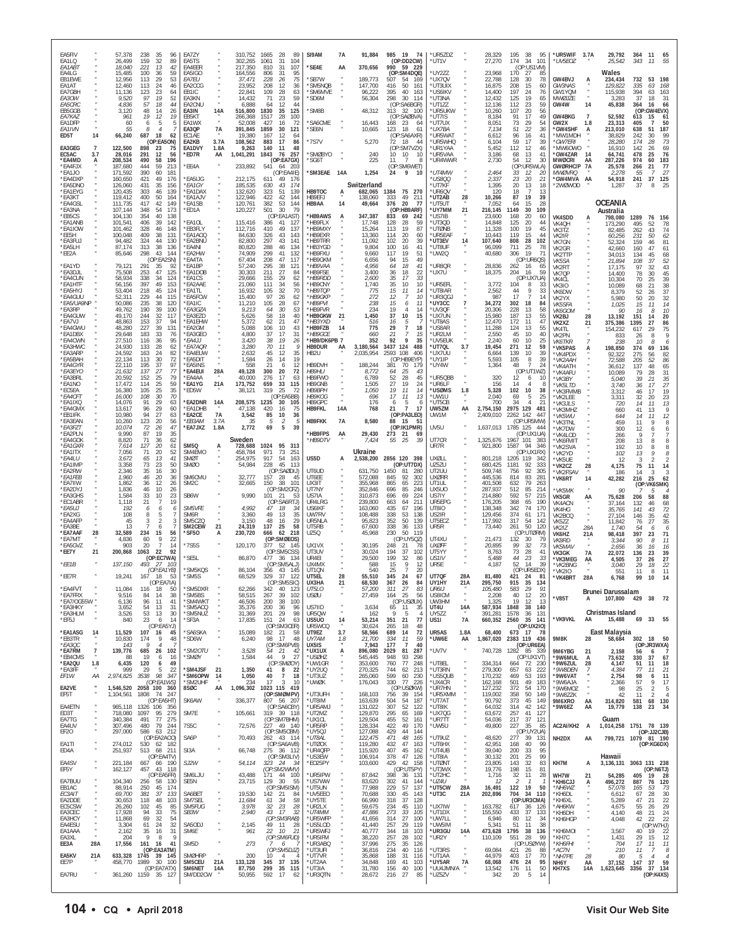| EA5FIV<br>EA1LQ<br>EA1AB1                   |                             | 57,378<br>238<br>96<br>35<br>159<br>32<br>26,499<br>89<br>18,040<br>221<br>13<br>42                                                         | EA7ZY<br>EA5TS<br>EA4EER                                | 310,752<br>302,265<br>217,350                   | 1665<br>-28<br>-89<br>1061<br>31<br>104<br>810<br>107<br>31                                 | SI9AM<br>*SE4E                                            | 7A<br>AA        | 91,884<br>370,656                        | 985 19 74<br>(OP:DD2CW)<br>990<br>59<br>- 229                                                | *UR5ZDZ<br>*UT1V                                 |                     | 28,329<br>27,270                               | 195<br>95<br>- 38<br>174<br>34<br>101<br>(OP:US1VM)                                         | *UR5WIF<br>*UV5EOZ                                    | 3.7A                        | 29,792<br>25,542                                | 364<br>343                      | -11<br>65<br>11<br>55                                                               |
|---------------------------------------------|-----------------------------|---------------------------------------------------------------------------------------------------------------------------------------------|---------------------------------------------------------|-------------------------------------------------|---------------------------------------------------------------------------------------------|-----------------------------------------------------------|-----------------|------------------------------------------|----------------------------------------------------------------------------------------------|--------------------------------------------------|---------------------|------------------------------------------------|---------------------------------------------------------------------------------------------|-------------------------------------------------------|-----------------------------|-------------------------------------------------|---------------------------------|-------------------------------------------------------------------------------------|
| EA4LG<br>EB1EWE<br>EA1AT<br>EA7GBH<br>EA3OW |                             | 15,485<br>100<br>36<br>59<br>29<br>12,956<br>53<br>113<br>12,460<br>113<br>24<br>46<br>11,136<br>123<br>23<br>64<br>97<br>19<br>51<br>9.520 | EA5IGO<br><i>EA7EU</i><br>EA2CCG<br>EB1IC<br>EA3KN      | 164,556<br>37,471<br>23,952<br>22.841<br>14,432 | 806<br>31<br>95<br>75<br>228<br>-26<br>208<br>12<br>36<br>28<br>109<br>63<br>71<br>23<br>59 | *SB7W<br>*SM5NQB<br>*SM6MVE<br>*SD6M                      |                 | 189,773<br>147,700<br>96,222<br>56,304   | (OP:SM4DQE)<br>507<br>-54<br>169<br>416<br>50<br>161<br>395<br>40<br>163<br>298<br>30<br>114 | 'UY2ZZ<br>*UX7QV<br>*UT3UIX<br>*US6IKV<br>*UT3NA |                     | 23,968<br>22,788<br>16,875<br>14,400<br>12,432 | 170<br>27<br>85<br>128<br>30<br>78<br>208<br>15<br>60<br>197<br>24<br>76<br>125<br>19<br>65 | GW4BVJ<br>GW3NAS<br>GW1YQM<br>MWØJZE                  |                             | Wales<br>234,434<br>129,822<br>115,938<br>3,283 | 732<br>335<br>394<br>37         | 53<br>198<br>63<br>168<br>63<br>163<br>18<br>31                                     |
| <i>EA5CRC</i><br>EB5GGB<br>EA7KAZ<br>EA1DFP |                             | 57<br>18<br>4,836<br>44<br>3,120<br>48<br>14<br>26<br>19<br>12<br>19<br>961<br>60<br>6<br>5<br>5                                            | <b>FA2CNU</b><br>14A<br>EA3IN<br>EB5KT<br>EA1WX         | 6,888<br>516,800<br>266.368<br>52,008           | 12<br>44<br>64<br>1830<br>35<br>125<br>1517<br>28<br>100<br>427<br>16<br>72                 | *SM8B<br>*SA6CME                                          |                 | 48,312<br>16,443                         | (OP:SA6BGR)<br>313<br>32 100<br>(OP:SAØBVA)<br>168<br>23<br>64                               | *UT177<br>*UR5UKW<br>'UT7IS<br>*UT7UX            |                     | 12,136<br>10,260<br>8,184<br>8,051             | 112<br>23<br>59<br>107<br>20<br>56<br>91<br>17<br>49<br>73<br>29<br>54                      | GW4W<br>GW4BKG<br>GW2X                                | 14<br>$\overline{7}$<br>1.8 | 45,838<br>52,592<br>23,313                      | 364<br>613<br>405               | 66<br><b>16</b><br>(OP:GW4EVX)<br>15<br>61<br>50                                    |
| <b>FA1IVN</b><br>ED5T<br>EA3GEG             | 14<br>$\overline{7}$        | 55<br>8<br>66,240<br>687<br>18<br>62<br>(OP:EA5ON)<br>122,500<br>898<br>23<br>75                                                            | 7A<br>EA3QP<br>EC1AE<br>3.7A<br>EA2KB<br>1.8A<br>EA1DVY | 391,845<br>19,380<br>108,562<br>9,263           | 1859<br>30<br>121<br>167<br>12<br>64<br>17<br>86<br>883<br>140<br>11<br>48                  | *SE6N<br>*7S7V                                            |                 | 10,665<br>5,270                          | 123<br>18<br>61<br>(OP:SA6AXR)<br>72<br>18<br>44<br>(OP:SM7VZX)                              | *UX7BA<br>*UR5WA1<br>'UR5WHQ<br>*UR1YAA          |                     | 7,134<br>6,612<br>6,104<br>5,452               | 51<br>22<br>36<br>96<br>16<br>41<br>59<br>17<br>39<br>112<br>12<br>46                       | *GW4SHF<br>*MW1MDH<br>*GW7ERI<br>*MW6OWO              | A                           | 213,010<br>38,829<br>28,280<br>16,910           | 638<br>242<br>174<br>142        | 51<br>187<br>30<br>99<br>73<br>28<br>69<br>26                                       |
| EC5AC<br>*EA4MD<br>*EA4FJX                  | 3.7<br>A                    | 28,016<br>291<br>12<br>56<br>490<br>58<br>196<br>208,534<br>444<br>59<br>187,680<br>213                                                     | *ED7R<br>AA<br>*EE4A                                    | 1,041,291<br>233,892                            | 1843<br>76<br>257<br>(OP:EA7GX)<br>541<br>64 203                                            | *SMØBYO<br>*SG6T                                          |                 | 240<br>225                               | 10 10<br>- 10<br>11<br>$\overline{7}$<br>8<br>(OP:SM6WET)                                    | *UR5VAA<br>*UR4WWR                               |                     | 3,186<br>2,730                                 | 68<br>13<br>41<br>54<br>12<br>30<br>(OP:UR5WLA)                                             | *GW4ZAR<br><b>MWØCRI</b><br><b>GWØRHC/P</b>           | 14<br>AA<br>7A              | 64,741<br>287,226<br>25,578                     | 478<br>974<br>266               | 25<br>76<br>60<br>183<br>77<br>21<br>27<br>-7                                       |
| *EA1JO<br>*EA4DXP<br>*EA5DNO<br>*EA1EYG     |                             | 390<br>60<br>171,592<br>181<br>160,650<br>421<br>49<br>176<br>126,060<br>35<br>431<br>156<br>120,435<br>303<br>46<br>139                    | *EA5IJG<br>*EA1GY<br>*EA1DAX                            | 212,175<br>185,535<br>132,620                   | (OP:EA4IE)<br>611<br>49 176<br>43<br>630<br>174<br>323<br>51<br>139                         | *SM3EAE<br>HB9TOC                                         | 14A<br>А        | 1,254<br>Switzerland<br>682,065          | 9<br>24<br>10<br>1384<br>75 270                                                              | *UT4MW<br>*US800<br>'UT7KF<br>*UR6QV             |                     | 2,464<br>2,337<br>1,395<br>120                 | 12<br>33<br>20<br>23<br>20<br>21<br>20<br>13<br>18<br>18<br>$\overline{7}$<br>13            | <b>MWØVRQ</b><br>*GW4MVA<br>*2WØWOD                   | AA                          | 2,278<br>54,918<br>1,287                        | 55<br>241<br>-37                | 37<br>$\begin{array}{c} 125 \\ 25 \end{array}$<br>8                                 |
| *FA3KT<br>*EA4GSL<br>*FA3NA<br>*EB5CS       |                             | 119,412<br>400<br>50<br>164<br>111,735<br>417<br>42<br>149<br>348<br>54<br>173<br>107,144<br>40<br>104,130<br>354<br>138                    | *FA1A IV<br>*EA1SB<br>*ED1A                             | 122.946<br>120,761<br>120,227                   | 422<br>42<br>144<br>382<br>53<br>144<br>501<br>30<br>79<br>(OP:EA1AST)                      | HB9FFJ<br>HB9AA<br>*HB9AWS                                | 14<br>A         | 138,060<br>49,664<br>347,387             | 49<br>211<br>333<br>376<br>20<br>77<br>(OP:HB9ARF)<br>833<br>69<br>242                       | *UT2AB<br>*UT5UT<br>'UY7MM<br>'US7IB             | 28<br>21            | 10,266<br>7,052<br>216,145<br>23,600           | 87<br>19<br>39<br>64<br>15<br>28<br>1149<br>30<br>109<br>168<br>20<br>60                    | <b>VK4SDD</b>                                         |                             | <b>OCEANIA</b><br>Australia<br>798,080          | 1289                            | 76<br>156                                                                           |
| *EA1ANB<br>*EA1IOW<br>*EE5H<br>*EA3FUJ      |                             | 101,541<br>406<br>39<br>142<br>101,462<br>328<br>46<br>148<br>409<br>38<br>131<br>100,048<br>44<br>94,482<br>324<br>130                     | <b>EA1OL</b><br>*EB3FLY<br>*EA1AOQ<br>*EA2BNU           | 115,416<br>112,716<br>84,630<br>82,800          | 386<br>41<br>127<br>410<br>49<br>137<br>326<br>43<br>143<br>297<br>43<br>14 <sup>′</sup>    | *HB9FLX<br>*HB9MXY<br>*HB9EXR<br>*HB9TRR                  |                 | 17,748<br>15,264<br>13,360<br>11,092     | 128<br>28<br>59<br>113<br>19<br>87<br>20<br>114<br>60<br>102<br>39<br>20                     | *UT3QD<br>*UTØNB<br>*UR5EAF<br>*UT3EV            | 14                  | 14,848<br>11,328<br>10,443<br>107,640          | 125<br>20<br>44<br>100<br>19<br>45<br>15<br>44<br>119<br>808<br>28<br>102                   | VK4QH<br>VK3TZ<br>VK2IR<br>VK7GN                      |                             | 173,290<br>82,485<br>60,256<br>52,324           | 495<br>262<br>231<br>159        | 52<br>78<br>43<br>74<br>50<br>62<br>81<br>46                                        |
| *EA5LH<br>*EE2A<br>*EA1YD                   |                             | 313<br>38<br>87,174<br>136<br>298<br>43<br>144<br>85,646<br>(OP:EA2SN)<br>79,121<br>291<br>35<br>92                                         | *EA4NI<br>*EA2HW<br>*EA4TA<br>*EA1BP                    | 80,820<br>74,909<br>67,404<br>57,240            | 288<br>46<br>134<br>299<br>41<br>132<br>208<br>47<br>117<br>295<br>38<br>121                | *HB3YGD<br>*HB9FXU<br>*HB9GKM<br>*HB9VAA                  |                 | 9,804<br>9,660<br>6,656<br>4,956         | 100<br>16<br>41<br>51<br>117<br>19<br>94<br>15<br>49<br>64<br>18<br>41                       | *UT8UF<br>*UW2Q<br>*UR8QR                        |                     | 96,099<br>40,680<br>28,836                     | 711<br>25<br>78<br>19<br>306<br>-71<br>(OP:UR6QS)<br>262<br>16<br>65                        | VK2GR<br>VK2TTP<br>VK5SA<br>VK2RT                     |                             | 42,660<br>34,013<br>21,894<br>17,175            | 160<br>134<br>108<br>97         | 47<br>61<br>68<br>45<br>37<br>$\frac{52}{43}$<br>32                                 |
| *EA3DJL<br>*EA4CUN<br>*EA1HTF<br>*EA5HYJ    |                             | 253<br>47<br>75,508<br>125<br>58,934<br>338<br>$\frac{34}{49}$<br>124<br>56,156<br>397<br>153<br>218<br>45<br>124<br>53,404                 | *EA1DOB<br>*EA1CS<br>*EA2AAE<br>'FA1TI                  | 30,303<br>29,666<br>21,060<br>16,932            | 211<br>27<br>84<br>29<br>62<br>155<br>34<br>111<br>56<br>105<br>32<br>70                    | *HB9FSE<br>*HB9RDD<br>*HB9CNY<br>*HB9TOP                  |                 | 3,400<br>2,600<br>1,740<br>775           | 36<br>18<br>$\frac{22}{33}$<br>10<br>35<br>17<br>35<br>10<br>15<br>11<br>14                  | *UX7U<br>*UR5EFL<br>*UT8IAR                      |                     | 18,375<br>3,772<br>2,562                       | 204<br>16<br>59<br>(OP:UX7UA)<br>104<br>8<br>33<br>9<br>44<br>-33                           | VK7QP<br>VK4CL<br>VK3IO<br>VK6DW                      |                             | 14,400<br>10,304<br>10,089<br>8,379             | 78<br>70<br>68<br>52            | 30<br>45<br>25<br>39<br>38<br>21<br>37<br>26                                        |
| *EA4GUU<br>*EA5/UA9NP<br>*EA3RP<br>*EA4GUW  |                             | 52,311<br>229<br>44<br>115<br>50.086<br>235<br>38<br>120<br>190<br>39<br>49,762<br>100<br>49.170<br>244<br>32<br>117                        | *EA5FCW<br>*FA1IC<br>*EA3GZA<br>*EA3EZD                 | 15,400<br>11,210<br>9,213<br>5,626              | 97<br>26<br>62<br>105<br>28<br>67<br>64<br>30<br>53<br>18<br>40<br>58                       | *HB9GKP<br>*HB9PVI<br>*HB9FVR<br>*HB9GKW                  | 21              | 272<br>238<br>234<br>1,450               | 12<br>10<br>7<br>15<br>11<br>6<br>19<br>$\overline{4}$<br>14<br>37<br>10<br>15               | *UR3QG.<br>*UY3CC<br>*UV3QF<br>*UX7UN            | $\overline{7}$      | 987<br>34,272<br>20,306<br>15,980              | 17<br>$\overline{7}$<br>14<br>302<br>18<br>84<br>228<br>13<br>58<br>187<br>13<br>55         | VK2YX<br><b>VK5SFA</b><br>VK6GOM                      |                             | 5,980<br>1,025<br>90                            | 50<br>15<br>16                  | 32<br>20<br>14<br>11<br>10<br>8                                                     |
| *EA7VJ<br>*EA4GWU<br>*EA1DBX                |                             | 48,863<br>153<br>37<br>94<br>227<br>39<br>131<br>48,280<br>183<br>33<br>29,648<br>76<br>27,510<br>36                                        | *EA1EHW<br>*EA2GM<br>*EA3GEO                            | 5,372<br>5,088<br>4,800                         | 62<br>21<br>47<br>10<br>43<br>106<br>37<br>17<br>31<br>19                                   | *HB3YXD<br>*HB9FZB<br>*HB9GCE<br>*HB9/DK6PB 7             | 14              | 516<br>775<br>660                        | 16<br>$\frac{5}{7}$<br>29<br>18<br>21<br>7<br>15<br>92<br>9                                  | *UT8AS<br>'US8AR<br>*UR2LM                       |                     | 12,470<br>11,288<br>2,550                      | 172<br>11<br>47<br>124<br>13<br>55<br>45<br>10<br>40                                        | VK2BJ<br>VK2XZ<br>VK4TL<br>VK2PN                      | 28<br>21                    | 13,192<br>375,386<br>154,232<br>833             | 151<br>1395<br>617<br>26        | 14<br>20<br>27<br>86<br>29<br>75<br>9<br>8                                          |
| *EA4CWN<br>*EA3HWC<br>*EA3ARP<br>*EA5BAH    |                             | 116<br>95<br>62<br>133<br>28<br>24,930<br>163<br>24<br>82<br>24,592<br>72<br>30<br>113<br>22,134                                            | *EA4JJ<br>*EA7AQR<br>*EA4EUW<br>*EA5DIT                 | 3,420<br>3,280<br>2,632<br>1,584                | 38<br>26<br>70<br>11<br>Q<br>45<br>12<br>35<br>26<br>14<br>19                               | HB9DUR<br>HB2U                                            | AA              | 352<br>3,180,564<br>2,035,954            | 35<br>3437 124<br>488<br>108<br>2593<br>406<br>(OP:HB9EYP)                                   | *UV5EUK<br>*UT7QL<br>'UX7UU<br>*UY1IP            | 3.7                 | 2,240<br>19,454<br>6,664<br>5,593              | 60<br>10<br>25<br>271<br>12<br>59<br>10<br>139<br>39<br>105<br>8<br>39                      | <b>VK6TKR</b><br><b>'VK5PAS</b><br>*VK4PDX<br>*VK2AAH | Α                           | 238<br>198,850<br>92,322<br>72,588              | 10<br>374<br>275<br>205         | 6<br>8<br>69<br>136<br>82<br>56<br>52<br>86                                         |
| *EA4GYR<br>*EA3EYO<br>*EA3BRL<br>*EA1NO     |                             | 22,110<br>195<br>37<br>97<br>27<br>137<br>77<br>21,632<br>20,592<br>152<br>25<br>79<br>25<br>17,472<br>114<br>59                            | *EA5INS<br>28A<br>*EA4EUI<br>*EA4AA<br>21A<br>*EA1YG    | 558<br>49,128<br>40,000<br>173,752              | 21<br>6<br>12<br>300<br>20<br>72<br>276<br>17<br>63<br>33<br>659<br>115                     | HB9DVH<br>HB9HLI<br>HB9FWO<br>HB9GNB                      |                 | 188,244<br>8,772<br>6,789<br>1,505       | 381<br>70<br>179<br>64<br>25<br>43<br>52<br>28<br>45<br>27<br>19<br>24                       | *UY4W<br>*UR5QBB<br>*UR6LF                       |                     | 1,364<br>320<br>156                            | 48<br>$\overline{7}$<br>24<br>(OP:UT1WZ)<br>12<br>6<br>10<br>14<br>Δ<br>-8                  | 'VK4ATH<br>*VK4AFU<br>*VK3BY<br>*VK5LTD               |                             | 36,612<br>10,089<br>5,040<br>3,740              | 137<br>79<br>39<br>36           | 65<br>48<br>31<br>28<br>35<br>21<br>27<br>17                                        |
| *EC5EA<br>*EA4CFT<br>*EA1IXQ<br>*EA4GMX     |                             | 16,380<br>105<br>25<br>35<br>16,000<br>108<br>30<br>70<br>29<br>14,076<br>91<br>63<br>29<br>60<br>13,617<br>96                              | *ED5W<br>*EA2DNR<br>14A<br>*EA1DHB                      | 38,121<br>208,575<br>47,138                     | 319<br>25<br>72<br>(OP:EA5BB)<br>1235<br>30<br>105<br>420<br>75<br>16                       | <b>HB9BPH</b><br><b>HR9KOG</b><br>HB9GPC<br><b>HB9FKL</b> | 14A             | 1,050<br>696<br>176<br>768               | 19<br>11<br>14<br>17<br>13<br>11<br>5<br>6<br>6<br>$\overline{7}$<br>21<br>17                | *usøms<br>*UW1U<br>*UT5CB<br>UW5ZM               | 1.8<br>AA           | 5,328<br>2,040<br>700<br>2,754,150             | 102<br>10<br>38<br>5<br>25<br>69<br>34<br>21<br>4<br>2975 129<br>481                        | 'VK3FMMB<br>'VK2LEE<br>*VK3JLS<br>*VK3MHZ             |                             | 3.312<br>3,311<br>720<br>660                    | 46<br>32<br>14<br>41            | 19<br>17<br>23<br>20<br>$\begin{smallmatrix} 13 \\ 9 \end{smallmatrix}$<br>11<br>13 |
| *EB1IFK<br>*EA3EAN<br>*EA3FZT<br>*EA2PLN    |                             | 10,980<br>94<br>27<br>63<br>123<br>20<br>56<br>10,260<br>72<br>26<br>47<br>10,074<br>87<br>35<br>9,990<br>19                                | 7A<br>*EA2CE<br>3.7A<br>*EB3AM<br>*EA7JXZ<br>1.8A       | 3,542<br>35<br>2,772                            | 85<br>10<br>36<br>$\overline{2}$<br>5<br>69<br>5<br>39                                      | <b>HB9FKK</b><br>*HB9FPS                                  | 7A<br>AA        | 8,580<br>29,430                          | (OP:PA3LEO)<br>88<br>15<br>-51<br>(OP:IK1PMR)<br>273<br>21<br>69                             | UW1M<br>UV5U                                     |                     | 2,409,010<br>1,637,013                         | 2262<br>142<br>447<br>(OP:UR5MW)<br>1785 125<br>444<br>(OP:UX1UA)                           | *VK5WU<br>*VK3TNL<br>'VK7DW<br>*VK4LOD                |                             | 644<br>459<br>300<br>266                        | 14<br>11<br>12<br>9             | $12\,$<br>11<br>9<br>8<br>6<br>6                                                    |
| *EA4GOK<br>*EA1GXR<br>*EA1ITX<br>*EA4LU     |                             | 8,820<br>62<br>71<br>36<br>127<br>20<br>61<br>7,614<br>52<br>71<br>20<br>7,056<br>65<br>3,672<br>13<br>41                                   | <b>SM50</b><br>A<br>SM4EMO<br>SMØT                      | Sweden<br>728,688<br>458,784<br>254,975         | 1024<br>95<br>313<br>73<br>971<br>251<br>917<br>54<br>163                                   | *HB9DTV<br>US5D                                           | A               | 7,424<br>Ukraine<br>2,538,200            | 25<br>39<br>55<br>2856 120 398                                                               | UT7CR<br>UR7R<br><b>UXØLL</b>                    |                     | 1,325,676<br>921,800<br>801,218                | 1967 101<br>383<br>94<br>1587<br>346<br>(OP:UX1RX)<br>1205 119<br>342                       | *VK6FMIT<br>*VK2SVA<br>*VK2YD<br>*VK5UE               |                             | 208<br>192<br>102<br>12                         | 13<br>10<br>13<br>$\mathcal{R}$ | 8<br>8<br>8<br>8<br>9<br>8<br>$\overline{2}$<br>2                                   |
| *EA1IMP<br>*EA2RW<br>*FA1FFB<br>*EA7IIW     |                             | 73<br>23<br>3,358<br>50<br>2,346<br>35<br>16<br>30<br>1,960<br>$46\,$<br>20<br>36<br>1,862<br>36<br>12<br>26                                | SMØ0<br>SM6CMU<br>SM <sub>2</sub> C                     | 54,984<br>32.777<br>32,665                      | 228<br>45<br>-113<br>(OP:SAØDIJ)<br>157<br>28<br>45<br>150<br>38<br>101                     | UT6UD<br>UT6EE<br>UX3IT                                   |                 | 631,750<br>572.088<br>355,968            | (OP:UT7DX)<br>1450<br>81<br>280<br>845<br>92<br>302<br>865<br>223<br>65                      | UZ5ZU<br>UT2UU<br><b>UXØRR</b><br>UT1UL          |                     | 680,425<br>509,748<br>445.536<br>401,508       | 92<br>333<br>1181<br>756<br>92<br>305<br>814<br>83<br>281<br>632<br>79<br>263               | *VK2CZ<br>'VK2FSAV<br>*VK6RT                          | 28<br>14                    | 4,175<br>186<br>42,282                          | 75<br>14<br>216                 | 11<br>14<br>3<br>3<br>25<br>62<br>(K6SMK)                                           |
| *EA2DYJ<br>*EA3GHS<br>*EC1ABR<br>*EA5UJ     |                             | 1.836<br>46<br>10<br>26<br>1,584<br>33<br>10<br>23<br>21<br>$\overline{7}$<br>19<br>1,118<br>192                                            | SB6W<br>SM5VFE                                          | 9,990<br>4,992                                  | (OP:SM2CFZ)<br>101<br>21<br>53<br>(OP:SA6RTJ)<br>47                                         | UT7NY<br>US7IA<br>UR4LRG                                  |                 | 352,846<br>310,873<br>239,800<br>163,060 | 696<br>85<br>246<br>696<br>69<br>224<br>663<br>211<br>64<br>196                              | UX5UO<br>US7IY<br>UR5EPG<br>UT8IO                |                     | 287,937<br>214,880<br>176,205<br>138,348       | 85<br>214<br>512<br>592<br>57<br>215<br>65<br>368<br>190<br>170                             | *VK5MK<br>VK5GR<br><b>VK4ACN</b>                      | АA                          | 90<br>75,628<br>37,164                          | (OP<br>206<br>132               | 5<br>88<br>58<br>46<br>68                                                           |
| *EA2XG<br>*EA4AFF<br>*EA3BE                 |                             | 6<br>6<br>$\frac{6}{7}$<br>$^{\rm 8}$<br>5<br>108<br>45<br>3<br>2<br>3<br>13<br>7<br>6                                                      | SM6R<br><b>SM5CZO</b><br>21<br><b>SM2CEW</b>            | 3,360<br>3,150<br>24,319                        | 18<br>34<br>49<br>13<br>35<br>48<br>16<br>29<br>137<br>25<br>58                             | US6IKF<br>UW7RV<br>UR5NLA<br>UT5RB                        |                 | 108,488<br>95,823<br>67,600              | 435<br>67<br>338<br>53<br>138<br>50<br>352<br>139<br>338<br>36<br>133                        | US2IR<br>UT5ECZ<br>UR5R                          |                     | 129,456<br>117,992<br>73,440                   | 342<br>74<br>374<br>61<br>171<br>317<br>54<br>-142<br>50<br>261<br>120                      | VK4HG<br>VK2BCQ<br>VK5ZZ<br>VK2IZ                     | 28A                         | 35,765<br>27,104<br>11,842<br>1,740             | 141<br>146<br>76<br>54          | 72<br>43<br>42<br>35<br>35<br>27<br>6<br>6                                          |
| *EA7AAF<br>*EA7MT<br>*EA5GVZ<br>*EE7Y       | 28<br>21                    | 234<br>15<br>32.589<br>56<br>22<br>4,836<br>60<br>9<br>903<br>20<br>7<br>14<br>200,868<br>1063<br>22<br>92                                  | *SF50<br>А<br>*7S5S                                     | 230,720<br>120,170                              | 62 218<br>666<br>(OP:SMØEOS)<br>377<br>52 145<br>(OP:SM5CSS)                                | UZ5Q<br>UX1VX<br>UT3UV                                    |                 | 45,968<br>30,195<br>30,024               | 230<br>50<br>119<br>(OP:UY5QZ)<br>248<br>21<br>78<br>194<br>37<br>102                        | UT4XU<br><b>UXØFF</b><br>UT5YY                   |                     | 21,473<br>20,895<br>8,763                      | (OP:UTØRM)<br>132<br>30<br>79<br>99<br>32<br>73<br>73<br>28<br>41                           | VK6HZ<br><b>VK8RD</b><br>VK5MAV<br>VK3GK              | 21A<br>7A                   | 98,418<br>3,344<br>2,656<br>22,072              | 397<br>90<br>36<br>136          | 71<br>23<br>11<br>8<br>16<br>16<br>39<br>23                                         |
| $*EE1B$<br>*EE7R                            |                             | (OP:EC7WA)<br>137,150<br>493<br>-27<br>103<br>(OP:EA1YB)<br>19,241<br>167<br>18<br>-53                                                      | *SE5L<br><i><b>SM5KOS</b></i><br>*SM5S                  | 86,870<br>86,104<br>68,529                      | 477<br>36 134<br>(OP:SM5ALJ)<br>356<br>43 145<br>329<br>37<br>122                           | UR4EI<br>UX4MX<br>UT10N<br>UT5EL                          | 28              | 29,500<br>588<br>540<br>55,510           | 199<br>32<br>86<br>15<br>9<br>12<br>25<br>20<br>$\overline{7}$<br>345<br>24<br>67            | US1IV<br>UR5E<br>UT7QF                           | 28A                 | 5,488<br>4,187<br>81,480                       | 23<br>44<br>33<br>52<br>14<br>39<br>(OP:UR5EDX)<br>421<br>24<br>-81                         | 'VK3MEG<br>*VK2BNG<br>*VK2I0<br>*VK4BRT               | AA<br>28A                   | 4,505<br>3,040<br>551<br>6,768                  | 37<br>29<br>11<br>99            | $\frac{27}{22}$<br>26<br>18<br>11<br>8<br>10<br>14                                  |
| *EA4FVT<br>*EA7FRX<br>*EA7/OG55W *          |                             | (OP:LA/IA)<br>11,084<br>116<br>18<br>50<br>9,516<br>84<br>38<br>14<br>6,136<br>96<br>11<br>41                                               | 'SM5DXR<br>*SM5BS<br>*SM4WKT                            | 62,266<br>58,515<br>46,506                      | (OP:SM5SIC<br>342<br>40 123<br>267<br>39<br>102<br>200<br>38<br>100                         | <b>UX3HA</b><br>UT5LO<br><b>USØU</b>                      | 21              | 68.530<br>57,200<br>27,459               | 367<br>-26<br>-84<br>311<br>27<br>83<br>25<br>164<br>56<br>(OP:USØUX)                        | <b>UY1HY</b><br>UR6IJ<br>US8ICM<br>UW3HM         | 21A<br>×            | 295.750<br>105,480<br>2,208<br>1,325           | 915<br>-35<br>-134<br>583<br>29<br>91<br>40<br>12<br>20<br>19<br>12<br>-13                  | *V85T                                                 | A                           | Brunei Darussalam<br>107,800 429                |                                 | 38<br>72                                                                            |
| *EA3HKY<br>*EA3HLM<br>*EF5J                 |                             | 54<br>3,652<br>13<br>31<br>53<br>30<br>3,526<br>13<br>23<br>840<br>6<br>14<br>(OP:EA5YJ)                                                    | *SM5ACQ<br>*SM5NUZ<br>*SF3A                             | 35,376<br>31,369<br>17,835                      | 200<br>36<br>96<br>29<br>201<br>98<br>151<br>24<br>63<br>(OP:SM3CER)                        | US7IID<br>UR50W<br>US5U0<br>UR5WCQ                        | 14              | 3,634<br>162<br>53,214<br>30,624         | 65<br>35<br>11<br>9<br>-5<br>-4<br>351<br>21<br>77<br>265<br>18<br>48                        | UT4U<br>UY5ZZ<br>US1I                            | 14A<br><b>7A</b>    | 587,934<br>391,281<br>660,352                  | 1848<br>38<br>140<br>1578<br>36<br>131<br>2560<br>35 141<br>(OP:UX2IO)                      | *VK9VKL                                               | AA                          | Christmas Island<br>15,488                      | 69                              | 33<br>55                                                                            |
| *EA1ASG<br>*EB3TR<br>*EA3QC<br>*EA7RM       | 14                          | 11,529<br>107 16<br>45<br>174<br>9<br>10,830<br>48<br>143<br>9<br>$\overline{4}$<br>-7<br>139,776<br>685<br>-26<br>102                      | "SA6SKA<br>*SD6W<br>*SM2OTU                             | 15,089<br>6,240<br>3,528                        | 182 21<br>58<br>98<br>-17<br>48<br>(OP:SM6PVB)<br>54<br>21<br>42                            | UT9EZ<br>UY7AM<br>UX5IS<br>*UX1UX                         | 3.7<br>1.8<br>A | 58,566<br>21,700<br>7,943<br>896,080     | 72<br>689<br>14<br>334<br>59<br>11<br>177<br>$\overline{7}$<br>40<br>81<br>287<br>2029       | UR5AS<br>*UW6E<br>*UV7V                          | 1.8A<br>AA<br>×     | 68,400<br>1,867,020<br>740,728                 | 673 17 78<br>2383 119 436<br>(OP:UR6EA)<br>1282 85 339                                      | 9M8K<br>9M6YBG                                        | 28<br>21                    | East Malaysia<br>58,684<br>2,158                | 302<br>56                       | 18<br>50<br>(OP:JR3WXA)<br>6<br>- 7                                                 |
| *EB4CMS<br>*EA2QU<br>*EA3FF<br>EF1W         | $\overline{1}$<br>1.8<br>ΑA | 19<br>88<br>6<br>16<br>120<br>6,435<br>49<br>6<br>999<br>29<br>22<br>5<br>2,974,825 3538<br>98<br>347                                       | *SMØY<br>*SM4JSF<br>21<br>*SM6OPW<br>-14                | 1,584<br>1,350<br>1,050                         | 44<br>$\overline{9}$<br>27<br>(OP:SMØOY)<br>41<br>8 22<br>40<br>$7\phantom{.0}$<br>18       | *USØHZ<br>*UW1GR<br>*UY2UQ<br>$*$ UT3UZ                   |                 | 545,445<br>353,600<br>270,325<br>265,060 | 948<br>93<br>298<br>760<br>77<br>248<br>744<br>62<br>213<br>599<br>230<br>60                 | *UT8EL<br>*UT3RN<br>*US5QUB                      |                     | 334,314<br>279,300<br>170,232                  | (OP:UX1VT)<br>664 72 230<br>657<br>222<br>63<br>193<br>469<br>53                            | *9W6MUL<br>*9W6ZUL<br>*9W8DEN                         | A<br>28<br>7                | 73,632<br>4,147<br>4,384                        | 330<br>51<br>77                 | 37<br>67<br>18<br>11<br>11<br>21                                                    |
| EA2VE<br>EF5T                               |                             | (OP:EA1WS)<br>1,546,520 2058 100 360<br>1,104,561<br>1808<br>74 247                                                                         | *SM2UHF<br>8SØC<br>AA                                   | 234<br>1,096,302                                | 17<br>3<br>10<br>1023 115 419<br>(OP:SMØMPV)                                                | *UWØK<br>*UT3UFH                                          |                 | 176,043<br>168,103                       | 330<br>77<br>226<br>(OP:USØKW)<br>756<br>39<br>154                                           | *UX4CR<br>*UR7HN<br>*UR5XMM                      |                     | 162,168<br>127,232<br>119,002                  | 501<br>49<br>183<br>372<br>54<br>170<br>358<br>50<br>149                                    | *9W6VAT<br>*9W6AJA<br>*9W6MOZ<br>*9W8ZZK              |                             | 2,754<br>2,366<br>98<br>42                      | 98<br>57<br>25<br>11            | 6<br>11<br>9<br>17<br>$\mathfrak{D}$<br>-5<br>$\overline{4}$<br>-2                  |
| EA4ETN<br>ED3T<br>EA7TG                     |                             | (OP:EA5HT)<br>965,118 1326 106 356<br>1097<br>718,080<br>95<br>279<br>491<br>77<br>340,384<br>275                                           | SK6AW<br>SM7E                                           | 336,377<br>105,661                              | 807 56 207<br>(OP:SA6CBY)<br>319 39 118<br>(OP:SM7BHM)                                      | *UT8IM<br>*UR5AMJ<br>*UT2MZ<br>*UX1CL                     |                 | 163,639<br>131,022<br>129,870<br>129,504 | 504<br>54<br>187<br>307<br>52<br>122<br>295<br>65<br>169<br>455<br>52<br>161                 | *UT7AT<br>*UT8IK<br>*UX7QG<br>*UR7TT             |                     | 90,792<br>64,032<br>63,672<br>54,036           | 373<br>45<br>149<br>42<br>314<br>142<br>257<br>41<br>127<br>37<br>217<br>121                | 9M6XRO<br>*9W6EZ                                      | AA<br>AA                    | 314,820<br>19,779<br>Guam                       | 581<br>138                      | 68 130<br>23<br>34                                                                  |
| EA4UV<br>EF20<br>EA1TI                      |                             | 480<br>79<br>307,496<br>244<br>586<br>63<br>297,000<br>212<br>(OP:EA2AOO)<br>274,012<br>530 62 182                                          | 7S5C<br>SA6P                                            | 72,576<br>70,493                                | 227 49 140<br>(OP:SM5CBM)<br>262 43 114<br>(OP:SA6AVB)                                      | *UR5RP<br>*UY5QJ<br>*UT8AL<br>*UTØCK                      |                 | 128,334<br>127,088<br>122,475<br>119,280 | 422<br>49<br>170<br>429<br>44<br>144<br>471<br>48<br>165<br>432<br>47<br>163                 | *UW5U<br>*UT9UZ<br>*UT6HX                        |                     | 49,800<br>48,620<br>42.951                     | 35<br>227<br>85<br>(OP:UY2UA)<br>277<br>39 131<br>40<br>99<br>168                           | AC2AI/KH2 A<br>NH <sub>2</sub> DX                     | AA                          | 1,014,258 1751 78 139<br>799,721                | 1079 81 190                     | (OP:JJ2CJB)<br>(OP:KG6DX)                                                           |
| ED4A<br>EA4SV<br>EF5Y                       |                             | 251,937<br>513<br>68 211<br>(OP:EA4TV)<br>221,184<br>667 66 190<br>43 118<br>162,127<br>457                                                 | SI3A<br>SJ2W                                            | 66,748<br>54,114                                | 275 36 112<br>(OP:SM3LIV)<br>323 24 34<br>(OP:SM2WMV)                                       | *UR4QFP<br>*US3EW<br>*EO25PY                              |                 | 115,920<br>106,914<br>103,600            | 407<br>45<br>162<br>378<br>47<br>126<br>429<br>42 158<br>(OP:UT5PY)                          | *UT4UB<br>*UT8IA<br>*UTØNT<br>*UT3WX             |                     | 39,040<br>30,132<br>23,805<br>19,776           | 200<br>33<br>95<br>25<br>201<br>99<br>143<br>32<br>83<br>198<br>15<br>81                    | KH7M                                                  | А                           | Hawaii<br>3, 136, 131 3063 131 238              |                                 | (OP:N6TJ)                                                                           |
| <b>FA7BUU</b><br>EB1AC<br>EC3AIT            |                             | (OP:EA5FR)<br>104,340<br>256<br>58<br>130<br>88,914<br>250<br>45<br>174<br>37<br>69,700<br>381<br>133                                       | SM6LJU<br>SE5N<br>SA6BET                                | 43,488<br>23,715<br>19,530                      | 171 44 100<br>30<br>129<br>-55<br>(OP:SM5ISM)<br>142<br>21<br>84                            | *UR5IPW<br>*US7WW<br>*UT5UN<br>*UV5EEO                    |                 | 87,842<br>83,620<br>77,988<br>70,688     | 398<br>36<br>131<br>302<br>41<br>144<br>229<br>57<br>137<br>330<br>45<br>143                 | *UT2HC<br>*117411<br>*UT5CW<br>*UT3C             | $\mu$<br>28A<br>21A | 1,716<br>-12<br>16,491<br>202,896              | 32<br>11<br>28<br>-2<br>-1<br>122 19<br>50<br>34<br>704<br>110                              | WH7W<br>*KH6CJJ<br>*NH6WZ<br>*KH6DL                   | 21<br>Ą                     | 54,285<br>496,272<br>57,078<br>6,612            | 405<br>887<br>165<br>67         | 28<br>19<br>76 120<br>53<br>73<br>28                                                |
| EA2DDE<br>EC5CSW<br>EA3CEC<br>EA3HCY        |                             | 118<br>48<br>30,653<br>103<br>26,260<br>102<br>45<br>85<br>33<br>17,928<br>94<br>75<br>69<br>32<br>11,868<br>54                             | <i>SM7SEL</i><br>SM5FUG<br>SB3W                         | 11,684<br>3,978<br>2,940                        | 61<br>-34<br>58<br>32<br>23<br>28<br>17<br>43<br>32<br>(OP:SM3RAB)                          | *UY5TE<br>*UR2LX<br>*UT4MM<br>*UR5WFP                     |                 | 66,990<br>59,675<br>47,886<br>41,656     | 318<br>37<br>128<br>234<br>45<br>110<br>273<br>33<br>105<br>27<br>314<br>100                 | *UX7IW<br>*UT1DX<br>*UW7LL                       | $\cdot$             | 163,782<br>155,550<br>6,946                    | (OP:UR3CMA)<br>617<br>36<br>-126<br>433<br>37<br>133<br>80<br>12<br>34                      | *KH6XL<br>*AH6KW<br>*KH6DH<br>*KH6HGP                 |                             | 5,289<br>4,675<br>4,140<br>4,048                | 47<br>55<br>48<br>42            | $\frac{30}{22}$<br>21<br>29<br>26<br>21<br>$\frac{24}{22}$<br>22                    |
| EA4ESU<br>EA1AAA<br>EA3XL<br>EE3A           | 28A                         | 24<br>32<br>3,304<br>61<br>2,162<br>35<br>16<br>31<br>9<br>204<br>-8<br><b>Q</b><br>17,556<br>161 16<br>41                                  | SA50DJ<br><i>SM6E</i><br>SM5D                           | 2,145<br>961<br>273                             | 49<br>11<br>28<br>22 10<br>21<br>(OP:SM6FUD)<br>7<br>6                                      | *US5LOD<br>*UR5WFJ<br>*UR5IFM<br>*UR3ABQ                  |                 | 41,440<br>40,777<br>38,220<br>37,996     | 257<br>29<br>119<br>344<br>18<br>103<br>257<br>28<br>102<br>275<br>35<br>126                 | *UW5IM<br>*UR3GU<br>*UR2Y                        | 14A                 | 5,341<br>473,628<br>110,109                    | 51<br>11<br>38<br>1795<br>38<br>136<br>551<br>-28<br>-99<br>(OP:USØYW)                      | *KH6MOI<br>*KH7C                                      |                             | 3,567<br>1,431                                  | 40 19<br>29<br>17               | (OP:W7HJ)<br>22<br>12<br>- 15<br>11                                                 |
| EA5KV<br>EE7P                               | 21A                         | (OP:EA3ATM)<br>633,328 1745 39 145<br>458,770<br>1989<br>30<br>100                                                                          | <b>SMØHRP</b><br>SM5CEU<br>21A                          | 200<br>133,128                                  | (OP:SM5DJZ)<br>10<br>$\overline{4}$<br>345 37 135                                           | *UT3UFI<br>*UT7VR<br>*UT2AA                               |                 | 36,816<br>35,868<br>34,848               | 234<br>40<br>116<br>188<br>31<br>116<br>169<br>41<br>103                                     | *UT3RS<br>*UT1AA<br>*UY5AR                       | 7A                  | 69,084<br>44,979<br>68,068                     | 421<br>-26<br>-88<br>403<br>17<br>70<br>95<br>476<br>24                                     | *КН6FНІ<br>*AC7N<br>*NH7PE<br>NH6Y                    | 28<br>AA                    | 704<br>210<br>80<br>37,152                      | 11<br>5<br>147                  | 11<br>-7<br>-8<br>$\overline{4}$<br>37<br>59                                        |
| EA7RU                                       |                             | (OP:EA7ATX)<br>361,260 1159 35<br>127                                                                                                       | SM6NET<br>14A<br>SM/DD2CW                               | 87,750<br>50,955                                | 299<br>35<br>115<br>592<br>17<br>62                                                         | *UT3IA<br>*UR3QTN                                         |                 | 31,780<br>28,672                         | 156<br>40<br>100<br>216<br>27<br>85                                                          | A\MNLPUU*<br>*UZ5ZV                              |                     | 13,542<br>342                                  | 176<br>11<br>50<br>20<br>-5<br>14                                                           | KH7XS                                                 | 14A                         | 1,623,645                                       | 3356                            | 37 134<br>(OP:K4XS)                                                                 |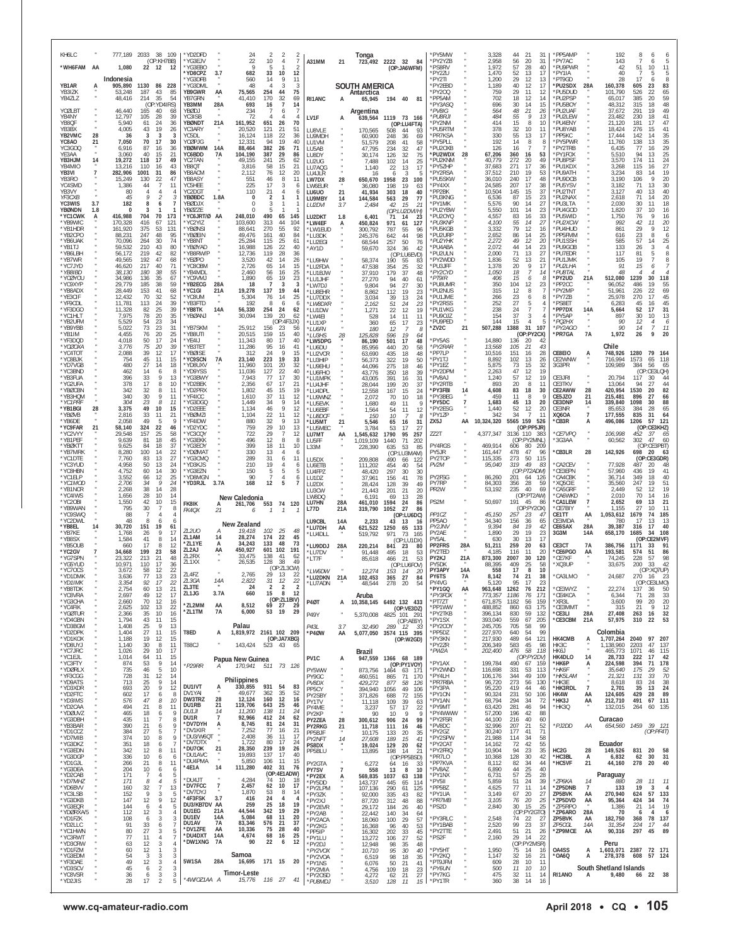| KH6LC<br>*WH6FAM AA                      |                      | 1,080                                    |                        | 777,189 2033 38 109<br>(OP:KH7BB)<br>22 12<br>- 12   | *YD2DFD<br>*YG3EJV<br>'YG3FBO                    |                           | 24<br>22<br>$\mathsf Q$              | 2<br>10<br>5                    | $\frac{2}{7}$<br>$\overline{4}$<br>$\overline{2}$             | A31MM                                    | 21                  | Tonga                                  | 723,492 2222 32 84<br>(OP:JA6WFM)                                           | 'PY5MW<br>*PY2YZB<br>*PS8RV                     |                | 3,328<br>2,958<br>1.972                  | 21<br>44<br>56<br>20<br>57<br>28                         | -31<br>31<br>40            | *PP5AMP<br>*PY7AC<br>*PU9PWR                      |                      | 192<br>143<br>42                         | 8<br>51                 | 6<br>5<br>6<br>11<br>10                                  |
|------------------------------------------|----------------------|------------------------------------------|------------------------|------------------------------------------------------|--------------------------------------------------|---------------------------|--------------------------------------|---------------------------------|---------------------------------------------------------------|------------------------------------------|---------------------|----------------------------------------|-----------------------------------------------------------------------------|-------------------------------------------------|----------------|------------------------------------------|----------------------------------------------------------|----------------------------|---------------------------------------------------|----------------------|------------------------------------------|-------------------------|----------------------------------------------------------|
| YB1AR<br><b>YB317K</b><br>YB4ZLZ         | А                    | Indonesia<br>905,890<br>53,248<br>48,416 | 1130<br>187<br>214     | 86 228<br>43<br>85<br>-35<br>54                      | 'YD8CPZ<br>YG3DFB<br>*YG3DML<br>YB9GWR<br>YB7GRN | 3.7<br>AA                 | 682<br>560<br>48<br>75.565<br>41,410 | 33<br>14<br>254<br>170          | 10<br>12<br>9<br>11<br>3<br>3<br>44<br>75<br>32<br>69         | RI1ANC                                   | A                   | SOUTH AMERICA<br>Antarctica<br>65,945  | 194 40 81                                                                   | *PY2ZU<br>*PY2TI<br>*PY2EBD<br>*PY200<br>*PP5AM |                | 1,470<br>1,200<br>1,189<br>759<br>702    | 52<br>13<br>29<br>12<br>40<br>12<br>29<br>11<br>18<br>12 | 17<br>13<br>17<br>12<br>14 | *PY1IA<br>*PT9GD<br>*PU2SDX<br>*PU5DUD<br>*PU2PSP | 28A                  | 40<br>28<br>160,378<br>101.790<br>65.017 | 17<br>605<br>526<br>385 | 5<br>5<br>8<br>6<br>23<br>83<br>22<br>$65$<br>$59$<br>20 |
| YCØLBT<br>YB4NY                          |                      | 46,440<br>12,797                         | 165<br>105             | (OP:YD4IRS)<br>40<br>68<br>39<br>28                  | YB3MM<br>YBØDJ<br>YC3ISB                         | 28A                       | 693<br>234<br>72                     | 16                              | $\overline{7}$<br>14<br>6<br>$\overline{4}$<br>$\overline{4}$ | LV1F                                     | А                   | Argentina<br>639,564                   | 1119 73 166                                                                 | 'PY3ASQ<br>*PV8IG<br>*PU8RJI                    |                | 696<br>564<br>484                        | 30<br>14<br>48<br>-21<br>55<br>9                         | 15<br>26<br>13             | *PU5BOY<br>*PU2UAF<br>*PU2LEW                     |                      | 48,312<br>37,672<br>23,482               | 315<br>291<br>230       | 48<br>18<br>49<br>19<br>41<br>18                         |
| YB8QF<br>YB3BX<br>YB2VMC                 | 28                   | 5.940<br>4,005<br>36                     | 61<br>43<br>3          | 24<br>36<br>19<br>26<br>3<br>3                       | YBØNDT<br>YC3ARY<br>YC5DL                        | 21A                       | 161,952<br>20,520<br>16,124          | 651<br>121<br>118               | 70<br>26<br>21<br>51<br>22<br>36                              | LU8VLE<br>LU9MDH                         |                     | 170,565<br>60,900                      | (OP:LU4FTA)<br>508<br>44<br>93<br>248<br>36<br>-69                          | *PY2NM<br>*PU5RTM<br>*PR7KSA                    |                | 414<br>378<br>330                        | 15<br>8<br>32<br>10<br>55<br>13                          | 10<br>11<br>17             | *PU4ENY<br>*PU8YAB<br>*PP5KC                      |                      | 21.120<br>18,424<br>17.444               | 181<br>276<br>142       | 47<br>17<br>15<br>41<br>35<br>14                         |
| YC8AO<br>YC3GOO<br>YE3AA                 | 21                   | 7,050<br>6.916<br>3.060                  | 70<br>87<br>40         | 17<br>30<br>36<br>-16<br>21<br>15                    | YCØPJG<br>YBØMWM<br>YC6BDD                       | 14A<br>7А                 | 12.331<br>88,464<br>104,190          | 94<br>382<br>387                | 19<br>40<br>26<br>71<br>29<br>86                              | <b>I U1VM</b><br>LU5AB<br>LU8DY          |                     | 51,579<br>47,795<br>30.174             | 208<br>41<br>58<br>234<br>32<br>47<br>126<br>32<br>75                       | *PY5PLL<br><b>PU2OXE</b><br>*PU2WDX             | 28             | 192<br>126<br>67,206                     | 14<br>8<br>16<br>-7<br>360<br>16                         | 8<br>53                    | *PY5PWR<br>PY2TRB<br>*PY1FOX                      |                      | 11,760<br>6,435<br>5,510                 | 138<br>77<br>94         | 13<br>35<br>29<br>16<br>25<br>13                         |
| YB3HJM<br>YB4MIO<br>YB3VI                | 14<br>$\overline{7}$ | 19,272<br>13.216<br>282,906              | 118<br>110<br>1001     | 49<br>- 17<br>43<br>16<br>31<br>86                   | YC2TAN<br>YB8QT<br>YB8ACM                        |                           | 49,155<br>3,816<br>2,112             | 241<br>58<br>76                 | 25<br>62<br>15<br>21<br>12<br>20                              | LU2UG<br>LU7AQG<br>LU4JLR                |                     | 7,488<br>1,140<br>16                   | 102<br>14<br>25<br>17<br>22<br>13<br>6<br>3<br>5                            | <b>PU2KNM</b><br>*PY5ZHP<br>*PY2RSA             |                | 40,779<br>37,683<br>37,512               | 272<br>20<br>271<br>17<br>19<br>210                      | 49<br>36<br>53             | *PU8PSF<br>*PU1KDX<br>*PU9ATH                     |                      | 3,570<br>3.268<br>3,234                  | 174<br>115<br>83        | 24<br>11<br>27<br>16<br>19<br>14                         |
| YB3RO<br>YC4SMD<br>YB3VY                 |                      | 15,249<br>1,386<br>80<br>45              | 130<br>44<br>9         | 47<br>-22<br>11<br>4<br>$\mathcal{P}$<br>3           | YB8ASY<br>YC5HFF<br>YC2DG                        |                           | 551<br>225<br>110                    | 46<br>17<br>21                  | 8<br>11<br>-3<br>6<br>$\overline{4}$<br>6<br>$\mathbf{1}$     | LW7DX<br>LW6EUR<br>LU6UO                 | 28<br>21            | 650,670<br>36,080<br>41,934            | 23<br>1958<br>100<br>198<br>19<br>63<br>303<br>18<br>40                     | *PU5SKW<br>*PY4XX<br>*PP2BK                     |                | 36,010<br>24.585<br>10,504               | 240<br>17<br>207<br>17<br>15<br>145                      | 48<br>38<br>37             | *PU9DCB<br>*PU5YSV<br>*PU2TNT                     |                      | 3,190<br>3,182<br>3.127                  | 106<br>71<br>40<br>71   | 9<br>20<br>30<br>13<br>40<br>13<br>14                    |
| YF3CXB<br>YC3WIS<br>YBØNDN               | 3.7<br>1.8           | 182<br>$\Omega$<br>416,988               | 8<br>3<br>704          | 6<br>7<br>-1<br>70<br>173                            | YBØBDC<br>YBØDJX<br>YBØZZE                       | 1.8A                      | 0<br>$\Omega$<br>$\Omega$<br>248,010 | $\overline{2}$<br>3<br>5<br>490 | -1                                                            | LU9MBY<br>LU2DVI                         | 14<br>3.7           | 144,584<br>2,484                       | 563<br>29<br>-77<br>42<br>15<br>21<br>(OP:LU2DVI/H)                         | *PU3KNG<br>*PY1MK<br>*PU2YBW                    |                | 6,536<br>5,576<br>5,550<br>4,557         | 87<br>15<br>90<br>14<br>101<br>14<br>83                  | 23<br>27<br>23             | *PU2NAX<br>*PU3LTA<br>*PU4GOD<br>*PU5WID          |                      | 2,618<br>2.030<br>1,820                  | 30<br>37<br>76          | 20<br>18<br>11<br>10<br>16<br>$\mathsf Q$<br>16          |
| *YC1CWK<br>*YB9WIC<br>*YB1HDR<br>*YB2CPO | А                    | 170,328<br>161,920<br>88.231             | 416<br>375<br>247      | 67<br>121<br>53<br>131<br>48<br>95                   | *YC6JRT/Ø AA<br>'YC2YIZ<br>'YBØNSI<br>'YBØEIN    |                           | 103,600<br>88,641<br>49,476          | 313<br>270<br>161               | 65<br>145<br>44<br>104<br>55<br>92<br>40<br>84                | LU2DKT<br>*LW4EF<br>*LW1EUD<br>*I U3DK   | 1.8<br>Α            | 6,401<br>450,824<br>300,792<br>245,376 | 71<br>14<br>23<br>971<br>61<br>127<br>787<br>55<br>96<br>44<br>98<br>642    | *PU2OYQ<br>*PU3KNP<br>*PU5KGE<br>*PU2URF        |                | 4,100<br>3,332<br>2,652                  | 16<br>55<br>14<br>79<br>12<br>86<br>14                   | 33<br>27<br>16<br>25       | *PU2XCW<br>*PU4HUD<br>PP5FMM                      |                      | 1,750<br>992<br>861<br>616               | 42<br>$\frac{29}{23}$   | 11<br>20<br>12<br>Q<br>6<br>8                            |
| *YB6UAK<br>*YB1TJ<br>*YB6I BF            |                      | 70,096<br>59.532<br>56.172               | 264<br>210<br>219      | 74<br>$30^{\circ}$<br>80<br>43<br>42<br>82           | <b>YB8NT</b><br>'YBØYAD<br>YB8RW/P               |                           | 25,284<br>16,988<br>12,736           | 115<br>126<br>119               | 25<br>61<br>22<br>40<br>28<br>36                              | *LU2EGI<br>*AY1D                         |                     | 68,544<br>59,670                       | 257<br>50<br>76<br>324<br>42<br>-36<br>(OP:LU6EVD)                          | *PIJ2YHK<br>*PU4ABA<br>'PU2ULN                  |                | 2,272<br>2,072<br>2,000                  | 49<br>12<br>44<br>14<br>71<br>13                         | 20<br>23<br>27             | *PU1SSH<br>*PU9GOB<br>*PU7EDR                     |                      | 585<br>133<br>117                        | 57<br>26<br>81          | 25<br>14<br>3<br>4<br>8<br>5                             |
| *YB7WR<br>*YC7JYD<br>*YB8IBD             |                      | 49.565<br>46,620<br>38.130               | 192<br>217<br>180      | 47<br>68<br>71<br>40<br>38<br>55                     | *YEØPO<br>'YC80BM<br>*YB4MDL                     |                           | 3,520<br>2,726<br>2,460              | 42<br>65<br>56                  | 14<br>26<br>14<br>15<br>16<br>25                              | *LU9HW<br>*LU2FDA<br>*LU1BJW             |                     | 58,374<br>47,538<br>37.910             | 190<br>55<br>-83<br>354<br>25<br>32<br>179<br>-37<br>48                     | *PY2WDD<br>*PU3JFF<br>*PY2CYD                   |                | 1,836<br>1,378<br>1,050                  | 52<br>13<br>20<br>9<br>18<br>7                           | 21<br>17<br>14             | *PU1JMK<br>*PU2LHA<br>*PU8TAL                     |                      | 105<br>91<br>48                          | 19<br>15                | 8<br>7<br>$\overline{7}$<br>6<br>$\overline{4}$          |
| *YCØYOU<br>*YC9XYP<br>*YB8ADX            |                      | 34,986<br>29.779<br>28,449               | 136<br>185<br>153      | -35<br>67<br>38<br>59<br>41<br>68                    | YC9VMJ<br>*YB2ECG<br>*YC1GI                      | 28A<br>21A                | 1,890<br>18<br>19,278                | 65<br>7<br>137                  | 23<br>19<br>3<br>3<br>19<br>44                                | *LU1JHF<br>*LW7DJ<br>*LU8EHR             |                     | 27,270<br>9,804<br>8,862               | 40<br>94<br>61<br>27<br>94<br>30<br>112<br>19<br>23                         | *PT9IR<br>*PU8UMR<br>*PU2NUS                    |                | 406<br>350<br>315                        | 15<br>6<br>104<br>12<br>12<br>8                          | -8<br>23                   | *PY2UD<br>*PP2CC<br>*PY2MP                        | 21A                  | 512,080<br>96,052<br>51,961              | 1239<br>486<br>226      | 30<br>118<br>19<br>55<br>22<br>69                        |
| *YE3CIF<br>*YF9CDL<br>*YF3DGO            |                      | 12,432<br>11,781<br>11,328               | 70<br>113<br>82        | 52<br>-32<br>39<br>24<br>39<br>25                    | 'YC8UM<br>'YB3FTD<br>*YB8TK                      | 14A                       | 5,304<br>192<br>56,330               | 76<br>8<br>254                  | -14<br>25<br>6<br>6<br>24<br>62                               | *LU7DDX<br>*LW8DXR<br>*LU1DW             |                     | 3,034<br>2,162<br>1,271                | 39<br>13<br>24<br>51<br>24<br>23<br>22<br>19<br>12                          | *PU1JME<br>*PY2RSS<br>*PU1VKG                   |                | 266<br>252<br>238                        | 23<br>6<br>27<br>5<br>$\overline{7}$<br>24               | -8                         | *PY7ZB<br>*PS8ET<br>*PP7DX                        | 14A                  | 25.978<br>6,283<br>5,664                 | 270<br>45<br>52         | 45<br>17<br>45<br>16<br>17<br>31                         |
| *YC1HLT<br>*YB2UFM<br>*YB9YBB            |                      | 7,975<br>5,529<br>5.022                  | 78<br>54<br>73         | 20<br>35<br>23<br>34<br>23<br>31                     | *YBØANJ<br>'YB7SKM                               |                           | 30,094<br>25,912                     | 139<br>156                      | 20<br>62<br>(OP:4F3JX)<br>23<br>56                            | *LW4EI<br>*LU1XP<br>*I U6FN              |                     | 528<br>360<br>180                      | 11<br>14<br>11<br>65<br>17<br>23<br>12<br>-7<br>8                           | *PU9OJZ<br>*PU9PED<br>*ZV2C                     | 21             | 154<br>144<br>507,288                    | 37<br>3<br>15<br>1388<br>31                              | 107                        | *PY5AP<br>*PQ2HX<br>*PY2AGO                       |                      | 897<br>90<br>90                          | 30<br>12<br>14          | 10<br>13<br>$^{6}_{11}$<br>4<br>$\overline{7}$           |
| *YB1IM<br>*YF3DQD<br>*YCØOXA             |                      | 4.455<br>4.018<br>3.776                  | 76<br>50<br>75         | 20<br>25<br>17<br>24<br>39<br>20                     | YB8UTI<br>'YE4IJ<br>YB3TFT                       |                           | 20,515<br>11,343<br>11,286           | 159<br>80<br>95                 | 15<br>40<br>17<br>40<br>41<br>16<br>-9                        | *LU3HS<br>*LW5DPG<br>*LU6DU              | 28                  | 125,828<br>86,190<br>85,956            | 596<br>19<br>64<br>501<br>17<br>48<br>440<br>20<br>58                       | *PY5AS<br>*PY2RAR                               |                | 14,880<br>13,568                         | (OP:PY2CX)<br>136<br>-20<br>10.5<br>21                   | 43                         | *PR7GA                                            | <b>7A</b>            | 1,972<br>Chile                           | 26                      | 9<br>20                                                  |
| *YC4TOT<br>*YC8BJK<br>*YD7VGB<br>*YC3BND |                      | 2,088<br>754<br>480<br>462               | 39<br>45<br>27<br>14   | 12<br>17<br>11<br>15<br>14<br>18<br>8<br>-6          | 'YBØISE<br><b>'YC9SCN</b><br>'YD8UXV<br>YD9YSS   | 7A                        | 312<br>23,140<br>11,960<br>11.036    | 24<br>223<br>101<br>127         | 15<br>19<br>33<br>20<br>32<br>40                              | *LU2VCR<br>*LU3HIP<br>*LU9EHU            |                     | 63,690<br>56,373<br>44.096             | 435<br>18<br>48<br>322<br>19<br>50<br>275<br>18<br>46                       | *PP7LP<br>*PY1TJ<br>*PY1EZ<br>*PY2DPM           |                | 10,516<br>8,892<br>5,875<br>2.263        | 151<br>16<br>102<br>13<br>73<br>15<br>47<br>12           | 28<br>26<br>32<br>19       | CE8EIO<br>CE2WNW<br>3G3PR                         | А                    | 748,926<br>716,994<br>109,989            | 1280<br>1573<br>384     | 79<br>-164<br>65<br>118<br>56<br>65<br>(OP:CE3LQH)       |
| *YB3FUA<br>*YG2UFA<br>*YBØCBN            |                      | 396<br>378<br>342                        | 33<br>17<br>32         | Q<br>13<br>8<br>10<br>8<br>11                        | 'YG3BWY<br>'YD2BEK<br>'YD2PRX                    |                           | 7.943<br>2,356<br>1,802              | 77<br>67<br>45                  | 22<br>17<br>30<br>17<br>21<br>15<br>19                        | *LU6FHO<br>*LU1MPK<br>*LU4JHF<br>*LU4DPL |                     | 43,776<br>43,005<br>28,044<br>12,558   | 350<br>18<br>39<br>391<br>16<br>31<br>199<br>20<br>37<br>167<br>15<br>24    | *PV8AJ<br>*PY2RTB<br>*PY3FBI                    | 14             | 1,240<br>893<br>4,608                    | 57<br>12<br>20<br>8<br>83<br>18                          | 19<br>11<br>30             | CE3JRI<br>CE3TKV<br>CE2AWW                        | 28                   | 20,794<br>13,064<br>420,954              | 117<br>94<br>1530       | 30<br>44<br>27<br>44<br>82<br>-20                        |
| *YB3HQM<br>*YC1PRF<br>*YB1BGI            | 28                   | 340<br>304<br>3,375                      | 30<br>23<br>49         | 9<br>11<br>$\mathcal{R}$<br>11<br>10<br>15           | 'YF4ICC<br>'YG3DGQ<br>*YD2EEE                    |                           | 1,610<br>1.449<br>1,134              | 37<br>34<br>46                  | 11<br>12<br>9<br>14<br>9<br>12                                | *LU9WNZ<br>*LU5EVK<br>*LU6EBF            |                     | 2,072<br>1,680<br>1,564                | 70<br>10<br>18<br>49<br>11<br>9<br>54<br>11<br>12                           | *PY3BEG<br>*PY5DC<br>*PY2ESG                    | $\overline{7}$ | 459<br>1,683<br>1,440                    | 11<br>8<br>45<br>13<br>52<br>12                          | 9<br>20<br>20              | CE5JZO<br>CE3DNP<br>CE3NR                         | 21<br>14             | 215,481<br>339,840<br>85,653             | 896<br>1098<br>384      | 27<br>66<br>88<br>30<br>28<br>65                         |
| *YBØVB<br>*YB6DE<br>*YC9FAR              | 21                   | 2.816<br>2.058<br>58,140                 | 33<br>49<br>324        | -11<br>21<br>9<br>5<br>22<br>46                      | 'YBØM7I<br>'YF4IDW<br>'YD2YDC                    |                           | 1,104<br>880<br>759                  | 22<br>32<br>29                  | 11<br>12<br>9<br>13<br>10<br>13                               | *LU8DCF<br>*LU5MT<br>*LU5MEC             | 21                  | 150<br>5,546<br>3,784                  | 10<br>8<br>31<br>65<br>-16<br>53<br>17<br>27                                | *PY1ZP<br>ZX5J                                  | AA             | 342<br>10,324,320                        | 34<br>5565 159<br>(OP:PP5JR)                             | 11<br>526                  | XQ6OA<br>*CB3R                                    | $\overline{7}$<br>А  | 177,555<br>496,086                       | 835<br>1206             | 31<br>64<br>57<br>121<br>(OP:CE3KHZ)                     |
| *YC2VYY<br>*YB1PFF<br>*YBØKTT            |                      | 29.548<br>9.639<br>9,625                 | 157<br>81<br>84        | 25<br>58<br>18<br>45<br>18<br>37                     | 'YC3CQY<br>'YG3EKK<br>'YG3EOY                    |                           | 722<br>496<br>399                    | 29<br>12<br>18                  | 12<br>-7<br>8<br>8<br>11<br>10                                | LU7MT<br>LU5FF<br>L33M                   | AA                  | 1,545,632<br>1,019,109<br>228,390      | 1790<br>95<br>257<br>1440<br>71<br>202<br>635<br>53<br>85                   | ZZ2T<br>PY4RGS                                  |                | 4,377,347<br>469,914                     | 3136 110 383<br>(OP:PY2MNL)<br>80<br>606                 | 209                        | *CE7VPQ<br>'3G3AA                                 |                      | 106,998<br>60,562                        | 452<br>302              | -37<br>65<br>47<br>60<br>(OP:CE3PBT)                     |
| *YB7MRK<br>*YC1DTE<br>*YC3YUD            |                      | 8,280<br>7,760<br>4.958                  | 100<br>83<br>50        | 22<br>14<br>13<br>27<br>-13<br>24                    | 'YDØMAT<br>'YG3CMQ<br>YD3KJS                     |                           | 330<br>289<br>210                    | 13<br>31<br>19                  | $\overline{4}$<br>6<br>6<br>11<br>$\overline{4}$<br>6         | LU5DX<br>LU6ETB                          |                     | 209,808<br>111,202                     | (OP:LU3MAM)<br>490<br>66<br>122<br>454<br>40<br>54                          | PY5JR<br>PY2TOP<br>PV2M                         |                | 161,447<br>115,335<br>95,040             | 47<br>478<br>273<br>49<br>319                            | -96<br>50 115<br>-83       | 'CB3LR<br>CA2CEV                                  | 28                   | 142,926<br>77.928                        | 698<br>487              | 20<br>63<br>(OP:CE3GDR)<br>20<br>48<br>19                |
| *YC8HBN<br>*YC1ELP<br>*YC1MOD<br>*YB1NCR |                      | 4,752<br>3,552<br>2,706<br>2,268         | 60<br>66<br>34<br>38   | 30<br>14<br>25<br>12<br>24<br>-9<br>28<br>14         | 'YG3EZN<br>'YD8MGN<br>*YD3RJL                    | 3.7A                      | 150<br>90<br>168                     | 5<br>12                         | 5<br>5<br>6<br>5<br>7                                         | LU4FPZ<br>LU1DZ<br>LU2DX                 |                     | 48,420<br>37,961<br>28,424             | 297<br>30<br>30<br>78<br>156<br>41<br>128<br>39<br>49                       | PY2FSG<br>PY7RP<br>PR <sub>2</sub> W            |                | 86,260<br>84,303<br>53,192               | (OP:PT2ADM)<br>201<br>28<br>356<br>235<br>40             | 64 126<br>-59<br>69        | 'CE3EPN<br><b>CA4CBK</b><br>*XQ5CIE<br>CA5GRF     |                      | 57,960<br>36,714<br>35,560<br>2,449      | 436<br>349<br>247<br>52 | 41<br>18<br>40<br>51<br>19<br>19<br>12                   |
| *YC4IWS<br>*YC2OBI<br>*YB9WAN            |                      | 1,656<br>1,550<br>795                    | 28<br>42<br>30         | 10<br>14<br>15<br>10<br>8<br>-7                      | FK8IK                                            | A                         | New Caledonia<br>261,706             | 553                             | 74 120                                                        | LU3CW<br>LW8DQ<br>LU7HN<br>L77D          | 28A<br>21A          | 21.443<br>6,191<br>461,010             | 201<br>21<br>20<br>69<br>13<br>28<br>1594<br>24<br>86<br>1052<br>27<br>86   | PS2M                                            |                | 50,697                                   | (OP:PT2AW)<br>191<br>45<br>(OP:PY2OX)                    | 86                         | 'CA6WKD<br>*CA1LEW<br>'CE7BIY                     | $\overline{7}$       | 2,010<br>2,652<br>1.155                  | 70<br>69<br>27          | 14<br>16<br>13<br>21<br>10<br>-11                        |
| *YC9SWQ<br>*YC2DWL<br>*YB8EL             | 14                   | 88<br>48<br>30,720                       | 8<br>151               | 4<br>$\overline{4}$<br>-6<br>6<br>19<br>61           | FK4OX                                            | 21                        | 6<br>New Zealand                     |                                 |                                                               | LU9CBL<br>*LU7DH                         | 14A<br>AA           | 319,790<br>2,233<br>621,522            | (OP:LU6DC)<br>43<br>13<br>16<br>1250<br>133<br>65                           | PP <sub>1CZ</sub><br>PP5A0<br>PY2JNV            |                | 45,150<br>34,340<br>9,394                | 257<br>23<br>36<br>156<br>19<br>84                       | $\overline{4}$<br>65<br>42 | CE1TT<br>CE3MDA<br>CE6SAX                         | ΑА<br>28A            | 1,053,612<br>780<br>39,387               | 1679<br>17<br>316       | 74<br>185<br>13<br>13<br>17<br>40                        |
| *YB7KF<br>*YB8SX<br>*YB5OUB              |                      | 1.768<br>1,584<br>660                    | 26<br>41<br>17         | 17<br><b>Q</b><br>14<br>8<br>12<br>-8                | <b>ZL2UO</b><br>ZL1AM<br>*71.1YF                 | 14<br>A                   | 19,418<br>28,274<br>34.243           | 102<br>174<br>133               | 25<br>48<br>22<br>45<br>48<br>73                              | *LU4DLL<br>*LU9DDJ                       | 28A                 | 519,792<br>220,214                     | 971<br>73<br>165<br>(OP:LU1DX)<br>841<br>23<br>80                           | PY <sub>2</sub> AF<br>PY5AL<br>PP2FRS           | 28A            | 1,890<br>630<br>51,211                   | 29<br>19<br>30<br>13<br>20<br>259                        | 23<br>17<br>63             | 3G3M<br>CE3CT                                     | 14A<br>7A            | 658,170<br>386,756                       | 1685<br>(OP<br>1171     | 34<br>108<br>:CE2MVF)<br>91<br>33                        |
| *YC2GV<br>*YG7SPN<br>*YG5YUD             |                      | 34,668<br>23.322<br>10.971               | 199<br>213<br>110      | 23<br>58<br>48<br>-21<br>17<br>36                    | ZL2AJ<br>ZL2RX<br>ZL1XX                          | AA                        | 450,927<br>33,475<br>26,535          | 601<br>138<br>128               | 102<br>191<br>41<br>-62<br>38<br>49<br>(OP:ZL3CW)             | *LU7DV<br>*LT7F                          |                     | 91,448<br>85,618                       | 495<br>18<br>53<br>53<br>466<br>21<br>(OP:LU6FOV)                           | PY2TED<br>PY2KJ<br>PY5DK                        | 21A            | 4.185<br>873,300<br>88,395               | 116<br>11<br>2007<br>30<br>409<br>25                     | 20<br>120<br>58            | *CE6PGO<br><b>CF7KF</b><br>*XQ3UP                 | AA                   | 193,581<br>74.245<br>33,675              | 574<br>228<br>200       | 86<br>51<br>57<br>98<br>42<br>-33                        |
| *YC70CS<br>*YD1DMK<br>YDTIMK<br>*YB8TDK  |                      | 3.672<br>3,636<br>3.354                  | 58<br>77<br>92         | 12<br>22<br>23<br>13<br>$\prime$<br>21               | ZL4FZ<br>71 3GA<br>ZL3TE                         | 14A                       | 2,765<br>2.822<br>24                 | 29<br>31<br>$\sqrt{2}$          | 13<br>22<br>12<br>$\frac{2}{5}$<br>$\overline{2}$             | *LW6DW<br>*LU2DKN<br>'LU7ADN             | 21A                 | 12,274<br>102,453<br>48,544            | 153<br>14<br>20<br>365<br>27<br>84<br>278<br>20<br>54                       | PY3APY<br>PY6TS<br>PY4VG                        | 14A<br>7A      | 558<br>8,142<br>5.120                    | 17<br>8<br>21<br>74<br>95<br>$\mathbf{I}$                | 10<br>38<br>,,             | *CA3LMO                                           |                      | 24,687                                   | 270                     | (OP:XQ7UP)<br>-16<br>23<br>(UP:CE3LMO)<br>50             |
| *YC8VRA<br>*YG3CHA<br>*YC4FIK            |                      | 2,754<br>2,697<br>2,660<br>2,625         | 60<br>49<br>70<br>102  | 13<br>12<br>17<br>12<br>16<br>22<br>13               | ZL1JG<br>*ZL2MM                                  | 3.7A<br>AA                | 660<br>8,512                         | 15<br>69 27                     | 8<br>12<br>(OP:ZL1BIV)<br>29                                  | <b>P40T</b>                              | A                   | Aruba                                  | 10,358,145 6492 132 433<br>(OP:VE3DZ)                                       | *PY1GQ<br>*PY3FOX<br>*PT7ZT<br>*PP1WW           | AA             | 963,648<br>773,357<br>671,875<br>488,852 | 1262<br>76<br>1186<br>76<br>1182<br>56<br>63<br>860      | 212<br>171<br>159<br>175   | *CE3WYZ<br>*CE4KCA<br>*XR3L<br>*CE3MMT            |                      | 22,274<br>6,344<br>3,600<br>315          | 137<br>71<br>99<br>21   | 36<br>28<br>33<br>20<br>20<br>9<br>12                    |
| *YGØTUR<br>*YD4GBN<br>*YD3BGM            |                      | 2,366<br>1,794<br>1.408                  | -35<br>43<br>25        | 10<br>16<br>11<br>15<br>9<br>13                      | *ZL1TM                                           | 7A                        | 6,000<br>Palau                       | 53                              | 19<br>29                                                      | P49Y<br>P43L                             | 3.7                 | 5,370,008<br>32,490                    | 4825 101 291<br>(OP:AE6Y)<br>289 12 33                                      | *PY2TKB<br>*PY1SX<br>*PY2COY                    |                | 396,134<br>393,040<br>245,705            | 830<br>59<br>559<br>67<br>705<br>58                      | 132<br>205<br>99           | *CE3LI<br>*CE3CBM                                 | 28A<br>21A           | 27,408<br>57,975                         | 263<br>310              | 32<br>16<br>22<br>53                                     |
| *YD2DPK<br>*YD1KOX<br>*YD8UYJ            |                      | 1,404<br>1,188<br>1,140                  | 27<br>19<br>30         | 11<br>15<br>12<br>15<br>8<br>11                      | T8ED<br>T88CJ                                    | А                         | 1,819,972 2161 102 209<br>143,424    | 523                             | (OP:JA7XBG)<br>43                                             | *P4ØW                                    | AA                  |                                        | 5,077,050 3574 115 395<br>(OP:W2GD)                                         | *PP5DZ<br>*PY3KN<br>*PY2ZR                      |                | 227,970<br>217,930<br>206,349            | 640<br>54<br>489<br>64<br>583<br>45                      | 99<br>121<br>98            | HK4CMB<br>HK3C                                    | Ą                    | Colombia<br>1,707,264<br>1,138,960       | 2040<br>2203            | 97 207<br>47<br>137                                      |
| *YC7JRC<br>*YC1EJL<br>*YC3FTY            |                      | 1.026<br>1,014<br>874                    | 29<br>64<br>53         | 10<br>17<br>-11<br>15<br>9<br>14<br>-5               | *P29RR                                           | А                         | Papua New Guinea<br>170,941          |                                 | 511 73 126                                                    | PV1C                                     | A                   | Brazil<br>947,559                      | 1366 68 189<br>(OP:PY1VOY)                                                  | *PW2A<br>*PY1AX<br>*PY2WND                      |                | 202,400<br>199,784                       | 476<br>58<br>(OP:PY2DV)<br>490 67 159                    | 118                        | HK6J<br>HK4DLO<br>*НК6Р                           | 14<br>$\overline{A}$ | 465,773<br>28,733<br>224,598             | 1071<br>222<br>394      | 46<br>115<br>42<br>17<br>71<br>178<br>-29                |
| *YDØRLX<br>*YF3CGG<br>*YD9ATS<br>*YD3XDR |                      | 735<br>728<br>713<br>693                 | 46<br>31<br>25<br>20   | 10<br>12<br>14<br>14<br><b>Q</b><br>12<br>9          | DU1IVT                                           | A                         | Philippines<br>330,855               | 931                             | 54<br>83                                                      | PY5WW<br>PY9GC<br>PV8DX                  |                     | 873,756<br>460,551<br>429,272          | 1464 63 171<br>865<br>71<br>170<br>877<br>58<br>126<br>49                   | *PY4LH<br>*PR7RBA<br>*PY3PA                     |                | 116,698<br>106,176<br>96,720<br>95,220   | 331<br>53<br>344<br>49<br>273<br>56<br>419<br>44         | 113<br>109<br>130<br>46    | *НК6Ғ<br>*HK5LAM<br>*HK3E<br>*HK3RDL              | $\overline{7}$       | 35,640<br>21,321<br>8,618<br>2,701       | 175<br>131<br>83<br>35  | 52<br>33<br>70<br>38<br>24<br>13<br>24                   |
| *YD2FTC<br>*YD3IMS<br>*YD2CAA            |                      | 602<br>576<br>494                        | 17<br>47<br>21         | 8<br>6<br>8<br>10<br>11<br>-8                        | DV1YAI<br>DW3TRZ<br>DU1RB                        | 28<br>21                  | 49,677<br>12,124<br>119,706          | 362<br>160<br>643               | 35<br>52<br>12<br>16<br>25<br>46                              | PP5CY<br>PY2SBY<br>PY1TV<br>PY4ME        |                     | 394,940<br>371,826<br>11,118<br>3,237  | 1056<br>106<br>72<br>688<br>155<br>109<br>39<br>63<br>57<br>17<br>22        | *PY10N<br>*PY1AN<br>*PY9MT                      |                | 90,324<br>68,794<br>63,420               | 231<br>50<br>294<br>34<br>281<br>46                      | 106<br>72<br>94            | HK4W<br>*HK3J<br>*HK3Q                            | AA<br>AA             | 124,605<br>212,710<br>132,015            | 429<br>491<br>264       | 89<br>28<br>67<br>111<br>60<br>- 135                     |
| *YDØUVZ<br>*YG3DBH<br>*YB3BAR            |                      | 465<br>435<br>390                        | 18<br>11<br>21         | 9<br>6<br>8<br>7<br>9<br>6                           | DU1JI<br>DU1R<br>*DV7DYH                         | 14<br>$\overline{7}$<br>А | 11,200<br>92,966<br>8,745            | 138<br>412<br>81                | 11<br>24<br>24<br>62<br>24<br>31                              | PY2KP<br>PY2ZEA<br>PY2RKG                | 28<br>21            | 90<br>300,612<br>11,718                | 9<br>10<br>Q<br>906<br>24<br>99<br>111<br>46<br>16                          | *PY4WWW<br>*PY2FSR<br>*PV8DC                    |                | 57,200<br>44,100<br>32,996               | 196<br>42<br>216<br>40<br>207<br>21                      | 88<br>60<br>52             | *PJ2DD                                            | ΑA                   | Curacao<br>654,560                       | 1459                    | 39 121                                                   |
| *YD1CCZ<br>*YD7MIB<br>*YG3DKZ            |                      | 384<br>374<br>351                        | 27<br>10<br>18         | $\overline{7}$<br>-5<br>8<br>9<br>-7<br>6            | *DV1KIR<br>*DU3/W6QT<br>*DV7DTX                  |                           | 7,252<br>2,408<br>1,722              | 77<br>36<br>80                  | 21<br>16<br>11<br>17<br>17<br>24                              | PP5BJF<br>PY2NFT<br>PS8DX                | 14                  | 10,175<br>27,608<br>19,024             | 133<br>20<br>35<br>189<br>15<br>41<br>129<br>20<br>62                       | *PY2GZ<br>*PY2SPW<br>*PY2CAT                    |                | 30,240<br>21,988<br>14,162               | 177<br>41<br>114<br>34<br>72<br>42                       | 71<br>58<br>55             |                                                   |                      | Ecuador                                  |                         | (OP:PF4T)                                                |
| *YG3EDN<br>*YG3DGP<br>*YD1GJL            |                      | 342<br>336<br>266                        | 12<br>10<br>21         | 8<br>11<br>6<br>6<br>8<br>11                         | *DU7OK<br>*DU1AVC<br>*DU4PMA<br>*4E1A            | 21<br>$\sim$<br>14        | 28,350<br>19,893<br>5,850<br>111,280 | 239<br>137<br>106<br>402        | 19<br>26<br>17<br>40<br>-11<br>15<br>31<br>76                 | PP5BLU<br>PY2GTA                         |                     | 13,895<br>6,272                        | 198<br>14<br>21<br>(OP:PP5BSD)<br>64<br>16<br>-33                           | *PY2FRQ<br>*PR7LO<br>*PP7KVA                    |                | 10,904<br>10,368<br>8,112                | 94<br>23<br>128<br>30<br>34<br>82                        | 35<br>42<br>44             | HC2G<br>*HC3BL<br>*HC5VF                          | 28<br>A<br>21        | 149,526<br>6,832<br>44,160               | 831<br>62<br>278        | 20<br>58<br>30<br>31<br>20<br>40                         |
| *YG3DEA<br>*YD2CAB<br>*YD7MHZ<br>*YD6BVV |                      | 204<br>171<br>171<br>160                 | 10<br>7<br>8<br>32     | 6<br>6<br>5<br>4<br>5<br>$\overline{4}$<br>13<br>7   | DU4JT<br>*DV7FCC                                 | $\overline{7}$            | 4,284<br>2,457                       | 74<br>62                        | (OP:4E1ADW)<br>10<br>18<br>10<br>17                           | PY7SV<br>*PY2EX<br>*PY5DD<br>*PY2LPM     | $\overline{7}$<br>А | 558<br>569,835<br>143,737<br>107,136   | 13<br>8<br>10<br>1037<br>63<br>138<br>445<br>65<br>114<br>290<br>125<br>-61 | *PV8AZ<br>*PY1NX<br>*PY5II<br>*PP5BZ            |                | 6,890<br>6,731<br>5,859<br>4,625         | 44<br>25<br>57<br>25<br>51<br>24<br>77<br>11             | 40<br>28<br>39<br>14       | *ZP6KA<br>*ZP5DNB                                 | 14<br>$\overline{7}$ | Paraguay<br>880<br>133                   | 28<br>19                | 11<br>11<br>3<br>$\overline{4}$                          |
| *YC3LSB<br>*YG3DKB<br>*YG3EQR            |                      | 152<br>147<br>144                        | $\mathsf Q$<br>12<br>6 | 5<br>3<br>9<br>12<br>5<br>$\overline{4}$             | 'DV7DYJ<br>*4F3FSK<br>DU3/KB7DV AA               | 3.7                       | 1,870<br>416<br>259                  | 53<br>24<br>25                  | 8<br>14<br>4<br>$\Delta$<br>18<br>19                          | *PY3ZK<br>*PY2XJ<br>*PY2EVR              |                     | 92,000<br>87,720<br>29,172             | 335<br>82<br>43<br>312<br>48<br>88<br>184<br>26<br>40                       | *PY1UA<br>*PR7MB<br>*PS2D                       |                | 3,149<br>3,105<br>2,840                  | 67<br>20<br>76<br>20<br>30<br>15                         | 27<br>25<br>25             | ZP5BVK<br>*ZP5DVD<br>*ZP5RPO                      | AA<br>AA             | 270,940<br>95,364<br>1,386               | 624<br>424<br>21        | 57<br>133<br>74<br>34<br>14<br>19                        |
| *YDØRXA/5<br>*YD1FZK<br>*YD2LLC          |                      | 112<br>108<br>91                         | 12<br>6<br>33          | $\overline{4}$<br>3<br>3<br>3<br>$\overline{7}$<br>6 | DU1EG<br>DU1EV<br>DU1AV                          | 21A<br>14A<br>7A          | 44,544<br>5,084<br>83,346            | 342<br>68<br>576                | 19<br>29<br>11<br>20<br>37<br>-21                             | *PY2AB<br>*PY2ACA<br>*PY2KG              |                     | 22,442<br>18,060<br>16,368             | 140<br>-34<br>64<br>29<br>100<br>57<br>96<br>40<br>53                       | *PY3RLC<br>*PY1BAB                              |                | 2,548<br>2,520                           | (OP:PY2GTO)<br>74<br>22<br>99<br>23                      | -27<br>37                  | *ZP6ARO<br>ZP5BVK<br>7P5CGL                       | 28A<br>AA<br>14A     | 70<br>182,750<br>31,354                  | 6<br>368<br>224         | 6<br>4<br>78<br>137<br>17<br>44                          |
| *YC1HWN<br>*YC3RWT<br>*YD3CRW            |                      | 80<br>77<br>63                           | 27<br>11<br>12         | 5<br>3<br>7<br>4<br>$\mathcal{R}$<br>$\overline{4}$  | *DV1ZFE<br>*DU4DXT<br>*DW1XNG                    | AA<br>14A<br>7A           | 10,336<br>4,674<br>90                | 75<br>68<br>22                  | 28<br>40<br>16<br>25<br>12<br>6                               | *PP5IP<br>*PY1LU<br>*PY2DJ               |                     | 16,302<br>13,272<br>12,948             | 45<br>202<br>33<br>106<br>27<br>52<br>98<br>35<br>48                        | *PY2TTE<br>*PS2F                                |                | 2,491<br>2,160                           | 51 21<br>29<br>-14<br>(OP:PY2MSR)                        | 26<br>-22                  | *ZP9MCE                                           | AA                   | 90,316<br>Peru                           | 297                     | 45<br>89                                                 |
| *YD1FZM<br>*YG3EDM<br>*YF3DAE            |                      | 60<br>54<br>49                           | 12<br>3<br>12          | 3<br>3<br>3<br>$\overline{4}$<br>3                   | 5W1SA                                            | 28A                       | Samoa<br>16,695                      | 171 15                          | 20                                                            | *PY2VOX<br>*PY2VOA<br>*PY1NS             |                     | 10,710<br>6,519<br>6,076               | 30<br>95<br>40<br>98<br>18<br>35<br>50<br>-21<br>41                         | *PY5HT<br>*PY2KQ<br>*PT9JFM                     |                | 1,950<br>1,147<br>609                    | 75<br>14<br>32<br>16<br>28<br>10                         | 16<br>21<br>11             | 0A4SS<br>OA60*                                    | A<br>А               | 1,603,071 2387<br>278,378                | 608                     | 72 171<br>57 124                                         |
| *YD3SCV<br>*YC8VSR<br>*YD2JIS            |                      | 45<br>36<br>28                           | 6<br>6<br>17           | 3<br>2<br>3<br>3<br>$\overline{2}$<br>5              | *4W/OZ1AA A                                      |                           | Timor-Leste<br>15,776                |                                 | 116 27 41                                                     | *PY2MIA<br>*PY2OSD<br>*PU8MDJ            |                     | 4,756<br>4,272<br>3,510                | 109<br>18<br>23<br>21<br>27<br>62<br>128<br>11<br>$15-1$                    | *PY6UN<br>*PY7KG<br>*PY1TR                      |                | 500<br>475<br>360                        | 11<br>10<br>32<br>11<br>38<br>14                         | 10<br>14<br>16             | RI1ANO                                            | A                    | South Shetland Islands<br>9,480          | 66                      | 22 38                                                    |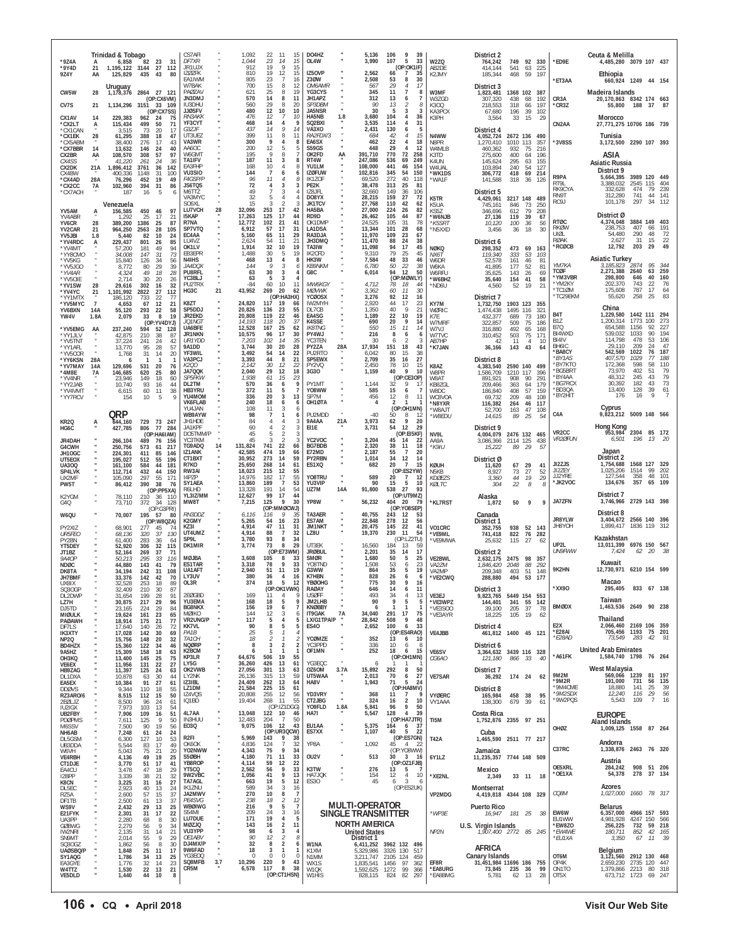| *9Z4A                                        | A                             | Trinidad & Tobago<br>6,858               | 82<br>23<br>- 31                                                                                       | CS7AFI<br>DF7XR                                      |     | 1,092<br>1,044                   | 22<br>23                       | -11<br>15<br>14<br>15                                         | DO4HZ<br>OL4W                             |            | 5,136<br>3,990                                                     | 106<br>9<br>39<br>107<br>5<br>33                                                           | W2ZQ                             | District 2<br>764,242                                       | 749                            | 92 330                                    | *ED9E                                        | Ceuta & Melilla<br>4,485,280 3079 107 437                      |                                                   |                      |                                         |
|----------------------------------------------|-------------------------------|------------------------------------------|--------------------------------------------------------------------------------------------------------|------------------------------------------------------|-----|----------------------------------|--------------------------------|---------------------------------------------------------------|-------------------------------------------|------------|--------------------------------------------------------------------|--------------------------------------------------------------------------------------------|----------------------------------|-------------------------------------------------------------|--------------------------------|-------------------------------------------|----------------------------------------------|----------------------------------------------------------------|---------------------------------------------------|----------------------|-----------------------------------------|
| *9Y4D<br>9Z4Y                                | 21<br>AA                      | 1, 195, 122 3144<br>125,829<br>Uruguay   | 27<br>112<br>80<br>435<br>43                                                                           | JR1UJX<br>IZØZFK<br>EA1IWM<br>W7BAK                  |     | 912<br>810<br>805<br>700         | 19<br>19<br>23<br>15           | 15<br>Q<br>12<br>15<br>16<br>-7<br>8<br>12                    | IZ50VP<br>Z30W<br>OM6AMR                  |            | 2,562<br>2,508<br>567                                              | (OP:OK<br>11F)<br>66<br>7<br>35<br>53<br>8<br>30<br>29<br>$\overline{4}$<br>17             | AB2DE<br>K2JMY                   | 414,144<br>185,344<br>District 3                            | 541<br>468                     | 225<br>63<br>-59<br>197                   | *ET3AA                                       | Ethiopia<br>660,924 1249 44 154                                |                                                   |                      |                                         |
| CW5W<br>CV7S                                 | 28<br>21                      | 1,178,376<br>1,134,296                   | 27 121<br>2864<br>(OP:CX6VM)<br>3151<br>33 109                                                         | PAØZAV<br>JN3DMJ<br>IU3DHU                           |     | 621<br>570<br>560                | 25<br>14<br>29                 | 19<br>8<br>11<br>8<br>20<br>8                                 | YG3CYS<br>JH1APZ<br>SP3DBM                |            | 345<br>312<br>90                                                   | 11<br>8<br>13<br>$\overline{7}$<br>6<br>13<br>8<br>-2                                      | W3MF<br>W3ZGD<br>K300            | 1,823,481<br>307,320<br>218,553                             | 1368 102 387<br>438<br>318     | 68<br>192<br>66<br>197                    | CR <sub>3</sub> A<br>*CR3Z                   | Madeira Islands<br>20,170,863 8342 174 663<br>55,800           | 188                                               | -37                  |                                         |
| CX1AV<br>*CX2LT<br>*CX1CAN                   | 14<br>Ą                       | 229,383<br>115,434<br>3,515              | (OP:CX7SS)<br>962<br>75<br>24<br>71<br>499<br>50<br>73<br>20<br>17                                     | <b>JJØSFV</b><br>RN3AKK<br>YF3CYT<br>G37. IF         |     | 480<br>476<br>468<br>437         | 12<br>12<br>14<br>14           | 10<br>10<br>10<br>4<br>9<br>9<br>14                           | JA5NSR<br>HA5NB<br>SQ2BXI<br>VA3XO        | 1.8        | 30<br>3.680<br>3,535<br>2,431                                      | 3<br>5<br>3<br>104<br>$\overline{4}$<br>36<br>31<br>114<br>$\overline{4}$<br>130<br>6<br>5 | KA3PCX<br>K3PH                   | 67,680<br>3,564<br>District 4                               | 196<br>33                      | 102<br>39<br>15<br>29                     | CN2AA                                        | Morocco<br>27,771,275 10706 186 739                            |                                                   |                      |                                         |
| *CX1FK<br>*CX5ABM<br>*CX7BBR                 | 28<br>14                      | 61,295<br>38,400<br>13,632               | 47<br>388<br>18<br>43<br>276<br>17<br>40<br>146<br>24                                                  | UT3UEZ<br>VA3WR<br>AA6OC                             |     | 399<br>300<br>200                | 11<br>9<br>12                  | 11<br>8<br>8<br>5<br>5                                        | RA2FDX/3<br>EA6SX<br>S59GS                |            | 684<br>462<br>448                                                  | 15<br>42<br>4<br>22<br>18<br>$\overline{4}$<br>29<br>$\overline{4}$<br>12                  | N4WW<br>N8PR<br>W4MLB            | 4,052,724<br>1,270,410<br>460,362                           | 2672 136<br>1010 113<br>932    | 490<br>357<br>75<br>216                   | *3V8SS                                       | Tunisia<br>3,172,500 2290 107 393                              |                                                   |                      |                                         |
| CX2BR<br>CX4SS<br>CX2DK                      | AA<br>21A                     | 108,570<br>41,220<br>1,896,412           | 308<br>57<br>97<br>261<br>24<br>36<br>142<br>36<br>3761                                                | W6GMT<br>TA1IFV<br>EA3FHP                            |     | 195<br>187<br>168                | 9<br>11<br>10                  | 8<br>3<br>8<br>8                                              | OK2FD<br>RT4W<br>YU1LM                    | AA         | 391,710<br>247,086<br>108,000                                      | 770<br>72<br>258<br>69<br>249<br>536<br>441<br>46<br>154                                   | K3TD<br>K4UN<br>W4UAL            | 275,600<br>145,624<br>103,894                               | 400<br>295<br>240              | 64<br>196<br>63<br>155<br>-54<br>127      |                                              | ASIA<br><b>Asiatic Russia</b><br>District 9                    |                                                   |                      |                                         |
| CX4BW<br>*CX4AD<br>*CX2CC<br>*CX7ACH         | 28A<br>7A                     | 400,336<br>76,296<br>102,960<br>187      | 1148<br>31<br>100<br>452<br>19<br>49<br>394<br>31<br>86<br>16<br>-5<br>6                               | VU3SIO<br><b>F4GSP/F</b><br><b>JS6TQS</b><br>M6TTZ   |     | 144<br>96<br>72<br>49            | 7<br>11<br>4<br>$\overline{7}$ | 6<br>6<br>8<br>3<br>3<br>3<br>4                               | <b>IZØFUW</b><br>IK1ZOF<br>PE2K<br>IZ8JFL |            | 102,816<br>69,520<br>38,478<br>32.660                              | 345<br>54<br>150<br>272<br>40<br>118<br>25<br>81<br>313<br>149<br>36<br>106                | *WK1DS<br>*WA1F                  | 306,772<br>141,588<br>District 5                            | 418<br>318                     | 69<br>214<br>-36<br>126                   | R9PA<br>RT9L<br>RK9CYA                       | 5,664,395<br>3.388.032<br>332,628                              | 3989 120 449<br>2545 115<br>474                   | 79                   | 404<br>239                              |
| YV5AM                                        | А                             | Venezuela<br>156,585                     | 450<br>46<br>97                                                                                        | VA3MYC<br>SO6XL<br><b>LU7VCH</b>                     | 28  | 32<br>15<br>32,096               | 5<br>3<br>253                  | $\overline{4}$<br>4<br>3<br>17<br>42                          | <b>DO8YX</b><br><b>JK1TCV</b><br>HA5BA    |            | 28,215<br>27,768<br>27,000                                         | 27<br>72<br>159<br>110<br>42<br>62<br>224<br>26<br>82                                      | K5TR<br>K5UA<br>KS5Z             | 4.429.061<br>745,161<br>346,696                             | 3217 148<br>846<br>612         | 489<br>73<br>250<br>79<br>208             | RN9T<br>RC9J                                 | 312,280<br>101,178                                             | 741<br>297                                        | 44 141<br>34         | 112                                     |
| YV4ABR<br>YV6CR<br>YV2CAR                    | 28<br>21                      | 1.292<br>389,200<br>964,250              | 21<br>25<br>17<br>1386<br>25<br>87<br>28<br>105<br>2563                                                | <b>I5KAP</b><br>R7NA<br>SP7VTQ                       |     | 17,263<br>12,772<br>6,912        | 125<br>102<br>57               | 17<br>44<br>21<br>41<br>17<br>31                              | RD9D<br>OK1DMP<br>LA1DSA                  |            | 26,462<br>24.525<br>13,344                                         | 105<br>87<br>44<br>31<br>78<br>105<br>101<br>28<br>68                                      | *W6NJB<br>*K5SRT<br>*N5XXD       | 27,136<br>10,120<br>3,456                                   | 119<br>100<br>36               | 39<br>67<br>36<br>56<br>30<br>18          | <b>RTØC</b><br><b>RKØW</b><br>UIØL           | District Ø<br>4,374,048<br>238,753<br>54,480                   | 3884<br>407                                       | 149<br>66<br>48      | 403<br>191                              |
| YV5JBI<br>*YV4RDC<br>*YV4MT<br>*YY8CMO       | 1.8<br>A                      | 5,440<br>229,437<br>57,200<br>34,008     | 10<br>24<br>82<br>85<br>801<br>26<br>94<br>181<br>49<br>73<br>147<br>31                                | EC4AA<br>LU4VZ<br>OK1LV<br>EB3EPR                    |     | 5,160<br>2,624<br>1,914<br>1.488 | 65<br>54<br>32<br>30           | 11<br>29<br>-11<br>21<br>10<br>19<br>19<br>5                  | RA3DJA<br>JH3DMQ<br>TA3IW<br>IK2CFD       |            | 11,970<br>11,470<br>11,098<br>9,310                                | 23<br>67<br>109<br>38<br>88<br>24<br>94<br>17<br>45<br>79<br>25<br>45                      | NØKQ<br>NX6T                     | District 6<br>298,352<br>119,340                            | 473<br>333                     | 69<br>163<br>53<br>103                    | <b>RØAK</b><br>*RCØCB                        | 2.627<br>12,792                                                | 290<br>31<br>203                                  | 15<br>29             | $\frac{72}{22}$                         |
| *YV5KG<br>*YV5JGO<br>*YV4AR                  |                               | 15,840<br>8,772<br>4,324                 | 56<br>126<br>-34<br>39<br>80<br>29<br>28<br>49<br>18                                                   | N4IHS<br><i>JA4DOX</i><br>PU8RFL                     |     | 468<br>144<br>63                 | 13<br>Q<br>30                  | 8<br>3<br>6<br>3<br>$\overline{4}$                            | HK3W<br><i>KB9NKM</i><br>G8C              |            | 7,584<br>6,780<br>6,014                                            | 48<br>33<br>46<br>50<br>22<br>38<br>94<br>12<br>50                                         | W6DR<br>W6KA<br>W6RFU            | 52,578<br>41,895<br>35,625                                  | 161<br>177<br>143              | 46<br>-81<br>52<br>81<br>26<br>69         | YM7KA<br>TCØF                                | <b>Asiatic Turkey</b><br>3,185,823<br>2,271,388                | 2874<br>2640                                      | 95<br>63             | 344<br>259                              |
| *YV5OIE<br>*YV1SW<br>*YV4YC                  | 28<br>21                      | 2,714<br>29,616<br>1,101,992             | 30<br>$\frac{26}{32}$<br>20<br>302<br>16<br>2822<br>27<br>112                                          | YC3BLJ<br>PU2TRX<br>HG3C                             | 21  | 63<br>$-84$<br>43,952            | 5<br>60<br>269                 | ર<br>4<br>10<br>11<br>20<br>62                                | MW6KGY<br><b>MØVWK</b>                    |            | 4,712<br>3.362                                                     | (OP:MØWLY)<br>78<br>18<br>44<br>60<br>11<br>30                                             | *W6BHZ<br>*ND6U                  | 35,640<br>4,560                                             | 154<br>52                      | 58<br>41<br>19<br>21                      | *YM3VBR<br>*YM2KY<br>'TC1ØM                  | 298,800<br>202,370<br>175,608                                  | 646<br>743<br>787                                 | 40<br>22<br>17<br>25 | 160<br>76<br>$^{64}_{83}$               |
| *YY1MTX<br>*YV5MYC<br>YV6BXN<br>YW4V         | $\overline{7}$<br>14A<br>1.8A | 186,120<br>4,653<br>55,120               | 77<br>733<br>-22<br>21<br>67<br>12<br>293<br>58<br>22<br>33<br>8<br>19                                 | K8ZT<br>SP5DDJ<br>JR2EKD                             |     | 24,820<br>20,826<br>20,808       | 117<br>136<br>119              | (OP:HA3HX)<br>- 19<br>66<br>23<br>55<br>22<br>46              | <b>YCØOSX</b><br>IW2MYH<br>DL7CB<br>EA4SG |            | 3,276<br>2,920<br>1,350<br>1,189                                   | 92<br>12<br>16<br>17<br>44<br>23<br>40<br>9<br>21<br>22<br>10<br>19                        | KY7M<br>WØRIC<br>K7E             | District 7<br>1,732,750<br>1,474,438<br>432,377             | 1903 123<br>1495 116<br>689    | 355<br>321<br>180                         | *TC29EKM<br>B <sub>4</sub> T                 | 55,620<br>China<br>1,229,580                                   | 258<br>1442 111                                   |                      | 294                                     |
| *YV5EMG<br>*YY1JLV                           | AA                            | 2,079<br>237,240<br>42,875               | (OP:YV4DYJ)<br>594<br>52<br>128<br>210<br>38<br>87                                                     | JQ1NG1<br>UA6BFE<br>JR1NKN                           |     | 14,193<br>12,528<br>10,575       | 118<br>167<br>96               | 20<br>37<br>25<br>62<br>17<br>30                              | <b>K4SSE</b><br><b>IK8TNG</b><br>PY4WJ    |            | 690<br>550<br>216                                                  | 20<br>9<br>14<br>15<br>11<br>14<br>8<br>6<br>6                                             | W7MRF<br>W7VJ<br>W7TVC           | 322,857<br>316,880<br>310,452                               | 509<br>492<br>503              | 73<br>75<br>186<br>65<br>168<br>75<br>171 | <b>B17</b><br><b>B7Q</b><br>BI4WXD           | 1,200,314<br>654,588<br>539.032                                | 1773<br>1156<br>1033                              | 100<br>92<br>90      | 273<br>227<br>194                       |
| *YV5TNT<br>*YY1AFL<br>*YV5COR                |                               | 37,224<br>13,770<br>1,768                | 42<br>24<br>241<br>57<br>95<br>28<br>20<br>31<br>14                                                    | UR1YDD<br>9A1DD<br>YF3WIL                            |     | 7,203<br>3,744<br>3,492          | 102<br>30<br>54                | 14<br>35<br>20<br>28<br>14<br>22                              | YC3TEN<br>PY2ZA<br>PU2RTO                 | 28A        | 30<br>17,934<br>6,042                                              | 6<br>-2<br>3<br>151<br>18<br>43<br>80<br>15<br>38                                          | AB7HP<br>*K7JAN                  | 42<br>36,166                                                | 11<br>143                      | $\overline{4}$<br>-10<br>43<br>64         | BI4IV<br>BH6IC<br>*BA8CY                     | 114.798<br>29,110<br>542,569                                   | 478<br>209<br>1022                                | 53<br>24<br>76       | 106<br>47<br>187                        |
| *YY6KSN<br>*YV7MAY<br>*4M8E<br>*YV4NR        | 28A<br>14A<br>7A              | -6<br>129,696<br>146,685                 | $\mathbf{1}$<br>531<br>20<br>76<br>80<br>620<br>25<br>149<br>18                                        | VA3PCJ<br>K200<br>JA7QQK<br>SP5FKW                   |     | 3,393<br>2,142<br>2,040<br>1,938 | 44<br>30<br>29<br>61           | 21<br>- 8<br>12<br>22<br>12<br>18<br>15<br>23                 | SP5EWX<br>PY2VQ<br>3G30                   |            | 2,709<br>2,450<br>1,159                                            | 27<br>35<br>16<br>78<br>10<br>15<br>$\mathsf q$<br>40<br>10<br>(OP:CE3OP)                  | K8AZ<br>W8PR                     | District 8<br>4,383,540<br>1,586,709                        | 2590 140<br>1210<br>117<br>908 | - 499<br>396<br>90<br>291                 | *BY1AS<br>*BY7KTO<br><b>BG5BRT</b><br>*BY4AA | 407,570<br>172,368<br>73,970<br>48,312                         | 1029<br>598<br>402<br>245                         | 77<br>58<br>51<br>43 | 188<br>110<br>79<br>79                  |
| *YY2JAB<br>*YV4VMT<br>*YY7RCV                |                               | 23,946<br>10,740<br>6,615<br>154         | 60<br>93<br>44<br>16<br>38<br>60<br>11<br>10<br>-9<br>-5                                               | DL2TM<br>HB3YRU<br>YU4MOM                            |     | 570<br>372<br>336                | 36<br>11<br>20                 | 9<br>6<br>$\overline{7}$<br>5<br>13<br>3                      | PY1MT<br>Y08WW<br>SP7M                    |            | 1,144<br>585<br>456                                                | 32<br>9<br>-17<br>15<br>6<br>7<br>12<br>8<br>11                                            | W8AT<br>KB8ZGL<br>W8DC<br>WC8VOA | 891.921<br>209,466<br>186,840<br>69,732                     | 363<br>408<br>209              | 179<br>64<br>57<br>159<br>48<br>108       | 'BG7RCX<br>*BD30A<br>*BY2HIT                 | 30,392<br>13.400<br>176                                        | 182<br>128<br>16                                  | 43<br>39<br>9        | $\begin{array}{c} 73 \\ 61 \end{array}$ |
|                                              |                               | QRP                                      |                                                                                                        | <b>VK6FLAB</b><br>YU4JAN<br>WB9AYW                   |     | 240<br>108<br>98                 | 18<br>11<br>$\overline{7}$     | 6<br>6<br>-3<br>6<br>6                                        | OH10TA<br>PU2MDD                          |            | 4<br>$-40$                                                         | $\overline{\mathbf{z}}$<br>(OP:OH1MN)<br>50<br>8<br>12                                     | *N8YXR<br>*W8AJT<br>*W8EDU       | 116,382<br>52,700<br>14,615                                 | 264<br>163<br>89               | 46<br>117<br>47<br>108<br>25<br>.54       | C <sub>4</sub> A                             | Cyprus<br>9,823,212                                            | 5009 148 566                                      |                      |                                         |
| KR2Q<br>HG6C                                 | А                             | 644,160<br>427,785                       | 73 247<br>729<br>77 284<br>806<br>(OP:HA6IAM)                                                          | JH1HDE<br>JA1KPF<br>DO5TMM/P<br>YC3TKM               |     | 84<br>60<br>45<br>45             | 4<br>4<br>5                    | 3<br>4<br>2<br>3<br>$\mathfrak{D}$<br>3<br>3<br>$\mathcal{D}$ | <b>9A4AA</b><br>EI1E<br>YC2VOC            | 21A        | 3,973<br>3,731<br>3,204                                            | 62<br>9<br>20<br>54<br>12<br>29<br>(OP: EISKF)<br>45<br>14<br>22                           | NV9L                             | District 9<br>4,004,079                                     | 2476 132 465                   |                                           | VR <sub>2</sub> CC<br><b>VR2ØFUN</b>         | Hong Kong<br>953,984<br>6,501                                  | 2304 85 172<br>196                                | 13                   | - 20                                    |
| JR4DAH<br>G4CWH<br>JH10GC<br>UT5EOX          |                               | 266,104<br>250,756<br>224,301<br>195,027 | 489<br>76<br>156<br>573<br>217<br>61<br>411<br>85<br>146<br>196<br>512<br>- 55                         | TG9ADQ<br>IZ1ANK<br>CT1BXT                           | 14  | 131,824<br>42,585<br>30,952      | 741<br>474<br>273              | 22<br>66<br>19<br>66<br>14<br>59                              | <b>BG7BDB</b><br>E72MD<br>PY2RBN          |            | 2,320<br>2,187<br>1,014                                            | 38<br>11<br>18<br>55<br>$\overline{7}$<br>20<br>34<br>12<br>14                             | AA9A<br>*К9ІU                    | 3,086,366<br>15,222<br>District Ø                           | 2114 125<br>89                 | 438<br>29<br>-57                          |                                              | Japan<br>District 2                                            |                                                   |                      |                                         |
| <b>UA300</b><br>SP4LVK<br>UX2MF              |                               | 161,100<br>112.714<br>105,090            | 584<br>44<br>181<br>432<br>44<br>150<br>297<br>55<br>171                                               | R7KO<br>RW3A<br>I4P7P                                |     | 25,650<br>18,023<br>14.976       | 268<br>215<br>182              | 14<br>61<br>12<br>55<br>55<br>17                              | ES1XQ<br>Y08TRU                           |            | 682<br>589                                                         | 20<br>$\overline{7}$<br>15<br>(OP:ES2YW)<br>20<br>$\overline{7}$<br>12                     | KØUH<br>N5KB<br><b>KDØEZS</b>    | 11,620<br>8.927<br>3,360                                    | 67<br>73<br>44                 | 29<br>41<br>27<br>52<br>19<br>29          | JI2ZJS<br>JI2ZEY<br>JJ2YRE                   | 1,754,688<br>1,025,206<br>127,544                              | 1568 127 329<br>1514<br>358                       | 99<br>48             | 202<br>101                              |
| PW5T<br>K2YGM                                |                               | 86,412<br>78,110                         | 390<br>38<br>76<br>(OP:PP5XA)<br>210<br>36<br>110                                                      | SY1AEA<br>R6I HD<br>YL3IZ/MM                         |     | 13,860<br>13,328<br>12,627       | 189<br>191<br>99<br>125        | $\overline{7}$<br>53<br>54<br>14<br>17<br>44<br>9<br>30       | YU3VIP<br>UZ7M<br>YP8W                    | <b>14A</b> | 90<br>91,800                                                       | 15<br>5<br>10<br>538<br>27<br>93<br>(OP:UT9MZ)<br>- 20<br>- 79                             | KØLTC                            | 304<br>Alaska                                               | 22                             | 8<br>8                                    | *JK2VOC<br><b>JA7ZFN</b>                     | 134,676<br>District 7<br>3,746,966                             | 357<br>2729 143 398                               | 65                   | 109                                     |
| G4Q<br>W6QU                                  |                               | 73,710<br>70,007                         | 372<br>34<br>128<br>(OP:G3PRI)<br>195<br>-57<br>80<br>(OP:W8QZA)                                       | MW8T<br>RN3DD)<br>K2GMY                              |     | 7,215<br>6,116<br>5,265          | 116<br>54                      | (OP:MMØCWJ)<br>35<br>9<br>23<br>16                            | TA3AER<br>ES7AM                           |            | 56,232<br>40,755<br>22,848                                         | 404<br>(OP:YO8SEP)<br>243<br>12<br>53<br>278<br>56<br>12                                   | *KL7RST                          | 1,872<br>Canada<br>District 1                               | 50                             | 9<br>q                                    | JR8YLW                                       | District 8<br>3,404,672                                        | 2566 140 396                                      |                      |                                         |
| PY2XIZ<br>UR5FEO<br>PY2BN                    |                               | 68,901<br>68,136<br>61.400               | 277<br>45<br>74<br>37<br>130<br>320<br>283<br>-36<br>64                                                | KZ3I<br>UT4UMZ<br>SP9L                               |     | 4,914<br>4,914<br>3,780          | 47<br>88<br>93                 | 11<br>31<br>$\overline{7}$<br>32<br>8<br>34                   | <b>JM1NKT</b><br>LZ8U                     |            | 20,475<br>19,370                                                   | 145<br>22<br>41<br>230<br>-11<br>54<br>(OP:LZ2TU)                                          | VO1CRC<br>*VE9ML<br>*VE9MWA      | 352,755<br>741,418<br>25,632                                | 938<br>822<br>115              | 52 143<br>76 282<br>27<br>62              | JH8YOH                                       | 1,899,417<br>Kazakhstan                                        | 1836 119                                          |                      | -312                                    |
| YT5DEY<br>JT1BZ<br>9A40P                     |                               | 52,920<br>52,164<br>50.213               | 115<br>306<br>32<br>269<br>-37<br>71<br>295<br>33<br>116                                               | DK1MIR<br>MØJBA                                      |     | 3,774<br>3,608                   | 73<br>105                      | 29<br>8<br>(OP:E73WM)<br>8<br>33                              | UT3EK<br><b>JRØBUL</b><br><b>SMØR</b>     |            | 16,560<br>2,201<br>1,680                                           | 184<br>13<br>59<br>17<br>35<br>14<br>50<br>5<br>25                                         | <b>VE2BWL</b>                    | District 2<br>2,632,175                                     | 2475                           | 98<br>357                                 | UP2L<br>UN9FWW                               | 13,011,399 6976 150 567<br>7,424<br>Kuwait                     | 62                                                | 20                   | 38                                      |
| NDØC<br>DK8TA<br>JH7BMF<br>UX8IX             |                               | 44.880<br>34,194<br>33,376<br>32,528     | 41<br>79<br>143<br>242<br>31<br>108<br>42<br>70<br>142<br>253<br>18<br>89                              | <b>ES1TAR</b><br>UA1AFT<br>LY3UV<br>OL3R             |     | 3,318<br>2,940<br>380<br>374     | 78<br>51<br>36<br>18           | 9<br>33<br>11<br>19<br>4<br>16<br>5<br>12                     | Y08TND<br>G3WW<br>K7HBN<br><b>YBØOHG</b>  |            | 1,508<br>864<br>828<br>775                                         | 53<br>23<br>6<br>35<br>5<br>19<br>26<br>6<br>6<br>30<br>9<br>16                            | VA2ZM<br>VA2MP<br>*VE2CWQ        | 1.846.420<br>209,348<br>288,880                             | 2048<br>403<br>494             | 88<br>292<br>51<br>148<br>177<br>$53\,$   | 9K2HN                                        | 12.730.971 6210 154 599<br>Macao                               |                                                   |                      |                                         |
| SQ30GP<br>DL2DWP<br>LZ7H                     |                               | 32,409<br>31,654<br>30,875               | 210<br>87<br>30<br>199<br>28<br>91<br>217<br>29                                                        | 2FØGBD<br>YU3EMA                                     |     | 169<br>168                       | 11<br>18                       | (OP:OK1VWK)<br>Q<br>4<br>5<br>9                               | RAØAY<br><b>USØFF</b><br>JM2LHB           |            | 646<br>493<br>90                                                   | 14<br>6<br>11<br>34<br>$\overline{4}$<br>13<br>9<br>5<br>5                                 | VE3EJ<br>*VE3WPZ                 | District 3<br>9,823,765 5449 154 553<br>144,401             | 341                            | 55<br>142                                 | *XX90                                        | 295,405<br>Taiwan                                              | 833 67 138                                        |                      |                                         |
| DJ5TD<br><b>MIØULK</b><br><b>PAØAWH</b>      |                               | 23,165<br>19,624<br>18,914               | $\frac{96}{84}$<br>29<br>224<br>23<br>65<br>161<br>77<br>175<br>21                                     | <b>BG8NKX</b><br>MØIKO<br>VR2UNG/P                   |     | 156<br>144<br>117                | 19<br>12<br>5                  | $\overline{7}$<br>6<br>3<br>6<br>4<br>5                       | <b>KNØBBY</b><br>IT9GAK<br>LX/G1TPA/P     | 7A         | 6<br>34,040<br>28,842                                              | $\mathbf{1}$<br>$\mathbf{1}$<br>291<br>17<br>75<br>9<br>508<br>48                          | *VE3SOO<br>*VE3AYR               | 39,100<br>18,225                                            | 205<br>105                     | 37<br>78<br>19<br>62                      | <b>BMØDX</b><br>E <sub>2</sub> X             | 1,463,536 2649<br>Thailand<br>2,066,460 2169 106 359           |                                                   | 90 238               |                                         |
| DF7LS<br><b>IK3XTY</b><br>NP2Q<br>BD4HZX     |                               | 17,640<br>17,028<br>15,756<br>15,360     | $\frac{72}{69}$<br>140<br>26<br>142<br>30<br>32<br>148<br>20<br>46<br>122<br>- 34                      | <b>KK7VL</b><br>PA1B<br><i>TA1CH</i><br><b>NQØRP</b> |     | 90<br>25<br>18<br>8              | 8<br>5<br>2<br>3               | 5<br>5<br>2<br>$\boldsymbol{2}$<br>$\overline{2}$             | ES40<br>YCØMZE<br>YC3PPD                  |            | 2,652<br>352<br>336                                                | 100<br>6<br>33<br>(OP:ES4RAO)<br>13<br>6<br>10<br>10 <sup>10</sup><br>6<br>8               | VE4JBB                           | District 4<br>District 6                                    | 461,812 1400 45 121            |                                           | *E28AI<br><i>*E28AD</i>                      | 705,456 1193<br>73,549                                         | 283                                               | 75 201<br>42         | 91                                      |
| 9A5HZ<br>OH3KQ<br>VE6EX                      |                               | 15,309<br>13,400<br>11,956               | 158<br>18<br>$\frac{63}{75}$<br>145<br>25<br>27<br>131<br>22                                           | K2BCM<br>KP3LR<br>LY5G                               |     | -6<br>64,676<br>36,260           | 506<br>426                     | $\mathbf{1}$<br>19<br>55<br>13<br>61                          | OF1MN<br>YG3EQC                           |            | 252<br>6                                                           | 18<br>6<br>15<br>(OP:OH1MN)                                                                | VE6SV<br>CG6AO                   | 3,364,632 3439 116 328<br>121,180                           | 866 33                         | 40                                        | *A61FK                                       | <b>United Arab Emirates</b><br>1,584,740 1798                  |                                                   | 76 264               |                                         |
| HB9ZAG<br>DL1DXA<br>EA5EX                    |                               | 11,397<br>10,878<br>10,384               | 125<br>24<br>63<br>63<br>30<br>44<br>91<br>27<br>61                                                    | OK2VWB<br>LY2NK<br>IZ3IBL<br>LZ1DM                   |     | 27,056<br>26,136<br>24,409       | 301<br>315<br>262<br>225       | 13<br>63<br>59<br>13<br>13<br>64                              | 0Z60M<br>UT5WAA<br>HA8V                   | 3.7A       | 15,892<br>2,013<br>1,943                                           | 292<br>8<br>50<br>70<br>27<br>6<br>71<br>5<br>24<br>(OP:HA8MV)                             | <b>VE7SAR</b>                    | District 7<br>36,292                                        | 174 24                         | 62                                        | 9M2M<br>$*9M2R$<br>*9M4CME                   | West Malaysia<br>569,066 1239<br>191,000<br>18,880             | 731<br>141                                        | 81<br>56 135<br>25   | 197<br>39                               |
| <b>DDØVS</b><br>RZ3ARO/6<br>2EØLJZ<br>IU2IGX |                               | 9,344<br>8,515<br>8,500<br>7,973         | 110<br>18<br>55<br>$\begin{array}{c} 50 \\ 61 \end{array}$<br>15<br>112<br>24<br>96<br>13<br>103<br>54 | IZ4VQS<br>IQ1BD                                      |     | 21,584<br>20,808<br>19,404       | 255<br>268                     | 15<br>61<br>12<br>56<br>11<br>55<br>(OP:IZ1DGG)               | YD3VRY<br>CT2JBG<br>YO9FLD                | 1.8A       | 368<br>324<br>5,841                                                | 11<br>$\overline{7}$<br>9<br>$\overline{2}$<br>16<br>10<br>9<br>96<br>50                   | <b>VYØERC</b><br>VY1AAA          | District 8<br>165,984<br>138,300                            | 458<br>679                     | 38<br>95<br>-39<br>61                     | *9M2SDX<br>*9W2PQS                           | 12,240<br>5,543                                                | 116<br>109                                        | 29<br>$\overline{7}$ | 56<br>16                                |
| UB2FBY<br><b>PDØPMS</b><br>M6SSV             |                               | 7,906<br>7,611<br>7,500                  | 51<br>109<br>16<br>125<br>50<br>9<br>56<br>90<br>19                                                    | 4L7AA<br>IN3HUU<br>E030                              |     | 13,048<br>12,483<br>9,075        | 122 10<br>204<br>106           | 46<br>$\overline{7}$<br>50<br>12<br>43                        | HA7I<br>EU1AA                             |            | 5,547<br>5,375                                                     | 128<br>39<br>4<br>(OP:HA7JTR)<br>164<br>6<br>37                                            | TI5M                             | Costa Rica<br>1,752,876 2355 97 251                         |                                |                                           | OHØZ                                         | <b>EUROPE</b><br><b>Aland Islands</b><br>1,009,125 1558 87 264 |                                                   |                      |                                         |
| NH6AB<br>DL5GSM<br>UB3DDA                    |                               | 7,248<br>6,300<br>5,544                  | 24<br>61<br>24<br>53<br>127<br>10<br>49<br>83<br>17                                                    | R <sub>2FI</sub><br>OK6OK                            |     | 5,969<br>4,836                   | 143<br>124                     | (OP:UR3QCW)<br>9<br>38<br>32<br>-7                            | ES7XX<br>YP8A                             |            | 1,107<br>1,092                                                     | 5<br>40<br>22<br>(OP:ES7GN)<br>45<br>$\overline{4}$<br>22                                  | T42A                             | Cuba<br>1,465,590 2511 77 217                               |                                |                                           | C37RC                                        | Andorra<br>1,338,876 2463 76 320                               |                                                   |                      |                                         |
| W6VH<br><b>VE4RBH</b><br>CT1DJE<br>EA4CU     |                               | 5,043<br>4,136<br>3,770<br>3,478         | 20<br>75<br>21<br>25<br>49<br>19<br>51<br>17<br>41<br>29<br>47<br>18                                   | YO2NWW<br>S50BH<br>YB8ROP<br>YT5CO                   |     | 4,343<br>4,180<br>4,114<br>2,562 | 75<br>71<br>59<br>56           | 9<br>34<br>11<br>33<br>12<br>22<br>9<br>33                    | OU2V<br>K3TW                              |            | 513<br>276                                                         | (OP:YO8WW)<br>30 3 16<br>(OP:OZ1FJB)<br>13<br>5                                            | 6Y1LZ                            | Jamaica<br>11,235,357 7744 148 509<br>Mexico                |                                |                                           | OE5XRL                                       | Austria<br>284,242                                             | 908                                               | 51 206               |                                         |
| I2BPP<br>K8CN<br>DL5EC                       |                               | 3.339<br>3,225<br>2,923                  | $\frac{32}{27}$<br>38<br>21<br>31<br>16<br>40<br>13                                                    | 9W2VBC<br>TA7AGL<br>IK1ZNU                           |     | 1,056<br>663<br>589              | 41<br>19<br>34                 | 9<br>13<br>12<br>5<br>3<br>16                                 | HA7JQK<br>ES30                            |            | 154<br>45                                                          | 12<br>$\overline{4}$<br>10<br>3<br>-6<br>-6<br>(OP:ES2UK)                                  | *XE2NL                           | 2,349<br>Montserrat                                         |                                | 33 11 18                                  | *OE1XA                                       | 54,378<br>Azores                                               | 278                                               | 37 134               |                                         |
| RZ5A<br>DF1TB<br>WS9V                        |                               | 2,600<br>2,500<br>2,432                  | $\frac{24}{37}$<br>57<br>15<br>37<br>61<br>13<br>25<br>29<br>13                                        | JA2MWV<br>PE4SVG<br>WBØIWG                           |     | 270<br>238<br>216                | 10<br>18<br>9                  | $\overline{7}$<br>8<br>12<br>2<br>$\overline{7}$<br>5         |                                           |            | <b>MULTI-OPERATOR</b>                                              |                                                                                            | VP2MDG                           | 4,419,818 4344 108 329<br><b>Puerto Rico</b>                |                                |                                           | CQ8M                                         | 1,027,000<br>Belarus                                           | 1660                                              | 78 317               |                                         |
| E21FYK<br>UA3PP<br><b>GØBWG</b>              |                               | 2,301<br>2,280<br>2,279                  | 31<br>22<br>17<br>30<br>68<br>-8<br>34<br>56<br>9<br>14                                                | S54MI<br>LU7DUE<br><b>MØZJQ</b><br>VU3YPP            |     | 209<br>171<br>143<br>98          | 24<br>19<br>16<br>6            | 3<br>16<br>5<br>$\overline{2}$<br>11<br>3<br>$\overline{4}$   |                                           |            | SINGLE TRANSMITTER<br><b>NORTH AMERICA</b><br><b>United States</b> |                                                                                            | *WP3E<br>NP <sub>2</sub> N       | 16,947<br>U.S. Virgin Islands                               | 181 25                         | 38                                        | EW6W<br>EU1WW<br>*EW8ZO<br>*EW4WE            | 6,357,000<br>4,981,928<br>256,225<br>180,711                   | 4966 157 593<br>4247 150<br>732 59 218<br>$852\,$ | 42 165               | 566                                     |
| IW2NRI<br>SN9MT<br>S030G7<br>UAØSBQ/P        |                               | 2,135<br>2,014<br>1,862<br>1,848         | 21<br>31<br>55<br>$\frac{29}{30}$<br>9<br>56<br>-8<br>17<br>25<br>11                                   | OE1ABV<br>DJ4MX/P<br>9W6FAD                          |     | 90<br>32<br>18                   | 12<br>8<br>3                   | 8<br>$\overline{2}$<br>6<br>$\mathbf{1}$<br>$\mathbf{1}$      | W1NA<br>K1XM                              |            | District 1<br>6,411,252<br>5,329,986                               | 3962 132 496<br>3326 130<br>517                                                            |                                  | 1,907,400 2772 85 245<br><b>AFRICA</b>                      |                                |                                           | *EU1XA                                       | 3,350<br>Belgium                                               | 67                                                | 11                   | 39                                      |
| SY1AQG<br>EA3GYE<br>W4TTZ                    |                               | 1,786<br>1,776<br>1,530                  | 34<br>$\frac{25}{23}$<br>13<br>32<br>14<br>21<br>22<br>13                                              | YG3EOQ<br>SQ8MFB<br>CR5M                             | 3.7 | $^{\circ}$<br>10,296<br>6,578    | 0<br>220<br>117                | 0<br>$^{\circ}$<br>9<br>43<br>8<br>38                         | N1MM<br>WX1S<br>W <sub>1</sub> OK         |            | 3,211,747<br>1,835,541<br>1,592,625 1272                           | 2105 124<br>459<br>1456<br>97<br>362<br>99<br>366                                          | EF8R<br>*EA8URG                  | <b>Canary Islands</b><br>31,451,984 11696 186 755<br>73,845 | 235                            | 99<br>36                                  | OT6M<br>OP4K<br>ON1TO                        | 3,121,560<br>2,659,230<br>1,379,866 2213                       | 2912 130 468<br>2735 120                          | 80 318               | 447                                     |
| VE5DLD                                       |                               | 1,440                                    | 44<br>10<br>8                                                                                          |                                                      |     |                                  |                                | (OP:CT1HSN)                                                   | W1HIS                                     |            | 828,115                                                            | 824<br>82<br>297                                                                           | *EA8BMG                          | 5,781                                                       | 62                             | 13<br>28                                  | OT5X                                         | 673,712 1723                                                   |                                                   | 69                   | 247                                     |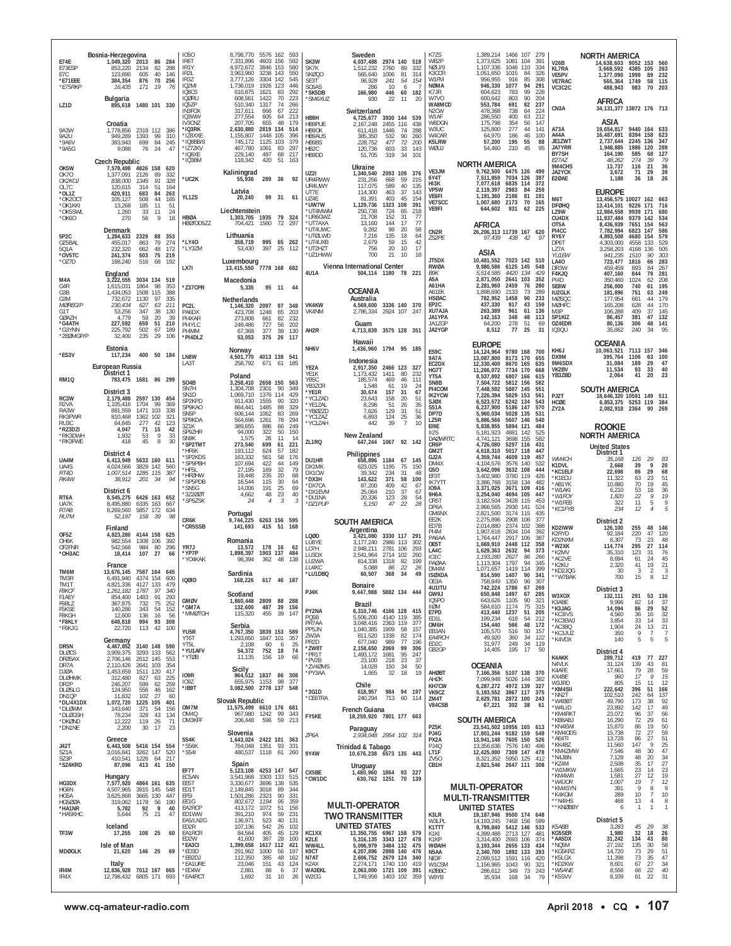| E73ESP<br>E7C<br>*E71EEE<br>*E75RKP                                                                | Bosnia-Herzegovina<br>1,049,320 2013<br>86 284<br>288<br>853,220<br>2134<br>82<br>123,690<br>605<br>40<br>146<br>384,354<br>70 256<br>876<br>16,435<br>171<br>- 19<br>76                                                                                                                                           | 1050<br>IR <sub>6</sub> T<br>IR1Y<br>IR <sub>21</sub><br>IR3Z<br>IQ2MI<br>IQ8CS | 8,798,770 5576 162<br>7.331.896<br>4.972.672<br>3,963,960<br>3,777,126<br>1,736,019<br>610,875                     | 4603 156<br>3846 153<br>3238 143<br>3304 142<br>1926 123<br>1621     | 593<br>592<br>580<br>550<br>545<br>446<br>83<br>292                                | SK3W<br>SK7K<br>SKØQ0<br>SE3T<br>SC6AS<br>'SK5DB                                          | Sweden<br>4,037,488<br>2974 140 518<br>1,512,232<br>2760<br>565,640<br>1006<br>96,928<br>241<br>286<br>10<br>166,980<br>446                                                              | 89<br>332<br>81<br>314<br>-54<br>154<br>6<br>60<br>182                                       | K7ZS<br>WB2P<br>NØIJ/9<br>K3CCR<br>W1FM<br><b>NØMA</b><br>K7JR                        | 1,389,214<br>1,373,625<br>1,107,336<br>1,051,650<br>956,955<br>946,330<br>604,623                                              | 1466 107 279<br>1081 104<br>1046<br>110<br>1015<br>84<br>916<br>85<br>1077<br>94<br>783<br>99                   | 391<br>334<br>326<br>308<br>291<br>228                    | <b>V26B</b><br><b>KL7RA</b><br>VE5PV<br><b>VE7RAC</b><br>VC3C2C                            | NORTH AMERICA<br>14,638,603 9052 153 560<br>3,668,592<br>1,377,090<br>565,364<br>488,943                                     | 4385 105<br>1999<br>1749<br>983                                           | 263<br>89<br>232<br>58<br>115<br>70 203                                                                          |
|----------------------------------------------------------------------------------------------------|--------------------------------------------------------------------------------------------------------------------------------------------------------------------------------------------------------------------------------------------------------------------------------------------------------------------|---------------------------------------------------------------------------------|--------------------------------------------------------------------------------------------------------------------|----------------------------------------------------------------------|------------------------------------------------------------------------------------|-------------------------------------------------------------------------------------------|------------------------------------------------------------------------------------------------------------------------------------------------------------------------------------------|----------------------------------------------------------------------------------------------|---------------------------------------------------------------------------------------|--------------------------------------------------------------------------------------------------------------------------------|-----------------------------------------------------------------------------------------------------------------|-----------------------------------------------------------|--------------------------------------------------------------------------------------------|------------------------------------------------------------------------------------------------------------------------------|---------------------------------------------------------------------------|------------------------------------------------------------------------------------------------------------------|
| LZ <sub>1D</sub>                                                                                   | Bulgaria<br>895,618 1480 101 330                                                                                                                                                                                                                                                                                   | IQØRU<br>IQ5ZP<br>IN3FOX                                                        | 608,561<br>510,340<br>317,611                                                                                      | 1422<br>1317<br>666                                                  | 70<br>223<br>74<br>266<br>67<br>222                                                | 'SM6XUZ                                                                                   | 22<br>930<br>Switzerland                                                                                                                                                                 | 20<br>11                                                                                     | W7VO<br>WA8MCD<br>N2CW                                                                | 600,642<br>553,784<br>478,368                                                                                                  | 803<br>90<br>691<br>82<br>738<br>64                                                                             | 204<br>237<br>224                                         | CN <sub>3</sub> A                                                                          | <b>AFRICA</b><br>34, 131, 377 13872 176 713                                                                                  |                                                                           |                                                                                                                  |
| 9A3W<br>9A2U<br>*9A6V<br>*9A5G                                                                     | Croatia<br>1,778,856<br>2318 112 386<br>949,289<br>1393<br>99<br>310<br>383,943<br>699<br>84<br>245<br>9,088<br>76<br>24<br>47<br><b>Czech Republic</b>                                                                                                                                                            | IQ3WW<br>IV3CNZ<br>*IQ3RK<br>*IZ8XXE<br>'IQ8BB/8<br>*IZ7ZKV<br>'IO8XF<br>*IQ3BM | 277,554<br>207,705<br>2,630,880<br>1,155,807<br>745.172<br>467,780<br>229.140<br>118,342                           | 605<br>655<br>2819 134<br>1448 105<br>1125 103<br>1061<br>497<br>420 | 64<br>213<br>48<br>179<br>514<br>396<br>379<br>83<br>297<br>68<br>217<br>51<br>163 | HB9H<br>HB9PUE<br>HB9OK<br><b>HB9AUS</b><br><b>HB9BS</b><br>HB <sub>2C</sub><br>HB9DD     | 4,725,677 3930 144 539<br>2455 116<br>2,167,248<br>611,418<br>1446<br>385,350<br>532<br>228,752<br>477<br>120,736<br>603<br>51,705<br>319                                                | 438<br>74<br>288<br>90<br>260<br>72<br>200<br>33<br>143<br>34<br>101                         | W1AF<br>W8DGN<br>W3UC<br>W4CAR<br>K5LRW<br>WØUJ                                       | 286,550<br>175,798<br>125,800<br>64,970<br>57,200<br>54,460                                                                    | 63<br>400<br>354<br>56<br>277<br>44<br>186<br>46<br>195<br>55<br>210<br>45                                      | 212<br>147<br>141<br>100<br>88<br>95                      | A73A<br>A44A<br>JE1ZWT<br><b>JA7YRR</b><br>BY7SH<br>E27AZ                                  | ASIA<br>19,654,817<br>16,487,691<br>2,737,644<br>1,948,885<br>164,190<br>48,262                                              | 9440 164 633<br>8394 158<br>2245 136<br>1986 120<br>585<br>274            | 623<br>347<br>289<br>127<br>68<br>79<br>39                                                                       |
| OK5W<br>0K70<br>OK2KOJ<br>OL7C<br>*OL1Z<br>*OK2OCT<br>*OK1KKI<br>*OK5SWL<br>*OK60                  | 7,578,498 4826 158<br>620<br>1,377,091<br>2126<br>89<br>332<br>838,000<br>1345<br>91<br>328<br>120,615<br>314<br>51<br>164<br>420,911<br>683<br>84<br>263<br>44<br>165<br>105,127<br>508<br>11<br>13,268<br>185<br>51<br>1,260<br>33<br>24<br>-11<br>56<br>9<br>18<br>270                                          | *UC2K<br>YL1ZS<br><b>HBØA</b><br>HBØ/DD5ZZ                                      | Kaliningrad<br>55,936<br>Latvia<br>20,240<br>Liechtenstein<br>1,303,705 1935 79 324<br>704,421                     | 289 36<br>99 31<br>1560                                              | 92<br>61<br>72<br>297                                                              | <b>UZ21</b><br>UR4RWW<br>UR4UWY<br>UT7E<br>UZ4E<br>'uw7w<br>'UT4MWM<br>*UR6GWZ<br>*UT7AXA | Ukraine<br>1,340,540<br>2093 109 376<br>231,256<br>668<br>117,075<br>589<br>463<br>114,300<br>81,391<br>403<br>1323 108<br>1,129,736<br>250,738<br>724<br>152<br>21.708<br>13,160<br>144 | 59<br>215<br>40<br>135<br>37<br>143<br>45<br>154<br>391<br>218<br>65<br>77<br>31<br>17<br>77 | VE3JM<br>6Y4T<br>HI3K<br>VP5W<br>VE6FI<br>VF7SCC<br>VE9FI                             | <b>NORTH AMERICA</b><br>9,762,500<br>7,511,859<br>7,077,618<br>2,119,397<br>1,191,360<br>1,007,680<br>644,602<br><b>AFRICA</b> | 6475<br>126<br>7034 126<br>6835 114<br>2983<br>84<br>2186<br>81<br>2173<br>70<br>931<br>62                      | 499<br>387<br>372<br>259<br>191<br>165<br>225             | 9M4CHS<br>JA2YCK<br>E2ØAE<br>M6T<br><b>DFØHQ</b><br>LZ9W<br>CU4DX<br>OT5A                  | 13,737<br>3,672<br>1,188<br><b>EUROPE</b><br>13,456,575 10027 162 663<br>13,414,101<br>12,984,558<br>11.937.484<br>8,436,939 | 116<br>71<br>36<br>9226 171<br>9939 171<br>9379<br>7651 154               | $\frac{36}{39}$<br>21<br>29<br>26<br>18<br>716<br>680<br>534<br>142<br>563                                       |
| 5P2C<br>OZ5BAL<br>501A<br>*OV5TC<br>*OZ7D                                                          | Denmark<br>1,284,633<br>2329<br>88<br>353<br>455,017<br>863<br>79<br>274<br>48<br>172<br>232,320<br>662<br>75 219<br>241,374<br>503<br>516<br>68<br>192<br>188,240<br>England                                                                                                                                      | *LY40<br>'LY3ZM<br>LX7I                                                         | Lithuania<br>358,719<br>53,430<br>Luxembourg<br>13,415,550 7778 168 682                                            | 397                                                                  | 995 65 262<br>25<br>112                                                            | <b>'UT4UWC</b><br>*UTØLWD<br>*UT4UXB<br>*UT2HZT<br>UZ1HWW<br>4U1A                         | 98<br>9,282<br>135<br>7.216<br>59<br>2,679<br>756<br>20<br>700<br>21<br>Vienna International Center<br>504,114 1180 78 221                                                               | 58<br>-20<br>18<br>64<br>15<br>42<br>10<br>17<br>10<br>18                                    | CN <sub>2R</sub><br>ZS2PE<br>JT5DX<br><b>RWØA</b><br>B9K                              | 26,206,313 11739 167 620<br>97,439<br>ASIA<br>10,481,552<br>9,980,586<br>5,514,585                                             | 438 42<br>7023 142 510<br>6125 145<br>4420 134                                                                  | 97<br>548<br>429                                          | PI4CC<br>RY6Y<br>DP6T<br>177A<br>YU1EW<br><b>LA40</b><br>DR3W<br>F4KJQ                     | 7,782,994<br>4,893,508<br>4,303,000<br>3,258,203<br>941,235<br>723.477<br>459,459<br>407,160                                 | 147<br>6823<br>4680 154<br>4558<br>4168 136<br>1510<br>1816<br>893<br>844 | 586<br>579<br>133<br>529<br>505<br>90<br>303<br>283<br>66<br>84<br>267<br>79<br>281                              |
| M4A<br>G4R<br>G3B<br>G3M<br><b>MØREG/P</b><br>G1T<br><b>GØAZH</b><br>*G4ATH<br>*G3YNN<br>*2EØMGP/P | 3,222,555<br>3034 134 519<br>1,615,031<br>98<br>1864<br>353<br>1508<br>388<br>1,434,053<br>115<br>335<br>732,672<br>1130<br>97<br>211<br>230,434<br>627<br>63<br>347<br>38<br>53,256<br>130<br>39<br>59<br>20<br>4.779<br>227,592<br>659<br>51<br>210<br>502<br>67<br>189<br>225,792<br>32,400<br>235<br>29<br>106 | *Z37CPR<br>PC2L<br>PA6DX<br>PI4KAR<br>PI4YLC<br>PI4MM<br>*PI4DLZ                | Macedonia<br>5,335<br><b>Netherlands</b><br>1.146.320 2097 97<br>423,708<br>273,808<br>249,486<br>67,368<br>53,053 | 1248<br>661<br>727<br>377<br>375                                     | 95 11<br>44<br>348<br>65<br>203<br>82<br>232<br>56<br>202<br>38<br>130<br>26 117   | <b>VK4KW</b><br>VK4NM<br>AH2R                                                             | <b>OCEANIA</b><br>Australia<br>4,569,600 3336 140 370<br>2,786,334 2924 107 247<br>Guam<br>4,713,839 3575 128 351                                                                        |                                                                                              | A5A<br>A61HA<br>A61EK<br><b>HSØAC</b><br>EP2C<br>XU7AJA<br>JA1YPA<br>JA1ZGP<br>JA2YGP | 2,871,050<br>2,281,960<br>1,898,690<br>782,952<br>437,330<br>263,389<br>142,163<br>64,200<br>8,512                             | 2641 103<br>2459<br>76<br>2133<br>73<br>1458<br>90<br>917<br>43<br>961<br>61<br>348<br>48<br>278<br>51<br>77 25 | 352<br>280<br>289<br>233<br>159<br>136<br>113<br>69<br>31 | PI4D<br>SE8W<br><b>IU2GLK</b><br>MØSQC<br>MØHFC<br>M3P<br>SP1KIZ<br>OZ4EDR<br><b>IO30U</b> | 350,460<br>256,000<br>181,896<br>177,954<br>165,208<br>106,288<br>86,457<br>80,136<br>35.862                                 | 1024<br>740<br>751<br>661<br>628<br>409<br>381<br>306<br>240              | 62<br>208<br>61<br>195<br>249<br>63<br>179<br>44<br>170<br>44<br>37<br>145<br>132<br>47<br>48<br>141<br>34<br>95 |
| *FS3V                                                                                              | Estonia<br>117,234<br>400 50 184                                                                                                                                                                                                                                                                                   | LN8W                                                                            | Norway<br>4,501,770 4013 138 541                                                                                   |                                                                      |                                                                                    | NH6V                                                                                      | Hawaii<br>1,436,960 1794 95 185                                                                                                                                                          |                                                                                              | ES9C<br><b>9A7A</b>                                                                   | <b>EUROPE</b><br>14,124,964<br>13,087,800                                                                                      | 9780 168 700<br>8173 170                                                                                        | 655                                                       | KH6J<br>DX9M                                                                               | OCEANIA<br>10,063,521<br>395,764                                                                                             | 7113 157<br>1106                                                          | 346<br>100<br>63                                                                                                 |
| <b>RM10</b>                                                                                        | European Russia<br>District 1<br>783,475 1681 86 299                                                                                                                                                                                                                                                               | LA3T                                                                            | 258,792<br>Poland                                                                                                  | 671 61                                                               | 185                                                                                | YE2A<br>YE1K<br>YB5C                                                                      | Indonesia<br>2,917,350<br>2466 123 327<br>1,173,432<br>1411<br>185,574<br>469                                                                                                            | 80<br>232<br>46<br>111                                                                       | EC2DX<br>HG7T<br>YT5A                                                                 | 12,330,400<br>11,266,072<br>8,537,892                                                                                          | 8670 165<br>7734 170<br>6807 166                                                                                | 635<br>668<br>615                                         | 9M6SDX<br>VK2BV<br>YB3ZBD                                                                  | 31,084<br>11,534<br>2,064                                                                                                    | 189<br>93<br>41                                                           | 29<br>47<br>33<br>40<br>23<br>20                                                                                 |
| RC3W<br>R <sub>2</sub> VA<br>RA3W<br>RK3PWR                                                        | District 3<br>2,179,488 2597 130 454<br>99<br>1,105,416<br>1704<br>369<br>1471 103<br>338<br>881.559<br>810,468<br>1362 102<br>321                                                                                                                                                                                 | SO4B<br>SN7H<br>SN1D<br>SP2KPD<br>SP9KAO<br>SN <sub>5</sub> P<br>SP9KDA         | 3,258,410 2658 150 563<br>1,304,708<br>1,069,710<br>911,430<br>864,441<br>606,144<br>564,696                       | 2301<br>1376 114<br>1555<br>1485<br>1062<br>1261                     | 90<br>349<br>429<br>320<br>90<br>88<br>329<br>83<br>269<br>78<br>294               | YB3ZCR<br>*YE1R<br>*YC1ZAD<br>*YE1ZAL<br>*YBØZZD<br>*YC1ZAZ                               | 1,548<br>61<br>30,674<br>157<br>158<br>23.643<br>8,296<br>51<br>129<br>7,626<br>6,893<br>124                                                                                             | 19<br>24<br>31<br>67<br>20<br>51<br>$\frac{35}{51}$<br>26<br>-31<br>25<br>36                 | SN8B<br>PI4COM<br><b>IK2YCW</b><br><b>SJØX</b><br><b>S51A</b><br>DP7D<br>LZ5R         | 7,504,722<br>7,448,592<br>7,226,394<br>6,523,572<br>6,237,900<br>5,960,034<br>5,886,566                                        | 5812 156<br>5887 145<br>5829 153<br>6242 134<br>5186 147<br>5028 135<br>5607 146                                | 582<br>551<br>561<br>543<br>570<br>531<br>540             | PJ2T<br>HCØE<br>ZY2A                                                                       | <b>SOUTH AMERICA</b><br>18,646,320 10591 149 511<br>6,853,375<br>2,082,918 2364                                              | 5253 119                                                                  | 384<br>90<br>269                                                                                                 |
| RU3C<br>*RZ3DZI<br>*RK3DWH<br>*RK3FWE                                                              | 42<br>123<br>64.845<br>277<br>4,047<br>71<br>15<br>42<br>9<br>33<br>1,932<br>53<br>418<br>45<br>8<br>30                                                                                                                                                                                                            | 3Z1K<br>SP9ZHR<br>SN9K                                                          | 389,655<br>94,000<br>1,575                                                                                         | 886<br>322<br>26                                                     | 249<br>66<br>50<br>150<br>11<br>14                                                 | *YC1ZAH<br>ZL1RQ                                                                          | 39<br>442<br>New Zealand<br>647,244 1067 92 142                                                                                                                                          | $\overline{7}$<br>10                                                                         | EI9E<br>II <sub>2</sub> S<br><b>DAØWRTC</b>                                           | 5,838,855<br>5,181,923<br>4,741,121                                                                                            | 5894 121<br>4881<br>142<br>3698 155                                                                             | 484<br>525<br>582                                         |                                                                                            | <b>ROOKIE</b><br><b>NORTH AMERICA</b>                                                                                        |                                                                           |                                                                                                                  |
| UA4M<br>UA4S<br>RT4D<br>RK4W                                                                       | District 4<br>6,413,949 5633 160 611<br>4,024,566<br>3829 142 560<br>1,007,514<br>1285 115<br>387<br>38,912<br>34<br>94<br>201                                                                                                                                                                                     | *SP2TMT<br>*HF6K<br>'SP2KDS<br>'SP9PBH<br>*HF5L<br>*HFØHW                       | 273,540<br>193,112<br>163,332<br>107,694<br>27.195<br>19,448                                                       | 699<br>624<br>561<br>422<br>169<br>235                               | 221<br>61<br>57<br>182<br>58<br>176<br>44<br>149<br>32<br>79<br>20<br>68           | DU1HR<br>DX1MK<br>DX1CW                                                                   | Philippines<br>658,896 1184<br>623,025<br>1195<br>39,342<br>234                                                                                                                          | 67 145<br>75<br>150<br>-31<br>48                                                             | CR6P<br>GM2T<br>GJ2A<br>DM4X<br>G50<br>EF3T                                           | 4,726,080<br>4,618,310<br>4,359,744<br>4,104,576<br>3,642,096                                                                  | 5297 116<br>5017 118<br>4609 119<br>3576 140<br>3632 108                                                        | 431<br>447<br>457<br>532<br>444                           | WM4CH<br>K1DVL<br>*KC1ELF                                                                  | <b>United States</b><br>District 1<br>35,168<br>2,668<br>22,698                                                              | 126<br>39<br>86                                                           | 29<br>83<br>20<br>9<br>29<br>68                                                                                  |
|                                                                                                    |                                                                                                                                                                                                                                                                                                                    | 'SP5PDB<br>'SN5G                                                                | 16,544<br>14,006                                                                                                   | 115<br>191                                                           | 30<br>64<br>25<br>69                                                               | *DX3H<br>*DX7CA                                                                           | 143,622<br>371<br>409<br>87,200                                                                                                                                                          | 58<br>100<br>42<br>67                                                                        | <b>IK7YTT</b><br><b>IO9A</b>                                                          | 3,402,980<br>3,386,768<br>3,371,025                                                                                            | 3780<br>119<br>3158 134<br>3671 109                                                                             | 426<br>482<br>416                                         | *K1ECU<br>*AB1YK                                                                           | 11,322<br>10.880                                                                                                             | 63<br>70                                                                  | 23<br>51<br>45<br>19                                                                                             |
| RT6A<br>UA7K<br>R7AB                                                                               | District 6<br>8,545,275 6426 163 652<br>8,495,880<br>6335 163 667<br>8,269,560<br>5857 172 634                                                                                                                                                                                                                     | 3Z200T<br>*SP5ZSK                                                               | 4,662<br>24                                                                                                        | 48<br>$\overline{4}$                                                 | 23<br>40<br>3<br>3                                                                 | *DX1EVM<br>*DU1NA<br>*DZ1PUP                                                              | 25,064<br>210<br>20,336<br>$\frac{123}{47}$<br>5,150                                                                                                                                     | 37<br>67<br>$\frac{28}{22}$<br>$\frac{54}{28}$                                               | 9H6A<br>CR5T<br>DP6A                                                                  | 3,254,040<br>3,182,504<br>2,966,565                                                                                            | 4694 105<br>3428 115<br>2930 141                                                                                | 447<br>453<br>524                                         | *W1AKI<br>*W1FOY<br>*W1FEB<br>*KC1FYB                                                      | 6,210<br>1,820<br>322<br>234                                                                                                 | 53<br>$\overline{22}$<br>11<br>12                                         | 18<br>$\frac{36}{19}$<br>9<br>5<br>5<br>$\overline{4}$                                                           |
| RU7M                                                                                               | 52,197<br>98<br>158 39<br>Finland                                                                                                                                                                                                                                                                                  | CR6K<br>*CR5SSB                                                                 | Portugal<br>9,744,225<br>141,693                                                                                   | 415 51                                                               | 6263 156 595<br>168                                                                |                                                                                           | <b>SOUTH AMERICA</b><br>Argentina                                                                                                                                                        |                                                                                              | GM6NX<br>FF <sub>2</sub> K<br>ED7B                                                    | 2,821,500<br>2,275,896<br>2,014,880                                                                                            | 3174 115<br>2908 106<br>2374<br>102                                                                             | 435<br>377<br>388<br>392                                  | KD2IWW                                                                                     | District 2<br>126,100                                                                                                        | 255                                                                       | 48<br>146                                                                                                        |
| OF5Z<br>OH6K<br>OF2FNR<br>*OH3AC                                                                   | 4,823,280<br>4144 158<br>625<br>982,554<br>1308 106<br>392<br>542,568<br>984<br>80<br>296<br>18,414<br>107 27<br>66<br>France                                                                                                                                                                                      | YR7J<br>*YP7P<br>'YO4KAK                                                        | Romania<br>13,572<br>1,898,397<br>98,394                                                                           | 178<br>1903 137<br>362                                               | 16<br>-62<br>484<br>138<br>-48                                                     | LQØD<br>LU8YE<br>LO7H<br>LU3DX<br>LU2WA<br>LU4KC                                          | 3330 117 291<br>3,421,080<br>3,177,240<br>2986 113<br>2,948,211<br>2781 106<br>2714 102<br>2,541,964<br>814,338<br>1318<br>5,088<br>86                                                   | 302<br>293<br>260<br>82<br>199<br>22<br>26                                                   | PI4M<br>PA6AA<br>OE5T<br>LA4C<br>IO1C<br>PAØAA<br>DM4M                                | 1,907,616<br>1,764,447<br>1,669,910<br>1,629,363<br>1,193,280<br>1,113,304<br>1,071,657                                        | 2834 104<br>2917 106<br>2448 112<br>2632<br>94<br>2627<br>86<br>1797<br>94<br>1419<br>114                       | -387<br>358<br>373<br>266<br>345<br>399                   | K2RYD<br>KD2NXM<br>*W2XK<br>*K2MV<br>*AC2VE<br>*K2KU                                       | 92,184<br>8,307<br>114,774<br>35,310<br>8,694<br>2,320                                                                       | 220<br>73<br>295<br>123<br>61<br>41                                       | 47<br>120<br>23<br>48<br>27<br>114<br>76<br>31<br>24<br>45<br>21<br>19                                           |
| TM6M<br>TM3R<br>TM1T<br><b>F8KCF</b>                                                               | 13,676,145 7587 164 645<br>6,491,940<br>4374 154<br>600<br>4.821.336 4127 133 479<br>1,261,182<br>1787<br>97<br>340                                                                                                                                                                                                | <b>IQØID</b>                                                                    | Sardinia<br>168,226                                                                                                |                                                                      | 617 46 187                                                                         | *LU1DBQ                                                                                   | 60,507<br>368<br>Bonaire                                                                                                                                                                 | -34<br>49                                                                                    | <b>ISØXDA</b><br>OE3A<br>4U1ITU                                                       | 814,590<br>758,849<br>742,224                                                                                                  | 1407<br>90<br>1350<br>96<br>1786                                                                                | 341<br>307<br>67 269                                      | *KD2JQG<br>**W7BAK                                                                         | 30<br>700<br>District 3                                                                                                      | 3<br>15                                                                   | $\overline{2}$<br>-3<br>8<br>12                                                                                  |
| F1AEY<br>F6BLZ<br>F5KSE<br>F8KGH<br>*F8KLY<br>*F6KJG                                               | 91<br>854,400<br>1483<br>293<br>367,875<br>732<br>75<br>252<br>140,286<br>343<br>54<br>152<br>12,600<br>136<br>16<br>56<br>648,818<br>994 93 308<br>113<br>42<br>100<br>22,720                                                                                                                                     | <b>GMØV</b><br><b>'GM7A</b><br>'MMØTGH<br>YU5R                                  | Scotland<br>1,860,448 2809 88 288<br>132,600<br>115,320<br>Serbia                                                  | 487 39<br>455                                                        | - 156<br>39<br>147<br>3839 153 589                                                 | PJ4K<br>PY2NA<br>PQ5B<br>PR7AA<br>PP5JN                                                   | 9,447,988 5882 134 444<br>Brazil<br>6,310,746 4166 128 415<br>5,506,200<br>4140 119<br>3,048,416<br>2363 119<br>1909<br>1,040,385                                                        | 385<br>377<br>-58<br>157                                                                     | GW9J<br>IQ5PO<br>IIØM<br>E7PD<br>ED1L<br>OM6H<br>EB3AN                                | 650,848<br>643,626<br>584,610<br>413,440<br>199,234<br>154,440<br>105,570                                                      | 1497<br>67<br>1105<br>90<br>1174<br>75<br>1237<br>51<br>618<br>54<br>48<br>566<br>516<br>50                     | 285<br>321<br>315<br>205<br>212<br>172<br>157             | W3XOX<br>K3ABE<br>*K3JAG<br>*KC3IVS<br>*KC3EWJ<br>*AC3BQ                                   | 132,111<br>9,996<br>14,094<br>4,560<br>3,854<br>1,904                                                                        | 291<br>82<br>86<br>36<br>33<br>24                                         | 53<br>136<br>37<br>14<br>29<br>52<br>$\frac{32}{33}$<br>16<br>14<br>21<br>13                                     |
| DR5N<br><b>DLØCS</b><br><b>DFØSAX</b>                                                              | Germany<br>4,467,852 3140 148 590<br>3,909,375<br>3293 133<br>562<br>2,706,146<br>2612 145<br>553                                                                                                                                                                                                                  | YT6T<br>YT5L<br>*YU1AFV<br>*YTØB                                                | 4,767,350<br>1,293,850<br>2,108<br>54,372<br>11,135                                                                | 1847 101<br>60<br>752<br>156                                         | 357<br>25<br>- 6<br>18<br>74<br>19<br>66                                           | ZW3A<br>PR <sub>2</sub> D<br>*ZW8T<br>*PR1T<br>*PV2B                                      | 811,520<br>1338<br>989<br>677,040<br>2,158,650<br>2069<br>1,493,172<br>1681<br>23,100<br>218                                                                                             | 82<br>174<br>77<br>196<br>99<br>306<br>95<br>247<br>23<br>37                                 | EA4RCH<br>ED <sub>2</sub> C<br>GB2GP                                                  | 49,920<br>31,977<br>14,405                                                                                                     | 360<br>34<br>249<br>34<br>195<br>17                                                                             | 122<br>119<br>50                                          | *KC3JUZ<br>*K4VDX<br><b>K4AKK</b>                                                          | 350<br>140<br>District 4<br>289,712                                                                                          | -9<br>5<br>419                                                            | 7<br>5<br>5<br>77 227                                                                                            |
| DR7A<br>DJØA<br><b>DLØHMK</b><br>DR <sub>2</sub> P<br>DLØSLG                                       | 2,110,426<br>2641 103<br>354<br>1.453.659 1511 120<br>417<br>312,480<br>225<br>827<br>63<br>599<br>259<br>246,207<br>62<br>556<br>48<br>162<br>124,950                                                                                                                                                             | IO9R<br>109Z<br>*IB9T                                                           | Sicily<br>655,975<br>3,082,500 2778 137 548                                                                        | 1153                                                                 | 964,512 1837 86 308<br>98<br>377                                                   | *ZV4ØMS<br>*PY3AA<br>*3G1D                                                                | 14,028<br>150<br>1,665<br>32<br>Chile<br>618,957                                                                                                                                         | 50<br>34<br>18<br>19<br>984 94 197                                                           | AHØBT<br>AHØK<br>KH7CW<br>VK9CZ                                                       | <b>OCEANIA</b><br>7,166,356<br>7,099,948<br>6,287,272<br>5,193,552                                                             | 5107 138 370<br>5026 144<br>4972 139<br>3867 117 375                                                            | 382<br>327                                                | N4VLK<br>K4AFE<br>KX4BE<br>W3JRD<br>*KM4SII<br>*NN2T                                       | 31,124<br>17,661<br>960<br>805<br>222,642<br>102,510                                                                         | 139<br>79<br>17<br>15<br>396<br>242                                       | 43<br>81<br>59<br>28<br>$\frac{15}{12}$<br>9<br>11<br>51<br>166<br>137<br>64                                     |
| DN1QP<br>*DL/4X1DX<br>*DLØWM<br>*DLØGSH<br>*DKØND                                                  | 11,832<br>102<br>27<br>60<br>1225 105<br>401<br>1,072,720<br>371<br>54<br>156<br>143,640<br>78,234<br>43<br>134<br>328<br>12,222<br>119<br>26<br>71                                                                                                                                                                | OM7M<br>OM4Q<br>OM3KFF                                                          | <b>Slovak Republic</b><br>11,575,499 6610 176 681<br>967,980 1242<br>206,448                                       | 596                                                                  | 99<br>343<br>59<br>213                                                             | *CE6TRA<br>FY5KE                                                                          | 240,294<br>713<br>French Guiana<br>18,259,920 7801 177 663                                                                                                                               | 60<br>114                                                                                    | ZM4T<br>V84CSB<br>PZ5K                                                                | 2,629,781<br>67,221<br><b>SOUTH AMERICA</b><br>23,541,502 10956 165 613                                                        | 2872 100 243<br>302<br>38                                                                                       | -61                                                       | *W4BBT<br>*W4LID<br>*KM4RK1<br>KB8ABJ<br>*KN4EWI                                           | 49,790<br>23,892<br>23,072<br>16,290<br>15,870                                                                               | 173<br>142<br>96<br>72<br>86                                              | 38<br>92<br>49<br>17<br>37<br>66<br>29<br>61<br>19                                                               |
| *DN1NE<br><b>J42T</b><br>S71A<br>SZ3P<br>*SZ4KRD                                                   | 23<br>2,200<br>30<br>17<br>Greece<br>6,443,508 5416 154 554<br>3,016,841<br>3262 147<br>520<br>217<br>410,541<br>1226<br>64<br>87,096<br>413<br>41 150                                                                                                                                                             | <b>S54K</b><br>*S56K<br>'S541                                                   | Slovenia<br>1,643,024 2422 101 363<br>764,048 1351 93<br>Spain                                                     |                                                                      | 331<br>480,537 1118 61 260                                                         | ZP6A<br>9Y4W                                                                              | Paraguay<br>2,934,048 2954 102 314<br>Trinidad & Tabago<br>10,676,238 6573 135 443                                                                                                       |                                                                                              | PJ4G<br>PX2A<br><b>PJ40</b><br>LT1F<br>ZV50<br>CB1H                                   | 17,801,244 9182 159<br>13,941,148 7605 150<br>13,356,636<br>12,425,000<br>8,321,352<br>2,821,546 2647 111 308                  | 7576 140<br>7309 147 478<br>5950 125                                                                            | 549<br>526<br>496<br>412                                  | *KM4ODS<br>*AE4TI<br>*KK4BZ<br>*KM4ZMW<br>*N4JBN<br>*KZ4M                                  | 15,738<br>13,728<br>11,560<br>7,546<br>7,128<br>2,508                                                                        | 72<br>86<br>147<br>48<br>48<br>35                                         | 50<br>59<br>27<br>51<br>27<br>$\frac{25}{47}$<br>9<br>30<br>34<br>20<br>27<br>17                                 |
| HG3DX<br>HG6N<br>HG5A<br><b>HG5ØØA</b>                                                             | Hungary<br>7,577,920<br>4864 161 635<br>4,507,965<br>3915 145<br>548<br>3665 130<br>447<br>3,625,868<br>319,062<br>1178<br>56<br>190                                                                                                                                                                               | EF7T<br>EC5AN<br>FF5T<br>ED1T<br>FF <sub>5</sub> I<br>EE1G                      | 5,123,108 4253 147<br>3,541,968<br>3,330,677<br>2,149,845<br>1,501,286<br>802,672                                  | 3303 133<br>3696 138<br>3018<br>2323<br>1194                         | 547<br>515<br>535<br>89<br>344<br>90<br>331<br>95<br>359                           | CX5BE<br>*CW1DC                                                                           | Uruguay<br>1,480,960 1864 93 227<br>630,762 1251 70 139<br><b>MULTI-OPERATOR</b>                                                                                                         |                                                                                              |                                                                                       | <b>MULTI-OPERATOR</b><br><b>MULTI-TRANSMITTER</b>                                                                              |                                                                                                                 |                                                           | *W1MKW<br>*KM4WII<br>*W4JOR<br>*KM4SYN<br>*K4KGM<br>**N4IHS                                | 1,665<br>1.581<br>1,007<br>391<br>289<br>468<br>6                                                                            | 23<br>27<br>19<br>9<br>10<br>13<br>$\mathbf{1}$                           | $23$<br>19<br>12<br>9<br>14<br>12<br>7<br>8<br>7<br>10<br>8<br>$\overline{4}$<br>1                               |
| *HA1NR<br>*HA5KHC                                                                                  | 9<br>5,782<br>92<br>40<br>5,644<br>75<br>21<br>47<br>Iceland                                                                                                                                                                                                                                                       | EA2RCP<br>ED1WW<br>EA5/LN2G<br>ED2R                                             | 413,172<br>391,210<br>136,971                                                                                      | 1072<br>974<br>523                                                   | 51<br>156<br>59<br>231<br>40<br>131                                                |                                                                                           | <b>TWO TRANSMITTER</b><br>UNITED STATES                                                                                                                                                  |                                                                                              | K3LR<br>W3LPL                                                                         | UNITED STATES<br>19,187,946 9500 174 648<br>14,193,245                                                                         | 7468 156                                                                                                        | 599                                                       | **KNØBBY                                                                                   | District 5                                                                                                                   | 45                                                                        | 29                                                                                                               |
| TF3W                                                                                               | 108 25<br>60<br>17,255<br>Isle of Man                                                                                                                                                                                                                                                                              | EA1RCR<br>ED2W<br>*EA3CI                                                        | 107,136<br>84,564<br>41,600<br>1,399,658                                                                           | 542<br>405<br>387<br>1617 112                                        | 26<br>102<br>45<br>129<br>28<br>100<br>421                                         | KC1XX<br>K2LE<br>WW4LL                                                                    | 13,350,755 6967 158 579<br>5,316,135 3343 127<br>5,096,979<br>3484 132                                                                                                                   | 478<br>475                                                                                   | K1TTT<br>K1KI<br>K1KP<br>WØAIH                                                        | 8,799,840<br>4,399,488<br>3,314,400<br>3, 193, 344                                                                             | 5412 146<br>2713 127<br>2693 106<br>2655 133                                                                    | 533<br>481<br>374<br>434                                  | K5ABB<br><b>KG5SER</b><br>*AA5DX<br>*NQ5M                                                  | 3,283<br>1,980<br>31,242<br>27,192                                                                                           | 32<br>134<br>135                                                          | 38<br>26<br>18<br>80<br>43<br>58<br>30                                                                           |
| <b>MDØGLK</b><br>IR4M                                                                              | 146 25<br>69<br>21,620<br>Italy<br>12,836,928 7012 167 665                                                                                                                                                                                                                                                         | *ED3D<br>*EB2DJ<br>*EA1URE<br>*ED4W                                             | 291,962<br>112,350<br>23,046<br>2,881                                                                              | 1000<br>385<br>151<br>88                                             | 56<br>197<br>48<br>162<br>43<br>124<br>6<br>37                                     | K9CT<br>N7AT<br>K <sub>2</sub> AX<br><b>WA3EKL</b>                                        | 4,207,896<br>2898 140<br>2,606,752<br>2679 124<br>1740 110<br>2,274,171<br>2,063,000 1721 109                                                                                            | 476<br>340<br>419<br>391                                                                     | N5AA<br>NE3F<br>W1CSM<br>KØBBC                                                        | 2,340,700<br>2,099,512<br>1,156,965<br>286,612                                                                                 | 1892 133<br>1591 116<br>1043<br>90<br>349<br>73                                                                 | 393<br>420<br>321<br>243                                  | *KG5KRZ<br>*K5LGX<br>*KD2KW<br>*W5ANE                                                      | 14,720<br>11,398<br>8,601<br>8,556                                                                                           | 73<br>73<br>67<br>66                                                      | 51<br>29<br>47<br>35<br>34<br>27<br>22<br>40                                                                     |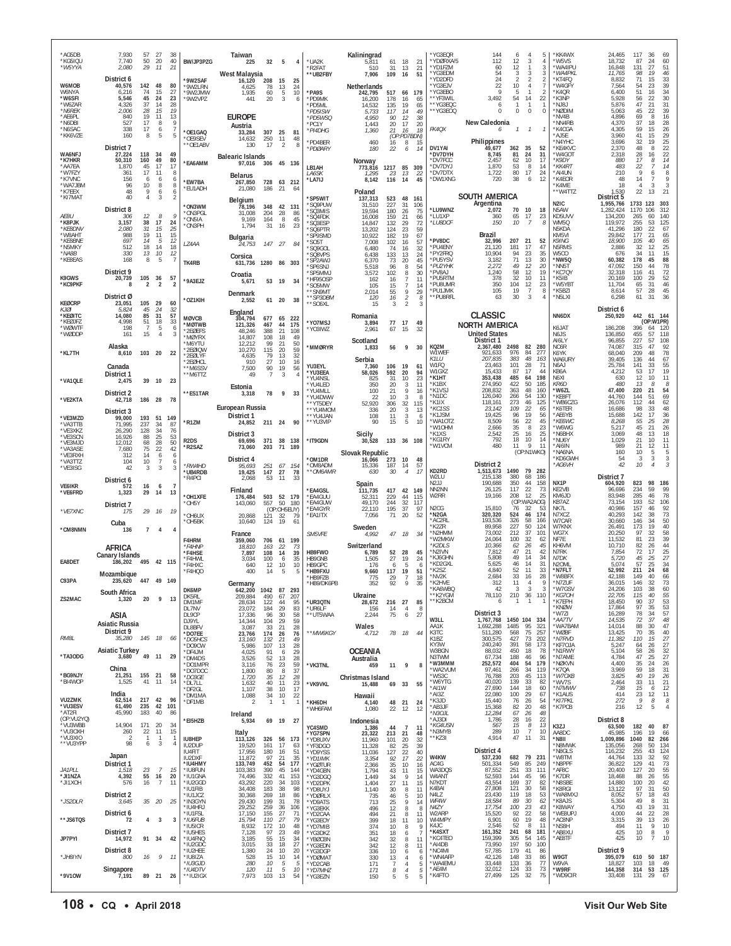| *AG5DB<br>*KG5IQU<br>*W5YYA                      | 7,930<br>7,740<br>2,080                         | 57<br>50<br>29            | 27<br>20<br>11          | 38<br>40<br>21                       | BW/JP3PZG                                | Taiwan<br>32<br>225<br>West Malaysia                               | 5<br>4                                         | *UA2K<br>*R2FAT<br>**UB2FBY                       | Kaliningrad<br>5,811<br>510<br>7,906       | 61<br>31<br>109             | 18<br>13<br>16                           | 21<br>21<br>51             | *YG3EQR<br>*YDØRXA/5<br>*YD1FZM<br>*YG3EDM            | 144<br>112<br>60<br>54                        | 6<br>12<br>12<br>3             | 4<br>3<br>$\mathbf{1}$<br>3                     | 5<br>$\overline{4}$<br>3<br>3                                  | *KK4WX<br>*W5VS<br>*WA4IPU<br>*WA4PKL                 | 24,465<br>18,732<br>16,848<br>11,765                   | 117<br>36<br>69<br>24<br>60<br>87<br>27<br>51<br>131<br>19<br>46<br>98                                                      |
|--------------------------------------------------|-------------------------------------------------|---------------------------|-------------------------|--------------------------------------|------------------------------------------|--------------------------------------------------------------------|------------------------------------------------|---------------------------------------------------|--------------------------------------------|-----------------------------|------------------------------------------|----------------------------|-------------------------------------------------------|-----------------------------------------------|--------------------------------|-------------------------------------------------|----------------------------------------------------------------|-------------------------------------------------------|--------------------------------------------------------|-----------------------------------------------------------------------------------------------------------------------------|
| W6MOB<br>W6NYA<br>*W6SFI<br>*W6ZAR               | District 6<br>40,576<br>6,216<br>5.546<br>4.326 | 142<br>74<br>45<br>37     | 48<br>15<br>24<br>14    | 80<br>27<br>23<br>28                 | *9W2SAF<br>*9W2LRN<br>*9W2JMW<br>*9W2VPZ | 208<br>16,120<br>4,625<br>78<br>60<br>1,935<br>441<br>20           | 15<br>-25<br>13<br>24<br>$\frac{5}{3}$<br>10   | *PA9S<br>*PD9MK<br>*PD5ML                         | Netherlands<br>242,795<br>16,200<br>14.532 | 517<br>178<br>135           | 66 179<br>16<br>19                       | 65<br>65                   | *YD2DFD<br>*YG3EJV<br>*YG3EBO<br>**YF3WIL<br>**YG3EQC | 24<br>22<br>q<br>3,492<br>6                   | $\mathcal{P}$<br>10<br>5<br>54 | 2<br>$\overline{4}$<br>$\mathbf{1}$<br>14<br>-1 | $\overline{2}$<br>$\overline{7}$<br>$\overline{2}$<br>22<br>-1 | *KT4FQ<br>*W4GFY<br>*K4QR<br>*K3NP<br>*NJ8J           | 8,832<br>7,564<br>6,400<br>5.928<br>5,876              | 71<br>33<br>15<br>39<br>23<br>54<br>51<br>$\begin{array}{c} 34 \\ 30 \\ 31 \end{array}$<br>16<br>56<br>22<br>47<br>21       |
| *N6REK<br>*AE6PL<br>*N6DBI<br>*N6SAC<br>*KK6VZE  | 2.006<br>840<br>527<br>338<br>160               | 28<br>19<br>17<br>17<br>8 | 15<br>11<br>8<br>6<br>5 | 19<br>13<br>9<br>$\overline{7}$<br>5 | *OE1GAQ<br>*OE9SEV                       | <b>EUROPE</b><br>Austria<br>307<br>33,284<br>250<br>14.632         | 25<br>-81<br>11<br>48                          | *PD5ISW<br>*PD5WSQ<br>*PC1Y<br>*PI4DHG<br>*PD4BER | 5.733<br>4.950<br>1,443<br>1,360<br>460    | 117<br>90<br>20<br>21<br>16 | 14<br>12<br>17<br>16<br>(OP:PD7BDN)<br>8 | 49<br>38<br>20<br>18<br>15 | **YG3EOQ<br>FK4OX                                     | $\Omega$<br>New Caledonia<br>6<br>Philippines | $\Omega$<br>$\mathcal{I}$      | $\Omega$<br>$\mathcal{I}$                       | $\mathbf{0}$<br>-1                                             | NØDIM*<br>*NV4B<br>NN4RB<br>*K4CGA<br>*AJ5E<br>*N4YHC | 5.063<br>4,896<br>4.370<br>4,305<br>3.960<br>3,696     | 39<br>45<br>22<br>69<br>8<br>16<br>37<br>18<br>$\substack{28 \\ 26}$<br>59<br>15<br>$\frac{29}{25}$<br>41<br>15<br>32<br>19 |
| WA6NFJ<br>*K7HKR<br>*AA7EA                       | District 7<br>27,224<br>50,310<br>1,870         | 118<br>160<br>45          | -34<br>49<br>17         | 49<br>80<br>17                       | **OE1ABV<br>*EA6AMM                      | 130<br>17<br><b>Balearic Islands</b><br>97,016                     | $\overline{2}$<br>8<br>306 45 136              | *PDØARY<br>LB1AH                                  | 180<br>Norway<br>773,816                   | 22<br>1217                  | 6<br>85 309                              | 14                         | DV1YAI<br>*DV7DYH<br>*DV7FCC<br>*DV7DYJ               | 49,677<br>8,745<br>2,457<br>1,870             | 362<br>81<br>62<br>53          | 35<br>24<br>10<br>8                             | 52<br>31<br>17<br>14                                           | *KE4KVC<br>*W4GOT<br>*K9DY<br>*KK4RT                  | 2,370<br>2.318<br>880<br>483                           | 48<br>$\frac{22}{22}$<br>8<br>28<br>16<br>17<br>14<br>8<br>14<br>22<br>-7                                                   |
| *W7FZY<br>*K7VNC<br>*WA7JBM<br>*K7FFX<br>*KI7MAT | 361<br>156<br>96<br>48<br>40                    | 17<br>6<br>10<br>9<br>4   | 11<br>6<br>8<br>6<br>3  | 8<br>6<br>$\, 8$<br>$\frac{6}{2}$    | *EW7BA<br>*EU1ADH                        | <b>Belarus</b><br>267,850<br>728<br>21,080<br>186                  | 63 212<br>21<br>64                             | LA6SK<br>*LA7IJ<br>*SP5WIT                        | 1.295<br>8,142<br>Poland<br>137,313        | 23<br>116<br>523            | 13<br>14<br>48 161                       | 22<br>45                   | *DV7DTX<br>*DW1XNG                                    | 1,722<br>720<br>SOUTH AMERICA                 | 80<br>38                       | 17<br>6                                         | 24<br>12                                                       | AI4UN*<br>*K4EOR<br>*K4ME<br>**W4TTZ                  | 210<br>48<br>18<br>.530<br>District 5                  | 9<br>6<br>8<br>14<br>9<br>7<br>3<br>3<br>$\overline{4}$<br>22<br>13<br>21                                                   |
| AE8U<br>*K8PJK<br>*KE8DNV                        | District 8<br>306<br>3,157<br>2.080             | 12<br>38<br>31            | 8<br>17<br>15           | 9<br>24<br>25                        | *ON3WM<br>*ON3PGL<br>*ON5IA<br>*ON3PH    | Belgium<br>78,196<br>31,008<br>204<br>9,169<br>164<br>1,794<br>-31 | 348 42 131<br>86<br>28<br>8<br>45<br>23<br>16  | *SQ9PUW<br>*SQ3MIS<br>*SQ4FDK<br>*SQ3ESP          | 31,510<br>19.594<br>16,008<br>14.847       | 227<br>180<br>159<br>132    | 31<br>26<br>21<br>29                     | 106<br>75<br>66<br>72      | *LU9WNZ<br>*LU1XP<br><i>*LU8DCF</i>                   | Argentina<br>2,072<br>360<br>150              | 70<br>65<br>10                 | 10<br>17<br>$\overline{7}$                      | 18<br>23<br>8                                                  | N <sub>2</sub> IC<br>N5AW<br>KD5UVV<br>WM5Q<br>N5KDA  | 1,955,766<br>1,282,424<br>134.200<br>119,972<br>41.296 | 1733 123<br>303<br>1170 106<br>312<br>60<br>140<br>265<br>255<br>53<br>125<br>180<br>22                                     |
| *W8AHT<br>*KE8BNE<br>*N5MKY                      | 988<br>697<br>512                               | 19<br>14<br>18            | 11<br>5<br>14           | 15<br>12<br>18                       | LZ4AA                                    | <b>Bulgaria</b><br>24,753<br>147                                   | 27<br>84                                       | *SQ6PTR<br>*SP9SMD<br>*SO5T<br>*SQ9GOL            | 13,202<br>10,922<br>7,008<br>6,480         | 124<br>182<br>102<br>74     | 23<br>19<br>16<br>16                     | 59<br>67<br>57<br>32       | *PV8DC<br>*PU4ENY                                     | Brazil<br>32,996<br>21,120                    | 207<br>181                     | 21<br>17                                        | 52<br>47                                                       | KM5VI<br><b>K9ING</b><br>N5RMS                        | 29.842<br>18,900<br>2,886                              | $67$<br>$65$<br>177<br>21<br>65<br>105<br>40<br>25<br>32<br>12                                                              |
| *NA8B<br>*KE8EAS                                 | 330<br>168                                      | 13<br>8                   | 10<br>5                 | 12<br>7                              | TK4RB                                    | Corsica<br>631,736                                                 | 1280 86 303                                    | *SQ8VPS<br>*SP2AWJ<br>*SP6SNJ                     | 6,438<br>6,370<br>5,518                    | 133<br>73<br>96             | 13<br>20<br>8                            | 24<br>45<br>54             | *PY2FRQ<br>*PU5YSV<br>*PU2YHK                         | 10,904<br>3,182<br>2,272                      | 94<br>71<br>49                 | 23<br>13<br>12                                  | 35<br>30<br>20                                                 | W5CO<br>*NW5Q<br>'NN5T                                | 676<br>60,382<br>47,092                                | 34<br>15<br>11<br>88<br>178<br>45<br>78<br>150<br>44                                                                        |
| K9GWS<br>*KC9PKF                                 | District 9<br>20,739<br>8                       | $\frac{105}{2}$           | 36<br>2                 | 57<br>$\overline{\mathbf{z}}$        | *9A3EJZ                                  | Croatia<br>5,671                                                   | 53 19<br>-34                                   | *SP5MMJ<br>*HF95OSP<br>*S05MW                     | 3,572<br>162<br>105                        | 102<br>16<br>15             | 8<br>7<br>$\overline{7}$                 | 30<br>11<br>14             | *PV8AJ<br>*PU5RTM<br>*PU8UMR                          | 1,240<br>378<br>350                           | 58<br>32<br>104                | 12<br>10<br>12                                  | 19<br>11<br>23                                                 | *KC7QY<br>*K5IB<br>'W5YBT                             | 32.318<br>20,169<br>11.704                             | 72<br>116<br>41<br>$\frac{52}{46}$<br>100<br>29<br>31<br>65                                                                 |
| <b>KEØCRP</b>                                    | District Ø<br>23.051                            | 105                       | 29                      | 60                                   | *OZ1KIH                                  | Denmark<br>2,552                                                   | 61 20<br>38                                    | **SN9MT<br>**SP3DBM<br>**SO6XL                    | 2,014<br>120<br>15                         | 55<br>16<br>3               | 9<br>$\overline{c}$<br>$\overline{2}$    | 29<br>8<br>3               | *PU1JMK<br>*PU8RFL                                    | 105<br>63                                     | 19<br>30                       | $\overline{7}$<br>3                             | 8<br>$\overline{4}$                                            | *K5BZI<br>*N5LXI                                      | 8,614<br>6,298                                         | 45<br>57<br>28<br>31<br>36<br>61                                                                                            |
| KI0I<br>*KEØITC<br>*KEØJFZ                       | 5.824<br>14,080<br>4,998                        | 45<br>85<br>51            | 24<br>31<br>18          | 32<br>57<br>33                       | <b>MØVCB</b><br>*MØTWB                   | England<br>677<br>304,794<br>121,326<br>467                        | 65<br>222<br>44<br>175                         | *YO7MSJ                                           | Romania<br>3,894                           | 77                          | 17                                       | 49                         |                                                       | <b>CLASSIC</b><br><b>NORTH AMERICA</b>        |                                |                                                 |                                                                | NN6DX                                                 | District 6<br>250,920                                  | 442<br>61 144<br>(OP:W1PR)                                                                                                  |
| *WØWTF<br>*WØDDP                                 | 198<br>161                                      | -7<br>15                  | 5<br>$\overline{4}$     | 6<br>3                               | *2EØEFS<br>*MØYRX<br>*M6YTU              | 48,246<br>388<br>14,807<br>108<br>12,212<br>99                     | 21<br>108<br>18<br>49<br>21<br>50              | *YO3IWZ                                           | 2,961<br>Scotland                          | 67                          | 15                                       | 32                         |                                                       | <b>United States</b><br>District 1            |                                |                                                 |                                                                | K6JAT<br>N6JS<br>AI6LY                                | 186,208<br>136,850<br>96,855                           | 396<br>64<br>120<br>455<br>57<br>118<br>227<br>57<br>108                                                                    |
| *KL7TH                                           | Alaska<br>8,610                                 | 103 20                    |                         | 22                                   | *2EØIQW<br>*2FØI YF<br>*2EØHCI           | 10,270<br>115<br>79<br>4,635<br>27<br>910                          | 20<br>59<br>13<br>32<br>10<br>16               | *MMØRYR                                           | 1,833<br>Serbia                            | 56                          | 9                                        | 30                         | KQ2M<br>W1WEF<br>K1LU                                 | 2,367,480<br>921,633<br>207,835               | 2498<br>976<br>383             | 82 280<br>84<br>48                              | 277<br>163                                                     | NC6R<br>K6YK<br>WA6URY                                | 74,087<br>68,040<br>39,405                             | 92<br>315<br>47<br>78<br>48<br>209<br>67<br>136<br>44                                                                       |
| *VA1QLE                                          | Canada<br>District 1<br>2,475                   | 39                        | 10                      | 23                                   | **M6SSV<br>**M6TTZ                       | 90<br>7,500<br>49<br>7                                             | 19<br>56<br>3<br>4                             | YU3EYL<br>*YU3EEA<br>*YU4NSL                      | 7,360<br>58,026<br>825                     | 106<br>592<br>31            | 19<br>20<br>10                           | 61<br>94<br>23             | W <sub>1FO</sub><br>W1GXZ<br>*K1HT                    | 23.463<br>15,433<br>353,438                   | 101<br>87<br>485               | 28<br>17<br>64                                  | 71<br>44<br>198                                                | N6AJ<br>KB6A<br>N6XI                                  | 25,784<br>4,212<br>630                                 | 55<br>141<br>33<br>19<br>53<br>17<br>11<br>12<br>10                                                                         |
| *VE2KTA                                          | District 2<br>42,718                            | 186                       | 28                      | 78                                   | **ES1TAR                                 | Estonia<br>3,318<br>78                                             | 9<br>33                                        | *YU4I FD<br>*YU4MLL<br>*YU4DWW                    | 350<br>100<br>22                           | 20<br>21<br>10              | 3<br>9<br>3                              | 11<br>16<br>-8             | *K1BX<br>*K1VSJ<br>*N1DC<br>*K1IX                     | 274,950<br>208,832<br>126,040<br>118,161      | 422<br>363<br>266<br>273       | 50<br>48<br>54<br>46                            | 185<br>160<br>130<br>125                                       | <b>KR6D</b><br>*W6ZL<br>*KE8FT<br>WB6CZG              | 480<br>47.400<br>44,760<br>26,076                      | 13<br>8<br>8<br>220<br>21<br>54<br>144<br>51<br>69<br>112<br>62<br>44                                                       |
| *VE3MZD                                          | District 3<br>99,000                            | 193                       | 51                      | 149                                  | *R1ZM                                    | European Russia<br>District 1<br>24,852<br>211 24                  | 90                                             | **YT5DEY<br>**YU4MOM<br>**YU4JAN<br>**YU3VIP      | 52,920<br>336<br>108<br>90                 | 306<br>20<br>11<br>15       | 32<br>3<br>$\frac{3}{5}$                 | 115<br>13<br>6<br>10       | *KC1SS<br>*K1JSM<br>*WA1OTZ                           | 23,142<br>19,425<br>8.509                     | 109<br>96<br>56                | 22<br>19<br>22                                  | 65<br>56<br>45                                                 | *K6TER<br>*AE6YB<br>*КЕ6WC                            | 16,686<br>15,688<br>8,268                              | 98<br>33<br>48<br>142<br>17<br>$\frac{36}{28}$<br>55<br>25                                                                  |
| *VA3TTB<br>*VE3XKZ<br>*VE3SCN                    | 71.995<br>26,290<br>16,926                      | 237<br>128<br>88          | 34<br>34<br>25          | 87<br>76<br>53<br>50                 | R <sub>2</sub> DS                        | District 3<br>371<br>69,696                                        | 38<br>138                                      | *IT9GDN                                           | Sicily<br>30,528                           | 133 36 108                  |                                          |                            | *W1OHM<br>*K1XS<br>*KG1RY                             | 2,666<br>2,542<br>792                         | 35<br>25<br>18                 | 8<br>16<br>10                                   | 23<br>25<br>14                                                 | 'W6WG<br>*N6BHX<br>*NU6Y                              | 5,217<br>3.069<br>1,029                                | 45<br>21<br>26<br>18<br>48<br>13<br>21<br>10<br>11                                                                          |
| *VE3MJD<br>*VA3ASE<br>*VE3RXH<br>*VA3TTZ         | 12.012<br>7,680<br>312<br>104                   | 68<br>75<br>14<br>10      | 28<br>22<br>6           | 42<br>6                              | *R2SAZ                                   | 73,060<br>203<br>District 4                                        | 71<br>189                                      | *OM1DR                                            | Slovak Republic<br>16,066                  | 273                         | 10                                       | 48                         | *W1VCM                                                | 480                                           | 11                             | Q<br>(OP:N1WKO)                                 | 11                                                             | *AI6IN<br>'NA6NA<br>*KD6GWH                           | 989<br>160<br>54                                       | 11<br>21<br>12<br>10<br>5<br>5<br>3<br>3<br>3                                                                               |
| *VE3ISG                                          | 42<br>District 6                                | 3                         | 3                       | 6<br>3                               | *RW4HD<br>*UB4RDB<br>*R4PCI              | 95,693<br>251<br>19,425<br>147<br>2,068<br>53                      | 67<br>154<br>27<br>78<br>- 11<br>-33           | *OM8ADM<br>**OM6AMR                               | 15,336<br>630                              | 187<br>30                   | 14<br>$\overline{4}$                     | 57<br>17                   | KD2RD<br>W2LU                                         | District 2<br>1,513,673<br>215,138            | 1490<br>380                    | 79<br>68                                        | 282<br>186                                                     | *AG6VH                                                | 42<br>District 7                                       | 10<br>$\mathcal{Z}$<br>$\overline{4}$                                                                                       |
| <b>VE6IKR</b><br>*VE6FRD                         | 572<br>1,323                                    | 16<br>29                  | 6<br>-14                | $\overline{7}$<br>13                 | *OH1XFE                                  | Finland<br>176,484                                                 | 503 52 179                                     | *EA4GSL<br>*EA4GUU                                | Spain<br>111.735<br>52,311                 | 417<br>229                  | 42 149<br>44                             | 115                        | N2.LL<br>NN2NN<br>W2RR                                | 190,688<br>26,125<br>19,166                   | 350<br>117<br>208              | 44<br>22<br>12<br>(OP:WA2AOG)                   | 158<br>73<br>25                                                | NX <sub>1</sub> P<br>KE2VB<br>KM6JD                   | 604,920<br>96,696<br>83.948                            | 823<br>98<br>186<br>234<br>59<br>99<br>78<br>285<br>46                                                                      |
| *VE7XNC                                          | District 7<br>175                               | 29                        | 16                      | 19                                   | *OH5Y<br>*OH6UX                          | 557<br>143,060<br>20,868<br>121                                    | 50<br>180<br>(OP:OH5EUY)<br>32<br>79           | *EA4GUW<br>*EA4GYR<br>*EA1ITX                     | 49.170<br>22,110<br>7,056                  | 244<br>195<br>71            | 32<br>37<br>20                           | 117<br>97<br>52            | N <sub>2</sub> CG<br>*N2GA<br>*AC2RL                  | 15,810<br>320,320<br>193,536                  | 76<br>524<br>326               | 32<br>46<br>58                                  | 53<br>174<br>166                                               | KB7AZ<br>NK7L<br>N7XCZ<br>W7CAR                       | 73,154<br>40.986<br>40,293<br>30,660                   | 193<br>52<br>106<br>157<br>$\frac{92}{73}$<br>46<br>38<br>142<br>50<br>146<br>34                                            |
| *CM8NMN                                          | Cuba<br>136                                     | $\overline{7}$            | $\overline{4}$          | $\overline{4}$                       | *OH5BK<br>F4HRM                          | 10,640<br>124<br>France<br>359,060<br>706                          | 19<br>61<br>61<br>199                          | SM5VFE                                            | Sweden<br>4,992                            | 47 18                       |                                          | 34                         | *K2ZR<br>*N2HMM<br>'W2MKW                             | 89,958<br>73,002<br>24.064                    | 227<br>212<br>100              | 50<br>37<br>32                                  | 124<br>101<br>62                                               | W7KNX<br>WG7X<br>NF7E                                 | 26,491<br>20,250<br>11,532                             | 40<br>19<br>173<br>58<br>97<br>32<br>39<br>81<br>23                                                                         |
|                                                  | AFRICA<br>Canary Islands                        |                           |                         |                                      | *F4HNP<br>*F4HSE<br>*F4HWL               | 18,810<br>163<br>108<br>7,897<br>100<br>3,034                      | 22<br>73<br>39<br>14<br>35<br>6                | HB9FWO<br>HB9GNB                                  | Switzerland<br>6,789<br>1.505              | 52<br>27                    | 28<br>19                                 | 45<br>24                   | *K2DLS<br>*N2IVN<br>*KJ6GHN                           | 10,366<br>7,812<br>5,808                      | 62<br>47<br>49                 | $\frac{26}{21}$<br>14                           | 45<br>42<br>34                                                 | KH6VM<br>N7RK<br>N7DK                                 | 10,710<br>7,854<br>5,720                               | 44<br>82<br>26<br>$72\,$<br>25<br>17<br>45                                                                                  |
| EA8DET                                           | 186.202<br>Mozambique                           | 495 42 115                |                         |                                      | *F4HXC<br>*F4HQO                         | 640<br>12<br>400<br>14                                             | 10<br>10<br>5<br>5                             | HB9GPC<br>*HB9FXU<br>*HB9FZB                      | 176<br>9,660<br>775                        | 6<br>117<br>29              | 5<br>19                                  | 6<br>51<br>18              | *KD2GXL<br>*K2SZ<br>*NV2K                             | 5,625<br>4,840<br>2,684                       | 46<br>52<br>33                 | 14<br>11<br>16                                  | 31<br>33<br>28                                                 | N <sub>2</sub> OML<br>*N7FLT<br>*W8BFX                | 5.074<br>52,992<br>42.188                              | $\frac{27}{34}$<br>$\frac{25}{25}$<br>57<br>68<br>211<br>24<br>149<br>40<br>66                                              |
| C93PA<br>ZS2MAC                                  | South Africa<br>1,320                           | 447<br>20                 | 49 149<br>9             | 13                                   | DK6MP<br>DK5RI                           | Germany<br>642,200<br>1042 87<br>209,884<br>490                    | 293<br>207<br>67                               | HB9/DK6PB                                         | 352<br>Ukraine                             | 92                          | 9                                        | 35                         | K2HVE<br>*KA6WBQ<br>**K2YGM                           | 312<br>42<br>78,110                           | 11<br>3<br>210                 | $\overline{4}$<br>3<br>36                       | S<br>3<br>110                                                  | `N7ZUF<br>*W7GSV<br>*KG70H                            | 36,015<br>24,206<br>22,705                             | 146<br>32<br>73<br>38<br>$\begin{array}{c} 60 \\ 55 \end{array}$<br>103<br>40<br>115                                        |
|                                                  | ASIA                                            |                           |                         |                                      | DM1MF<br>DL7NV<br>DL9CP                  | 122<br>28,634<br>23,072<br>184<br>17,336<br>96                     | 44<br>95<br>29<br>83<br>30<br>58               | *UR3QTN<br>*UR6LF<br>**UT5WAA                     | 28,672<br>156<br>2,244                     | 216<br>14<br>75             | 27<br>$\overline{4}$<br>6                | 85<br>8<br>27              | **K2BCM                                               | 6<br>District 3                               | 1                              | $\overline{1}$                                  | -1                                                             | *K7EPH<br>*KNØW<br>*W7ZI                              | 18,450<br>17,864<br>16,289                             | $\frac{53}{53}$<br>90<br>37<br>97<br>35<br>57<br>78<br>34                                                                   |
| RM8L                                             | Asiatic Russia<br>District 9                    |                           |                         |                                      | D.J9YL<br>DL8BFV<br>*DO7EE               | 14,344<br>104<br>3,087<br>33<br>23,766<br>174                      | 29<br>59<br>21<br>28<br>26<br>76               | **MW6KGY                                          | Wales<br>4,712                             | 78                          | 18                                       | 44                         | W3LL<br>AA1K<br>K3TC                                  | 1,767,768<br>1.692.288<br>511,280             | 1450 104<br>1485<br>568        | 95<br>75                                        | 334<br>321<br>257                                              | *AA7TV<br>*WA7BAM<br>*WØBF                            | 14,535<br>14,014<br>13,425                             | 48<br>72<br>37<br>88<br>47<br>30<br>70<br>40<br>35                                                                          |
| *TA3ODG                                          | 35,280<br><b>Asiatic Turkey</b><br>3,680        | 145<br>49                 | 18<br>11                | 66<br>29                             | *DO5HCS<br>*DO9CW<br>*DF4JM              | 13,160<br>132<br>5,986<br>107<br>4,025<br>91<br>3,526<br>52        | 21<br>49<br>13<br>28<br>29<br>6<br>28          |                                                   | <b>OCEANIA</b>                             |                             |                                          |                            | K1BZ<br>KY3W<br>W3BGN<br>N3TWM                        | 300,575<br>240,240<br>88,032<br>67,734        | 427<br>391<br>450<br>188       | $^{73}_{58}$<br>18<br>46                        | 202<br>173<br>78<br>96                                         | *N7RVD<br>*KF7OJA<br>*N1RWY<br>*N7AME                 | 11,382<br>5,247<br>5,104<br>4,784                      | 110<br>15<br>$\frac{27}{27}$<br>64<br>26<br>58<br>$\begin{array}{c} 32 \\ 27 \\ 26 \end{array}$<br>$\frac{26}{25}$<br>47    |
| *BG9NJY                                          | China<br>21,251                                 | 155                       | 21                      | 58                                   | *DM4DS<br>*DO1MPR<br>*DO7DOC<br>*DO3GE   | 76<br>3,116<br>80<br>1,800<br>1,720<br>35                          | 13<br>23<br>59<br>$^{\rm 8}$<br>37<br>28<br>12 | *VK3TNL                                           | Australia<br>459<br>Christmas Island       | 11                          | 9                                        | 8                          | *W3MMM<br>*WA2VUM<br>*WS3C                            | 252,572<br>97,461<br>76,788                   | 404<br>266<br>203              | 54<br>34<br>45                                  | 179<br>119<br>113                                              | *NØKVN<br>*K7QA<br>*W7OXB                             | 4,400<br>3,969<br>3,825                                | 35<br>24<br>59<br>31<br>18<br>26<br>40<br>19                                                                                |
| *BI4WOP                                          | 1,525<br>India                                  | 41                        | 11                      | 14                                   | *DL7LL<br>*DF2GL<br>*DM1MA               | 1,632<br>40<br>1,107<br>38<br>1,088<br>34                          | 11<br>23<br>10<br>17<br>22<br>10               | *VK9VKL                                           | 15,488<br>Hawaii                           | 69                          | 33                                       | 55                         | *W6YTG<br>*AI1W<br>*AI3Z                              | 40,020<br>27,690<br>22,080                    | 139<br>144<br>100              | $\frac{33}{18}$<br>29                           | 82<br>60<br>67                                                 | *WV7S<br>*N7MWV<br>*K1AUS                             | 2,464<br>738<br>414                                    | 21<br>33<br>11<br>12<br>15<br>6                                                                                             |
| <b>VU2ZMK</b><br>*VU3ESV<br>*AT2FI               | 62,514<br>61,490<br>45,990                      | 217 42<br>235<br>183      | 42<br>40                | 96<br>101<br>86                      | *DF1MB                                   | $\overline{2}$<br>$\mathbf{1}$<br>Ireland                          | $\overline{1}$<br>$\mathbf{1}$                 | *KH6DH<br>*WH6FAM                                 | 4,140<br>1,080                             | 48<br>22                    | 21<br>12                                 | 24<br>12                   | *K3JD<br>*AB3JF<br>*N3OJL                             | 15,440<br>15,368<br>12,284                    | 76<br>82<br>67                 | 26<br>20<br>26                                  | 54<br>48<br>48                                                 | *KI7PKL<br>*K7PCB                                     | 272<br>216                                             | $\frac{23}{9}$<br>$\underset{\mathcal{B}}{^{12}}$<br>$^{11}_{\ \  \, 8}$<br>12<br>5<br>$\overline{4}$                       |
| (OP:VU2YQ)<br>VU3WBB<br>*VU3OXH                  | 14,904<br>260                                   | 171<br>22                 | 20<br>11                | 34<br>15                             | *EI5HZB                                  | 5,934<br>Italy                                                     | 69 19<br>27                                    | YC4SMD<br>*YG7SPN                                 | Indonesia<br>1,386<br>23,322               | 44<br>213                   | $\overline{7}$<br>21                     | -11<br>48                  | AJ3DI*<br>*KG4USN<br>'N3MYB                           | 1,786<br>567<br>289                           | 28<br>15<br>10                 | 16<br>8<br>$\overline{7}$                       | 22<br>$13\,$<br>10                                             | K3ZJ<br>AA8DC                                         | District 8<br>63,500<br>45,985                         | 182<br>40<br>87<br>196<br>19<br>66                                                                                          |
| *VU3XIO<br>**VU3YPP                              | $\overline{\phantom{a}}$<br>98                  | $\overline{1}$<br>6       | $\mathbf{1}$<br>3       | $\mathbf{1}$<br>$\overline{4}$       | <b>IU8HEP</b><br>IU2DUP<br>IU4FIT        | 113,126<br>326<br>19,520<br>161<br>17,956<br>180                   | 56<br>173<br>17<br>63<br>16<br>51              | *YD8UXV<br>*YF3DGO<br>*YD9YSS                     | 11,960<br>11,328<br>11,036                 | 101<br>82<br>127            | 20<br>25<br>$22\,$                       | 32<br>39<br>40             | **KZ3I                                                | 4,914<br>District 4                           | 47                             | 11                                              | 31                                                             | *N8II<br>*N8MWK<br>*N8GLS                             | 1,009,896<br>135,056<br>116,232                        | 1040<br>82<br>266<br>134<br>268<br>50<br>255<br>43                                                                          |
| JA1PLL                                           | Japan<br>District 1<br>1,518                    | 23                        | $\overline{7}$          | 15                                   | <b>IU2DXF</b><br>*IU4HMY<br>*IU8FUN      | 11,872<br>97<br>452<br>133,749<br>103,383<br>390                   | 35<br>21<br>177<br>54<br>45<br>144             | *YD1IMK<br>*YGØTUR<br>*YD4GBN                     | 3,354<br>2,366<br>1,794                    | 92<br>35<br>43              | 17<br>10<br>11                           | 22<br>16<br>15             | W4KW<br>AC4G<br>WA3DQS                                | 537,230<br>501,334<br>87,552                  | 682<br>549<br>251              | 79<br>85<br>33                                  | 231<br>249<br>111                                              | *W8TM<br>*N8PPF<br>*AF8C                              | 44,764<br>36,822<br>20,400                             | $\frac{124}{92}$<br>133<br>32<br>129<br>41<br>$\frac{55}{55}$<br>127<br>20                                                  |
| *JI1NZA<br>*JI1XOH                               | 4,392<br>576                                    | 55<br>16                  | 16<br>$\overline{7}$    | 20<br>11                             | *IU1GNA<br>*IU2GGD<br>*IU1FIB            | 74,496<br>332<br>43,292<br>220<br>34,408<br>183                    | 41<br>153<br>103<br>34<br>38<br>98             | *YG3DGQ<br>*YD2DPK<br>YD8UYJ                      | 1,449<br>1,404<br>1,140                    | 34<br>27<br>30              | 9<br>11<br>8                             | 14<br>15<br>11             | W4ANT<br>N7KDT<br>K4BAI                               | 52,593<br>43,554<br>27,808                    | 144<br>169<br>121              | 45<br>$\frac{37}{30}$                           | 96<br>82<br>58                                                 | *K7DR<br>*N8SBE<br>*K8RGI                             | 18,468<br>14,880<br>13,122                             | 88<br>26<br>$\frac{42}{50}$<br>100<br>20<br>97<br>31                                                                        |
| *JS2DLR                                          | District 2<br>3,645                             | 35                        | - 20                    | 25                                   | *IU1JCZ<br>*IN3GYN<br>*IU4HRJ            | 30,368<br>269<br>29,430<br>199<br>29,252<br>259                    | 18<br>86<br>31<br>78<br>106<br>36              | *YDØRLX<br>*YD9ATS<br>*YG3EKK                     | 735<br>713<br>496                          | 46<br>25<br>12              | $\frac{5}{9}$<br>8                       | 10<br>14<br>8              | N4LZ<br>WF4W<br>N4ZY                                  | 23,430<br>18,584<br>17,754                    | 119<br>89<br>100<br>92         | 18<br>30<br>23<br>22                            | 53<br>62<br>43                                                 | LXM8AW*<br>*K8AJS<br>*K8WAY                           | 8,052<br>5,304<br>4,750                                | $\begin{array}{c} 43 \\ 31 \end{array}$<br>57<br>18<br>49<br>8<br>43<br>31<br>19<br>28<br>22                                |
| **JS6TQS                                         | District 6<br>72<br>District 7                  | 4                         | 3                       | $\mathbf{3}$                         | *IU1FSL<br>*IU6FUB<br>*iu5icr<br>*IU5HES | 17,150<br>155<br>15,794<br>110<br>8,932<br>172<br>7,128<br>97      | 27<br>71<br>27<br>79<br>10<br>48<br>23<br>49   | *YD2CAA<br>*YG3EOY<br>*YD7MIB                     | 494<br>399<br>374                          | 21<br>18<br>10              | 8<br>11<br>8                             | 11<br>10<br>ç              | W2ARP<br>WI4MPY<br>K4JC<br>*K4SXT                     | 15,520<br>6,901<br>2,546<br>161,352           | 60<br>52<br>241                | 19<br>8<br>68                                   | 58<br>48<br>11<br>181                                          | *WE8UPJ<br>*AC8NP<br>*NS8H<br>*AB8XU                  | 4,000<br>3,315<br>494<br>425                           | 44<br>39<br>26<br>13<br>9<br>10<br>11<br>8<br>9<br>10                                                                       |
| JP7PYI                                           | 14,972<br>District 8                            | 91                        | 34                      | 42                                   | *IU4FNQ<br>*IU2GDC<br>*IU2HEE            | 55<br>3,185<br>3,015<br>33<br>1,380<br>24                          | 15<br>34<br>18<br>27<br>10<br>20               | *YG3DKZ<br>*YBØCBN<br>*YG3EDN<br>*YG3DGP          | 351<br>342<br>342<br>336                   | 18<br>32<br>12<br>10        | 6<br>8<br>8<br>6                         | -7<br>11<br>11<br>6        | *KC4TEO<br>*AI4DB<br>*NC4MI                           | 159,399<br>73,950<br>57,785                   | 305<br>197<br>179              | 54<br>50<br>41                                  | 145<br>100<br>86                                               | *AE8TF                                                | 425<br>District 9                                      | $\overline{7}$<br>10<br>10                                                                                                  |
| *JH8IYN                                          | 800<br>Singapore                                | 16                        | 9                       | 11                                   | *IU8IZA<br>*IU3GJD<br>*IU4DTV            | 528<br>15<br>280<br>10<br>120<br>11                                | 10<br>14<br>$\frac{5}{5}$<br>5<br>10           | *YDØMAT<br>*YD2CAB<br>*YD7MHZ                     | 330<br>171<br>171                          | 13<br>7<br>8                | 4<br>4<br>4                              | -6<br>5<br>-5              | *WN4AFP<br>*WA4EMU<br>*AE4M                           | 42,126<br>33,448<br>32,012                    | 148<br>133<br>124              | 33<br>36<br>33                                  | 86<br>77<br>73                                                 | W9GT<br>W9VA<br>*W9RF                                 | 395,079<br>18,827<br>144,358                           | 610<br>50 187<br>103<br>18<br>49<br>125<br>314<br>53                                                                        |
| *9V10W                                           | 7,191                                           | 89                        | 21                      | 26                                   | **IU2IGX                                 | 103<br>7,973                                                       | 13<br>54                                       | *YG3EZN                                           | 150                                        | 5                           | 5                                        | 5                          | *K4FTO                                                | 27,499                                        | 125                            | 32                                              | 75                                                             | *WD9CIR                                               | 33,408                                                 | 131<br>29<br>67                                                                                                             |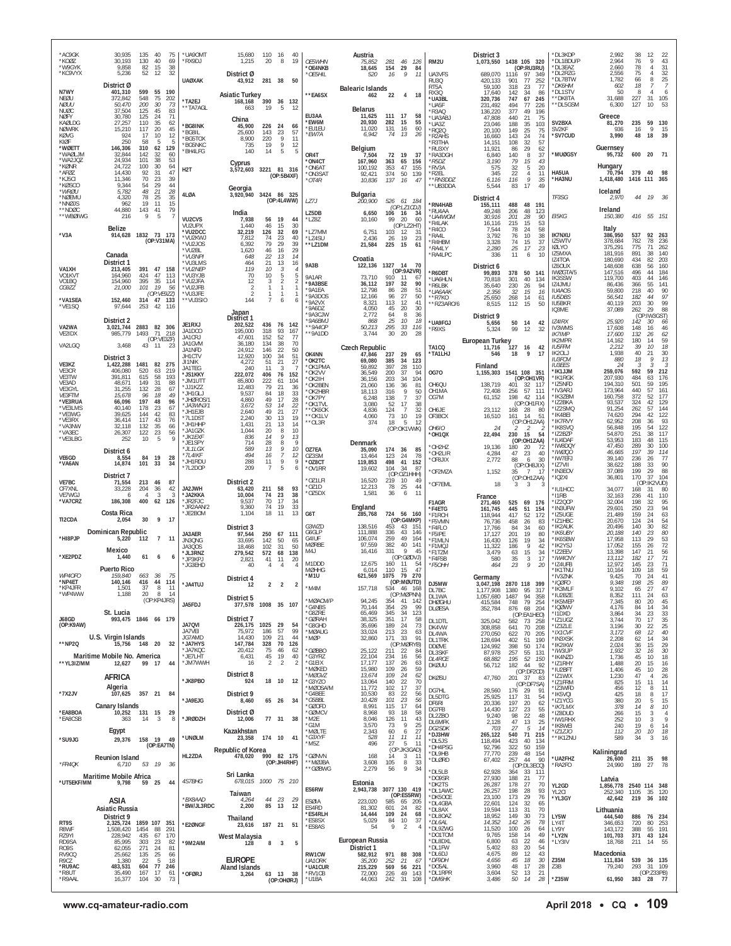| *AC9GK<br>*KOØZ<br>*W9GYK<br>*KC9VYX                | 30,935<br>135<br>40<br>75<br>130<br>30,193<br>40<br>69<br>82<br>38<br>9,858<br>15<br>5,236<br>52<br>12<br>32                         | *UA90MT<br>*RX9DJ                            | 15,680<br>1,215<br>District Ø                  | 110 16<br>40<br>20<br>8<br>19                                                              | OE5WHN<br><b>OE4NKB</b><br>*OE5HIL           | Austria<br>75,852<br>18,645<br>520       | 281<br>46<br>126<br>154<br>29<br>84<br>9<br>11<br>16                                     | RM2U<br>UA3VFS                                          | District 3<br>1,073,550<br>689,070             | 1438 105 320<br>(OP:RU3RU)<br>97<br>1116<br>-349                                   | *DL3KDP<br>*DL1BDU/P<br>*DL3EAZ<br>*DL2RZG         | 2,992<br>2,964<br>2.660<br>2,556           | 38<br>76<br>78<br>75     | 12<br>22<br>43<br>9<br>31<br>Δ<br>32                                        |
|-----------------------------------------------------|--------------------------------------------------------------------------------------------------------------------------------------|----------------------------------------------|------------------------------------------------|--------------------------------------------------------------------------------------------|----------------------------------------------|------------------------------------------|------------------------------------------------------------------------------------------|---------------------------------------------------------|------------------------------------------------|------------------------------------------------------------------------------------|----------------------------------------------------|--------------------------------------------|--------------------------|-----------------------------------------------------------------------------|
| N7WY<br>NEØU                                        | District Ø<br>599<br>55<br>190<br>401,310<br>372,842<br>548<br>75<br>202                                                             | <b>UAØXAK</b><br>*TA2EJ                      | 43,912<br><b>Asiatic Turkey</b>                | 281 38<br>50<br>390                                                                        | **EA6SX                                      | <b>Balearic Islands</b><br>462           | 22<br>4<br>18                                                                            | RU3Q<br>RT5A<br><b>RX30</b><br>*UA3BL                   | 420,133<br>59.100<br>17,640<br>320,736         | 77<br>901<br>252<br>23<br>77<br>318<br>34<br>142<br>86<br>67<br>747<br>245         | *DL7BTW<br>*DK6HM<br>*DL1STV<br>**DK8TA            | 1,782<br>602<br>50<br>31,688               | 66<br>18<br>8<br>227     | 25<br>8<br>7<br>Δ<br>6<br>31<br>105                                         |
| <b>NØHI</b><br><b>NUØC</b><br><b>NØFY</b><br>KAØLDG | 200<br>30<br>73<br>50,470<br>45<br>37,504<br>125<br>83<br>30.780<br>125<br>24<br>71<br>27,257<br>110<br>35<br>62                     | **TA7AGL                                     | 168,168<br>663<br>China                        | 36 132<br>19<br>5<br>12                                                                    | EU3AA<br><b>EW6M</b>                         | <b>Belarus</b><br>11.625<br>20.930       | 111<br>17<br>58<br>15<br>282<br>55                                                       | 'UA5F<br>R <sub>3</sub> AQ<br>'UA3ABJ<br>*UA3Z          | 231,492<br>136,220<br>47,808<br>23.046         | 494<br>77<br>226<br>377<br>49<br>196<br>440<br>21<br>75<br>188<br>35<br>103        | **DL5GSM<br>SV2BXA                                 | 6,300<br>Greece<br>81,270                  | 127<br>235               | 10<br>53<br>59<br>130                                                       |
| <b>NOWRK</b><br>KØVG<br>KIØF                        | 20<br>45<br>15,210<br>117<br>924<br>17<br>10<br>$\begin{array}{c} 12 \\ 5 \end{array}$<br>250<br>58<br>5                             | *BG8INK<br>*BG8IL<br>*BG5TOX<br>*BG5NKC      | 45,900<br>25,600<br>8,900<br>735               | 226<br>24<br>66<br>143<br>23<br>57<br>220<br>9<br>11<br>19<br>9<br>12                      | *EU1EU<br>*EW7A                              | 11,020<br>6,942                          | 60<br>131<br>16<br>74<br>26<br>13                                                        | RQ20<br>R2AHS<br>'R3THA                                 | 20,100<br>16,660<br>14.151                     | 149<br>25<br>75<br>$\frac{24}{32}$<br>143<br>$\frac{74}{57}$<br>108                | <b>SV<sub>2KF</sub></b><br>*SV7CUD                 | 936<br>3,990                               | 16<br>48                 | 9<br>15<br>18<br>39                                                         |
| *WØETT<br>*WAØLJM<br>*WA2JQZ<br>*KØNR               | 129<br>146,306<br>310<br>62<br>32,844<br>142<br>32<br>60<br>101<br>38<br>53<br>24,934<br>24,722<br>100<br>30<br>64                   | *BH4LFG<br>H <sub>2</sub> T                  | 140<br>Cyprus<br>3,572,603                     | 5<br>14<br>5<br>3221 81 316                                                                | OR4T<br>*ON4CT<br>*ON6AT                     | Belgium<br>7,504<br>167,960<br>100,192   | 72<br>19<br>- 37<br>363<br>$^{65}_{47}$<br>$\frac{156}{155}$<br>353                      | *RU3XY<br>'RA3DGH<br>*R5DZ<br>*RV3A                     | 11,921<br>6,840<br>3,190<br>575                | 29<br>86<br>62<br>8<br>140<br>37<br>79<br>43<br>15<br>5<br>32<br>20                | *MUØGSY                                            | Guernsey<br>95,732<br>Hungary<br>70,794    | 600                      | 20<br>71                                                                    |
| *AFØZ<br>*KJ5CI<br>*KØSCO<br>*WRØU                  | 47<br>92<br>31<br>14,430<br>70<br>23<br>39<br>11,346<br>29<br>9,344<br>54<br>44<br>5,782<br>48<br>21<br>28                           | 4LØA                                         | Georgia<br>3,920,940                           | (OP:5B4XF)<br>3424 86 325                                                                  | *ON3SAT<br>*OT4R                             | 92,421<br>10,836                         | 374<br>50<br>139<br>137<br>16<br>-47                                                     | R2EL*<br>**RN3DDZ<br>**UB3DDA                           | 345<br>6,116<br>5,544                          | 22<br>$\overline{4}$<br>11<br>$\overline{g}$<br>116<br>35<br>83<br>17<br>49        | HA5UA<br>*HA3NU                                    | 1,418,480<br>Iceland                       | 379<br>1416 111 365      | 40<br>98                                                                    |
| *NØEMU<br>*NNØJS<br>**NDØC<br>**WBØIWG              | 78<br>25<br>35<br>4,320<br>962<br>19<br>11<br>15<br>143<br>41<br>79<br>44,880<br>9<br>5<br>216                                       |                                              | India                                          | (OP:4L4WW)                                                                                 | LZ7J<br>LZ5DB                                | Bulgaria<br><i>200,900</i><br>6,650      | 526<br>61<br>184<br>(OP: LZ1CDJ)<br>106<br>16<br>34                                      | RN4HAB<br>RU4AA<br>*UA4WGM                              | District 4<br>155,111<br>49,248<br>30.916      | 488<br>48<br>191<br>206<br>48<br>123<br>28<br>201<br>90                            | TF3SG<br>EI5KG                                     | 2,970<br>Ireland<br>150,380                | 44<br>416                | 19<br>- 36<br>55 151                                                        |
| *V3A                                                | Belize<br>914,628 1832 73 173<br>(OP:V31MA)                                                                                          | VU2CVS<br>VU2UPX<br>*VU2DCC<br>*VU2KWJ       | 7,938<br>1,440<br>32,219<br>7,812              | 56<br>19<br>44<br>46<br>15<br>30<br>126<br>32<br>69<br>23<br>74<br>40                      | *LZ8Z<br>*LZ7MM<br>*LZ4SU                    | 10,160<br>6,751<br>2,436                 | 99<br>60<br>-20<br>(OP:LZ2HT)<br>103<br>-12<br>-31<br>26<br>19<br>23                     | <b>R4LAK</b><br>R4CO<br>RA4L*<br>R4HBM                  | 16.116<br>7.544<br>3,792<br>3,328              | 215<br>15<br>53<br>$^{24}_{10}$<br>$\frac{58}{38}$<br>78<br>76<br>74<br>15<br>37   | <b>IK7NXU</b><br>IZ5WTV                            | Italy<br>386,950<br>378,684                | 537<br>782               | 92<br>263<br>78<br>236                                                      |
|                                                     | Canada<br>District 1                                                                                                                 | *VU2JOS<br>*VU2BL<br>*VU3NPI<br>*VU3LMS      | 6,392<br>1,620<br>648<br>464                   | 79<br>29<br>39<br>46<br>16<br>29<br>22<br>13<br>14<br>21<br>13<br>16                       | '*LZ1DM<br><b>9A3B</b>                       | 21,584<br>Croatia<br>122,136             | 225<br>15<br>-61<br>1327<br>14<br>70                                                     | *RA4LY<br>'RA4LPC                                       | 2,280<br>336                                   | 23<br>25<br>17<br>11<br>6<br>10                                                    | <b>IØLYO</b><br>IZ5MXA<br>IZ4TOA                   | 375,291<br>181,916<br>180,690              | 775<br>891<br>434        | 71<br>262<br>140<br>38<br>82<br>203                                         |
| VA1XH<br>VO1KVT<br>VO1BQ<br>CG9ZZ                   | 391 47 158<br>213,405<br>164,960<br>424<br>47<br>113<br>395<br>35<br>114<br>154,960<br>21,000<br>101<br>19<br>56                     | *VU2NEP<br>*VU3YJB<br>*VU2JFA<br>*VU2JFB     | 119<br>70<br>12<br>2                           | 10<br>3<br>10<br>5<br>$\overline{2}$<br>3<br>$\mathbf{1}$<br>-1.                           | 9A1AR<br>*9A3BSE                             | 73.710<br>36,112                         | (OP:9A2VR)<br>910<br>11<br>-67<br>32<br>90<br>197                                        | R6DBT<br>'UA6HLN<br>R6LBK                               | District 6<br>99,893<br>70,818<br>35.640       | 378<br>50<br>-141<br>134<br>301<br>40<br>230<br>26<br>94                           | IZ6OUX<br>IWØGTA/5<br>IK3SSW<br>IZ4JMU             | 148,608<br>147,516<br>119,700<br>86,436    | 638<br>496<br>403<br>366 | 160<br>56<br>184<br>44<br>146<br>44<br>55<br>141                            |
| *VA1SEA<br>*VE1SQ                                   | (OP:VE9ZZ)<br>152,460<br>314<br>47 133<br>97,644<br>253<br>42<br>116                                                                 | *VU3JFE<br>**VU3SIO                          | $\mathcal{P}$<br>144                           | 1<br>1<br>7<br>6<br>6                                                                      | *9A1EA<br>*9A3DOS<br>*9A2VX<br>9A6D7         | 12,798<br>12.166<br>8,321<br>4.050       | 86<br>28<br>51<br>27<br>50<br>96<br>113<br>12<br>41<br>20<br>30<br>45                    | *ИА6ААК<br>*R7KO<br>*RZ3ARO/6                           | 2,356<br>25,650<br>8,515                       | 32<br>15<br>16<br>268<br>14<br>61<br>112<br>15<br>50                               | IU4A0S<br><b>IU5DBS</b><br>IU5BKR<br>IQ3ME         | 59,800<br>56,541<br>40.119<br>37,089       | 218<br>182<br>203<br>262 | 40<br>90<br>97<br>44<br>30<br>99<br>88<br>29                                |
| VA2WA<br>VE2IDX                                     | District 2<br>2883 82 306<br>3.021.744<br>1493<br>71<br>218<br>985,779                                                               | JE1RXJ<br>JA1DCO                             | Japan<br>District 1<br>202,522<br>195.000      | 436<br>76 142<br>318<br>93<br>167                                                          | *9A3CJW<br>*9A6BMJ<br>**9A4OP<br>**9A1DD     | 2,772<br>868<br>50,213<br>3,744          | 64<br>8<br>36<br>25<br>10<br>18<br>295<br>33<br>116<br>30<br>20<br>28                    | *UA9FGJ<br>'R9XS                                        | District 9<br>5,656<br>5,324                   | 50<br>14<br>42<br>99<br>12<br>-32                                                  | <b>IZ4IRX</b><br>IV3WMS<br><b>IK7IMP</b>           | 25,920<br>17,608<br>17,600                 | 142<br>148<br>132        | (OP:IW3GST)<br>30<br>66<br>46<br>16<br>62<br>-26                            |
| VA2LGQ                                              | (OP:VE3ZF)<br>3,468<br>43 11 23<br>District 3                                                                                        | JA1CRJ<br>JA1GVM<br>JA1NFD<br>JH1CTV         | 47,601<br>36,180<br>24.912<br>12,920           | 52<br>77<br>152<br>134<br>38<br>70<br>146<br>22<br>50<br>100<br>34<br>51                   | OK4NN                                        | <b>Czech Republic</b><br>47,846          | 237<br>29<br>65                                                                          | TA1CQ<br>*TA1LHJ                                        | <b>European Turkey</b><br>11,716<br>546        | 127<br>42<br>16<br>9<br>18<br>-17                                                  | IK2MPR<br><b>IU5FFM</b><br>IK20LJ<br><b>IU3FCM</b> | 14,162<br>2,212<br>1,938<br><i>880</i>     | 180<br>39<br>40<br>18    | 59<br>14<br>18<br>10<br>21<br>30<br>13<br>9                                 |
| VE3KZ<br>VE3CR<br>VE3TW<br>VE3AD                    | 1,422,288<br>1481<br>82 275<br>406,080<br>520<br>219<br>63<br>615<br>58<br>193<br>391.811<br>149<br>31<br>88<br>48.671               | JI1NIK<br>JA1TEG<br>*JS1KKY<br>*JM1UTT       | 4,272<br>240<br>222,072<br>85,800              | 51<br>21<br>27<br>11<br>3<br>76<br>406<br>152<br>222<br>61<br>104                          | *OK2TC<br>*OK1PMA<br>*OK2VV<br>*OK2IH        | 69,080<br>59,892<br>36,549<br>36,156     | 34<br>123<br>385<br>397<br>28<br>110<br>200<br>37<br>94<br>34<br>104<br>203              | <b>0G70</b>                                             | Finland<br>1,155,303                           | 1541 108 351<br>(OP:OH1VR)                                                         | <b>IU3EES</b><br>*IK1JJM<br>*IK1RGK                | 24<br>259,076<br>207,930                   | 3<br>592<br>484          | 3<br>3<br>59<br>212<br>63<br>176                                            |
| VE3GYL<br><b>VE3FTM</b><br>*VE3RUA                  | 132<br>28<br>31.255<br>67<br>96<br>18<br>49<br>15,678<br>66,096<br>197<br>48<br>96                                                   | *JJ1KZZ<br>*JH1GLJ<br>*JHØROS/1<br>*JA3WNJ/1 | 12,483<br>9,537<br>4,860<br>3,672              | 79<br>21<br>36<br>84<br>18<br>33<br>49<br>17<br>28<br>53<br>14<br>22                       | OK2BEN<br>*OK2HBR<br>*OK7PY<br>*OK1TVL       | 21,060<br>18,113<br>6,248<br>3,080       | 136<br>36<br>81<br>9<br>50<br>316<br>37<br>138<br>$\overline{7}$<br>52<br>17<br>38       | OH6QU<br>OH <sub>1</sub> MA<br>OG7M                     | 138,719<br>72,408<br>61,152                    | 401<br>32<br>117<br>57<br>111<br>256<br>198<br>42<br>114<br>(OP:OH1FIX)            | *IZ5NFD<br>*IV3ARJ<br>*IK3ZBM<br>*IZ2BKA           | 194,310<br>173,964<br>160,758<br>93,537    | 501<br>440<br>372<br>324 | 59<br>195<br>57<br>161<br>177<br>52<br>42<br>129                            |
| *VE3LMS<br>*VE3WG<br>*VE3RX<br>*VA3NW               | 40,140<br>178<br>23<br>67<br>42<br>83<br>39,625<br>144<br>117<br>43<br>76<br>36,414<br>35<br>32,118<br>132<br>66                     | *JH1EJB<br>*7L1DST<br>*JH1HHP<br>*JA1GZK     | 2,640<br>2,240<br>1,431<br>1,044               | 49<br>21<br>27<br>30<br>13<br>19<br>21<br>13<br>14<br>20<br>8<br>10                        | **OK6OK<br>**OK1LV<br>**OL3R                 | 4,836<br>4,060<br>374                    | 124<br>$\overline{7}$<br>32<br>19<br>73<br>10<br>18<br>5<br>12<br>(OP:OK1VWK)            | OH6JE<br>OF3BCX<br><b>OH6IO</b>                         | 23,112<br>16,510<br>24                         | 168<br>28<br>80<br>14<br>51<br>161<br>(OP:OH1ZAA)<br>2<br>2                        | *IZ2SMQ<br>*IK4BEI<br>*IK7RVY<br>*IK8SVQ           | 91.254<br>74,620<br>62,952<br>56,848       | 262<br>294<br>208<br>195 | 57<br>144<br>42<br>122<br>93<br>36<br>54<br>122                             |
| *VA3EC<br>*VE3LBG                                   | 23<br>122<br>56<br>26,307<br>$\mathsf Q$<br>252<br>10<br>-5<br>District 6                                                            | *JK1EXF<br>*JE1SPY<br>*JL1LGX                | 836<br>714<br>589                              | 14<br>9<br>13<br>28<br>q<br>8<br>9<br>13<br>10                                             | OZ7EA                                        | Denmark<br>35,090                        | 174<br>36<br>85                                                                          | *OH1QX<br>OH2HZ<br>OH2LIR*                              | 22,494<br>19,136<br>4,284                      | 230 15<br>54<br>(OP:OH1ZAA)<br>180<br>20<br>-72<br>23<br>47<br>40                  | *IZ2BZP<br>*IU4DAF<br>*IW8DQY<br>*IWØQ0            | 54,870<br>53,953<br>47,450<br>46,665       | 251<br>183<br>289<br>197 | 38<br>117<br>115<br>48<br>30<br>100<br>39<br>114                            |
| VE6GD<br>*VA6AN                                     | 19<br>84<br>28<br>8,554<br>14,874<br>101<br>33<br>34<br>District 7                                                                   | $*71$ 41KF<br>*JH1RDU<br>*7L2DOP             | 494<br>288<br>209                              | $\overline{7}$<br>16<br>12<br>9<br>11<br>9<br>5<br>$\overline{7}$                          | OZ3SM<br>*OZ8CT<br>*OV1RR                    | 13,464<br>119,853<br>19,602              | 24<br>78<br>123<br>41<br>152<br>498<br>104<br>34<br>87<br>(OP:OZ1HHH)                    | 'OF8JIX<br>OF2MZA                                       | 2,772<br>1,152                                 | 88<br>30<br>6<br>(OP:OH8JIX)<br>7<br>35<br>-17<br>(OP:OH1ZAA)                      | *IW7EFJ<br>*IZ7VII<br>*IN3EOV<br>*IQ2XI            | 39,140<br>38,622<br>37,089<br>36,801       | 236<br>188<br>199<br>170 | 26<br>77<br>90<br>33<br>29<br>88<br>37<br>104                               |
| VE7BC<br>CF7XNL<br>VE7WGJ<br>*VA7CRZ                | 213<br>87<br>71,554<br>- 46<br>33,228<br>204<br>36<br>42<br>3<br>$\overline{4}$<br>$\mathbf{3}$<br>-6<br>186,308<br>400<br>62<br>126 | JA2JWH<br>*JA2KKA<br>*JR2FJC                 | District 2<br>63,420<br>10.004<br>9,537        | 211<br>58<br>93<br>74<br>23<br>38<br>70<br>17<br>34                                        | OZ1LFI<br>*OZ1D<br>*OZ5DX                    | 16,520<br>12,213<br>1,581                | 219<br>10<br>49<br>78<br>25<br>44<br>11<br>36<br>6                                       | OF7EML                                                  | 18<br>France                                   | 3<br>3<br>-3                                                                       | *IU1HCC<br>*I1RB<br>*IZ2QCP                        | 34.077<br>32,163<br>32,004                 | 168<br>236<br>198        | (OP:IK2VUD)<br>-31<br>80<br>41<br>110<br>-32                                |
| TI2CDA                                              | Costa Rica<br>30<br>9<br>2,054<br>-17                                                                                                | *JR2AAN/2<br>*JE2BOM                         | 9,360<br>1,104                                 | 74<br>19<br>33<br>18<br>11<br>13                                                           | G6T<br>G3WZD                                 | England<br>285,768<br>138,516            | 724 56 160<br>(OP:G4MKP)<br>453<br>43<br>151                                             | F1AGR<br>*F4ETG<br>*F1RCH<br>*F5VMN                     | 271,460<br>161.745<br>118.944<br>76,736        | 525<br>69<br>176<br>445<br>$\frac{51}{52}$<br>154<br>172<br>417<br>458<br>26<br>83 | *IN3UFW<br>*IZ5UGE<br>*IZ1HBC                      | 29,601<br>21,489<br>20,670                 | 250<br>159<br>124        | 95<br>94<br>23<br>24<br>63<br>54<br>24<br>30                                |
| *HI8PJP                                             | Dominican Republic<br>$\overline{7}$<br>11<br>5,220<br>112                                                                           | JA3AFR<br>JN3QNG<br>JA3QOS                   | District 3<br>97,544<br>33,695<br>18,468       | 250<br>67 111<br>142<br>50<br>65<br>102<br>31<br>50                                        | G6GLP<br>G4IUF<br><b>MØRBE</b>               | 111.888<br>106,074<br>97,559             | 336<br>43<br>146<br>259<br>49<br>164<br>40<br>382<br>141                                 | *F4FLO<br>*F5IPE<br>*F1MLN<br>*F1MQJ                    | 17,766<br>17,127<br>16,430<br>11,322           | 84<br>34<br>60<br>201<br>19<br>80<br>19<br>34<br>126<br>9<br>186<br>42             | *IK2AUK<br>*IK6UBY<br>*IK6SBW<br>*IK2YSJ           | 20,496<br>20,188<br>17,958<br>17,052       | 140<br>140<br>113<br>155 | 82<br>$\mathcal{S} \mathcal{O}$<br>-23<br>53<br>29<br>72<br>-26             |
| *XE2PDZ                                             | Mexico<br>61<br>6<br>1,440<br>6<br><b>Puerto Rico</b>                                                                                | *JL3RNZ<br>*JP3KPJ<br>*JG3EHD                | 279,542<br>2,821<br>40                         | 572<br>138<br>68<br>41<br>11<br>20<br>4<br>$\overline{4}$                                  | M4J<br>M1DDD<br><b>MØHHG</b>                 | 16,416<br>12,675<br>6,014                | $\mathsf Q$<br>331<br>45<br>(OP:GØDVJ)<br>160<br>11<br>-54<br>110<br>15<br>47            | *F1TZM<br>*F4FSB<br>*F5OHH                              | 3,479<br>580<br>464                            | 15<br>34<br>63<br>35<br>3<br>17<br>23<br>9<br>-20                                  | *IZ2EEV<br>*IW4CNY<br>*IZ4UFB<br>*IK1TNU           | 13,398<br>13,112<br>12,972<br>10,164       | 147<br>182<br>145<br>109 | 56<br>21<br>71<br>17<br>23<br>71<br>59<br>18                                |
| WP4OFO<br>*NP4ET<br>*KP4JFR<br>*WP4WW               | 663 36<br>75<br>159.840<br>140.146<br>416<br>44<br>114<br>37<br>8 11<br>1,501<br>1,188<br>20<br>8<br>14                              | *JA4TUJ                                      | District 4<br>12                               | $\overline{2}$<br>$\overline{2}$<br>2                                                      | *M1U<br>*M4M                                 | 621,569<br>157,718                       | 79<br>270<br>1075<br>(OP:MØUTD)<br>534 46 168                                            | DJ5MW<br>DL7BC<br>DL1WA                                 | Germany<br>3,047,198<br>1,177,908<br>1,057,680 | 2870 118<br>399<br>1380<br>95<br>317<br>94<br>1487<br>358                          | *IV3ZNK<br>*IQØFO<br>*IK3MLF<br>*IU2BZE            | 9,425<br>9,348<br>9,102<br>8,352           | 70<br>198<br>65<br>111   | 24<br>41<br>$\frac{25}{27}$<br>$_{47}^{\mathcal{89}}$<br>24                 |
| J68GD                                               | (OP:KP4JRS)<br>St. Lucia<br>993,475 1846 66 179                                                                                      | JA5FDJ                                       | District 5<br>District 7                       | 377,578 1008 35 107                                                                        | <b>MØACM/P</b><br>*G4NBS<br>*G8ZRE<br>*GØRAH | 94,245<br>70,144<br>65,469<br>38,325     | (OP:MØPNN)<br>54 41 142<br>54 29 99<br>354<br>354<br>345<br>34<br>123<br>17<br>351<br>58 | <b>DHØGHU</b><br>DLØESA<br>DL1DTL                       | 415,584<br>352,784<br>325,042                  | 79<br>68<br>254<br>748<br>204<br>876<br>(OP:EA1HEO)<br>582<br>73<br>258            | *IK5MEP<br>*IQØWV<br>*I1DXD<br>*IZ1UGZ             | 7,345<br>4,176<br>3,864<br>3,744           | 80<br>84<br>34<br>70     | $\begin{array}{c} 63 \\ 45 \\ 34 \end{array}$<br>20<br>14<br>33<br>23<br>17 |
| (OP:K9AW)<br>**NP2Q                                 | U.S. Virgin Islands<br>32<br>15,756<br>148 20                                                                                        | <b>JA7QVI</b><br>JA7VEI<br>JG7AMD<br>*JA7HYS | 226,175<br>75,972<br>14,430<br>147,784         | 1025<br>29<br>54<br>99<br>186<br>57<br>109<br>21<br>44<br>328<br>70<br>126                 | *G8GHD<br>*MØAUG<br>*MØP                     | 35,696<br>33,024<br>32,860               | 189<br>24<br>73<br>13 23 63<br>71 33 91<br>(OP:MØRYB)<br>213<br>171                      | DK4VW<br>DL4WA<br>DL1TRK                                | 308,858<br>270,050<br>128,694                  | $70\,$<br>641<br>208<br>622<br>70<br>205<br>402<br>51<br>190                       | *IZ3ZLE<br>*IX1CVF<br>*IN3XSK<br>*IK2IKW           | 3,196<br>3,172<br>2,208<br>2,024           | 30<br>68<br>62<br>36     | $\frac{35}{25}$<br>22<br>$40\,$<br>12<br>34<br>14<br>15                     |
| **YL3IZ/MM                                          | Maritime Mobile No. America<br>12,627<br>99 17<br>44                                                                                 | *JA7KQC<br>*JF7I HT<br>*JM7WWH               | 20,412<br>6,431<br>16                          | 75<br>46<br>62<br>$45\,$<br>19<br>40<br>$\overline{2}$<br>$\overline{2}$<br>$\overline{2}$ | *GØBBO<br>*G3YRZ<br>*G1EIX                   | 25,122<br>22,104<br>17,177               | 22<br>211<br>84<br>16<br>56<br>234<br>137<br>26<br>63                                    | <b>DDØVE</b><br>DL3SKF<br><b>DL4RCE</b><br><b>DKØUU</b> | 124,992<br>87,978<br>68,882<br>56,712          | 398<br>50<br>174<br>257<br>$\frac{55}{52}$<br>131<br>195<br>150<br>182<br>44<br>92 | *IW3IJP<br>*IK4NZD<br>*IZ1RHY                      | 1,932<br>1,736<br>1,488                    | $\frac{32}{45}$<br>20    | $\frac{29}{30}$<br>16<br>18<br>10<br>16<br>15                               |
|                                                     | <b>AFRICA</b><br>Algeria                                                                                                             | *JK8PBO                                      | District 8<br>924                              | 18 10<br>12                                                                                | *MØKED<br>*MØGVZ<br>*G3YZO<br>*MØOSA/M       | 15,980<br>13,674<br>13,064<br>11,772     | 26<br>109<br>59<br>109<br>24<br>62<br>22<br>70<br>140<br>102<br>17<br>37                 | <b>DKØSU</b><br>DG7HL                                   | 47,760<br>28,560                               | (OP:DF2CD)<br>201 37<br>83<br>(OP:DF7SA)<br>91<br>29<br>176                        | *IU2BFT<br>*IZ1WIX<br>*IZ1FRM<br>*IZ3WFD           | 1,406<br>1,230<br>825<br>456               | 45<br>47<br>15<br>12     | 28<br>10<br>$26\,$<br>Δ<br>11<br>14<br>11<br>8                              |
| *7X2JV<br>*EA8BOA                                   | 357 21 84<br>107,625<br>Canary Islands<br>10,252<br>131 15<br>29                                                                     | *JA9EJG                                      | District 9<br>8,460<br>District Ø              | 65 26<br>34                                                                                | *G4BEE<br>*G5BBL<br>'GØOFD<br>*GØMCV         | 10,530<br>10,428<br>8,991<br>8,968       | 83<br>22<br>56<br>23<br>101<br>56<br>17<br>115<br>64<br>93<br>18<br>58                   | DL5DTG<br>DF6RI<br>DG7FB                                | 25,925<br>20,336<br>14,430                     | 117<br>31<br>54<br>62<br>197<br>20<br>127<br>$\frac{23}{22}$<br>55<br>48           | *IK5VQI<br>*IZ1YCG<br>*IK7LMX<br>*IZ8DUD           | 425<br>380<br>378<br>266                   | 18<br>20<br>14<br>15     | 8<br>17<br>5<br>15<br>$10$<br>8<br>3<br>$\overline{4}$                      |
| *EA8CSB                                             | 14<br>3<br>363<br>8<br>Egypt                                                                                                         | *JRØDZH<br>*UNØLM                            | 12,006<br>Kazakhstan<br>23,358                 | 77 31<br>38<br>174 10<br>41                                                                | *M2E<br>*G1M<br><b>MØLTE</b><br>*G3XYF       | 8,046<br>3,570<br>2,343<br>528           | 126<br>11<br>43<br>25<br>73<br>9<br>$\frac{27}{11}$<br>6<br>$^{60}_{11}$<br>11           | DL2ZBO<br>DL6MFK<br>DG2SDK<br>*DJ3HW                    | 9,240<br>2,128<br>703<br>265,122               | 98<br>47<br>$\frac{13}{5}$<br>25<br>27<br>14<br>540<br>71<br>215                   | *IW1RHX<br>*IK8WEI<br>*IZ1ZJO<br>**IK1ZNU          | 252<br>240<br>112<br>589                   | 10<br>19<br>20<br>34     | $\mathsf{Q}$<br>3<br>6<br>14<br>18<br>10<br>3<br>16                         |
| *SU9JG                                              | 29,376 158 19 49<br>(OP:EA7TN)<br>Reunion Island                                                                                     | HL2ZDA                                       | Republic of Korea                              | 478,020 990 82 175                                                                         | *M5Z<br>*GØNVN<br>**MØJBA                    | 496<br>168<br>3,608                      | 27<br>5<br>11<br>(OP:JK3GAD)<br>3<br>14<br>11<br>8<br>105<br>33                          | *DL5JS<br>*DH4PSG<br>*DL9HB<br>DLØRD <sup>*</sup>       | 118,494<br>92,796<br>77,770<br>67,402          | 423<br>40<br>134<br>322<br>50<br>159<br>48<br>154<br>239<br>257<br>44<br>90        | *UA2FHZ                                            | Kaliningrad<br>26,600                      | 211                      | 98<br>35                                                                    |
| *FR4QK<br>*UT5EKF/MM                                | 53 19 36<br>6,710<br>Maritime Mobile Africa<br>59 25<br>9,798<br>44                                                                  | 4S7BHG                                       | Sri Lanka<br>678,015                           | (OP:JH4RHF)<br>1000 75 210                                                                 | **GØBWG                                      | 2,279<br>Estonia                         | 9<br>56<br>34                                                                            | *DL5LB<br>*DO9SR<br>*DK2TS                              | 62,928<br>27,930<br>26,287                     | (OP:DL3ECQ)<br>33<br>111<br>364<br>188<br>21<br>77<br>178<br>27<br>70              | *RA2FO<br>YL2GD                                    | 24,990<br>Latvia<br>1,856,778 2540 114 348 | 189                      | 27<br>78                                                                    |
|                                                     | ASIA<br>Asiatic Russia                                                                                                               | *BX8AAD<br>*BW/JL3RDC                        | Taiwan<br>4,264<br>2,200                       | 44 23<br>29<br>85 13<br>12                                                                 | ES6RW<br><b>ESØIA</b><br>ES4RD               | 2,943,738<br>223,020<br>81,302           | 3077 130 419<br>(OP:ES5RW)<br>65 205<br>585<br>601<br>24<br>82                           | *DL1AWC<br>*DK5OCE<br>*DL4GBA<br>*DL8AX                 | 26,257<br>23,100<br>22,601<br>19,594           | 28<br>198<br>93<br>173<br>29<br>76<br>32<br>124<br>65<br>113<br>31<br>70           | YL2CI<br>*YL3GY                                    | 252,340<br>42,642                          | 1105<br>219              | 35<br>120<br>36 102                                                         |
| RT9S<br>R8WF                                        | District 9<br>2,325,724 1859 107 351<br>1,508,420<br>1454<br>88<br>291                                                               | *E2ØNGF                                      | Thailand<br>23,616                             | 187 21<br>51                                                                               | *ES4RLH<br>*ES8SX<br>*ES8AS                  | 14,444<br>5,029<br>54                    | 109<br>24<br>68<br>84<br>10<br>37<br>9<br>$\overline{2}$<br>$\overline{4}$               | *DL8OAZ<br>*DL6AL<br>*DL9ZWG                            | 18,952<br>14,352<br>11,520                     | 30<br>149<br>73<br>142<br>26<br>78<br>64<br>100<br>26                              | LY5W<br>LY4T<br>LY9Y                               | Lithuania<br>444,540<br>346,653<br>143,172 | 886<br>720<br>388        | 76 234<br>253<br>80<br>55 191                                               |
| RZ9YI<br>RD9SA<br><b>R09S</b><br>RV9CQ              | 228,942<br>170<br>435<br>67<br>85,995<br>303<br>23<br>82<br>24<br>271<br>81<br>62,055<br>25<br>25,662<br>135<br>66                   | *9M2AIM                                      | West Malaysia<br>128                           | 5<br>8<br>$\overline{\mathbf{3}}$                                                          | RW1CW                                        | European Russia<br>District 1<br>582,912 | 971<br>88 308                                                                            | *DO1TOM<br>*DL8DXL<br>*DL1FW<br>*DL6DJ                  | 9,765<br>6,800<br>5,402<br>4,675               | 158<br>14<br>49<br>22<br>63<br>46<br>83<br>20<br>54<br>89<br>12<br>43              | *LY2N<br>*LY3IV                                    | 101,703<br>18,768<br>Macedonia             | 371<br>211               | 43 124<br>14<br>55                                                          |
| R9CZ<br>*RU9AC<br>*R8UT<br>*R9AAL                   | 5<br>18<br>1,380<br>22<br>77<br>483,531<br>604<br>246<br>17<br>35,490<br>167<br>61<br>16,377<br>104<br>30<br>73                      | *OFØRJ                                       | <b>EUROPE</b><br><b>Aland Islands</b><br>3,264 | 63 13 38<br>(OP:OHORJ)                                                                     | <b>UA1ORK</b><br>*UA1CUR<br>*RV1CB<br>*U1BA  | 35,200<br>215,229<br>72,000<br>44,063    | 252<br>21<br>67<br>569<br>56<br>$\frac{221}{143}$<br>49<br>226<br>242 31 108             | *DF9DH<br>*DO5AL<br>*DL1RPR<br>*DM6HK                   | 4,656<br>3,960<br>3,604<br>3,486               | 45<br>18<br>30<br>17<br>48<br>28<br>52<br>13<br>21<br>${\it 28}$<br>50<br>14       | Z35M<br>Z3B<br>$*$ Z35W                            | 111,834<br>79,240<br>61,950                | 293<br>383 28 77         | 539 36 135<br>31 109<br>(OP:Z33PB)                                          |